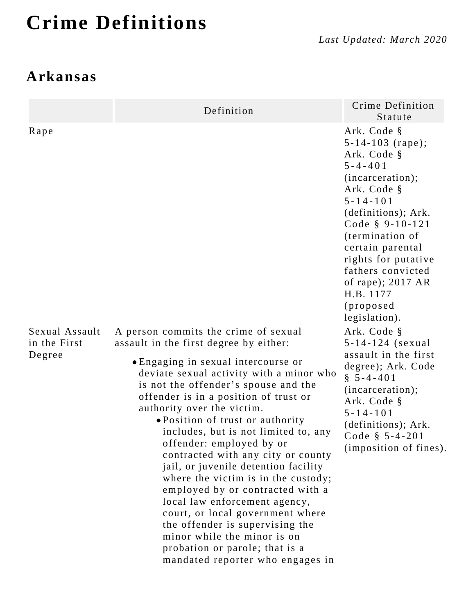# **Crime Definitions**

### **Arkansas**

|                                          | Definition                                                                                                                                                                                                                                                                                                                                                                                                                                                                                                                                                                                                                                                                                                             | Crime Definition<br>Statute                                                                                                                                                                                                                                                                                                                |
|------------------------------------------|------------------------------------------------------------------------------------------------------------------------------------------------------------------------------------------------------------------------------------------------------------------------------------------------------------------------------------------------------------------------------------------------------------------------------------------------------------------------------------------------------------------------------------------------------------------------------------------------------------------------------------------------------------------------------------------------------------------------|--------------------------------------------------------------------------------------------------------------------------------------------------------------------------------------------------------------------------------------------------------------------------------------------------------------------------------------------|
| Rape                                     | A person commits the crime of sexual                                                                                                                                                                                                                                                                                                                                                                                                                                                                                                                                                                                                                                                                                   | Ark. Code §<br>$5 - 14 - 103$ (rape);<br>Ark. Code §<br>$5 - 4 - 401$<br>(incarceration);<br>Ark. Code §<br>$5 - 14 - 101$<br>(definitions); Ark.<br>Code $§$ 9-10-121<br>(termination of<br>certain parental<br>rights for putative<br>fathers convicted<br>of rape); $2017 AR$<br>H.B. 1177<br>(proposed<br>legislation).<br>Ark. Code § |
| Sexual Assault<br>in the First<br>Degree | assault in the first degree by either:<br>• Engaging in sexual intercourse or<br>deviate sexual activity with a minor who<br>is not the offender's spouse and the<br>offender is in a position of trust or<br>authority over the victim.<br>• Position of trust or authority<br>includes, but is not limited to, any<br>offender: employed by or<br>contracted with any city or county<br>jail, or juvenile detention facility<br>where the victim is in the custody;<br>employed by or contracted with a<br>local law enforcement agency,<br>court, or local government where<br>the offender is supervising the<br>minor while the minor is on<br>probation or parole; that is a<br>mandated reporter who engages in | 5-14-124 (sexual<br>assault in the first<br>degree); Ark. Code<br>$\S$ 5-4-401<br>(incarceration);<br>Ark. Code §<br>$5 - 14 - 101$<br>(definitions); Ark.<br>Code $$5-4-201$<br>(imposition of fines).                                                                                                                                    |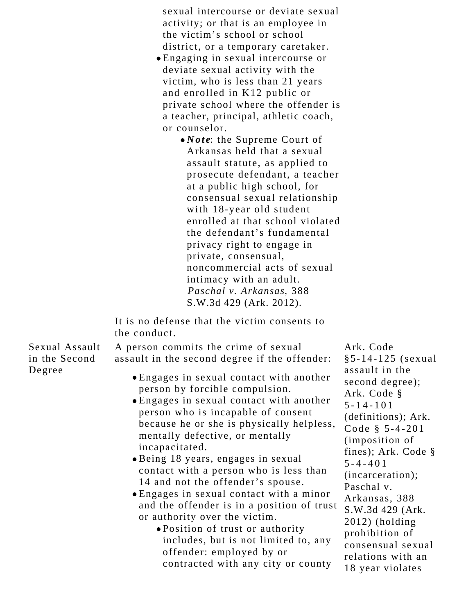sexual intercourse or deviate sexual activity; or that is an employee in the victim's school or school district, or a temporary caretaker.

- Engaging in sexual intercourse or deviate sexual activity with the victim, who is less than 21 years and enrolled in K12 public or private school where the offender is a teacher, principal, athletic coach, or counselor.
	- *Note*: the Supreme Court of Arkansas held that a sexual assault statute, as applied to prosecute defendant, a teacher at a public high school, for consensual sexual relationship with 18-year old student enrolled at that school violated the defendant's fundamental privacy right to engage in private, consensual, noncommercial acts of sexual intimacy with an adult. *Paschal v. Arkansas*, 388 S.W.3d 429 (Ark. 2012).

It is no defense that the victim consents to the conduct.

Sexual Assault in the Second Degree

A person commits the crime of sexual assault in the second degree if the offender: Engages in sexual contact with another person by forcible compulsion.

- Engages in sexual contact with another person who is incapable of consent because he or she is physically helpless, mentally defective, or mentally incapacitated.
- Being 18 years, engages in sexual contact with a person who is less than 14 and not the offender's spouse.
- Engages in sexual contact with a minor and the offender is in a position of trust or authority over the victim.
	- Position of trust or authority includes, but is not limited to, any offender: employed by or contracted with any city or county

Ark. Code §5-14-125 (sexual assault in the second degree); Ark. Code § 5-14-101 (definitions); Ark. Code § 5-4-201 (imposition of fines); Ark. Code § 5-4-401 (incarceration); Paschal v. Arkansas, 388 S.W.3d 429 (Ark. 2012) (holding prohibition of consensual sexual relations with an 18 year violates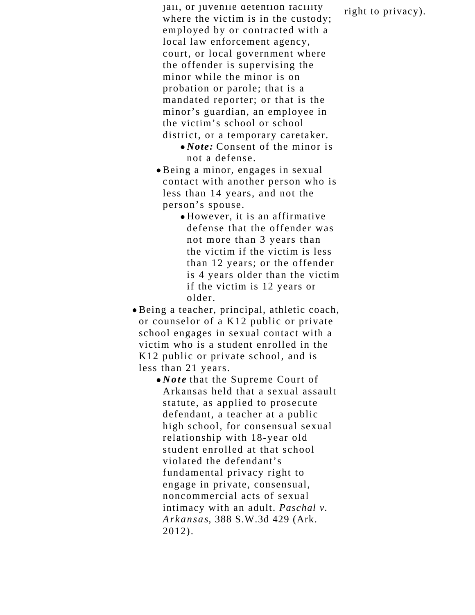jail, or juvenile detention facility where the victim is in the custody; employed by or contracted with a local law enforcement agency, court, or local government where the offender is supervising the minor while the minor is on probation or parole; that is a mandated reporter; or that is the minor's guardian, an employee in the victim's school or school district, or a temporary caretaker.

- *Note:* Consent of the minor is not a defense.
- Being a minor, engages in sexual contact with another person who is less than 14 years, and not the person's spouse.
	- However, it is an affirmative defense that the offender was not more than 3 years than the victim if the victim is less than 12 years; or the offender is 4 years older than the victim if the victim is 12 years or older.
- Being a teacher, principal, athletic coach, or counselor of a K12 public or private school engages in sexual contact with a victim who is a student enrolled in the K12 public or private school, and is less than 21 years.
	- *Note* that the Supreme Court of Arkansas held that a sexual assault statute, as applied to prosecute defendant, a teacher at a public high school, for consensual sexual relationship with 18-year old student enrolled at that school violated the defendant's fundamental privacy right to engage in private, consensual, noncommercial acts of sexual intimacy with an adult. *Paschal v. Arkansas*, 388 S.W.3d 429 (Ark. 2012).

right to privacy).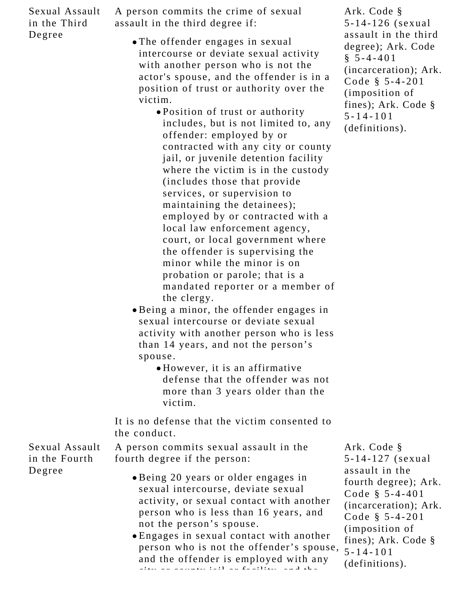Sexual Assault in the Third Degree

A person commits the crime of sexual assault in the third degree if:

The offender engages in sexual intercourse or deviate sexual activity with another person who is not the actor's spouse, and the offender is in a position of trust or authority over the victim.

Position of trust or authority includes, but is not limited to, any offender: employed by or contracted with any city or county jail, or juvenile detention facility where the victim is in the custody (includes those that provide services, or supervision to maintaining the detainees); employed by or contracted with a local law enforcement agency, court, or local government where the offender is supervising the minor while the minor is on probation or parole; that is a mandated reporter or a member of the clergy.

- Being a minor, the offender engages in sexual intercourse or deviate sexual activity with another person who is less than 14 years, and not the person's spouse.
	- However, it is an affirmative defense that the offender was not more than 3 years older than the victim.

It is no defense that the victim consented to the conduct.

Sexual Assault in the Fourth Degree

A person commits sexual assault in the fourth degree if the person:

- Being 20 years or older engages in sexual intercourse, deviate sexual activity, or sexual contact with another person who is less than 16 years, and not the person's spouse.
- Engages in sexual contact with another person who is not the offender's spouse, and the offender is employed with any city of county is the county of the county of the county of the county of the county of the county of the county of the county of the county of the county of the county of the county of the county of the county of the coun

Ark. Code § 5-14-127 (sexual assault in the fourth degree); Ark. Code § 5-4-401 (incarceration); Ark. Code § 5-4-201 (imposition of fines); Ark. Code § 5-14-101 (definitions).

Ark. Code § 5-14-126 (sexual assault in the third degree); Ark. Code  $§ 5 - 4 - 401$ (incarceration); Ark. Code § 5-4-201 (imposition of fines); Ark. Code § 5-14-101 (definitions).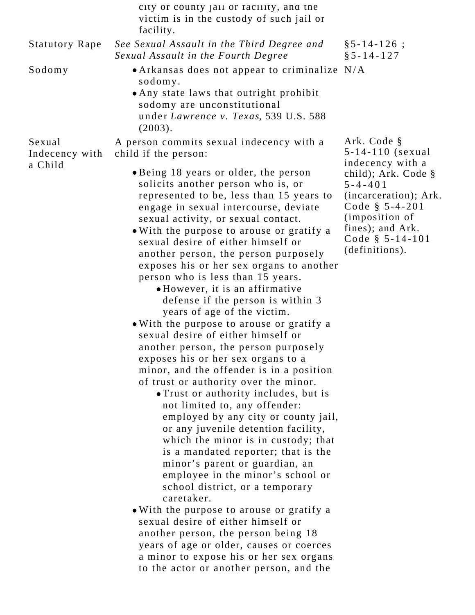|                                     | city or county jail or facility, and the<br>victim is in the custody of such jail or<br>facility.               |                                                           |
|-------------------------------------|-----------------------------------------------------------------------------------------------------------------|-----------------------------------------------------------|
| <b>Statutory Rape</b>               | See Sexual Assault in the Third Degree and<br>Sexual Assault in the Fourth Degree                               | $§ 5 - 14 - 126 ;$<br>$§ 5 - 14 - 127$                    |
| Sodomy                              | • Arkansas does not appear to criminalize N/A<br>sodomy.                                                        |                                                           |
|                                     | . Any state laws that outright prohibit<br>sodomy are unconstitutional<br>under Lawrence v. Texas, 539 U.S. 588 |                                                           |
|                                     | (2003).                                                                                                         |                                                           |
| Sexual<br>Indecency with<br>a Child | A person commits sexual indecency with a<br>child if the person:                                                | Ark. Code §<br>$5 - 14 - 110$ (sexual<br>indecency with a |
|                                     | • Being 18 years or older, the person<br>solicits another person who is, or                                     | child); Ark. Code $\S$<br>$5 - 4 - 401$                   |
|                                     | represented to be, less than 15 years to<br>engage in sexual intercourse, deviate                               | (incarceration); Ark.<br>Code $$5-4-201$                  |
|                                     | sexual activity, or sexual contact.                                                                             | (imposition of<br>fines); and Ark.                        |
|                                     | • With the purpose to arouse or gratify a<br>sexual desire of either himself or                                 | Code $§ 5-14-101$                                         |
|                                     | another person, the person purposely                                                                            | (definitions).                                            |
|                                     | exposes his or her sex organs to another                                                                        |                                                           |
|                                     | person who is less than 15 years.                                                                               |                                                           |
|                                     | • However, it is an affirmative                                                                                 |                                                           |
|                                     | defense if the person is within 3                                                                               |                                                           |
|                                     | years of age of the victim.                                                                                     |                                                           |
|                                     | . With the purpose to arouse or gratify a                                                                       |                                                           |
|                                     | sexual desire of either himself or                                                                              |                                                           |
|                                     | another person, the person purposely                                                                            |                                                           |
|                                     | exposes his or her sex organs to a                                                                              |                                                           |
|                                     | minor, and the offender is in a position                                                                        |                                                           |
|                                     | of trust or authority over the minor.                                                                           |                                                           |
|                                     | . Trust or authority includes, but is                                                                           |                                                           |
|                                     | not limited to, any offender:<br>employed by any city or county jail,                                           |                                                           |
|                                     | or any juvenile detention facility,                                                                             |                                                           |
|                                     | which the minor is in custody; that                                                                             |                                                           |
|                                     | is a mandated reporter; that is the                                                                             |                                                           |
|                                     | minor's parent or guardian, an                                                                                  |                                                           |
|                                     | employee in the minor's school or                                                                               |                                                           |
|                                     | school district, or a temporary                                                                                 |                                                           |
|                                     | caretaker.                                                                                                      |                                                           |
|                                     | . With the purpose to arouse or gratify a                                                                       |                                                           |
|                                     | sexual desire of either himself or                                                                              |                                                           |
|                                     | another person, the person being 18                                                                             |                                                           |
|                                     | years of age or older, causes or coerces                                                                        |                                                           |
|                                     | a minor to expose his or her sex organs                                                                         |                                                           |

to the actor or another person, and the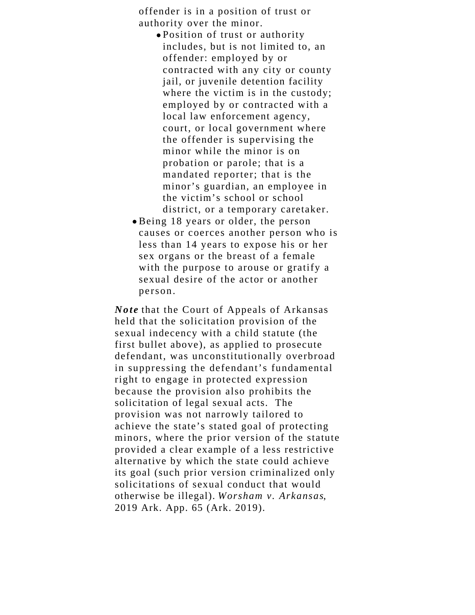offender is in a position of trust or authority over the minor.

- Position of trust or authority includes, but is not limited to, an offender: employed by or contracted with any city or county jail, or juvenile detention facility where the victim is in the custody; employed by or contracted with a local law enforcement agency, court, or local government where the offender is supervising the minor while the minor is on probation or parole; that is a mandated reporter; that is the minor's guardian, an employee in the victim's school or school district, or a temporary caretaker.
- Being 18 years or older, the person causes or coerces another person who is less than 14 years to expose his or her sex organs or the breast of a female with the purpose to arouse or gratify a sexual desire of the actor or another person.

*Note* that the Court of Appeals of Arkansas held that the solicitation provision of the sexual indecency with a child statute (the first bullet above), as applied to prosecute defendant, was unconstitutionally overbroad in suppressing the defendant's fundamental right to engage in protected expression because the provision also prohibits the solicitation of legal sexual acts. The provision was not narrowly tailored to achieve the state's stated goal of protecting minors, where the prior version of the statute provided a clear example of a less restrictive alternative by which the state could achieve its goal (such prior version criminalized only solicitations of sexual conduct that would otherwise be illegal). *Worsham v. Arkansas*, 2019 Ark. App. 65 (Ark. 2019).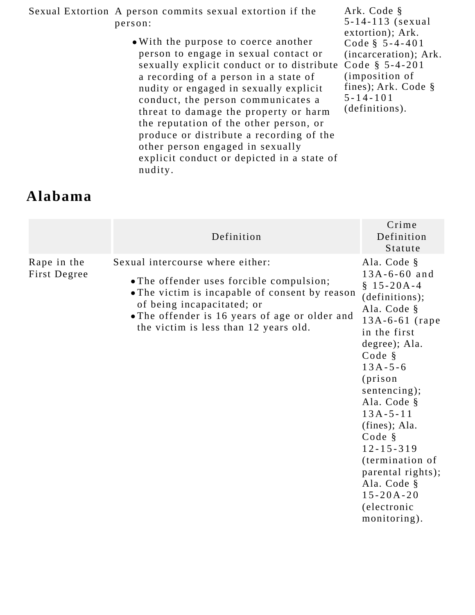Sexual Extortion A person commits sexual extortion if the person:

> With the purpose to coerce another person to engage in sexual contact or sexually explicit conduct or to distribute Code § 5-4-201 a recording of a person in a state of nudity or engaged in sexually explicit conduct, the person communicates a threat to damage the property or harm the reputation of the other person, or produce or distribute a recording of the other person engaged in sexually explicit conduct or depicted in a state of nudity.

Ark. Code § 5-14-113 (sexual extortion); Ark. Code § 5-4-401 (incarceration); Ark. (imposition of fines); Ark. Code § 5-14-101 (definitions).

#### **Alabama**

|                             | Definition                                                                                                                                                                                                                                              | Crime<br>Definition<br>Statute                                                                                                                                                                                                                                                                                                                                                        |
|-----------------------------|---------------------------------------------------------------------------------------------------------------------------------------------------------------------------------------------------------------------------------------------------------|---------------------------------------------------------------------------------------------------------------------------------------------------------------------------------------------------------------------------------------------------------------------------------------------------------------------------------------------------------------------------------------|
| Rape in the<br>First Degree | Sexual intercourse where either:<br>• The offender uses forcible compulsion;<br>• The victim is incapable of consent by reason<br>of being incapacitated; or<br>• The offender is 16 years of age or older and<br>the victim is less than 12 years old. | Ala. Code §<br>$13A - 6 - 60$ and<br>$$15-20A-4$<br>(definitions);<br>Ala. Code §<br>$13A-6-61$ (rape)<br>in the first<br>degree); Ala.<br>Code §<br>$13A - 5 - 6$<br>(prison<br>sentencing);<br>Ala. Code §<br>$13A - 5 - 11$<br>(fines); Ala.<br>Code §<br>$12 - 15 - 319$<br>(termination of<br>parental rights);<br>Ala. Code §<br>$15 - 20A - 20$<br>(electronic<br>monitoring). |
|                             |                                                                                                                                                                                                                                                         |                                                                                                                                                                                                                                                                                                                                                                                       |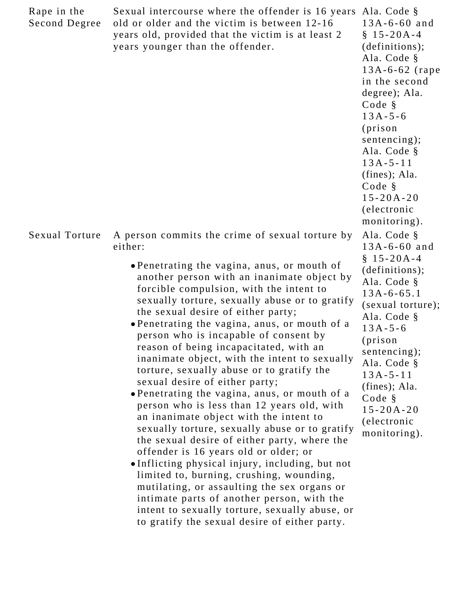| Rape in the<br>Second Degree | Sexual intercourse where the offender is 16 years<br>old or older and the victim is between 12-16<br>years old, provided that the victim is at least 2<br>years younger than the offender.                                                                                                                                                                                                                                                                                                                                                                                                                                                                                                                                                                                                                                                                                                                                                                                                                                                                                                                                                         | Ala. Code §<br>$13A - 6 - 60$ and<br>$$15-20A-4$<br>(definitions);<br>Ala. Code §<br>$13A-6-62$ (rape<br>in the second<br>degree); Ala.<br>Code §<br>$13A - 5 - 6$<br>(prison<br>sentencing);<br>Ala. Code §<br>$13A - 5 - 11$<br>(fines); Ala.<br>Code §<br>$15 - 20A - 20$<br>(electronic<br>monitoring). |
|------------------------------|----------------------------------------------------------------------------------------------------------------------------------------------------------------------------------------------------------------------------------------------------------------------------------------------------------------------------------------------------------------------------------------------------------------------------------------------------------------------------------------------------------------------------------------------------------------------------------------------------------------------------------------------------------------------------------------------------------------------------------------------------------------------------------------------------------------------------------------------------------------------------------------------------------------------------------------------------------------------------------------------------------------------------------------------------------------------------------------------------------------------------------------------------|-------------------------------------------------------------------------------------------------------------------------------------------------------------------------------------------------------------------------------------------------------------------------------------------------------------|
| Sexual Torture               | A person commits the crime of sexual torture by<br>either:<br>• Penetrating the vagina, anus, or mouth of<br>another person with an inanimate object by<br>forcible compulsion, with the intent to<br>sexually torture, sexually abuse or to gratify<br>the sexual desire of either party;<br>• Penetrating the vagina, anus, or mouth of a<br>person who is incapable of consent by<br>reason of being incapacitated, with an<br>inanimate object, with the intent to sexually<br>torture, sexually abuse or to gratify the<br>sexual desire of either party;<br>• Penetrating the vagina, anus, or mouth of a<br>person who is less than 12 years old, with<br>an inanimate object with the intent to<br>sexually torture, sexually abuse or to gratify<br>the sexual desire of either party, where the<br>offender is 16 years old or older; or<br>• Inflicting physical injury, including, but not<br>limited to, burning, crushing, wounding,<br>mutilating, or assaulting the sex organs or<br>intimate parts of another person, with the<br>intent to sexually torture, sexually abuse, or<br>to gratify the sexual desire of either party. | Ala. Code §<br>$13A - 6 - 60$ and<br>$$15-20A-4$<br>(definitions);<br>Ala. Code §<br>$13A - 6 - 65.1$<br>(sexual torture);<br>Ala. Code §<br>$13A - 5 - 6$<br>(prison<br>sentencing);<br>Ala. Code §<br>$13A - 5 - 11$<br>$(fines);$ Ala.<br>Code §<br>$15 - 20A - 20$<br>(electronic<br>monitoring).       |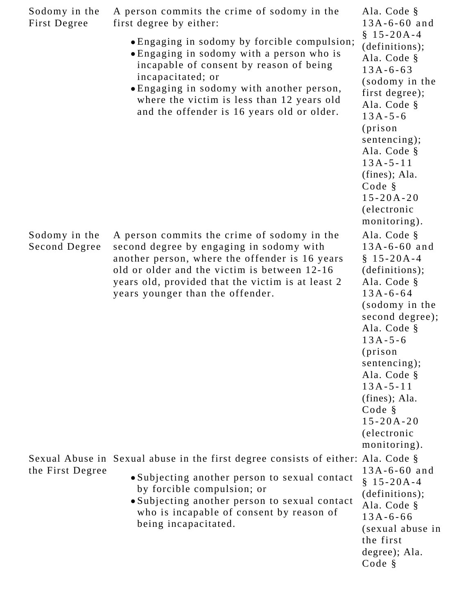| Sodomy in the<br>First Degree  | A person commits the crime of sodomy in the<br>first degree by either:                                                                                                                                                                                                                             | Ala. Code §<br>$13A - 6 - 60$ and                                                                                                                                                                                                                                                                                   |
|--------------------------------|----------------------------------------------------------------------------------------------------------------------------------------------------------------------------------------------------------------------------------------------------------------------------------------------------|---------------------------------------------------------------------------------------------------------------------------------------------------------------------------------------------------------------------------------------------------------------------------------------------------------------------|
|                                | • Engaging in sodomy by forcible compulsion;<br>• Engaging in sodomy with a person who is<br>incapable of consent by reason of being<br>incapacitated; or<br>• Engaging in sodomy with another person,<br>where the victim is less than 12 years old<br>and the offender is 16 years old or older. | $$15-20A-4$<br>(definitions);<br>Ala. Code §<br>$13A - 6 - 63$<br>(sodomy in the<br>first degree);<br>Ala. Code §<br>$13A - 5 - 6$<br>(prison<br>sentencing);<br>Ala. Code §<br>$13A - 5 - 11$<br>$(fines);$ Ala.<br>Code §<br>$15 - 20A - 20$<br>(electronic<br>monitoring).                                       |
| Sodomy in the<br>Second Degree | A person commits the crime of sodomy in the<br>second degree by engaging in sodomy with<br>another person, where the offender is 16 years<br>old or older and the victim is between 12-16<br>years old, provided that the victim is at least 2<br>years younger than the offender.                 | Ala. Code §<br>$13A - 6 - 60$ and<br>$$15-20A-4$<br>(definitions);<br>Ala. Code §<br>$13A - 6 - 64$<br>(sodomy in the<br>second degree);<br>Ala. Code §<br>$13A - 5 - 6$<br>(prison<br>sentencing);<br>Ala. Code §<br>$13A - 5 - 11$<br>$(fines);$ Ala.<br>Code §<br>$15 - 20A - 20$<br>(electronic<br>monitoring). |
| the First Degree               | Sexual Abuse in Sexual abuse in the first degree consists of either: Ala. Code §<br>• Subjecting another person to sexual contact<br>by forcible compulsion; or<br>· Subjecting another person to sexual contact<br>who is incapable of consent by reason of<br>being incapacitated.               | $13A - 6 - 60$ and<br>$$15-20A-4$<br>(definitions);<br>Ala. Code §<br>$13A - 6 - 66$<br>(sexual abuse in<br>the first<br>degree); Ala.<br>Code §                                                                                                                                                                    |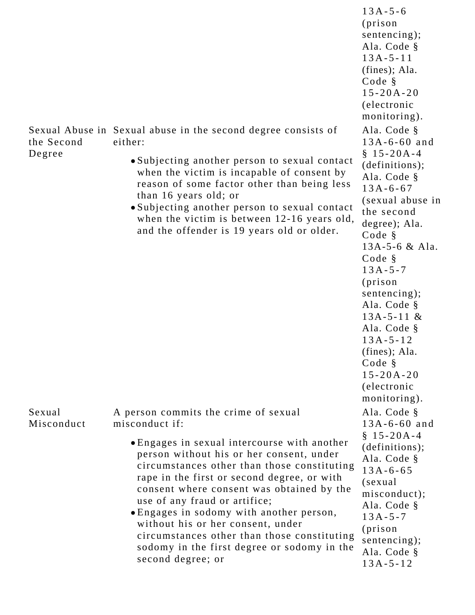|                      |                                                                                                                                                                                                                                                                                                                                                                                                                                                                          | (prison<br>sentencing);<br>Ala. Code §<br>$13A - 5 - 11$<br>$(fines);$ Ala.<br>Code §<br>$15 - 20A - 20$<br>(electronic<br>monitoring).                                                                                                                                                                                                              |
|----------------------|--------------------------------------------------------------------------------------------------------------------------------------------------------------------------------------------------------------------------------------------------------------------------------------------------------------------------------------------------------------------------------------------------------------------------------------------------------------------------|------------------------------------------------------------------------------------------------------------------------------------------------------------------------------------------------------------------------------------------------------------------------------------------------------------------------------------------------------|
| the Second           | Sexual Abuse in Sexual abuse in the second degree consists of<br>either:                                                                                                                                                                                                                                                                                                                                                                                                 | Ala. Code §<br>$13A - 6 - 60$ and                                                                                                                                                                                                                                                                                                                    |
| Degree               | • Subjecting another person to sexual contact<br>when the victim is incapable of consent by<br>reason of some factor other than being less<br>than 16 years old; or<br>• Subjecting another person to sexual contact<br>when the victim is between 12-16 years old,<br>and the offender is 19 years old or older.                                                                                                                                                        | $$15-20A-4$<br>(definitions);<br>Ala. Code §<br>$13A - 6 - 67$<br>(sexual abuse in<br>the second<br>degree); Ala.<br>Code §<br>$13A-5-6 & A1a.$<br>Code §<br>$13A - 5 - 7$<br>(prison<br>sentencing);<br>Ala. Code §<br>$13A-5-11$ &<br>Ala. Code §<br>$13A - 5 - 12$<br>$(fines);$ Ala.<br>Code §<br>$15 - 20A - 20$<br>(electronic<br>monitoring). |
| Sexual<br>Misconduct | A person commits the crime of sexual<br>misconduct if:                                                                                                                                                                                                                                                                                                                                                                                                                   | Ala. Code §<br>$13A - 6 - 60$ and                                                                                                                                                                                                                                                                                                                    |
|                      | • Engages in sexual intercourse with another<br>person without his or her consent, under<br>circumstances other than those constituting<br>rape in the first or second degree, or with<br>consent where consent was obtained by the<br>use of any fraud or artifice;<br>• Engages in sodomy with another person,<br>without his or her consent, under<br>circumstances other than those constituting<br>sodomy in the first degree or sodomy in the<br>second degree; or | $$15-20A-4$<br>(definitions);<br>Ala. Code §<br>$13A - 6 - 65$<br>(sexual)<br>misconduct);<br>Ala. Code §<br>$13A - 5 - 7$<br>(prison<br>sentencing);<br>Ala. Code §<br>$13A - 5 - 12$                                                                                                                                                               |

13A-5-6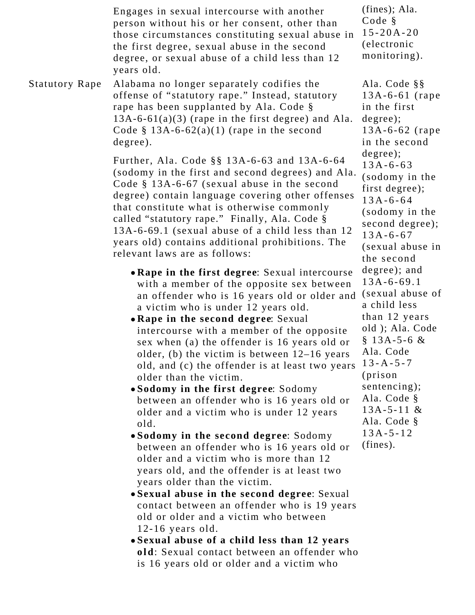|                       | Engages in sexual intercourse with another<br>person without his or her consent, other than<br>those circumstances constituting sexual abuse in<br>the first degree, sexual abuse in the second<br>degree, or sexual abuse of a child less than 12<br>years old.                                                                                                                                                                                                                                                                                                                                                                                                                                                                                                                                                                                                                                                                                                                                                                                                                                                         | $(fines);$ Ala.<br>Code §<br>$15 - 20A - 20$<br>(electronic<br>monitoring).                                                                                                                                                                                       |
|-----------------------|--------------------------------------------------------------------------------------------------------------------------------------------------------------------------------------------------------------------------------------------------------------------------------------------------------------------------------------------------------------------------------------------------------------------------------------------------------------------------------------------------------------------------------------------------------------------------------------------------------------------------------------------------------------------------------------------------------------------------------------------------------------------------------------------------------------------------------------------------------------------------------------------------------------------------------------------------------------------------------------------------------------------------------------------------------------------------------------------------------------------------|-------------------------------------------------------------------------------------------------------------------------------------------------------------------------------------------------------------------------------------------------------------------|
| <b>Statutory Rape</b> | Alabama no longer separately codifies the<br>offense of "statutory rape." Instead, statutory<br>rape has been supplanted by Ala. Code §<br>$13A-6-61(a)(3)$ (rape in the first degree) and Ala.<br>Code § 13A-6-62(a)(1) (rape in the second<br>degree).                                                                                                                                                                                                                                                                                                                                                                                                                                                                                                                                                                                                                                                                                                                                                                                                                                                                 | Ala. Code §§<br>$13A-6-61$ (rape<br>in the first<br>degree);<br>$13A-6-62$ (rape)<br>in the second                                                                                                                                                                |
|                       | Further, Ala. Code §§ 13A-6-63 and 13A-6-64<br>(sodomy in the first and second degrees) and Ala.<br>Code $§$ 13A-6-67 (sexual abuse in the second<br>degree) contain language covering other offenses<br>that constitute what is otherwise commonly<br>called "statutory rape." Finally, Ala. Code §<br>13A-6-69.1 (sexual abuse of a child less than 12<br>years old) contains additional prohibitions. The<br>relevant laws are as follows:                                                                                                                                                                                                                                                                                                                                                                                                                                                                                                                                                                                                                                                                            | degree);<br>$13A - 6 - 63$<br>(sodomy in the<br>first degree);<br>$13A - 6 - 64$<br>(sodomy in the<br>second degree);<br>$13A - 6 - 67$<br>(sexual abuse in<br>the second                                                                                         |
|                       | • Rape in the first degree: Sexual intercourse<br>with a member of the opposite sex between<br>an offender who is 16 years old or older and<br>a victim who is under 12 years old.<br>• Rape in the second degree: Sexual<br>intercourse with a member of the opposite<br>sex when (a) the offender is 16 years old or<br>older, (b) the victim is between $12-16$ years<br>old, and (c) the offender is at least two years<br>older than the victim.<br>• Sodomy in the first degree: Sodomy<br>between an offender who is 16 years old or<br>older and a victim who is under 12 years<br>old.<br>• Sodomy in the second degree: Sodomy<br>between an offender who is 16 years old or<br>older and a victim who is more than 12<br>years old, and the offender is at least two<br>years older than the victim.<br>• Sexual abuse in the second degree: Sexual<br>contact between an offender who is 19 years<br>old or older and a victim who between<br>$12-16$ years old.<br>• Sexual abuse of a child less than 12 years<br>old: Sexual contact between an offender who<br>is 16 years old or older and a victim who | degree); and<br>$13A - 6 - 69.1$<br>(sexual abuse of<br>a child less<br>than 12 years<br>old); Ala. Code<br>§ 13A-5-6 $&$<br>Ala. Code<br>$13 - A - 5 - 7$<br>(prison<br>sentencing);<br>Ala. Code §<br>$13A-5-11 &$<br>Ala. Code §<br>$13A - 5 - 12$<br>(fines). |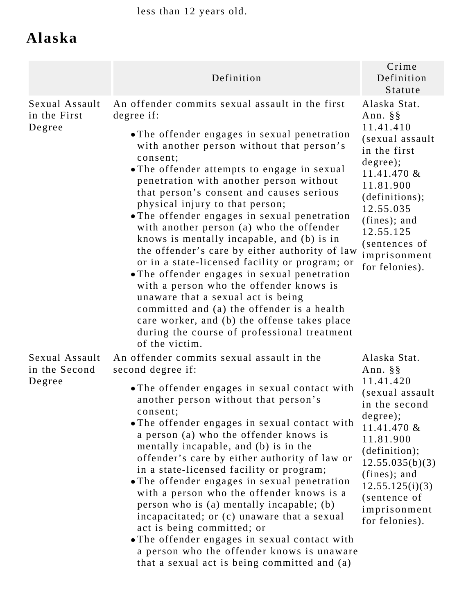less than 12 years old.

### **Alaska**

|                                           | Definition                                                                                                                                                                                                                                                                                                                                                                                                                                                                                                                                                                                                                                                                                                                                                                                                                                                                                    | Crime<br>Definition<br>Statute                                                                                                                                                                                                              |
|-------------------------------------------|-----------------------------------------------------------------------------------------------------------------------------------------------------------------------------------------------------------------------------------------------------------------------------------------------------------------------------------------------------------------------------------------------------------------------------------------------------------------------------------------------------------------------------------------------------------------------------------------------------------------------------------------------------------------------------------------------------------------------------------------------------------------------------------------------------------------------------------------------------------------------------------------------|---------------------------------------------------------------------------------------------------------------------------------------------------------------------------------------------------------------------------------------------|
| Sexual Assault<br>in the First<br>Degree  | An offender commits sexual assault in the first<br>degree if:<br>• The offender engages in sexual penetration<br>with another person without that person's<br>consent;<br>• The offender attempts to engage in sexual<br>penetration with another person without<br>that person's consent and causes serious<br>physical injury to that person;<br>• The offender engages in sexual penetration<br>with another person (a) who the offender<br>knows is mentally incapable, and (b) is in<br>the offender's care by either authority of law<br>or in a state-licensed facility or program; or<br>• The offender engages in sexual penetration<br>with a person who the offender knows is<br>unaware that a sexual act is being<br>committed and (a) the offender is a health<br>care worker, and (b) the offense takes place<br>during the course of professional treatment<br>of the victim. | Alaska Stat.<br>Ann. $\S$ $\S$<br>11.41.410<br>(sexual assault<br>in the first<br>degree);<br>11.41.470 $&$<br>11.81.900<br>(definitions);<br>12.55.035<br>(fines); and<br>12.55.125<br>(sentences of<br>imprisonment<br>for felonies).     |
| Sexual Assault<br>in the Second<br>Degree | An offender commits sexual assault in the<br>second degree if:<br>• The offender engages in sexual contact with<br>another person without that person's<br>consent;<br>• The offender engages in sexual contact with<br>a person (a) who the offender knows is<br>mentally incapable, and (b) is in the<br>offender's care by either authority of law or<br>in a state-licensed facility or program;<br>• The offender engages in sexual penetration<br>with a person who the offender knows is a<br>person who is (a) mentally incapable; (b)<br>incapacitated; or (c) unaware that a sexual<br>act is being committed; or<br>• The offender engages in sexual contact with<br>a person who the offender knows is unaware<br>that a sexual act is being committed and (a)                                                                                                                    | Alaska Stat.<br>Ann. §§<br>11.41.420<br>(sexual assault<br>in the second<br>degree);<br>11.41.470 &<br>11.81.900<br>(definition);<br>12.55.035(b)(3)<br>$(fines);$ and<br>12.55.125(i)(3)<br>(sentence of<br>imprisonment<br>for felonies). |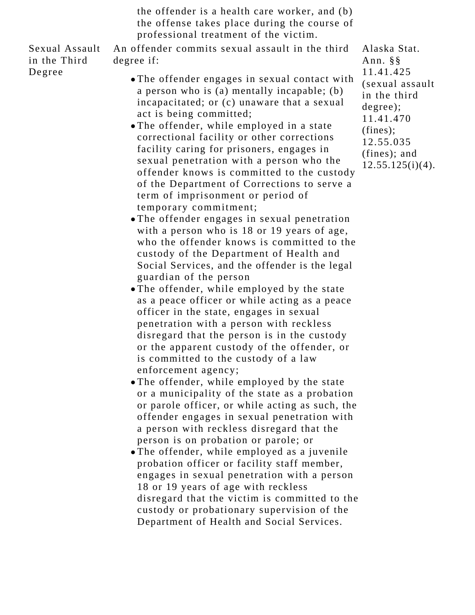the offender is a health care worker, and (b) the offense takes place during the course of professional treatment of the victim.

Sexual Assault in the Third Degree

An offender commits sexual assault in the third degree if:

- The offender engages in sexual contact with a person who is (a) mentally incapable; (b) incapacitated; or (c) unaware that a sexual act is being committed;
- The offender, while employed in a state correctional facility or other corrections facility caring for prisoners, engages in sexual penetration with a person who the offender knows is committed to the custody of the Department of Corrections to serve a term of imprisonment or period of temporary commitment;
- The offender engages in sexual penetration with a person who is 18 or 19 years of age, who the offender knows is committed to the custody of the Department of Health and Social Services, and the offender is the legal guardian of the person
- The offender, while employed by the state as a peace officer or while acting as a peace officer in the state, engages in sexual penetration with a person with reckless disregard that the person is in the custody or the apparent custody of the offender, or is committed to the custody of a law enforcement agency;
- The offender, while employed by the state or a municipality of the state as a probation or parole officer, or while acting as such, the offender engages in sexual penetration with a person with reckless disregard that the person is on probation or parole; or
- The offender, while employed as a juvenile probation officer or facility staff member, engages in sexual penetration with a person 18 or 19 years of age with reckless disregard that the victim is committed to the custody or probationary supervision of the Department of Health and Social Services.

Alaska Stat. Ann. §§ 11.41.425 (sexual assault in the third degree); 11.41.470 (fines); 12.55.035 (fines); and  $12.55.125(i)(4)$ .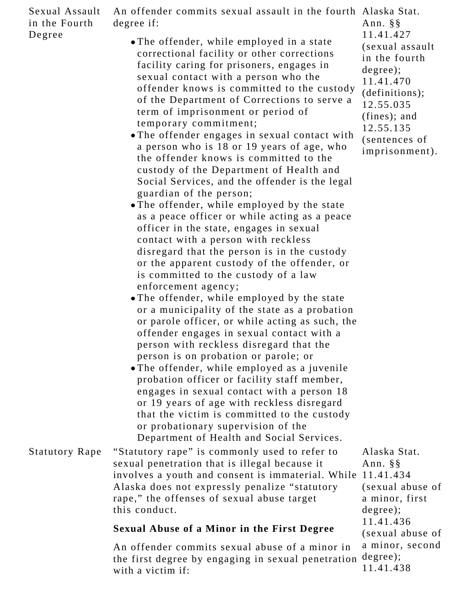| Sexual Assault<br>in the Fourth | An offender commits sexual assault in the fourth Alaska Stat.<br>degree if:                                                                                                                                                                                                                                                                                                                                                                                                                                                                                                                                                                                                                                                                                                                                                                                                                                                                                                                                                                                                                                                                                                                                                                                                                                                                                                                                                                                                                                                | Ann. $\S$ §                                                                                                                                                             |
|---------------------------------|----------------------------------------------------------------------------------------------------------------------------------------------------------------------------------------------------------------------------------------------------------------------------------------------------------------------------------------------------------------------------------------------------------------------------------------------------------------------------------------------------------------------------------------------------------------------------------------------------------------------------------------------------------------------------------------------------------------------------------------------------------------------------------------------------------------------------------------------------------------------------------------------------------------------------------------------------------------------------------------------------------------------------------------------------------------------------------------------------------------------------------------------------------------------------------------------------------------------------------------------------------------------------------------------------------------------------------------------------------------------------------------------------------------------------------------------------------------------------------------------------------------------------|-------------------------------------------------------------------------------------------------------------------------------------------------------------------------|
| Degree                          | • The offender, while employed in a state<br>correctional facility or other corrections<br>facility caring for prisoners, engages in<br>sexual contact with a person who the<br>offender knows is committed to the custody<br>of the Department of Corrections to serve a<br>term of imprisonment or period of<br>temporary commitment;<br>• The offender engages in sexual contact with<br>a person who is 18 or 19 years of age, who<br>the offender knows is committed to the<br>custody of the Department of Health and<br>Social Services, and the offender is the legal<br>guardian of the person;<br>• The offender, while employed by the state<br>as a peace officer or while acting as a peace<br>officer in the state, engages in sexual<br>contact with a person with reckless<br>disregard that the person is in the custody<br>or the apparent custody of the offender, or<br>is committed to the custody of a law<br>enforcement agency;<br>• The offender, while employed by the state<br>or a municipality of the state as a probation<br>or parole officer, or while acting as such, the<br>offender engages in sexual contact with a<br>person with reckless disregard that the<br>person is on probation or parole; or<br>• The offender, while employed as a juvenile<br>probation officer or facility staff member,<br>engages in sexual contact with a person 18<br>or 19 years of age with reckless disregard<br>that the victim is committed to the custody<br>or probationary supervision of the | 11.41.427<br>(sexual assault<br>in the fourth<br>degree);<br>11.41.470<br>(definitions);<br>12.55.035<br>$(fines);$ and<br>12.55.135<br>(sentences of<br>imprisonment). |
| <b>Statutory Rape</b>           | Department of Health and Social Services.<br>"Statutory rape" is commonly used to refer to<br>sexual penetration that is illegal because it<br>involves a youth and consent is immaterial. While 11.41.434<br>Alaska does not expressly penalize "statutory<br>rape," the offenses of sexual abuse target<br>this conduct.                                                                                                                                                                                                                                                                                                                                                                                                                                                                                                                                                                                                                                                                                                                                                                                                                                                                                                                                                                                                                                                                                                                                                                                                 | Alaska Stat.<br>Ann. $\S$ $\S$<br>(sexual abuse of<br>a minor, first<br>degree);                                                                                        |
|                                 | <b>Sexual Abuse of a Minor in the First Degree</b>                                                                                                                                                                                                                                                                                                                                                                                                                                                                                                                                                                                                                                                                                                                                                                                                                                                                                                                                                                                                                                                                                                                                                                                                                                                                                                                                                                                                                                                                         | 11.41.436<br>(sexual abuse of                                                                                                                                           |
|                                 | An offender commits sexual abuse of a minor in<br>the first degree by engaging in sexual penetration<br>with a victim if:                                                                                                                                                                                                                                                                                                                                                                                                                                                                                                                                                                                                                                                                                                                                                                                                                                                                                                                                                                                                                                                                                                                                                                                                                                                                                                                                                                                                  | a minor, second<br>degree);<br>11.41.438                                                                                                                                |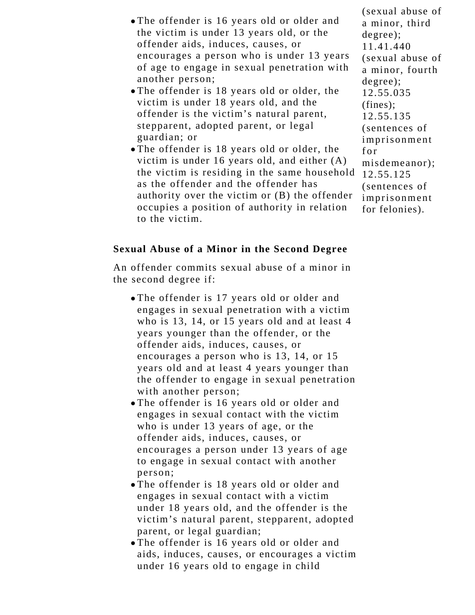- The offender is 16 years old or older and the victim is under 13 years old, or the offender aids, induces, causes, or encourages a person who is under 13 years of age to engage in sexual penetration with another person;
- The offender is 18 years old or older, the victim is under 18 years old, and the offender is the victim's natural parent, stepparent, adopted parent, or legal guardian; or
- The offender is 18 years old or older, the victim is under 16 years old, and either (A) the victim is residing in the same household as the offender and the offender has authority over the victim or (B) the offender occupies a position of authority in relation to the victim.

(sexual abuse of a minor, third degree); 11.41.440 (sexual abuse of a minor, fourth degree); 12.55.035 (fines); 12.55.135 (sentences of imprisonment for misdemeanor); 12.55.125 (sentences of imprisonment for felonies).

#### **Sexual Abuse of a Minor in the Second Degree**

An offender commits sexual abuse of a minor in the second degree if:

- The offender is 17 years old or older and engages in sexual penetration with a victim who is 13, 14, or 15 years old and at least 4 years younger than the offender, or the offender aids, induces, causes, or encourages a person who is 13, 14, or 15 years old and at least 4 years younger than the offender to engage in sexual penetration with another person;
- The offender is 16 years old or older and engages in sexual contact with the victim who is under 13 years of age, or the offender aids, induces, causes, or encourages a person under 13 years of age to engage in sexual contact with another person;
- The offender is 18 years old or older and engages in sexual contact with a victim under 18 years old, and the offender is the victim's natural parent, stepparent, adopted parent, or legal guardian;
- The offender is 16 years old or older and aids, induces, causes, or encourages a victim under 16 years old to engage in child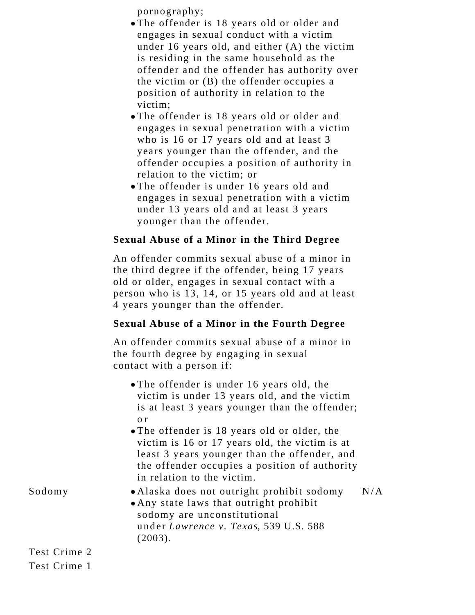pornography;

- The offender is 18 years old or older and engages in sexual conduct with a victim under 16 years old, and either (A) the victim is residing in the same household as the offender and the offender has authority over the victim or (B) the offender occupies a position of authority in relation to the victim;
- The offender is 18 years old or older and engages in sexual penetration with a victim who is 16 or 17 years old and at least 3 years younger than the offender, and the offender occupies a position of authority in relation to the victim; or
- The offender is under 16 years old and engages in sexual penetration with a victim under 13 years old and at least 3 years younger than the offender.

#### **Sexual Abuse of a Minor in the Third Degree**

An offender commits sexual abuse of a minor in the third degree if the offender, being 17 years old or older, engages in sexual contact with a person who is 13, 14, or 15 years old and at least 4 years younger than the offender.

#### **Sexual Abuse of a Minor in the Fourth Degree**

An offender commits sexual abuse of a minor in the fourth degree by engaging in sexual contact with a person if:

- The offender is under 16 years old, the victim is under 13 years old, and the victim is at least 3 years younger than the offender; o r
- The offender is 18 years old or older, the victim is 16 or 17 years old, the victim is at least 3 years younger than the offender, and the offender occupies a position of authority in relation to the victim.

| • Alaska does not outright prohibit sodomy | N/A |
|--------------------------------------------|-----|
| • Any state laws that outright prohibit    |     |
| sodomy are unconstitutional                |     |
| under Lawrence v. Texas, 539 U.S. 588      |     |
| $(2003)$ .                                 |     |

Test Crime 2

Sodomy

Test Crime 1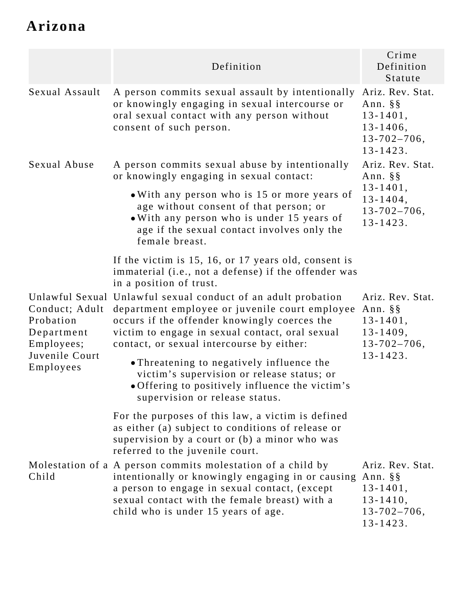## **Arizona**

|                                                                                        | Definition                                                                                                                                                                                                                                                        | Crime<br>Definition<br>Statute                                                                          |  |
|----------------------------------------------------------------------------------------|-------------------------------------------------------------------------------------------------------------------------------------------------------------------------------------------------------------------------------------------------------------------|---------------------------------------------------------------------------------------------------------|--|
| Sexual Assault                                                                         | A person commits sexual assault by intentionally<br>or knowingly engaging in sexual intercourse or<br>oral sexual contact with any person without<br>consent of such person.                                                                                      | Ariz. Rev. Stat.<br>Ann. $\S$ §<br>$13 - 1401,$<br>$13 - 1406$ ,<br>$13 - 702 - 706$ ,<br>$13 - 1423$ . |  |
| Sexual Abuse                                                                           | A person commits sexual abuse by intentionally<br>or knowingly engaging in sexual contact:                                                                                                                                                                        | Ariz. Rev. Stat.<br>Ann. $\S$ §<br>$13 - 1401,$<br>$13 - 1404,$<br>$13 - 702 - 706$ ,<br>$13 - 1423$ .  |  |
|                                                                                        | • With any person who is 15 or more years of<br>age without consent of that person; or<br>. With any person who is under 15 years of<br>age if the sexual contact involves only the<br>female breast.                                                             |                                                                                                         |  |
|                                                                                        | If the victim is 15, 16, or 17 years old, consent is<br>immaterial (i.e., not a defense) if the offender was<br>in a position of trust.                                                                                                                           |                                                                                                         |  |
| Conduct; Adult<br>Probation<br>Department<br>Employees;<br>Juvenile Court<br>Employees | Unlawful Sexual Unlawful sexual conduct of an adult probation<br>department employee or juvenile court employee<br>occurs if the offender knowingly coerces the<br>victim to engage in sexual contact, oral sexual<br>contact, or sexual intercourse by either:   | Ariz. Rev. Stat.<br>Ann. $\S$ §<br>$13 - 1401,$<br>$13 - 1409,$<br>$13 - 702 - 706$ ,<br>$13 - 1423$ .  |  |
|                                                                                        | • Threatening to negatively influence the<br>victim's supervision or release status; or<br>• Offering to positively influence the victim's<br>supervision or release status.                                                                                      |                                                                                                         |  |
|                                                                                        | For the purposes of this law, a victim is defined<br>as either (a) subject to conditions of release or<br>supervision by a court or (b) a minor who was<br>referred to the juvenile court.                                                                        |                                                                                                         |  |
| Child                                                                                  | Molestation of a A person commits molestation of a child by<br>intentionally or knowingly engaging in or causing Ann. §§<br>a person to engage in sexual contact, (except<br>sexual contact with the female breast) with a<br>child who is under 15 years of age. | Ariz. Rev. Stat.<br>$13 - 1401,$<br>$13 - 1410$ ,<br>$13 - 702 - 706$ ,<br>$13 - 1423$ .                |  |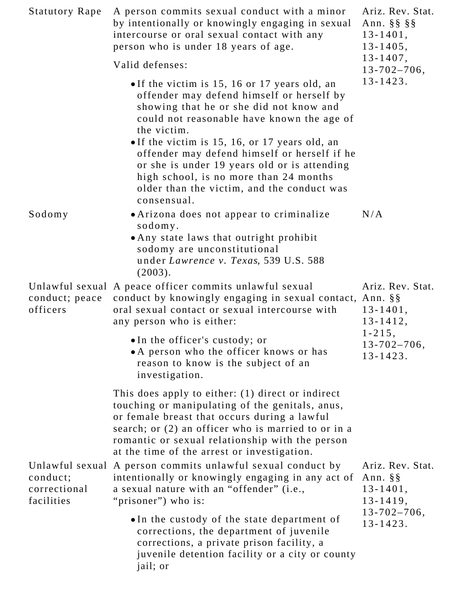| <b>Statutory Rape</b>                  | A person commits sexual conduct with a minor<br>by intentionally or knowingly engaging in sexual<br>intercourse or oral sexual contact with any<br>person who is under 18 years of age.                                                                                                                                                                                                                                                                     | Ariz. Rev. Stat.<br>Ann. $\S$ $\S$ $\S$ $\S$<br>$13 - 1401,$<br>$13 - 1405,$<br>$13 - 1407$ , |
|----------------------------------------|-------------------------------------------------------------------------------------------------------------------------------------------------------------------------------------------------------------------------------------------------------------------------------------------------------------------------------------------------------------------------------------------------------------------------------------------------------------|-----------------------------------------------------------------------------------------------|
|                                        | Valid defenses:                                                                                                                                                                                                                                                                                                                                                                                                                                             | $13 - 702 - 706$ ,                                                                            |
|                                        | • If the victim is 15, 16 or 17 years old, an<br>offender may defend himself or herself by<br>showing that he or she did not know and<br>could not reasonable have known the age of<br>the victim.<br>• If the victim is 15, 16, or 17 years old, an<br>offender may defend himself or herself if he<br>or she is under 19 years old or is attending<br>high school, is no more than 24 months<br>older than the victim, and the conduct was<br>consensual. | $13 - 1423$ .                                                                                 |
| Sodomy                                 | • Arizona does not appear to criminalize<br>sodomy.<br>• Any state laws that outright prohibit<br>sodomy are unconstitutional<br>under Lawrence v. Texas, 539 U.S. 588<br>(2003).                                                                                                                                                                                                                                                                           | N/A                                                                                           |
| conduct; peace<br>officers             | Unlawful sexual A peace officer commits unlawful sexual<br>conduct by knowingly engaging in sexual contact, Ann. §§<br>oral sexual contact or sexual intercourse with<br>any person who is either:                                                                                                                                                                                                                                                          | Ariz. Rev. Stat.<br>$13 - 1401,$<br>$13 - 1412$ ,                                             |
|                                        | • In the officer's custody; or<br>• A person who the officer knows or has<br>reason to know is the subject of an<br>investigation.                                                                                                                                                                                                                                                                                                                          | $1 - 215$ ,<br>$13 - 702 - 706$ ,<br>$13 - 1423$ .                                            |
|                                        | This does apply to either: (1) direct or indirect<br>touching or manipulating of the genitals, anus,<br>or female breast that occurs during a lawful<br>search; or (2) an officer who is married to or in a<br>romantic or sexual relationship with the person<br>at the time of the arrest or investigation.                                                                                                                                               |                                                                                               |
| conduct;<br>correctional<br>facilities | Unlawful sexual A person commits unlawful sexual conduct by<br>intentionally or knowingly engaging in any act of<br>a sexual nature with an "offender" (i.e.,<br>"prisoner") who is:                                                                                                                                                                                                                                                                        | Ariz. Rev. Stat.<br>Ann. $\S$ §<br>$13 - 1401,$<br>$13 - 1419$ ,                              |
|                                        | • In the custody of the state department of<br>corrections, the department of juvenile<br>corrections, a private prison facility, a<br>juvenile detention facility or a city or county<br>jail; or                                                                                                                                                                                                                                                          | $13 - 702 - 706$ ,<br>$13 - 1423$ .                                                           |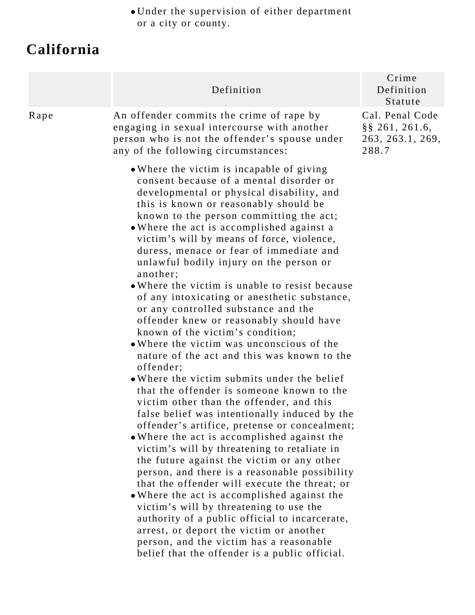Under the supervision of either department or a city or county.

### **California**

|      | Definition                                                                                                                                                                                                                                                                                                                                                                                                                                                                                                                                                                                                                                                                                                                                                                                                                                                                                                                                                                                                                                                                                                                                                                                                                                                                                                                                                                                                                                                                                                                       | Crime<br>Definition<br>Statute                                     |
|------|----------------------------------------------------------------------------------------------------------------------------------------------------------------------------------------------------------------------------------------------------------------------------------------------------------------------------------------------------------------------------------------------------------------------------------------------------------------------------------------------------------------------------------------------------------------------------------------------------------------------------------------------------------------------------------------------------------------------------------------------------------------------------------------------------------------------------------------------------------------------------------------------------------------------------------------------------------------------------------------------------------------------------------------------------------------------------------------------------------------------------------------------------------------------------------------------------------------------------------------------------------------------------------------------------------------------------------------------------------------------------------------------------------------------------------------------------------------------------------------------------------------------------------|--------------------------------------------------------------------|
| Rape | An offender commits the crime of rape by<br>engaging in sexual intercourse with another<br>person who is not the offender's spouse under<br>any of the following circumstances:                                                                                                                                                                                                                                                                                                                                                                                                                                                                                                                                                                                                                                                                                                                                                                                                                                                                                                                                                                                                                                                                                                                                                                                                                                                                                                                                                  | Cal. Penal Code<br>$\S$ § 261, 261.6,<br>263, 263.1, 269,<br>288.7 |
|      | • Where the victim is incapable of giving<br>consent because of a mental disorder or<br>developmental or physical disability, and<br>this is known or reasonably should be<br>known to the person committing the act;<br>• Where the act is accomplished against a<br>victim's will by means of force, violence,<br>duress, menace or fear of immediate and<br>unlawful bodily injury on the person or<br>another;<br>• Where the victim is unable to resist because<br>of any intoxicating or anesthetic substance,<br>or any controlled substance and the<br>offender knew or reasonably should have<br>known of the victim's condition;<br>• Where the victim was unconscious of the<br>nature of the act and this was known to the<br>offender;<br>• Where the victim submits under the belief<br>that the offender is someone known to the<br>victim other than the offender, and this<br>false belief was intentionally induced by the<br>offender's artifice, pretense or concealment;<br>• Where the act is accomplished against the<br>victim's will by threatening to retaliate in<br>the future against the victim or any other<br>person, and there is a reasonable possibility<br>that the offender will execute the threat; or<br>• Where the act is accomplished against the<br>victim's will by threatening to use the<br>authority of a public official to incarcerate,<br>arrest, or deport the victim or another<br>person, and the victim has a reasonable<br>belief that the offender is a public official. |                                                                    |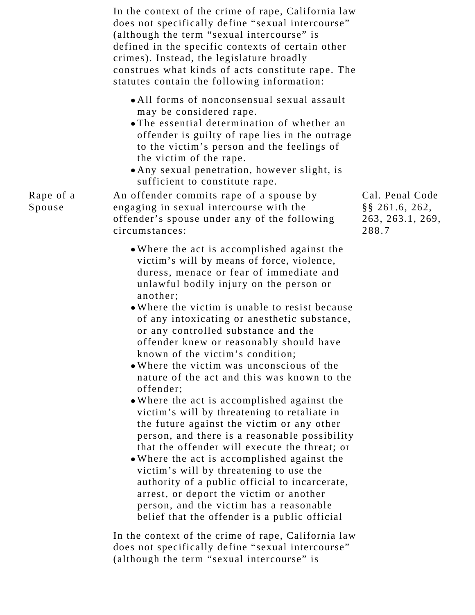In the context of the crime of rape, California law does not specifically define "sexual intercourse" (although the term "sexual intercourse" is defined in the specific contexts of certain other crimes). Instead, the legislature broadly construes what kinds of acts constitute rape. The statutes contain the following information: All forms of nonconsensual sexual assault may be considered rape. The essential determination of whether an offender is guilty of rape lies in the outrage to the victim's person and the feelings of the victim of the rape. Any sexual penetration, however slight, is sufficient to constitute rape. Rape of a Spouse An offender commits rape of a spouse by engaging in sexual intercourse with the offender's spouse under any of the following circumstances: Where the act is accomplished against the victim's will by means of force, violence, duress, menace or fear of immediate and unlawful bodily injury on the person or another; Where the victim is unable to resist because of any intoxicating or anesthetic substance, or any controlled substance and the offender knew or reasonably should have known of the victim's condition; Where the victim was unconscious of the nature of the act and this was known to the offender; Where the act is accomplished against the victim's will by threatening to retaliate in the future against the victim or any other person, and there is a reasonable possibility that the offender will execute the threat; or

Where the act is accomplished against the victim's will by threatening to use the authority of a public official to incarcerate, arrest, or deport the victim or another person, and the victim has a reasonable belief that the offender is a public official

In the context of the crime of rape, California law does not specifically define "sexual intercourse" (although the term "sexual intercourse" is

Cal. Penal Code §§ 261.6, 262, 263, 263.1, 269, 288.7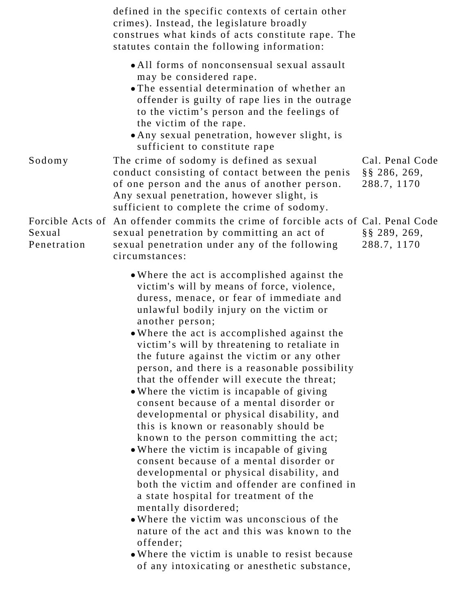|                       | defined in the specific contexts of certain other<br>crimes). Instead, the legislature broadly<br>construes what kinds of acts constitute rape. The<br>statutes contain the following information:                                                                                                                                                                                                                                                                                                                                                                                                                                                                                                                                                                                                                                                                                                                                                                                                                                                                                                                                        |                                 |
|-----------------------|-------------------------------------------------------------------------------------------------------------------------------------------------------------------------------------------------------------------------------------------------------------------------------------------------------------------------------------------------------------------------------------------------------------------------------------------------------------------------------------------------------------------------------------------------------------------------------------------------------------------------------------------------------------------------------------------------------------------------------------------------------------------------------------------------------------------------------------------------------------------------------------------------------------------------------------------------------------------------------------------------------------------------------------------------------------------------------------------------------------------------------------------|---------------------------------|
| Sodomy                | • All forms of nonconsensual sexual assault<br>may be considered rape.<br>• The essential determination of whether an<br>offender is guilty of rape lies in the outrage<br>to the victim's person and the feelings of<br>the victim of the rape.<br>• Any sexual penetration, however slight, is<br>sufficient to constitute rape<br>The crime of sodomy is defined as sexual                                                                                                                                                                                                                                                                                                                                                                                                                                                                                                                                                                                                                                                                                                                                                             | Cal. Penal Code                 |
|                       | conduct consisting of contact between the penis<br>of one person and the anus of another person.<br>Any sexual penetration, however slight, is<br>sufficient to complete the crime of sodomy.                                                                                                                                                                                                                                                                                                                                                                                                                                                                                                                                                                                                                                                                                                                                                                                                                                                                                                                                             | $\S$ § 286, 269,<br>288.7, 1170 |
| Sexual<br>Penetration | Forcible Acts of An offender commits the crime of forcible acts of Cal. Penal Code<br>sexual penetration by committing an act of<br>sexual penetration under any of the following<br>circumstances:                                                                                                                                                                                                                                                                                                                                                                                                                                                                                                                                                                                                                                                                                                                                                                                                                                                                                                                                       | $\S$ § 289, 269,<br>288.7, 1170 |
|                       | • Where the act is accomplished against the<br>victim's will by means of force, violence,<br>duress, menace, or fear of immediate and<br>unlawful bodily injury on the victim or<br>another person;<br>• Where the act is accomplished against the<br>victim's will by threatening to retaliate in<br>the future against the victim or any other<br>person, and there is a reasonable possibility<br>that the offender will execute the threat;<br>• Where the victim is incapable of giving<br>consent because of a mental disorder or<br>developmental or physical disability, and<br>this is known or reasonably should be<br>known to the person committing the act;<br>• Where the victim is incapable of giving<br>consent because of a mental disorder or<br>developmental or physical disability, and<br>both the victim and offender are confined in<br>a state hospital for treatment of the<br>mentally disordered;<br>• Where the victim was unconscious of the<br>nature of the act and this was known to the<br>offender;<br>• Where the victim is unable to resist because<br>of any intoxicating or anesthetic substance, |                                 |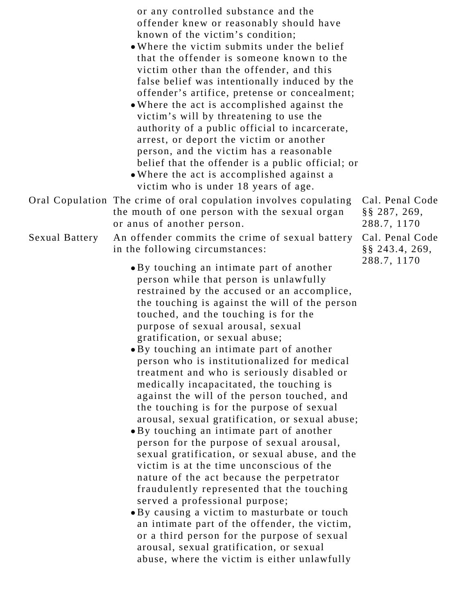or any controlled substance and the offender knew or reasonably should have known of the victim's condition;

- Where the victim submits under the belief that the offender is someone known to the victim other than the offender, and this false belief was intentionally induced by the offender's artifice, pretense or concealment;
- Where the act is accomplished against the victim's will by threatening to use the authority of a public official to incarcerate, arrest, or deport the victim or another person, and the victim has a reasonable belief that the offender is a public official; or
- Where the act is accomplished against a victim who is under 18 years of age.

| Oral Copulation The crime of oral copulation involves copulating Cal. Per                                                                  |           |
|--------------------------------------------------------------------------------------------------------------------------------------------|-----------|
| the mouth of one person with the sexual organ                                                                                              | §§ 287,   |
| or anus of another person.                                                                                                                 | $288.7$ , |
| $S_{\alpha \nu}$ $D_{\alpha}$ $D_{\alpha}$ $D_{\alpha}$ and $D_{\alpha}$ are commits the crime of sexual battery $C_{\alpha}$ $D_{\alpha}$ |           |

#### Sexual Battery An offender commits the crime of sexual battery in the following circumstances:

- By touching an intimate part of another person while that person is unlawfully restrained by the accused or an accomplice, the touching is against the will of the person touched, and the touching is for the purpose of sexual arousal, sexual gratification, or sexual abuse;
- By touching an intimate part of another person who is institutionalized for medical treatment and who is seriously disabled or medically incapacitated, the touching is against the will of the person touched, and the touching is for the purpose of sexual arousal, sexual gratification, or sexual abuse;
- By touching an intimate part of another person for the purpose of sexual arousal, sexual gratification, or sexual abuse, and the victim is at the time unconscious of the nature of the act because the perpetrator fraudulently represented that the touching served a professional purpose;
- By causing a victim to masturbate or touch an intimate part of the offender, the victim, or a third person for the purpose of sexual arousal, sexual gratification, or sexual abuse, where the victim is either unlawfully

nal Code §§ 287, 269, 1170 Cal. Penal Code §§ 243.4, 269, 288.7, 1170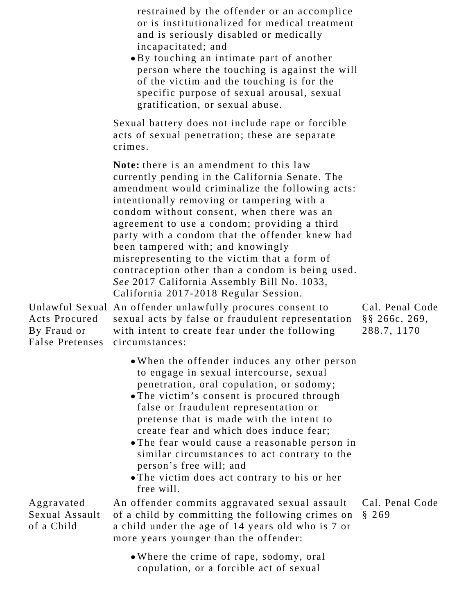restrained by the offender or an accomplice or is institutionalized for medical treatment and is seriously disabled or medically incapacitated; and

By touching an intimate part of another person where the touching is against the will of the victim and the touching is for the specific purpose of sexual arousal, sexual gratification, or sexual abuse.

Sexual battery does not include rape or forcible acts of sexual penetration; these are separate crimes.

**Note:** there is an amendment to this law currently pending in the California Senate. The amendment would criminalize the following acts: intentionally removing or tampering with a condom without consent, when there was an agreement to use a condom; providing a third party with a condom that the offender knew had been tampered with; and knowingly misrepresenting to the victim that a form of contraception other than a condom is being used. *See* 2017 California Assembly Bill No. 1033, California 2017-2018 Regular Session.

Unlawful Sexual An offender unlawfully procures consent to Acts Procured By Fraud or False Pretenses sexual acts by false or fraudulent representation with intent to create fear under the following circumstances: Cal. Penal Code §§ 266c, 269, 288.7, 1170

- When the offender induces any other person to engage in sexual intercourse, sexual penetration, oral copulation, or sodomy;
- The victim's consent is procured through false or fraudulent representation or pretense that is made with the intent to create fear and which does induce fear;
- The fear would cause a reasonable person in similar circumstances to act contrary to the person's free will; and
- The victim does act contrary to his or her free will.

Aggravated Sexual Assault of a Child An offender commits aggravated sexual assault of a child by committing the following crimes on a child under the age of 14 years old who is 7 or more years younger than the offender: Cal. Penal Code § 269

> Where the crime of rape, sodomy, oral copulation, or a forcible act of sexual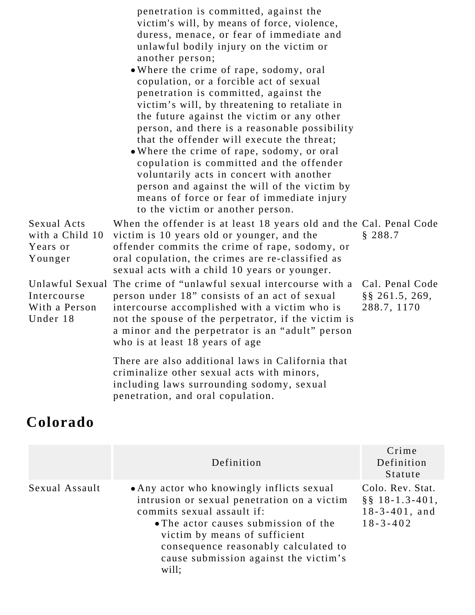|                                                       | penetration is committed, against the<br>victim's will, by means of force, violence,<br>duress, menace, or fear of immediate and<br>unlawful bodily injury on the victim or<br>another person;<br>. Where the crime of rape, sodomy, oral<br>copulation, or a forcible act of sexual<br>penetration is committed, against the<br>victim's will, by threatening to retaliate in<br>the future against the victim or any other<br>person, and there is a reasonable possibility<br>that the offender will execute the threat;<br>• Where the crime of rape, sodomy, or oral<br>copulation is committed and the offender<br>voluntarily acts in concert with another<br>person and against the will of the victim by<br>means of force or fear of immediate injury<br>to the victim or another person. |                                                      |
|-------------------------------------------------------|-----------------------------------------------------------------------------------------------------------------------------------------------------------------------------------------------------------------------------------------------------------------------------------------------------------------------------------------------------------------------------------------------------------------------------------------------------------------------------------------------------------------------------------------------------------------------------------------------------------------------------------------------------------------------------------------------------------------------------------------------------------------------------------------------------|------------------------------------------------------|
| Sexual Acts<br>with a Child 10<br>Years or<br>Younger | When the offender is at least 18 years old and the Cal. Penal Code<br>victim is 10 years old or younger, and the<br>offender commits the crime of rape, sodomy, or<br>oral copulation, the crimes are re-classified as<br>sexual acts with a child 10 years or younger.                                                                                                                                                                                                                                                                                                                                                                                                                                                                                                                             | § 288.7                                              |
| Intercourse<br>With a Person<br>Under 18              | Unlawful Sexual The crime of "unlawful sexual intercourse with a<br>person under 18" consists of an act of sexual<br>intercourse accomplished with a victim who is<br>not the spouse of the perpetrator, if the victim is<br>a minor and the perpetrator is an "adult" person<br>who is at least 18 years of age                                                                                                                                                                                                                                                                                                                                                                                                                                                                                    | Cal. Penal Code<br>$\S$ § 261.5, 269,<br>288.7, 1170 |
|                                                       | There are also additional laws in California that<br>criminalize other sexual acts with minors,<br>including laws surrounding sodomy, sexual<br>penetration, and oral copulation.                                                                                                                                                                                                                                                                                                                                                                                                                                                                                                                                                                                                                   |                                                      |

### **Colorado**

|                | Definition                                                                                                                                                                                                                                                                                | Crime<br>Definition<br>Statute                                                   |
|----------------|-------------------------------------------------------------------------------------------------------------------------------------------------------------------------------------------------------------------------------------------------------------------------------------------|----------------------------------------------------------------------------------|
| Sexual Assault | • Any actor who knowingly inflicts sexual<br>intrusion or sexual penetration on a victim<br>commits sexual assault if:<br>• The actor causes submission of the<br>victim by means of sufficient<br>consequence reasonably calculated to<br>cause submission against the victim's<br>will; | Colo. Rev. Stat.<br>$\S$ § 18-1.3-401,<br>$18 - 3 - 401$ , and<br>$18 - 3 - 402$ |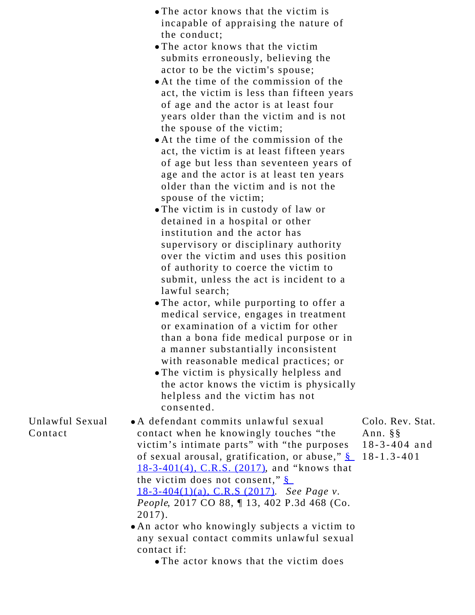- The actor knows that the victim is incapable of appraising the nature of the conduct;
- The actor knows that the victim submits erroneously, believing the actor to be the victim's spouse;
- At the time of the commission of the act, the victim is less than fifteen years of age and the actor is at least four years older than the victim and is not the spouse of the victim;
- At the time of the commission of the act, the victim is at least fifteen years of age but less than seventeen years of age and the actor is at least ten years older than the victim and is not the spouse of the victim;
- The victim is in custody of law or detained in a hospital or other institution and the actor has supervisory or disciplinary authority over the victim and uses this position of authority to coerce the victim to submit, unless the act is incident to a lawful search;
- The actor, while purporting to offer a medical service, engages in treatment or examination of a victim for other than a bona fide medical purpose or in a manner substantially inconsistent with reasonable medical practices; or
- The victim is physically helpless and the actor knows the victim is physically helpless and the victim has not consented.
- A defendant commits unlawful sexual contact when he knowingly touches "the victim's intimate parts" with "the purposes of sexual arousal, gratification, or abuse," [§](https://1.next.westlaw.com/Link/Document/FullText?findType=L&pubNum=1000517&cite=COSTS18-3-401&originatingDoc=Id4d74c80971011e7a4449fe394270729&refType=SP&originationContext=document&transitionType=DocumentItem&contextData=(sc.Search)#co_pp_0bd500007a412) 18-1.3-401[18-3-401\(4\), C.R.S. \(2017\)](https://1.next.westlaw.com/Link/Document/FullText?findType=L&pubNum=1000517&cite=COSTS18-3-401&originatingDoc=Id4d74c80971011e7a4449fe394270729&refType=SP&originationContext=document&transitionType=DocumentItem&contextData=(sc.Search)#co_pp_0bd500007a412), and "knows that the victim does not consent," [§](https://1.next.westlaw.com/Link/Document/FullText?findType=L&pubNum=1000517&cite=COSTS18-3-404&originatingDoc=Id4d74c80971011e7a4449fe394270729&refType=SP&originationContext=document&transitionType=DocumentItem&contextData=(sc.Search)#co_pp_9f800000f2221) [18-3-404\(1\)\(a\), C.R.S \(2017\)](https://1.next.westlaw.com/Link/Document/FullText?findType=L&pubNum=1000517&cite=COSTS18-3-404&originatingDoc=Id4d74c80971011e7a4449fe394270729&refType=SP&originationContext=document&transitionType=DocumentItem&contextData=(sc.Search)#co_pp_9f800000f2221). *See Page v. People*, 2017 CO 88, ¶ 13, 402 P.3d 468 (Co. 2017).
	- An actor who knowingly subjects a victim to any sexual contact commits unlawful sexual contact if:
		- The actor knows that the victim does

Unlawful Sexual Contact

- Colo. Rev. Stat. Ann. §§ 18-3-404 and
-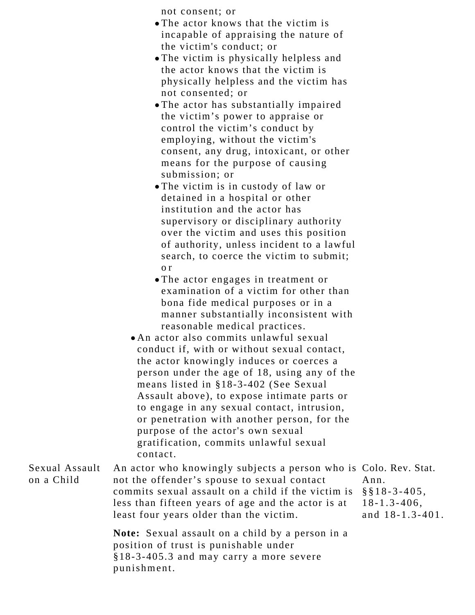not consent; or

- The actor knows that the victim is incapable of appraising the nature of the victim's conduct; or
- The victim is physically helpless and the actor knows that the victim is physically helpless and the victim has not consented; or
- The actor has substantially impaired the victim's power to appraise or control the victim's conduct by employing, without the victim's consent, any drug, intoxicant, or other means for the purpose of causing submission; or
- The victim is in custody of law or detained in a hospital or other institution and the actor has supervisory or disciplinary authority over the victim and uses this position of authority, unless incident to a lawful search, to coerce the victim to submit; o r
- The actor engages in treatment or examination of a victim for other than bona fide medical purposes or in a manner substantially inconsistent with reasonable medical practices.
- An actor also commits unlawful sexual conduct if, with or without sexual contact, the actor knowingly induces or coerces a person under the age of 18, using any of the means listed in §18-3-402 (See Sexual Assault above), to expose intimate parts or to engage in any sexual contact, intrusion, or penetration with another person, for the purpose of the actor's own sexual gratification, commits unlawful sexual contact.

Sexual Assault on a Child An actor who knowingly subjects a person who is Colo. Rev. Stat. not the offender's spouse to sexual contact commits sexual assault on a child if the victim is less than fifteen years of age and the actor is at least four years older than the victim. **Note:** Sexual assault on a child by a person in a position of trust is punishable under Ann. §§18-3-405, 18-1.3-406, and 18-1.3-401.

§18-3-405.3 and may carry a more severe

punishment.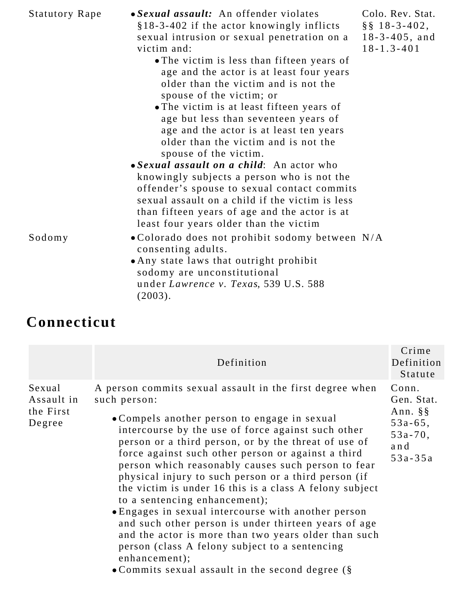| <b>Statutory Rape</b> | • Sexual assault: An offender violates<br>§18-3-402 if the actor knowingly inflicts<br>sexual intrusion or sexual penetration on a<br>victim and:<br>• The victim is less than fifteen years of<br>age and the actor is at least four years<br>older than the victim and is not the<br>spouse of the victim; or<br>• The victim is at least fifteen years of<br>age but less than seventeen years of<br>age and the actor is at least ten years<br>older than the victim and is not the<br>spouse of the victim. | Colo. Rev. Stat.<br>$\S$ § 18-3-402,<br>$18 - 3 - 405$ , and<br>$18 - 1.3 - 401$ |
|-----------------------|------------------------------------------------------------------------------------------------------------------------------------------------------------------------------------------------------------------------------------------------------------------------------------------------------------------------------------------------------------------------------------------------------------------------------------------------------------------------------------------------------------------|----------------------------------------------------------------------------------|
| Sodomy                | • Sexual assault on a child: An actor who<br>knowingly subjects a person who is not the<br>offender's spouse to sexual contact commits<br>sexual assault on a child if the victim is less<br>than fifteen years of age and the actor is at<br>least four years older than the victim<br>. Colorado does not prohibit sodomy between N/A<br>consenting adults.<br>• Any state laws that outright prohibit<br>sodomy are unconstitutional<br>under Lawrence v. Texas, 539 U.S. 588<br>(2003).                      |                                                                                  |

## **Connecticut**

|                                             | Definition                                                                                                                                                                                                                                                                                                                                                                                                                                                                                                                                                                                                                                                                                                                                                                                              | Crime<br>Definition<br>Statute                                                              |
|---------------------------------------------|---------------------------------------------------------------------------------------------------------------------------------------------------------------------------------------------------------------------------------------------------------------------------------------------------------------------------------------------------------------------------------------------------------------------------------------------------------------------------------------------------------------------------------------------------------------------------------------------------------------------------------------------------------------------------------------------------------------------------------------------------------------------------------------------------------|---------------------------------------------------------------------------------------------|
| Sexual<br>Assault in<br>the First<br>Degree | A person commits sexual assault in the first degree when<br>such person:<br>• Compels another person to engage in sexual<br>intercourse by the use of force against such other<br>person or a third person, or by the threat of use of<br>force against such other person or against a third<br>person which reasonably causes such person to fear<br>physical injury to such person or a third person (if<br>the victim is under 16 this is a class A felony subject<br>to a sentencing enhancement);<br>• Engages in sexual intercourse with another person<br>and such other person is under thirteen years of age<br>and the actor is more than two years older than such<br>person (class A felony subject to a sentencing<br>enhancement);<br>• Commits sexual assault in the second degree $(\S$ | Conn.<br>Gen. Stat.<br>Ann. $\S$ $\S$<br>$53a - 65$ ,<br>$53a - 70$ ,<br>and<br>$53a - 35a$ |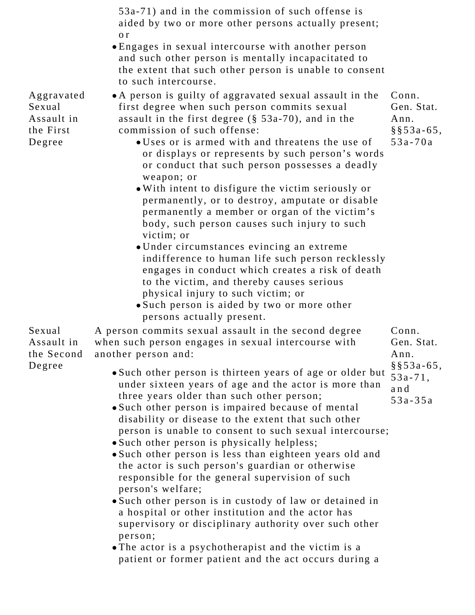53a-71) and in the commission of such offense is aided by two or more other persons actually present; o r Engages in sexual intercourse with another person and such other person is mentally incapacitated to the extent that such other person is unable to consent to such intercourse. A person is guilty of aggravated sexual assault in the first degree when such person commits sexual assault in the first degree (§ 53a-70), and in the commission of such offense: Uses or is armed with and threatens the use of or displays or represents by such person's words or conduct that such person possesses a deadly weapon; or With intent to disfigure the victim seriously or permanently, or to destroy, amputate or disable permanently a member or organ of the victim's body, such person causes such injury to such victim; or Under circumstances evincing an extreme indifference to human life such person recklessly engages in conduct which creates a risk of death to the victim, and thereby causes serious physical injury to such victim; or Such person is aided by two or more other persons actually present. A person commits sexual assault in the second degree when such person engages in sexual intercourse with another person and: Such other person is thirteen years of age or older but under sixteen years of age and the actor is more than three years older than such other person; Such other person is impaired because of mental disability or disease to the extent that such other person is unable to consent to such sexual intercourse; • Such other person is physically helpless; Such other person is less than eighteen years old and the actor is such person's guardian or otherwise responsible for the general supervision of such person's welfare; Such other person is in custody of law or detained in a hospital or other institution and the actor has supervisory or disciplinary authority over such other person; Conn. Gen. Stat.

> The actor is a psychotherapist and the victim is a patient or former patient and the act occurs during a

Conn. Gen. Stat. Ann. §§53a-65, 53a-70a

Aggravated Sexual Assault in the First Degree

Sexual Assault in

Degree

- Ann. §§53a-65,
- 53a-71,
- 53a-35a
- 
- and
- 

the Second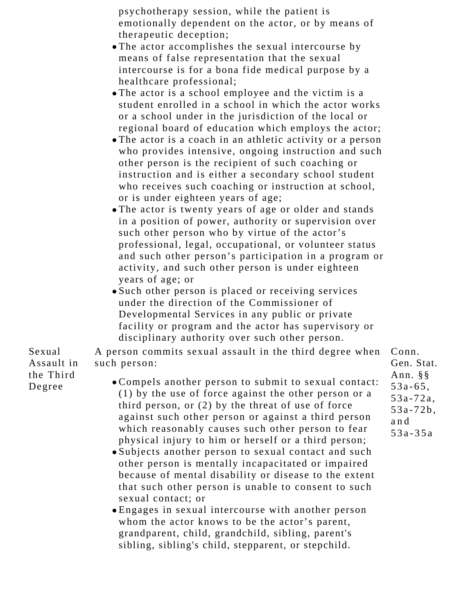psychotherapy session, while the patient is emotionally dependent on the actor, or by means of therapeutic deception;

- The actor accomplishes the sexual intercourse by means of false representation that the sexual intercourse is for a bona fide medical purpose by a healthcare professional;
- The actor is a school employee and the victim is a student enrolled in a school in which the actor works or a school under in the jurisdiction of the local or regional board of education which employs the actor;
- The actor is a coach in an athletic activity or a person who provides intensive, ongoing instruction and such other person is the recipient of such coaching or instruction and is either a secondary school student who receives such coaching or instruction at school, or is under eighteen years of age;
- The actor is twenty years of age or older and stands in a position of power, authority or supervision over such other person who by virtue of the actor's professional, legal, occupational, or volunteer status and such other person's participation in a program or activity, and such other person is under eighteen years of age; or
- Such other person is placed or receiving services under the direction of the Commissioner of Developmental Services in any public or private facility or program and the actor has supervisory or disciplinary authority over such other person.

A person commits sexual assault in the third degree when such person:

- Compels another person to submit to sexual contact: (1) by the use of force against the other person or a third person, or (2) by the threat of use of force against such other person or against a third person which reasonably causes such other person to fear physical injury to him or herself or a third person;
- Subjects another person to sexual contact and such other person is mentally incapacitated or impaired because of mental disability or disease to the extent that such other person is unable to consent to such sexual contact; or
- Engages in sexual intercourse with another person whom the actor knows to be the actor's parent, grandparent, child, grandchild, sibling, parent's sibling, sibling's child, stepparent, or stepchild.

Conn. Gen. Stat. Ann. §§ 53a-65, 53a-72a, 53a-72b, and 53a-35a

Sexual Assault in the Third Degree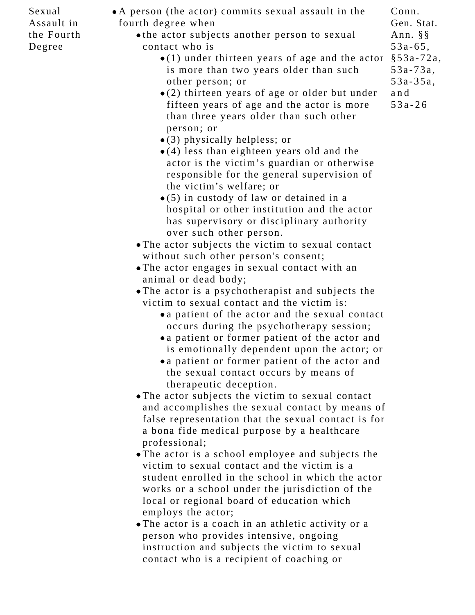Sexual Assault in the Fourth Degree

- A person (the actor) commits sexual assault in the fourth degree when
	- the actor subjects another person to sexual contact who is
		- (1) under thirteen years of age and the actor §53a-72a, is more than two years older than such other person; or 53a-35a,
		- (2) thirteen years of age or older but under fifteen years of age and the actor is more than three years older than such other person; or
		- (3) physically helpless; or
		- (4) less than eighteen years old and the actor is the victim's guardian or otherwise responsible for the general supervision of the victim's welfare; or
		- (5) in custody of law or detained in a hospital or other institution and the actor has supervisory or disciplinary authority over such other person.
	- The actor subjects the victim to sexual contact without such other person's consent;
	- The actor engages in sexual contact with an animal or dead body;
	- The actor is a psychotherapist and subjects the victim to sexual contact and the victim is:
		- a patient of the actor and the sexual contact occurs during the psychotherapy session;
		- a patient or former patient of the actor and is emotionally dependent upon the actor; or
		- a patient or former patient of the actor and the sexual contact occurs by means of therapeutic deception.
	- The actor subjects the victim to sexual contact and accomplishes the sexual contact by means of false representation that the sexual contact is for a bona fide medical purpose by a healthcare professional;
	- The actor is a school employee and subjects the victim to sexual contact and the victim is a student enrolled in the school in which the actor works or a school under the jurisdiction of the local or regional board of education which employs the actor;
	- The actor is a coach in an athletic activity or a person who provides intensive, ongoing instruction and subjects the victim to sexual contact who is a recipient of coaching or

and 53a-26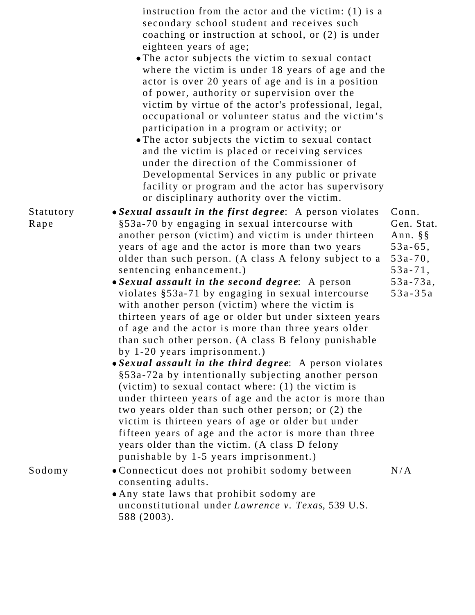|                   | instruction from the actor and the victim: $(1)$ is a<br>secondary school student and receives such<br>coaching or instruction at school, or (2) is under<br>eighteen years of age;<br>• The actor subjects the victim to sexual contact<br>where the victim is under 18 years of age and the<br>actor is over 20 years of age and is in a position<br>of power, authority or supervision over the<br>victim by virtue of the actor's professional, legal,<br>occupational or volunteer status and the victim's<br>participation in a program or activity; or<br>• The actor subjects the victim to sexual contact<br>and the victim is placed or receiving services<br>under the direction of the Commissioner of<br>Developmental Services in any public or private<br>facility or program and the actor has supervisory<br>or disciplinary authority over the victim.                                                                                                                                                                                                                                                                                                                   |                                                                                                                       |
|-------------------|--------------------------------------------------------------------------------------------------------------------------------------------------------------------------------------------------------------------------------------------------------------------------------------------------------------------------------------------------------------------------------------------------------------------------------------------------------------------------------------------------------------------------------------------------------------------------------------------------------------------------------------------------------------------------------------------------------------------------------------------------------------------------------------------------------------------------------------------------------------------------------------------------------------------------------------------------------------------------------------------------------------------------------------------------------------------------------------------------------------------------------------------------------------------------------------------|-----------------------------------------------------------------------------------------------------------------------|
| Statutory<br>Rape | • Sexual assault in the first degree: A person violates<br>§53a-70 by engaging in sexual intercourse with<br>another person (victim) and victim is under thirteen<br>years of age and the actor is more than two years<br>older than such person. (A class A felony subject to a<br>sentencing enhancement.)<br>• Sexual assault in the second degree: A person<br>violates §53a-71 by engaging in sexual intercourse<br>with another person (victim) where the victim is<br>thirteen years of age or older but under sixteen years<br>of age and the actor is more than three years older<br>than such other person. (A class B felony punishable<br>by $1-20$ years imprisonment.)<br>• Sexual assault in the third degree: A person violates<br>§53a-72a by intentionally subjecting another person<br>(victim) to sexual contact where: $(1)$ the victim is<br>under thirteen years of age and the actor is more than<br>two years older than such other person; or (2) the<br>victim is thirteen years of age or older but under<br>fifteen years of age and the actor is more than three<br>years older than the victim. (A class D felony<br>punishable by 1-5 years imprisonment.) | Conn.<br>Gen. Stat.<br>Ann. $\S$ $\S$<br>$53a - 65$ ,<br>$53a - 70$ ,<br>$53a - 71$ ,<br>$53a - 73a$ ,<br>$53a - 35a$ |
| Sodomy            | • Connecticut does not prohibit sodomy between<br>consenting adults.<br>• Any state laws that prohibit sodomy are<br>unconstitutional under Lawrence v. Texas, 539 U.S.<br>588 (2003).                                                                                                                                                                                                                                                                                                                                                                                                                                                                                                                                                                                                                                                                                                                                                                                                                                                                                                                                                                                                     | N/A                                                                                                                   |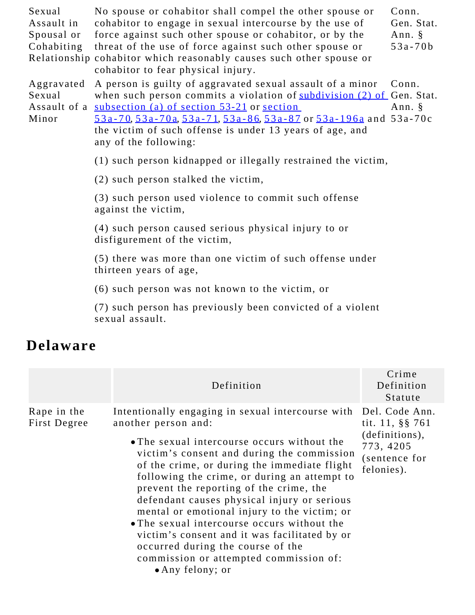| Sexual<br>Assault in<br>Spousal or<br>Cohabiting | No spouse or cohabitor shall compel the other spouse or<br>cohabitor to engage in sexual intercourse by the use of<br>force against such other spouse or cohabitor, or by the<br>threat of the use of force against such other spouse or<br>Relationship cohabitor which reasonably causes such other spouse or<br>cohabitor to fear physical injury.                | Conn.<br>Gen. Stat.<br>Ann. $\S$<br>$53a - 70b$ |
|--------------------------------------------------|----------------------------------------------------------------------------------------------------------------------------------------------------------------------------------------------------------------------------------------------------------------------------------------------------------------------------------------------------------------------|-------------------------------------------------|
| Aggravated<br>Sexual<br>Minor                    | A person is guilty of aggravated sexual assault of a minor<br>when such person commits a violation of subdivision (2) of Gen. Stat.<br>Assault of a <u>subsection (a) of section 53-21</u> or <u>section</u><br>53a-70, 53a-70a, 53a-71, 53a-86, 53a-87 or 53a-196a and 53a-70c<br>the victim of such offense is under 13 years of age, and<br>any of the following: | Conn.<br>Ann. §                                 |
|                                                  | (1) such person kidnapped or illegally restrained the victim,                                                                                                                                                                                                                                                                                                        |                                                 |
|                                                  | (2) such person stalked the victim,                                                                                                                                                                                                                                                                                                                                  |                                                 |
|                                                  | (3) such person used violence to commit such offense<br>against the victim,                                                                                                                                                                                                                                                                                          |                                                 |
|                                                  | (4) such person caused serious physical injury to or<br>disfigurement of the victim,                                                                                                                                                                                                                                                                                 |                                                 |
|                                                  | (5) there was more than one victim of such offense under<br>thirteen years of age,                                                                                                                                                                                                                                                                                   |                                                 |
|                                                  | (6) such person was not known to the victim, or                                                                                                                                                                                                                                                                                                                      |                                                 |

(7) such person has previously been convicted of a violent sexual assault.

#### **Delaware**

|                             | Definition                                                                                                                                                                                                                                                                                                                                                                                                                                                                                                                                                                                                         | Crime<br>Definition<br>Statute                                                                  |
|-----------------------------|--------------------------------------------------------------------------------------------------------------------------------------------------------------------------------------------------------------------------------------------------------------------------------------------------------------------------------------------------------------------------------------------------------------------------------------------------------------------------------------------------------------------------------------------------------------------------------------------------------------------|-------------------------------------------------------------------------------------------------|
| Rape in the<br>First Degree | Intentionally engaging in sexual intercourse with<br>another person and:<br>• The sexual intercourse occurs without the<br>victim's consent and during the commission<br>of the crime, or during the immediate flight<br>following the crime, or during an attempt to<br>prevent the reporting of the crime, the<br>defendant causes physical injury or serious<br>mental or emotional injury to the victim; or<br>• The sexual intercourse occurs without the<br>victim's consent and it was facilitated by or<br>occurred during the course of the<br>commission or attempted commission of:<br>• Any felony; or | Del. Code Ann.<br>tit. 11, §§ 761<br>(definitions),<br>773, 4205<br>(sentence for<br>felonies). |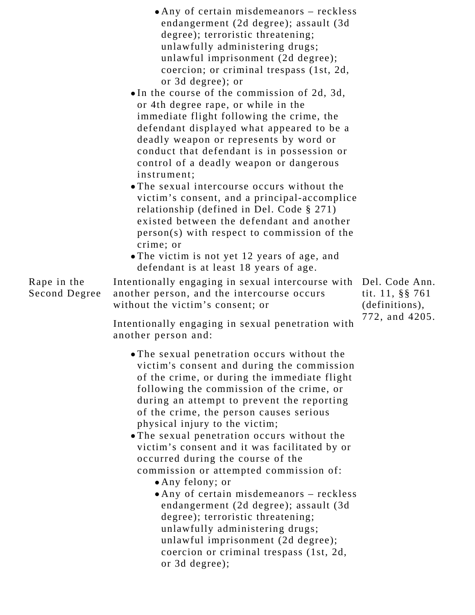|                              | • Any of certain misdemeanors – reckless<br>endangerment (2d degree); assault (3d<br>degree); terroristic threatening;<br>unlawfully administering drugs;<br>unlawful imprisonment (2d degree);<br>coercion; or criminal trespass (1st, 2d,<br>or 3d degree); or<br>$\bullet$ In the course of the commission of 2d, 3d,<br>or 4th degree rape, or while in the<br>immediate flight following the crime, the                                                                                                                                                               |                    |
|------------------------------|----------------------------------------------------------------------------------------------------------------------------------------------------------------------------------------------------------------------------------------------------------------------------------------------------------------------------------------------------------------------------------------------------------------------------------------------------------------------------------------------------------------------------------------------------------------------------|--------------------|
|                              | defendant displayed what appeared to be a<br>deadly weapon or represents by word or<br>conduct that defendant is in possession or<br>control of a deadly weapon or dangerous<br>instrument:<br>• The sexual intercourse occurs without the<br>victim's consent, and a principal-accomplice<br>relationship (defined in Del. Code $\S 271$ )<br>existed between the defendant and another<br>person(s) with respect to commission of the<br>crime; or<br>• The victim is not yet 12 years of age, and<br>defendant is at least 18 years of age.                             |                    |
| Rape in the<br>Second Degree | Intentionally engaging in sexual intercourse with<br>another person, and the intercourse occurs<br>without the victim's consent; or                                                                                                                                                                                                                                                                                                                                                                                                                                        | Del<br>tit.<br>(de |
|                              | Intentionally engaging in sexual penetration with<br>another person and:                                                                                                                                                                                                                                                                                                                                                                                                                                                                                                   | 772                |
|                              | • The sexual penetration occurs without the<br>victim's consent and during the commission<br>of the crime, or during the immediate flight<br>following the commission of the crime, or<br>during an attempt to prevent the reporting<br>of the crime, the person causes serious<br>physical injury to the victim;<br>• The sexual penetration occurs without the<br>victim's consent and it was facilitated by or<br>occurred during the course of the<br>commission or attempted commission of:<br>· Any felony; or<br>$\bullet$ Any of certain misdemeanors $-$ reckless |                    |

Any of certain misdemeanors – reckless endangerment (2d degree); assault (3d degree); terroristic threatening; unlawfully administering drugs; unlawful imprisonment (2d degree); coercion or criminal trespass (1st, 2d, or 3d degree);

. Code Ann. tit. 11, §§ 761 finitions), 2. and  $4205$ .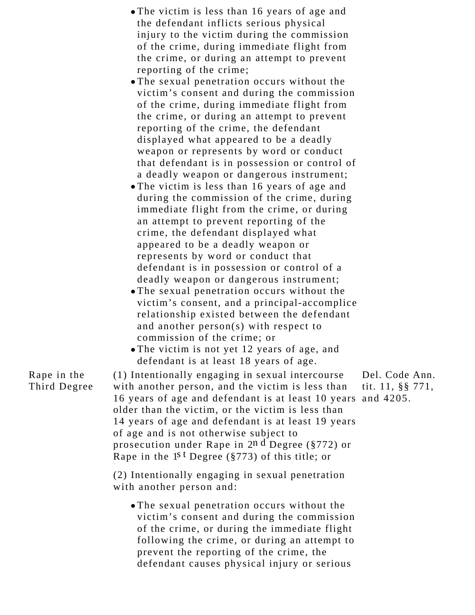| • The victim is less than 16 years of age and |
|-----------------------------------------------|
| the defendant inflicts serious physical       |
| injury to the victim during the commission    |
| of the crime, during immediate flight from    |
| the crime, or during an attempt to prevent    |
| reporting of the crime;                       |

- The sexual penetration occurs without the victim's consent and during the commission of the crime, during immediate flight from the crime, or during an attempt to prevent reporting of the crime, the defendant displayed what appeared to be a deadly weapon or represents by word or conduct that defendant is in possession or control of a deadly weapon or dangerous instrument;
- The victim is less than 16 years of age and during the commission of the crime, during immediate flight from the crime, or during an attempt to prevent reporting of the crime, the defendant displayed what appeared to be a deadly weapon or represents by word or conduct that defendant is in possession or control of a deadly weapon or dangerous instrument;
- The sexual penetration occurs without the victim's consent, and a principal-accomplice relationship existed between the defendant and another person(s) with respect to commission of the crime; or
- The victim is not yet 12 years of age, and defendant is at least 18 years of age.
- Rape in the Third Degree (1) Intentionally engaging in sexual intercourse with another person, and the victim is less than 16 years of age and defendant is at least 10 years and 4205.older than the victim, or the victim is less than 14 years of age and defendant is at least 19 years of age and is not otherwise subject to prosecution under Rape in 2n d Degree (§772) or Rape in the 1<sup>st</sup> Degree (§773) of this title; or (2) Intentionally engaging in sexual penetration with another person and: The sexual penetration occurs without the victim's consent and during the commission of the crime, or during the immediate flight following the crime, or during an attempt to Del. Code Ann. tit. 11, §§ 771,

prevent the reporting of the crime, the

defendant causes physical injury or serious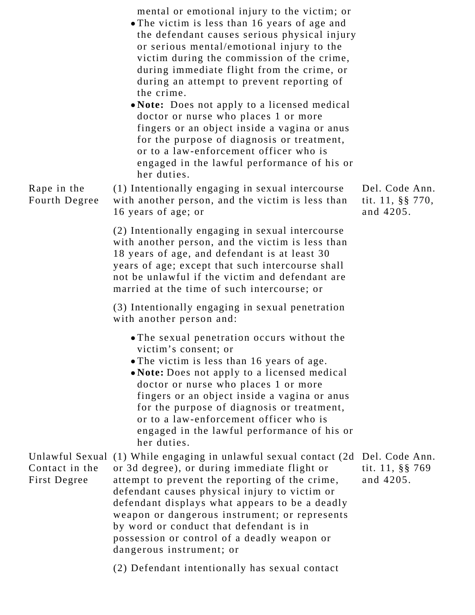mental or emotional injury to the victim; or The victim is less than 16 years of age and the defendant causes serious physical injury or serious mental/emotional injury to the victim during the commission of the crime, during immediate flight from the crime, or during an attempt to prevent reporting of the crime. **Note:** Does not apply to a licensed medical doctor or nurse who places 1 or more fingers or an object inside a vagina or anus for the purpose of diagnosis or treatment, or to a law-enforcement officer who is engaged in the lawful performance of his or her duties. Rape in the Fourth Degree (1) Intentionally engaging in sexual intercourse with another person, and the victim is less than 16 years of age; or (2) Intentionally engaging in sexual intercourse with another person, and the victim is less than 18 years of age, and defendant is at least 30 years of age; except that such intercourse shall not be unlawful if the victim and defendant are married at the time of such intercourse; or (3) Intentionally engaging in sexual penetration with another person and: The sexual penetration occurs without the victim's consent; or The victim is less than 16 years of age. **Note:** Does not apply to a licensed medical doctor or nurse who places 1 or more fingers or an object inside a vagina or anus for the purpose of diagnosis or treatment, or to a law-enforcement officer who is engaged in the lawful performance of his or her duties. Del. Code Ann. tit. 11, §§ 770, and 4205. Unlawful Sexual (1) While engaging in unlawful sexual contact (2d Del. Code Ann. Contact in the First Degree or 3d degree), or during immediate flight or attempt to prevent the reporting of the crime, defendant causes physical injury to victim or defendant displays what appears to be a deadly weapon or dangerous instrument; or represents by word or conduct that defendant is in possession or control of a deadly weapon or dangerous instrument; or tit. 11, §§ 769 and 4205.

(2) Defendant intentionally has sexual contact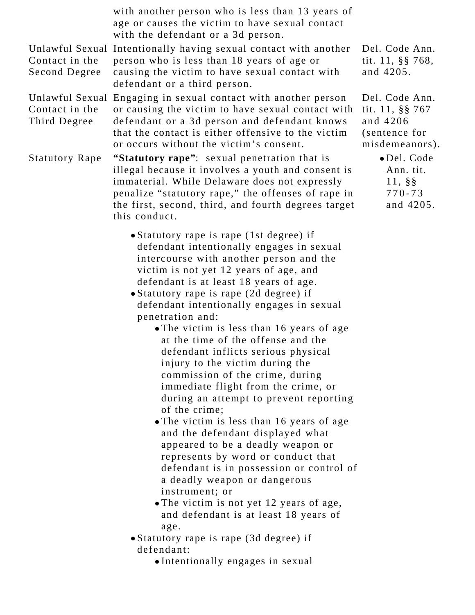|                                                   | with another person who is less than 13 years of<br>age or causes the victim to have sexual contact<br>with the defendant or a 3d person.                                                                                                                                                                                                                                                                                                                                                                                                                                                                                                                                                                                                                                                                                                                                                                                                                                                                                                                                              |                                                                                  |
|---------------------------------------------------|----------------------------------------------------------------------------------------------------------------------------------------------------------------------------------------------------------------------------------------------------------------------------------------------------------------------------------------------------------------------------------------------------------------------------------------------------------------------------------------------------------------------------------------------------------------------------------------------------------------------------------------------------------------------------------------------------------------------------------------------------------------------------------------------------------------------------------------------------------------------------------------------------------------------------------------------------------------------------------------------------------------------------------------------------------------------------------------|----------------------------------------------------------------------------------|
| Contact in the<br>Second Degree                   | Unlawful Sexual Intentionally having sexual contact with another<br>person who is less than 18 years of age or<br>causing the victim to have sexual contact with<br>defendant or a third person.                                                                                                                                                                                                                                                                                                                                                                                                                                                                                                                                                                                                                                                                                                                                                                                                                                                                                       | Del. Code Ann.<br>tit. 11, §§ 768,<br>and 4205.                                  |
| Unlawful Sexual<br>Contact in the<br>Third Degree | Engaging in sexual contact with another person<br>or causing the victim to have sexual contact with<br>defendant or a 3d person and defendant knows<br>that the contact is either offensive to the victim<br>or occurs without the victim's consent.                                                                                                                                                                                                                                                                                                                                                                                                                                                                                                                                                                                                                                                                                                                                                                                                                                   | Del. Code Ann.<br>tit. 11, §§ 767<br>and 4206<br>(sentence for<br>misdemeanors). |
| <b>Statutory Rape</b>                             | "Statutory rape": sexual penetration that is<br>illegal because it involves a youth and consent is<br>immaterial. While Delaware does not expressly<br>penalize "statutory rape," the offenses of rape in<br>the first, second, third, and fourth degrees target<br>this conduct.                                                                                                                                                                                                                                                                                                                                                                                                                                                                                                                                                                                                                                                                                                                                                                                                      | · Del. Code<br>Ann. tit.<br>$11, \, \S \$<br>$770 - 73$<br>and 4205.             |
|                                                   | • Statutory rape is rape (1st degree) if<br>defendant intentionally engages in sexual<br>intercourse with another person and the<br>victim is not yet 12 years of age, and<br>defendant is at least 18 years of age.<br>• Statutory rape is rape (2d degree) if<br>defendant intentionally engages in sexual<br>penetration and:<br>• The victim is less than 16 years of age<br>at the time of the offense and the<br>defendant inflicts serious physical<br>injury to the victim during the<br>commission of the crime, during<br>immediate flight from the crime, or<br>during an attempt to prevent reporting<br>of the crime;<br>• The victim is less than 16 years of age<br>and the defendant displayed what<br>appeared to be a deadly weapon or<br>represents by word or conduct that<br>defendant is in possession or control of<br>a deadly weapon or dangerous<br>instrument; or<br>• The victim is not yet 12 years of age,<br>and defendant is at least 18 years of<br>age.<br>• Statutory rape is rape (3d degree) if<br>defendant:<br>•Intentionally engages in sexual |                                                                                  |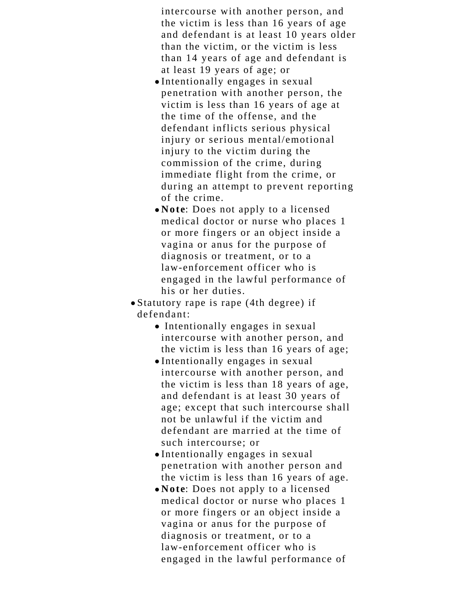intercourse with another person, and the victim is less than 16 years of age and defendant is at least 10 years older than the victim, or the victim is less than 14 years of age and defendant is at least 19 years of age; or

- Intentionally engages in sexual penetration with another person, the victim is less than 16 years of age at the time of the offense, and the defendant inflicts serious physical injury or serious mental/emotional injury to the victim during the commission of the crime, during immediate flight from the crime, or during an attempt to prevent reporting of the crime.
- **Note**: Does not apply to a licensed medical doctor or nurse who places 1 or more fingers or an object inside a vagina or anus for the purpose of diagnosis or treatment, or to a law-enforcement officer who is engaged in the lawful performance of his or her duties.

Statutory rape is rape (4th degree) if defendant:

- Intentionally engages in sexual intercourse with another person, and the victim is less than 16 years of age;
- Intentionally engages in sexual intercourse with another person, and the victim is less than 18 years of age, and defendant is at least 30 years of age; except that such intercourse shall not be unlawful if the victim and defendant are married at the time of such intercourse; or
- Intentionally engages in sexual penetration with another person and the victim is less than 16 years of age.
- **Note**: Does not apply to a licensed medical doctor or nurse who places 1 or more fingers or an object inside a vagina or anus for the purpose of diagnosis or treatment, or to a law-enforcement officer who is engaged in the lawful performance of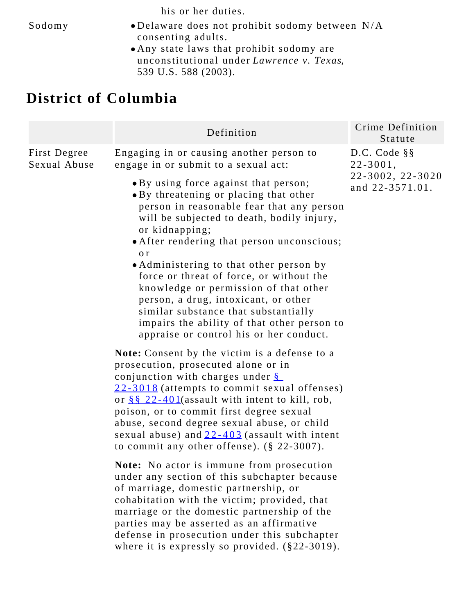his or her duties.

- Sodomy Delaware does not prohibit sodomy between N/A consenting adults.
	- Any state laws that prohibit sodomy are unconstitutional under *Lawrence v. Texas*, 539 U.S. 588 (2003).

## **District of Columbia**

| Definition                                                                                                                                                                                                                                                                                                                                                                                                                                                                                                                                                                                                                                                                      | Crime Definition<br>Statute                                           |
|---------------------------------------------------------------------------------------------------------------------------------------------------------------------------------------------------------------------------------------------------------------------------------------------------------------------------------------------------------------------------------------------------------------------------------------------------------------------------------------------------------------------------------------------------------------------------------------------------------------------------------------------------------------------------------|-----------------------------------------------------------------------|
| Engaging in or causing another person to<br>engage in or submit to a sexual act:<br>• By using force against that person;<br>• By threatening or placing that other<br>person in reasonable fear that any person<br>will be subjected to death, bodily injury,<br>or kidnapping;<br>• After rendering that person unconscious;<br>0 <sup>r</sup><br>• Administering to that other person by<br>force or threat of force, or without the<br>knowledge or permission of that other<br>person, a drug, intoxicant, or other<br>similar substance that substantially<br>impairs the ability of that other person to<br>appraise or control his or her conduct.                      | D.C. Code § §<br>$22 - 3001$ ,<br>22-3002, 22-3020<br>and 22-3571.01. |
| Note: Consent by the victim is a defense to a<br>prosecution, prosecuted alone or in<br>conjunction with charges under $\frac{8}{3}$<br>22-3018 (attempts to commit sexual offenses)<br>or $8822-401$ (assault with intent to kill, rob,<br>poison, or to commit first degree sexual<br>abuse, second degree sexual abuse, or child<br>sexual abuse) and $22 - 403$ (assault with intent<br>to commit any other offense). $(\S 22-3007)$ .<br>Note: No actor is immune from prosecution<br>under any section of this subchapter because<br>of marriage, domestic partnership, or<br>cohabitation with the victim; provided, that<br>marriage or the domestic partnership of the |                                                                       |
|                                                                                                                                                                                                                                                                                                                                                                                                                                                                                                                                                                                                                                                                                 | parties may be asserted as an affirmative                             |

defense in prosecution under this subchapter where it is expressly so provided. (§22-3019).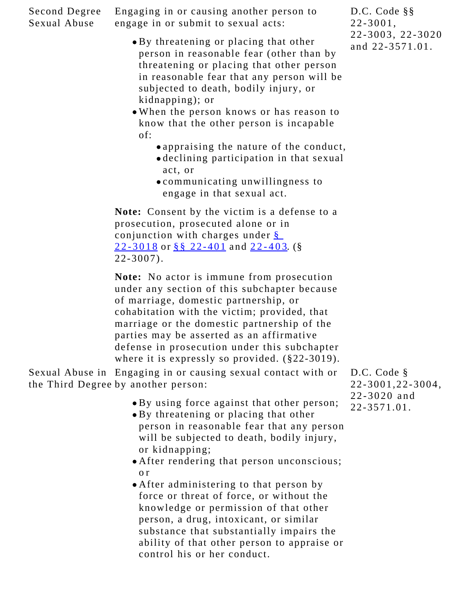Second Degree Sexual Abuse Engaging in or causing another person to engage in or submit to sexual acts:

- By threatening or placing that other person in reasonable fear (other than by threatening or placing that other person in reasonable fear that any person will be subjected to death, bodily injury, or kidnapping); or
- When the person knows or has reason to know that the other person is incapable of:
	- appraising the nature of the conduct, declining participation in that sexual
		- act, or
	- communicating unwillingness to engage in that sexual act.

**Note:** Consent by the victim is a defense to a prosecution, prosecuted alone or in conjunction with charges under [§](https://1.next.westlaw.com/Link/Document/FullText?findType=L&pubNum=1000869&cite=DCCODES22-3018&originatingDoc=N58C55D70F54D11DEB5FDB5DB811AD186&refType=LQ&originationContext=document&transitionType=DocumentItem&contextData=(sc.Category)) [22-3018](https://1.next.westlaw.com/Link/Document/FullText?findType=L&pubNum=1000869&cite=DCCODES22-3018&originatingDoc=N58C55D70F54D11DEB5FDB5DB811AD186&refType=LQ&originationContext=document&transitionType=DocumentItem&contextData=(sc.Category)) or [§§ 22-401](https://1.next.westlaw.com/Link/Document/FullText?findType=L&pubNum=1000869&cite=DCCODES22-401&originatingDoc=N58C55D70F54D11DEB5FDB5DB811AD186&refType=LQ&originationContext=document&transitionType=DocumentItem&contextData=(sc.Category)) and [22-403](https://1.next.westlaw.com/Link/Document/FullText?findType=L&pubNum=1000869&cite=DCCODES22-403&originatingDoc=N58C55D70F54D11DEB5FDB5DB811AD186&refType=LQ&originationContext=document&transitionType=DocumentItem&contextData=(sc.Category)). (§ 22-3007).

**Note:** No actor is immune from prosecution under any section of this subchapter because of marriage, domestic partnership, or cohabitation with the victim; provided, that marriage or the domestic partnership of the parties may be asserted as an affirmative defense in prosecution under this subchapter where it is expressly so provided. (§22-3019).

Sexual Abuse in Engaging in or causing sexual contact with or the Third Degree by another person:

- By using force against that other person;
- By threatening or placing that other person in reasonable fear that any person will be subjected to death, bodily injury, or kidnapping;
- After rendering that person unconscious; o r
- After administering to that person by force or threat of force, or without the knowledge or permission of that other person, a drug, intoxicant, or similar substance that substantially impairs the ability of that other person to appraise or control his or her conduct.

D.C. Code § 22-3001,22-3004, 22-3020 and 22-3571.01.

D.C. Code §§ 22-3001, 22-3003, 22-3020 and 22-3571.01.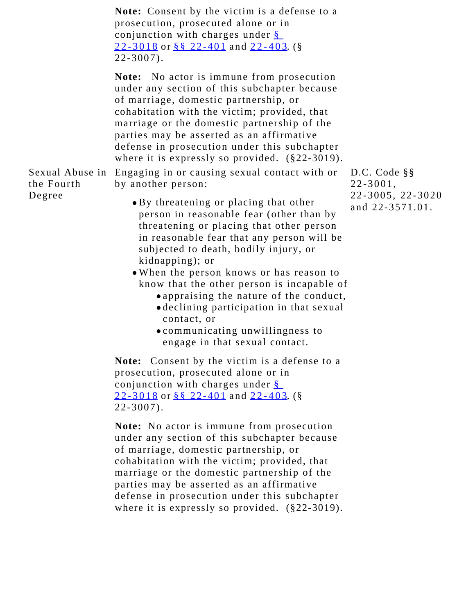|                      | <b>Note:</b> Consent by the victim is a defense to a<br>prosecution, prosecuted alone or in<br>conjunction with charges under §<br><u>22-3018</u> or §§ 22-401 and 22-403. (§<br>$22 - 3007$ .                                                                                                                                                                                                                                                                                                                                                                                                        |                                                                       |
|----------------------|-------------------------------------------------------------------------------------------------------------------------------------------------------------------------------------------------------------------------------------------------------------------------------------------------------------------------------------------------------------------------------------------------------------------------------------------------------------------------------------------------------------------------------------------------------------------------------------------------------|-----------------------------------------------------------------------|
|                      | <b>Note:</b> No actor is immune from prosecution<br>under any section of this subchapter because<br>of marriage, domestic partnership, or<br>cohabitation with the victim; provided, that<br>marriage or the domestic partnership of the<br>parties may be asserted as an affirmative<br>defense in prosecution under this subchapter<br>where it is expressly so provided. $(\$22-3019)$ .                                                                                                                                                                                                           |                                                                       |
| the Fourth<br>Degree | Sexual Abuse in Engaging in or causing sexual contact with or<br>by another person:<br>• By threatening or placing that other<br>person in reasonable fear (other than by<br>threatening or placing that other person<br>in reasonable fear that any person will be<br>subjected to death, bodily injury, or<br>kidnapping); or<br>. When the person knows or has reason to<br>know that the other person is incapable of<br>• appraising the nature of the conduct,<br>· declining participation in that sexual<br>contact, or<br>• communicating unwillingness to<br>engage in that sexual contact. | D.C. Code § §<br>$22 - 3001$ ,<br>22-3005, 22-3020<br>and 22-3571.01. |
|                      | <b>Note:</b> Consent by the victim is a defense to a<br>prosecution, prosecuted alone or in<br>conjunction with charges under §<br>22-3018 or §§ 22-401 and 22-403. (§<br>$22 - 3007$ .                                                                                                                                                                                                                                                                                                                                                                                                               |                                                                       |
|                      | <b>Note:</b> No actor is immune from prosecution<br>under any section of this subchapter because                                                                                                                                                                                                                                                                                                                                                                                                                                                                                                      |                                                                       |

of marriage, domestic partnership, or cohabitation with the victim; provided, that marriage or the domestic partnership of the parties may be asserted as an affirmative defense in prosecution under this subchapter where it is expressly so provided. (§22-3019).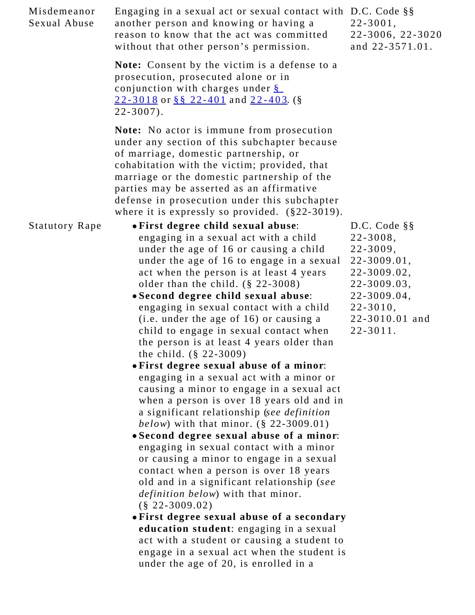| Misdemeanor<br>Sexual Abuse | Engaging in a sexual act or sexual contact with D.C. Code §§<br>another person and knowing or having a<br>reason to know that the act was committed<br>without that other person's permission.                                                                                                                                                                                                                                                                                                                                                                                                                                                                                                                                                                                                                                                                                                                                                                                                                                                                                                                                                                                                                                                                                                                           | $22 - 3001$ ,<br>22-3006, 22-3020<br>and 22-3571.01.                                                                                                         |
|-----------------------------|--------------------------------------------------------------------------------------------------------------------------------------------------------------------------------------------------------------------------------------------------------------------------------------------------------------------------------------------------------------------------------------------------------------------------------------------------------------------------------------------------------------------------------------------------------------------------------------------------------------------------------------------------------------------------------------------------------------------------------------------------------------------------------------------------------------------------------------------------------------------------------------------------------------------------------------------------------------------------------------------------------------------------------------------------------------------------------------------------------------------------------------------------------------------------------------------------------------------------------------------------------------------------------------------------------------------------|--------------------------------------------------------------------------------------------------------------------------------------------------------------|
|                             | Note: Consent by the victim is a defense to a<br>prosecution, prosecuted alone or in<br>conjunction with charges under $\S$<br>22-3018 or §§ 22-401 and 22-403. (§<br>$22 - 3007$ .                                                                                                                                                                                                                                                                                                                                                                                                                                                                                                                                                                                                                                                                                                                                                                                                                                                                                                                                                                                                                                                                                                                                      |                                                                                                                                                              |
|                             | Note: No actor is immune from prosecution<br>under any section of this subchapter because<br>of marriage, domestic partnership, or<br>cohabitation with the victim; provided, that<br>marriage or the domestic partnership of the<br>parties may be asserted as an affirmative<br>defense in prosecution under this subchapter<br>where it is expressly so provided. (§22-3019).                                                                                                                                                                                                                                                                                                                                                                                                                                                                                                                                                                                                                                                                                                                                                                                                                                                                                                                                         |                                                                                                                                                              |
| <b>Statutory Rape</b>       | • First degree child sexual abuse:<br>engaging in a sexual act with a child<br>under the age of 16 or causing a child<br>under the age of 16 to engage in a sexual<br>act when the person is at least 4 years<br>older than the child. $(\S$ 22-3008)<br>• Second degree child sexual abuse:<br>engaging in sexual contact with a child<br>(i.e. under the age of 16) or causing a<br>child to engage in sexual contact when<br>the person is at least 4 years older than<br>the child. $(\S$ 22-3009)<br>• First degree sexual abuse of a minor:<br>engaging in a sexual act with a minor or<br>causing a minor to engage in a sexual act<br>when a person is over 18 years old and in<br>a significant relationship (see definition<br><i>below</i> ) with that minor. $(\S 22 - 3009.01)$<br>• Second degree sexual abuse of a minor:<br>engaging in sexual contact with a minor<br>or causing a minor to engage in a sexual<br>contact when a person is over 18 years<br>old and in a significant relationship (see<br><i>definition below</i> ) with that minor.<br>$(\$ 22-3009.02)$<br>• First degree sexual abuse of a secondary<br>education student: engaging in a sexual<br>act with a student or causing a student to<br>engage in a sexual act when the student is<br>under the age of 20, is enrolled in a | D.C. Code § §<br>$22 - 3008,$<br>$22 - 3009,$<br>22-3009.01,<br>22-3009.02,<br>22-3009.03,<br>22-3009.04,<br>$22 - 3010,$<br>22-3010.01 and<br>$22 - 3011$ . |
|                             |                                                                                                                                                                                                                                                                                                                                                                                                                                                                                                                                                                                                                                                                                                                                                                                                                                                                                                                                                                                                                                                                                                                                                                                                                                                                                                                          |                                                                                                                                                              |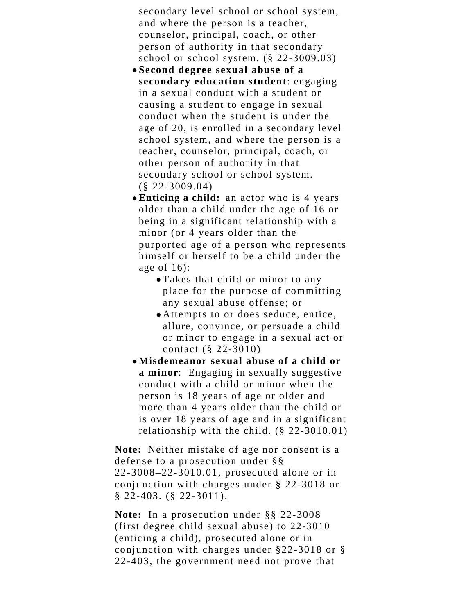secondary level school or school system, and where the person is a teacher, counselor, principal, coach, or other person of authority in that secondary school or school system. (§ 22-3009.03)

- **Second degree sexual abuse of a secondary education student**: engaging in a sexual conduct with a student or causing a student to engage in sexual conduct when the student is under the age of 20, is enrolled in a secondary level school system, and where the person is a teacher, counselor, principal, coach, or other person of authority in that secondary school or school system. (§ 22-3009.04)
- **Enticing a child:** an actor who is 4 years older than a child under the age of 16 or being in a significant relationship with a minor (or 4 years older than the purported age of a person who represents himself or herself to be a child under the age of 16):
	- Takes that child or minor to any place for the purpose of committing any sexual abuse offense; or
	- Attempts to or does seduce, entice, allure, convince, or persuade a child or minor to engage in a sexual act or contact (§ 22-3010)
- **Misdemeanor sexual abuse of a child or a minor**: Engaging in sexually suggestive conduct with a child or minor when the person is 18 years of age or older and more than 4 years older than the child or is over 18 years of age and in a significant relationship with the child. (§ 22-3010.01)

**Note:** Neither mistake of age nor consent is a defense to a prosecution under §§ 22-3008–22-3010.01, prosecuted alone or in conjunction with charges under § 22-3018 or § 22-403. (§ 22-3011).

**Note:** In a prosecution under §§ 22-3008 (first degree child sexual abuse) to 22-3010 (enticing a child), prosecuted alone or in conjunction with charges under §22-3018 or § 22-403, the government need not prove that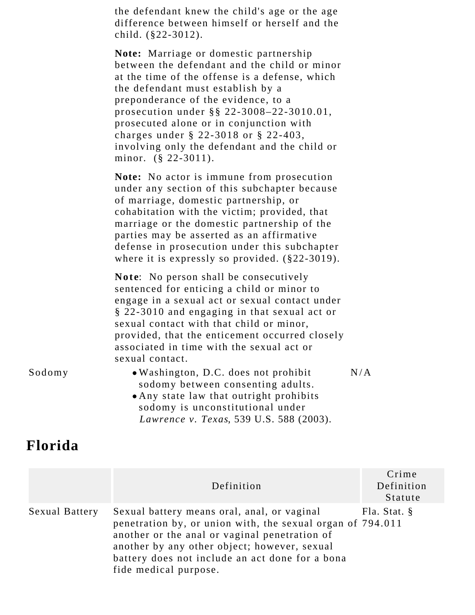the defendant knew the child's age or the age difference between himself or herself and the child. (§22-3012).

**Note:** Marriage or domestic partnership between the defendant and the child or minor at the time of the offense is a defense, which the defendant must establish by a preponderance of the evidence, to a prosecution under §§ 22-3008–22-3010.01, prosecuted alone or in conjunction with charges under § 22-3018 or § 22-403, involving only the defendant and the child or minor. (§ 22-3011).

**Note:** No actor is immune from prosecution under any section of this subchapter because of marriage, domestic partnership, or cohabitation with the victim; provided, that marriage or the domestic partnership of the parties may be asserted as an affirmative defense in prosecution under this subchapter where it is expressly so provided. (§22-3019).

**Note**: No person shall be consecutively sentenced for enticing a child or minor to engage in a sexual act or sexual contact under § 22-3010 and engaging in that sexual act or sexual contact with that child or minor, provided, that the enticement occurred closely associated in time with the sexual act or sexual contact.

| Sodomy |  |
|--------|--|
|--------|--|

- . Washington, D.C. does not prohibit sodomy between consenting adults. N/A
- Any state law that outright prohibits sodomy is unconstitutional under *Lawrence v. Texas*, 539 U.S. 588 (2003).

#### **Florida**

|                       | Definition                                                                                                                                                                                                                                                                             | Crime<br>Definition<br>Statute |
|-----------------------|----------------------------------------------------------------------------------------------------------------------------------------------------------------------------------------------------------------------------------------------------------------------------------------|--------------------------------|
| <b>Sexual Battery</b> | Sexual battery means oral, anal, or vaginal<br>penetration by, or union with, the sexual organ of 794.011<br>another or the anal or vaginal penetration of<br>another by any other object; however, sexual<br>battery does not include an act done for a bona<br>fide medical purpose. | Fla. Stat. §                   |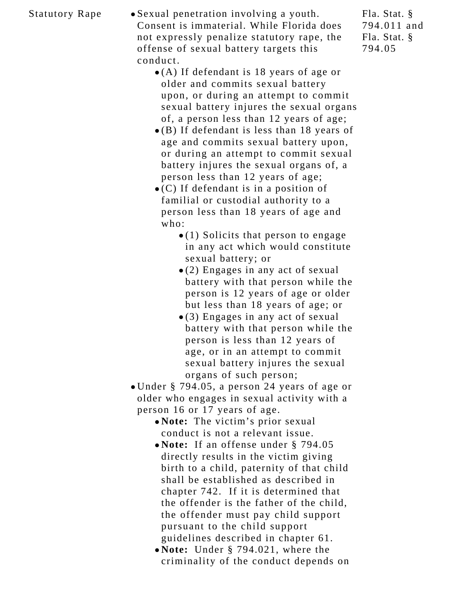Statutory Rape • Sexual penetration involving a youth. Consent is immaterial. While Florida does not expressly penalize statutory rape, the offense of sexual battery targets this conduct.

- (A) If defendant is 18 years of age or older and commits sexual battery upon, or during an attempt to commit sexual battery injures the sexual organs of, a person less than 12 years of age;
- (B) If defendant is less than 18 years of age and commits sexual battery upon, or during an attempt to commit sexual battery injures the sexual organs of, a person less than 12 years of age;
- $\bullet$  (C) If defendant is in a position of familial or custodial authority to a person less than 18 years of age and who:
	- $\bullet$  (1) Solicits that person to engage in any act which would constitute sexual battery; or
	- (2) Engages in any act of sexual battery with that person while the person is 12 years of age or older but less than 18 years of age; or
	- (3) Engages in any act of sexual battery with that person while the person is less than 12 years of age, or in an attempt to commit sexual battery injures the sexual organs of such person;
- Under § 794.05, a person 24 years of age or older who engages in sexual activity with a person 16 or 17 years of age.
	- **Note:** The victim's prior sexual conduct is not a relevant issue.
	- **Note:** If an offense under § 794.05 directly results in the victim giving birth to a child, paternity of that child shall be established as described in chapter 742. If it is determined that the offender is the father of the child, the offender must pay child support pursuant to the child support guidelines described in chapter 61.
	- **Note:** Under § 794.021, where the criminality of the conduct depends on

Fla. Stat. § 794.011 and Fla. Stat. § 794.05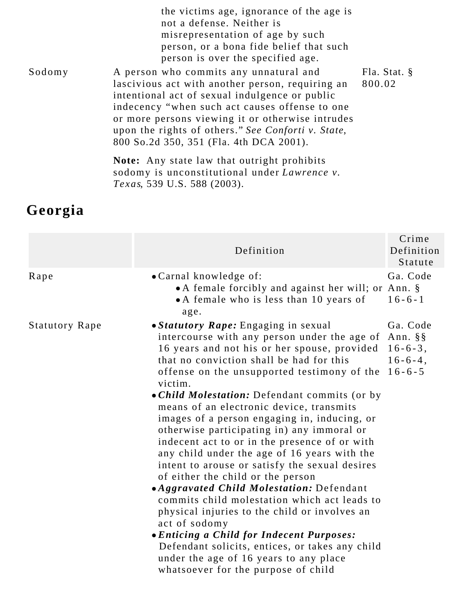|        | the victims age, ignorance of the age is<br>not a defense. Neither is<br>misrepresentation of age by such<br>person, or a bona fide belief that such<br>person is over the specified age.                                                                                                                                                           |                           |
|--------|-----------------------------------------------------------------------------------------------------------------------------------------------------------------------------------------------------------------------------------------------------------------------------------------------------------------------------------------------------|---------------------------|
| Sodomy | A person who commits any unnatural and<br>lascivious act with another person, requiring an<br>intentional act of sexual indulgence or public<br>indecency "when such act causes offense to one<br>or more persons viewing it or otherwise intrudes<br>upon the rights of others." See Conforti v. State,<br>800 So.2d 350, 351 (Fla. 4th DCA 2001). | Fla. Stat. $\S$<br>800.02 |
|        | <b>Note:</b> Any state law that outright prohibits<br>sodomy is unconstitutional under Lawrence v.                                                                                                                                                                                                                                                  |                           |

*Texas*, 539 U.S. 588 (2003).

# **Georgia**

|                       | Definition                                                                                                                                                                                                                                                                                                                                                                                                                                                                                                                                                                                                                                                                                                                                                                                                                                                                                                                                                                                   | Crime<br>Definition<br>Statute                           |
|-----------------------|----------------------------------------------------------------------------------------------------------------------------------------------------------------------------------------------------------------------------------------------------------------------------------------------------------------------------------------------------------------------------------------------------------------------------------------------------------------------------------------------------------------------------------------------------------------------------------------------------------------------------------------------------------------------------------------------------------------------------------------------------------------------------------------------------------------------------------------------------------------------------------------------------------------------------------------------------------------------------------------------|----------------------------------------------------------|
| Rape                  | • Carnal knowledge of:<br>• A female forcibly and against her will; or Ann. §<br>• A female who is less than 10 years of<br>age.                                                                                                                                                                                                                                                                                                                                                                                                                                                                                                                                                                                                                                                                                                                                                                                                                                                             | Ga. Code<br>$16 - 6 - 1$                                 |
| <b>Statutory Rape</b> | • Statutory Rape: Engaging in sexual<br>intercourse with any person under the age of Ann. §§<br>16 years and not his or her spouse, provided<br>that no conviction shall be had for this<br>offense on the unsupported testimony of the<br>victim.<br>• Child Molestation: Defendant commits (or by<br>means of an electronic device, transmits<br>images of a person engaging in, inducing, or<br>otherwise participating in) any immoral or<br>indecent act to or in the presence of or with<br>any child under the age of 16 years with the<br>intent to arouse or satisfy the sexual desires<br>of either the child or the person<br>• Aggravated Child Molestation: Defendant<br>commits child molestation which act leads to<br>physical injuries to the child or involves an<br>act of sodomy<br><i>• Enticing a Child for Indecent Purposes:</i><br>Defendant solicits, entices, or takes any child<br>under the age of 16 years to any place<br>whatsoever for the purpose of child | Ga. Code<br>$16 - 6 - 3$ ,<br>$16-6-4$ ,<br>$16 - 6 - 5$ |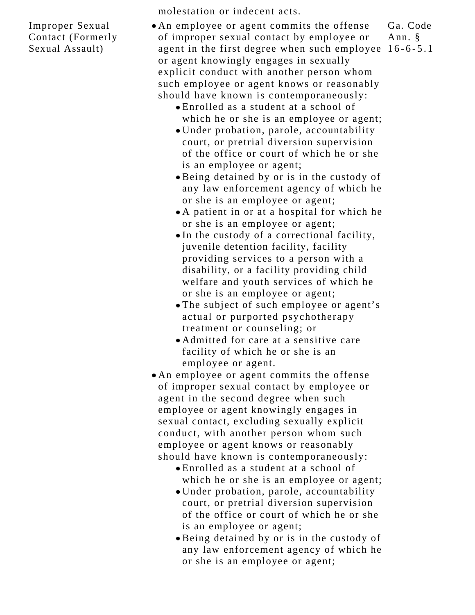Improper Sexual Contact (Formerly Sexual Assault)

molestation or indecent acts.

- An employee or agent commits the offense of improper sexual contact by employee or agent in the first degree when such employee 16-6-5.1or agent knowingly engages in sexually explicit conduct with another person whom such employee or agent knows or reasonably should have known is contemporaneously: Ga. Code Ann. §
	- Enrolled as a student at a school of which he or she is an employee or agent;
	- Under probation, parole, accountability court, or pretrial diversion supervision of the office or court of which he or she is an employee or agent;
	- Being detained by or is in the custody of any law enforcement agency of which he or she is an employee or agent;
	- A patient in or at a hospital for which he or she is an employee or agent;
	- In the custody of a correctional facility, juvenile detention facility, facility providing services to a person with a disability, or a facility providing child welfare and youth services of which he or she is an employee or agent;
	- The subject of such employee or agent's actual or purported psychotherapy treatment or counseling; or
	- Admitted for care at a sensitive care facility of which he or she is an employee or agent.
- An employee or agent commits the offense of improper sexual contact by employee or agent in the second degree when such employee or agent knowingly engages in sexual contact, excluding sexually explicit conduct, with another person whom such employee or agent knows or reasonably should have known is contemporaneously:
	- Enrolled as a student at a school of which he or she is an employee or agent;
	- Under probation, parole, accountability court, or pretrial diversion supervision of the office or court of which he or she is an employee or agent;
	- Being detained by or is in the custody of any law enforcement agency of which he or she is an employee or agent;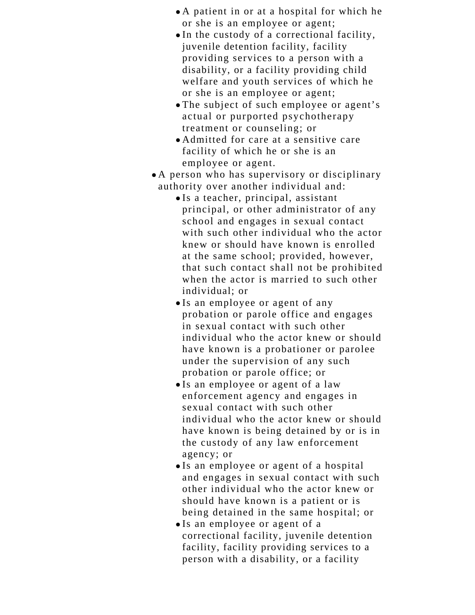- A patient in or at a hospital for which he or she is an employee or agent;
- In the custody of a correctional facility, juvenile detention facility, facility providing services to a person with a disability, or a facility providing child welfare and youth services of which he or she is an employee or agent;
- The subject of such employee or agent's actual or purported psychotherapy treatment or counseling; or
- Admitted for care at a sensitive care facility of which he or she is an employee or agent.
- A person who has supervisory or disciplinary authority over another individual and:
	- Is a teacher, principal, assistant principal, or other administrator of any school and engages in sexual contact with such other individual who the actor knew or should have known is enrolled at the same school; provided, however, that such contact shall not be prohibited when the actor is married to such other individual; or
	- Is an employee or agent of any probation or parole office and engages in sexual contact with such other individual who the actor knew or should have known is a probationer or parolee under the supervision of any such probation or parole office; or
	- Is an employee or agent of a law enforcement agency and engages in sexual contact with such other individual who the actor knew or should have known is being detained by or is in the custody of any law enforcement agency; or
	- Is an employee or agent of a hospital and engages in sexual contact with such other individual who the actor knew or should have known is a patient or is being detained in the same hospital; or
	- Is an employee or agent of a correctional facility, juvenile detention facility, facility providing services to a person with a disability, or a facility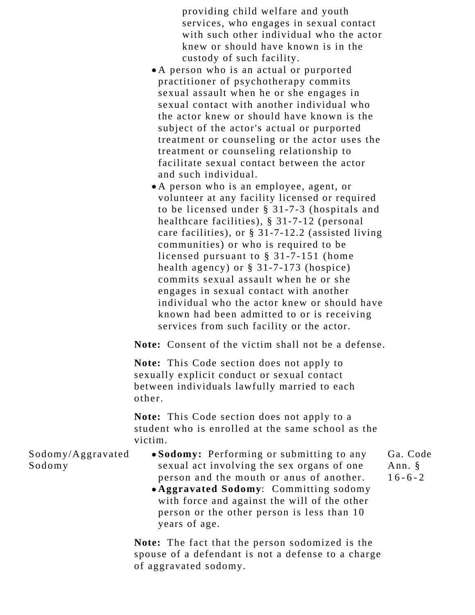providing child welfare and youth services, who engages in sexual contact with such other individual who the actor knew or should have known is in the custody of such facility.

- A person who is an actual or purported practitioner of psychotherapy commits sexual assault when he or she engages in sexual contact with another individual who the actor knew or should have known is the subject of the actor's actual or purported treatment or counseling or the actor uses the treatment or counseling relationship to facilitate sexual contact between the actor and such individual.
- A person who is an employee, agent, or volunteer at any facility licensed or required to be licensed under § 31-7-3 (hospitals and healthcare facilities), § 31-7-12 (personal care facilities), or § 31-7-12.2 (assisted living communities) or who is required to be licensed pursuant to § 31-7-151 (home health agency) or § 31-7-173 (hospice) commits sexual assault when he or she engages in sexual contact with another individual who the actor knew or should have known had been admitted to or is receiving services from such facility or the actor.

**Note:** Consent of the victim shall not be a defense.

**Note:** This Code section does not apply to sexually explicit conduct or sexual contact between individuals lawfully married to each other.

**Note:** This Code section does not apply to a student who is enrolled at the same school as the victim.

Sodomy/Aggravated Sodomy

- **Sodomy:** Performing or submitting to any sexual act involving the sex organs of one person and the mouth or anus of another.
	- **Aggravated Sodomy**: Committing sodomy with force and against the will of the other person or the other person is less than 10 years of age.

**Note:** The fact that the person sodomized is the spouse of a defendant is not a defense to a charge of aggravated sodomy.

Ga. Code Ann. §  $16-6-2$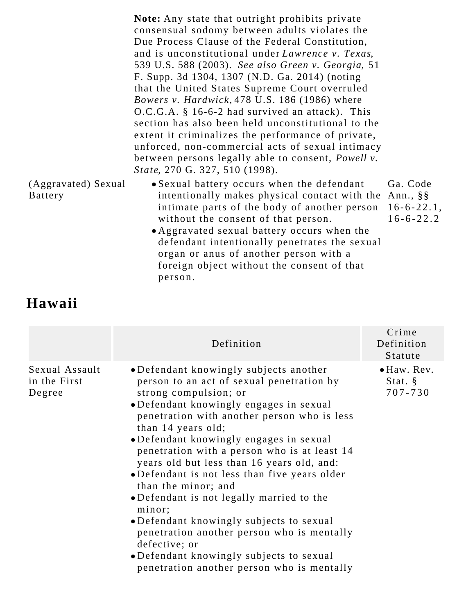**Note:** Any state that outright prohibits private consensual sodomy between adults violates the Due Process Clause of the Federal Constitution, and is unconstitutional under *Lawrence v. Texas*, 539 U.S. 588 (2003). *See also Green v. Georgia*, 51 F. Supp. 3d 1304, 1307 (N.D. Ga. 2014) (noting that the United States Supreme Court overruled *Bowers v. Hardwick,* 478 U.S. 186 (1986) where O.C.G.A. § 16-6-2 had survived an attack). This section has also been held unconstitutional to the extent it criminalizes the performance of private, unforced, non-commercial acts of sexual intimacy between persons legally able to consent, *Powell v. State*, 270 G. 327, 510 (1998).

- (Aggravated) Sexual Battery Sexual battery occurs when the defendant intentionally makes physical contact with the Ann., §§ intimate parts of the body of another person without the consent of that person.
	- Aggravated sexual battery occurs when the defendant intentionally penetrates the sexual organ or anus of another person with a foreign object without the consent of that person.

Ga. Code 16-6-22.1, 16-6-22.2

#### **Hawaii**

|                                          | Definition                                                                                                                                                                                                                                                                                                                                                                                                                                                                                                                                                                                                                                                                                               | Crime<br>Definition<br>Statute               |
|------------------------------------------|----------------------------------------------------------------------------------------------------------------------------------------------------------------------------------------------------------------------------------------------------------------------------------------------------------------------------------------------------------------------------------------------------------------------------------------------------------------------------------------------------------------------------------------------------------------------------------------------------------------------------------------------------------------------------------------------------------|----------------------------------------------|
| Sexual Assault<br>in the First<br>Degree | • Defendant knowingly subjects another<br>person to an act of sexual penetration by<br>strong compulsion; or<br>• Defendant knowingly engages in sexual<br>penetration with another person who is less<br>than 14 years old;<br>• Defendant knowingly engages in sexual<br>penetration with a person who is at least 14<br>years old but less than 16 years old, and:<br>• Defendant is not less than five years older<br>than the minor; and<br>• Defendant is not legally married to the<br>minor;<br>• Defendant knowingly subjects to sexual<br>penetration another person who is mentally<br>defective; or<br>•Defendant knowingly subjects to sexual<br>penetration another person who is mentally | $\bullet$ Haw. Rev.<br>Stat. $\S$<br>707-730 |
|                                          |                                                                                                                                                                                                                                                                                                                                                                                                                                                                                                                                                                                                                                                                                                          |                                              |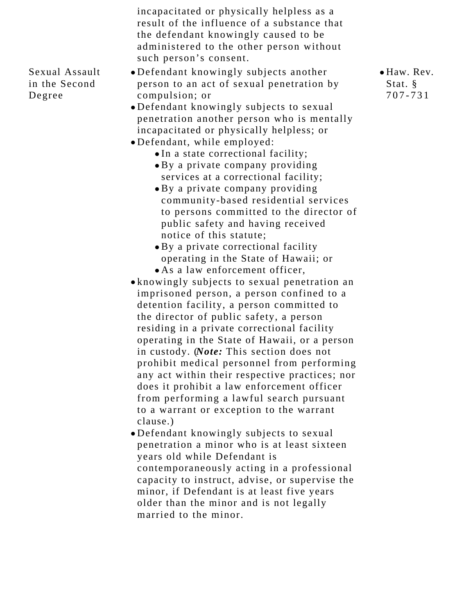incapacitated or physically helpless as a result of the influence of a substance that the defendant knowingly caused to be administered to the other person without such person's consent.

- Sexual Assault in the Second Degree
- Defendant knowingly subjects another person to an act of sexual penetration by compulsion; or
- Defendant knowingly subjects to sexual penetration another person who is mentally incapacitated or physically helpless; or
- Defendant, while employed:
	- In a state correctional facility;
	- By a private company providing services at a correctional facility;
	- By a private company providing community-based residential services to persons committed to the director of public safety and having received notice of this statute;
	- By a private correctional facility operating in the State of Hawaii; or As a law enforcement officer,
- knowingly subjects to sexual penetration an imprisoned person, a person confined to a detention facility, a person committed to the director of public safety, a person residing in a private correctional facility operating in the State of Hawaii, or a person in custody. (*Note:* This section does not prohibit medical personnel from performing any act within their respective practices; nor does it prohibit a law enforcement officer from performing a lawful search pursuant to a warrant or exception to the warrant clause.)
- Defendant knowingly subjects to sexual penetration a minor who is at least sixteen years old while Defendant is contemporaneously acting in a professional capacity to instruct, advise, or supervise the minor, if Defendant is at least five years older than the minor and is not legally married to the minor.

Haw. Rev. Stat. § 707-731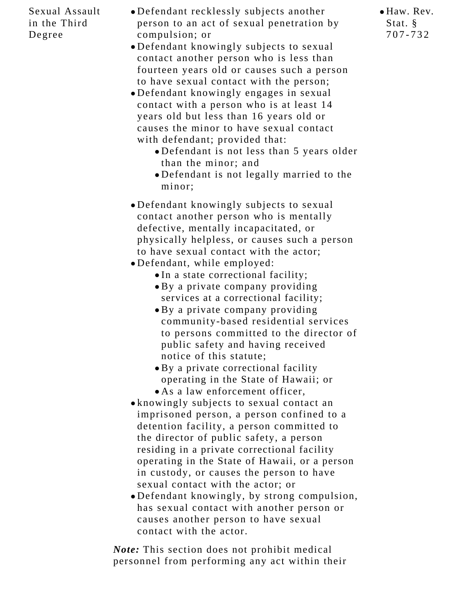#### Sexual Assault in the Third Degree

- Defendant recklessly subjects another person to an act of sexual penetration by compulsion; or
- Defendant knowingly subjects to sexual contact another person who is less than fourteen years old or causes such a person to have sexual contact with the person;
- Defendant knowingly engages in sexual contact with a person who is at least 14 years old but less than 16 years old or causes the minor to have sexual contact with defendant; provided that:
	- Defendant is not less than 5 years older than the minor; and
	- Defendant is not legally married to the minor;
- Defendant knowingly subjects to sexual contact another person who is mentally defective, mentally incapacitated, or physically helpless, or causes such a person to have sexual contact with the actor;
- Defendant, while employed:
	- In a state correctional facility;
	- By a private company providing services at a correctional facility;
	- By a private company providing community-based residential services to persons committed to the director of public safety and having received notice of this statute;
	- By a private correctional facility operating in the State of Hawaii; or
	- As a law enforcement officer,
- knowingly subjects to sexual contact an imprisoned person, a person confined to a detention facility, a person committed to the director of public safety, a person residing in a private correctional facility operating in the State of Hawaii, or a person in custody, or causes the person to have sexual contact with the actor; or
- Defendant knowingly, by strong compulsion, has sexual contact with another person or causes another person to have sexual contact with the actor.

*Note:* This section does not prohibit medical personnel from performing any act within their Haw. Rev. Stat. § 707-732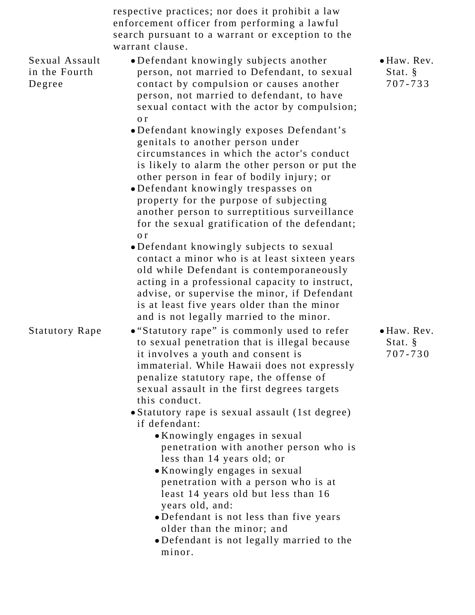| respective practices; nor does it prohibit a law |
|--------------------------------------------------|
| enforcement officer from performing a lawful     |
| search pursuant to a warrant or exception to the |
| warrant clause.                                  |

Sexual Assault in the Fourth Degree

- Defendant knowingly subjects another person, not married to Defendant, to sexual contact by compulsion or causes another person, not married to defendant, to have sexual contact with the actor by compulsion; o r
- Defendant knowingly exposes Defendant's genitals to another person under circumstances in which the actor's conduct is likely to alarm the other person or put the other person in fear of bodily injury; or
- Defendant knowingly trespasses on property for the purpose of subjecting another person to surreptitious surveillance for the sexual gratification of the defendant; o r
- Defendant knowingly subjects to sexual contact a minor who is at least sixteen years old while Defendant is contemporaneously acting in a professional capacity to instruct, advise, or supervise the minor, if Defendant is at least five years older than the minor and is not legally married to the minor.

Statutory Rape • "Statutory rape" is commonly used to refer to sexual penetration that is illegal because it involves a youth and consent is immaterial. While Hawaii does not expressly penalize statutory rape, the offense of sexual assault in the first degrees targets this conduct.

- Statutory rape is sexual assault (1st degree) if defendant:
	- Knowingly engages in sexual penetration with another person who is less than 14 years old; or
	- Knowingly engages in sexual penetration with a person who is at least 14 years old but less than 16 years old, and:
	- Defendant is not less than five years older than the minor; and
	- Defendant is not legally married to the minor.

Haw. Rev. Stat. § 707-733

Haw. Rev. Stat. § 707-730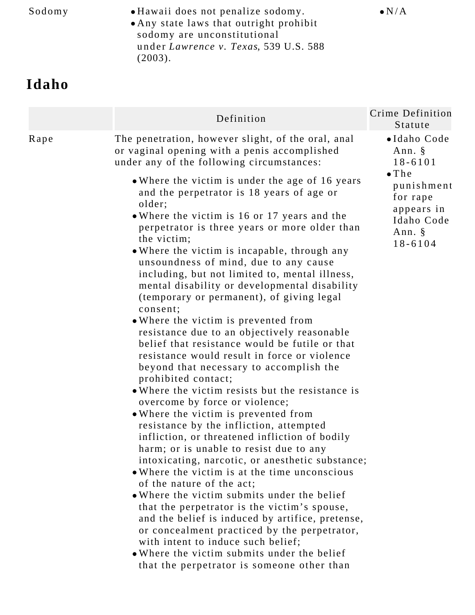Sodomy • Hawaii does not penalize sodomy. Any state laws that outright prohibit sodomy are unconstitutional under *Lawrence v. Texas*, 539 U.S. 588 (2003).

 $\bullet$  N/A

## **Idaho**

|      | Definition                                                                                                                                                                                                                                                                                                                                                                                                                                                                                                                                                                                                                                                                                                                                                                                                              | Crime Definition<br>Statute                                                                                                                |
|------|-------------------------------------------------------------------------------------------------------------------------------------------------------------------------------------------------------------------------------------------------------------------------------------------------------------------------------------------------------------------------------------------------------------------------------------------------------------------------------------------------------------------------------------------------------------------------------------------------------------------------------------------------------------------------------------------------------------------------------------------------------------------------------------------------------------------------|--------------------------------------------------------------------------------------------------------------------------------------------|
| Rape | The penetration, however slight, of the oral, anal<br>or vaginal opening with a penis accomplished<br>under any of the following circumstances:<br>• Where the victim is under the age of 16 years<br>and the perpetrator is 18 years of age or<br>older;<br>• Where the victim is 16 or 17 years and the<br>perpetrator is three years or more older than<br>the victim;<br>• Where the victim is incapable, through any<br>unsoundness of mind, due to any cause<br>including, but not limited to, mental illness,<br>mental disability or developmental disability<br>(temporary or permanent), of giving legal<br>consent;<br>. Where the victim is prevented from<br>resistance due to an objectively reasonable<br>belief that resistance would be futile or that<br>resistance would result in force or violence | ·Idaho Code<br>Ann. $\S$<br>$18 - 6101$<br>$\bullet$ The<br>punishment<br>for rape<br>appears in<br>Idaho Code<br>Ann. $\S$<br>$18 - 6104$ |
|      | beyond that necessary to accomplish the<br>prohibited contact;<br>. Where the victim resists but the resistance is<br>overcome by force or violence;<br>. Where the victim is prevented from<br>resistance by the infliction, attempted<br>infliction, or threatened infliction of bodily<br>harm; or is unable to resist due to any<br>intoxicating, narcotic, or anesthetic substance;<br>• Where the victim is at the time unconscious<br>of the nature of the act;<br>• Where the victim submits under the belief<br>that the perpetrator is the victim's spouse,<br>and the belief is induced by artifice, pretense,<br>or concealment practiced by the perpetrator,<br>with intent to induce such belief;<br>• Where the victim submits under the belief<br>that the perpetrator is someone other than            |                                                                                                                                            |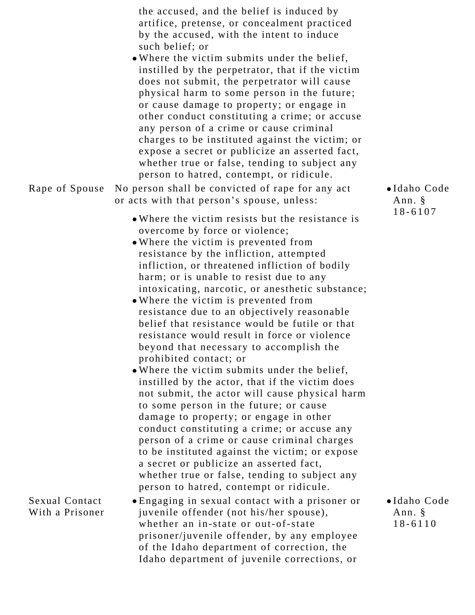| Rape of Spouse                           | the accused, and the belief is induced by<br>artifice, pretense, or concealment practiced<br>by the accused, with the intent to induce<br>such belief; or<br>• Where the victim submits under the belief,<br>instilled by the perpetrator, that if the victim<br>does not submit, the perpetrator will cause<br>physical harm to some person in the future;<br>or cause damage to property; or engage in<br>other conduct constituting a crime; or accuse<br>any person of a crime or cause criminal<br>charges to be instituted against the victim; or<br>expose a secret or publicize an asserted fact,<br>whether true or false, tending to subject any<br>person to hatred, contempt, or ridicule.<br>No person shall be convicted of rape for any act<br>or acts with that person's spouse, unless:                                                                                                                                                                                                                                                                                                             | ·Idaho Code<br>Ann. §                |
|------------------------------------------|----------------------------------------------------------------------------------------------------------------------------------------------------------------------------------------------------------------------------------------------------------------------------------------------------------------------------------------------------------------------------------------------------------------------------------------------------------------------------------------------------------------------------------------------------------------------------------------------------------------------------------------------------------------------------------------------------------------------------------------------------------------------------------------------------------------------------------------------------------------------------------------------------------------------------------------------------------------------------------------------------------------------------------------------------------------------------------------------------------------------|--------------------------------------|
|                                          | • Where the victim resists but the resistance is<br>overcome by force or violence;<br>. Where the victim is prevented from<br>resistance by the infliction, attempted<br>infliction, or threatened infliction of bodily<br>harm; or is unable to resist due to any<br>intoxicating, narcotic, or anesthetic substance;<br>• Where the victim is prevented from<br>resistance due to an objectively reasonable<br>belief that resistance would be futile or that<br>resistance would result in force or violence<br>beyond that necessary to accomplish the<br>prohibited contact; or<br>• Where the victim submits under the belief,<br>instilled by the actor, that if the victim does<br>not submit, the actor will cause physical harm<br>to some person in the future; or cause<br>damage to property; or engage in other<br>conduct constituting a crime; or accuse any<br>person of a crime or cause criminal charges<br>to be instituted against the victim; or expose<br>a secret or publicize an asserted fact,<br>whether true or false, tending to subject any<br>person to hatred, contempt or ridicule. | $18 - 6107$                          |
| <b>Sexual Contact</b><br>With a Prisoner | • Engaging in sexual contact with a prisoner or<br>juvenile offender (not his/her spouse),<br>whether an in-state or out-of-state<br>prisoner/juvenile offender, by any employee<br>of the Idaho department of correction, the<br>Idaho department of juvenile corrections, or                                                                                                                                                                                                                                                                                                                                                                                                                                                                                                                                                                                                                                                                                                                                                                                                                                       | ·Idaho Code<br>Ann. §<br>$18 - 6110$ |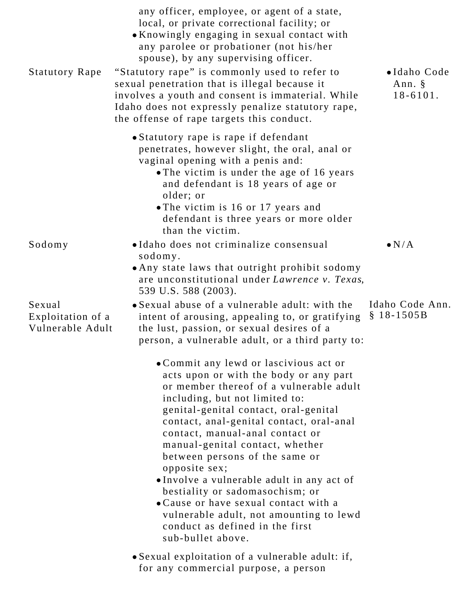| <b>Statutory Rape</b>                           | any officer, employee, or agent of a state,<br>local, or private correctional facility; or<br>• Knowingly engaging in sexual contact with<br>any parolee or probationer (not his/her<br>spouse), by any supervising officer.<br>"Statutory rape" is commonly used to refer to<br>sexual penetration that is illegal because it<br>involves a youth and consent is immaterial. While                                                                                                                                                                                                                     | •Idaho Code<br>Ann. §<br>$18 - 6101$ . |
|-------------------------------------------------|---------------------------------------------------------------------------------------------------------------------------------------------------------------------------------------------------------------------------------------------------------------------------------------------------------------------------------------------------------------------------------------------------------------------------------------------------------------------------------------------------------------------------------------------------------------------------------------------------------|----------------------------------------|
|                                                 | Idaho does not expressly penalize statutory rape,<br>the offense of rape targets this conduct.                                                                                                                                                                                                                                                                                                                                                                                                                                                                                                          |                                        |
|                                                 | • Statutory rape is rape if defendant<br>penetrates, however slight, the oral, anal or<br>vaginal opening with a penis and:<br>• The victim is under the age of 16 years<br>and defendant is 18 years of age or<br>older; or<br>• The victim is 16 or 17 years and<br>defendant is three years or more older<br>than the victim.                                                                                                                                                                                                                                                                        |                                        |
| Sodomy                                          | •Idaho does not criminalize consensual<br>sodomy.                                                                                                                                                                                                                                                                                                                                                                                                                                                                                                                                                       | $\bullet N/A$                          |
|                                                 | • Any state laws that outright prohibit sodomy<br>are unconstitutional under Lawrence v. Texas,<br>539 U.S. 588 (2003).                                                                                                                                                                                                                                                                                                                                                                                                                                                                                 |                                        |
| Sexual<br>Exploitation of a<br>Vulnerable Adult | • Sexual abuse of a vulnerable adult: with the<br>intent of arousing, appealing to, or gratifying<br>the lust, passion, or sexual desires of a<br>person, a vulnerable adult, or a third party to:                                                                                                                                                                                                                                                                                                                                                                                                      | Idaho Code Ann.<br>$$18-1505B$         |
|                                                 | • Commit any lewd or lascivious act or<br>acts upon or with the body or any part<br>or member thereof of a vulnerable adult<br>including, but not limited to:<br>genital-genital contact, oral-genital<br>contact, anal-genital contact, oral-anal<br>contact, manual-anal contact or<br>manual-genital contact, whether<br>between persons of the same or<br>opposite sex;<br>•Involve a vulnerable adult in any act of<br>bestiality or sadomasochism; or<br>• Cause or have sexual contact with a<br>vulnerable adult, not amounting to lewd<br>conduct as defined in the first<br>sub-bullet above. |                                        |
|                                                 | • Sexual exploitation of a vulnerable adult: if,<br>for any commercial purpose, a person                                                                                                                                                                                                                                                                                                                                                                                                                                                                                                                |                                        |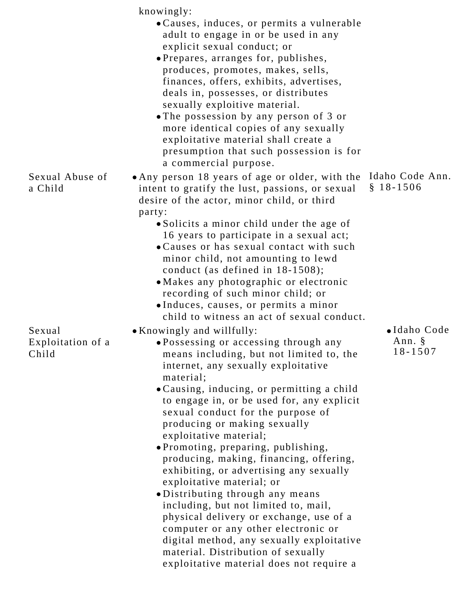|                                      | knowingly:<br>• Causes, induces, or permits a vulnerable<br>adult to engage in or be used in any<br>explicit sexual conduct; or<br>• Prepares, arranges for, publishes,<br>produces, promotes, makes, sells,<br>finances, offers, exhibits, advertises,<br>deals in, possesses, or distributes<br>sexually exploitive material.<br>• The possession by any person of 3 or<br>more identical copies of any sexually<br>exploitative material shall create a<br>presumption that such possession is for<br>a commercial purpose.                                                                                                                                                                                                                                                                                                                               |  |
|--------------------------------------|--------------------------------------------------------------------------------------------------------------------------------------------------------------------------------------------------------------------------------------------------------------------------------------------------------------------------------------------------------------------------------------------------------------------------------------------------------------------------------------------------------------------------------------------------------------------------------------------------------------------------------------------------------------------------------------------------------------------------------------------------------------------------------------------------------------------------------------------------------------|--|
| Sexual Abuse of<br>a Child           | Idaho Code Ann.<br>• Any person 18 years of age or older, with the<br>$$18-1506$<br>intent to gratify the lust, passions, or sexual<br>desire of the actor, minor child, or third<br>party:<br>• Solicits a minor child under the age of<br>16 years to participate in a sexual act;<br>• Causes or has sexual contact with such<br>minor child, not amounting to lewd<br>conduct (as defined in $18-1508$ );<br>• Makes any photographic or electronic<br>recording of such minor child; or<br>· Induces, causes, or permits a minor<br>child to witness an act of sexual conduct.                                                                                                                                                                                                                                                                          |  |
| Sexual<br>Exploitation of a<br>Child | ·Idaho Code<br>• Knowingly and willfully:<br>Ann. §<br>. Possessing or accessing through any<br>$18 - 1507$<br>means including, but not limited to, the<br>internet, any sexually exploitative<br>material;<br>• Causing, inducing, or permitting a child<br>to engage in, or be used for, any explicit<br>sexual conduct for the purpose of<br>producing or making sexually<br>exploitative material;<br>• Promoting, preparing, publishing,<br>producing, making, financing, offering,<br>exhibiting, or advertising any sexually<br>exploitative material; or<br>·Distributing through any means<br>including, but not limited to, mail,<br>physical delivery or exchange, use of a<br>computer or any other electronic or<br>digital method, any sexually exploitative<br>material. Distribution of sexually<br>exploitative material does not require a |  |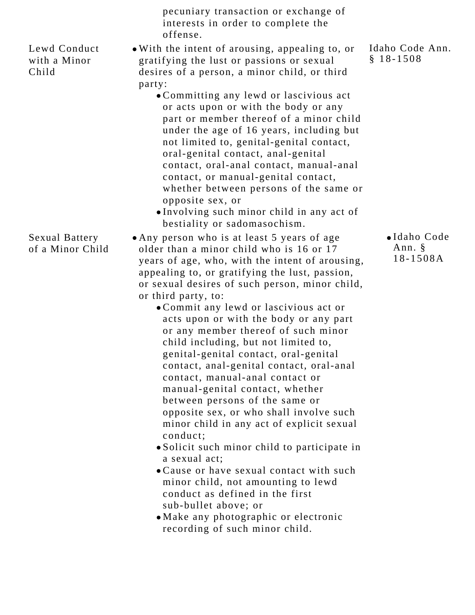|                                           | pecuniary transaction or exchange of<br>interests in order to complete the<br>offense.                                                                                                                                                                                                                                                                                                                                                                                                                                                                                                                                                                                                                                                                                                                                                                                                                                                                                                                                             |                                   |
|-------------------------------------------|------------------------------------------------------------------------------------------------------------------------------------------------------------------------------------------------------------------------------------------------------------------------------------------------------------------------------------------------------------------------------------------------------------------------------------------------------------------------------------------------------------------------------------------------------------------------------------------------------------------------------------------------------------------------------------------------------------------------------------------------------------------------------------------------------------------------------------------------------------------------------------------------------------------------------------------------------------------------------------------------------------------------------------|-----------------------------------|
| Lewd Conduct<br>with a Minor<br>Child     | • With the intent of arousing, appealing to, or<br>gratifying the lust or passions or sexual<br>desires of a person, a minor child, or third<br>party:<br>• Committing any lewd or lascivious act<br>or acts upon or with the body or any<br>part or member thereof of a minor child<br>under the age of 16 years, including but<br>not limited to, genital-genital contact,<br>oral-genital contact, anal-genital<br>contact, oral-anal contact, manual-anal<br>contact, or manual-genital contact,<br>whether between persons of the same or<br>opposite sex, or<br>. Involving such minor child in any act of<br>bestiality or sadomasochism.                                                                                                                                                                                                                                                                                                                                                                                   | Idaho Code Ann.<br>$$18-1508$     |
| <b>Sexual Battery</b><br>of a Minor Child | • Any person who is at least 5 years of age<br>older than a minor child who is 16 or 17<br>years of age, who, with the intent of arousing,<br>appealing to, or gratifying the lust, passion,<br>or sexual desires of such person, minor child,<br>or third party, to:<br>• Commit any lewd or lascivious act or<br>acts upon or with the body or any part<br>or any member thereof of such minor<br>child including, but not limited to,<br>genital-genital contact, oral-genital<br>contact, anal-genital contact, oral-anal<br>contact, manual-anal contact or<br>manual-genital contact, whether<br>between persons of the same or<br>opposite sex, or who shall involve such<br>minor child in any act of explicit sexual<br>conduct;<br>• Solicit such minor child to participate in<br>a sexual act;<br>• Cause or have sexual contact with such<br>minor child, not amounting to lewd<br>conduct as defined in the first<br>sub-bullet above; or<br>• Make any photographic or electronic<br>recording of such minor child. | •Idaho Code<br>Ann. §<br>18-1508A |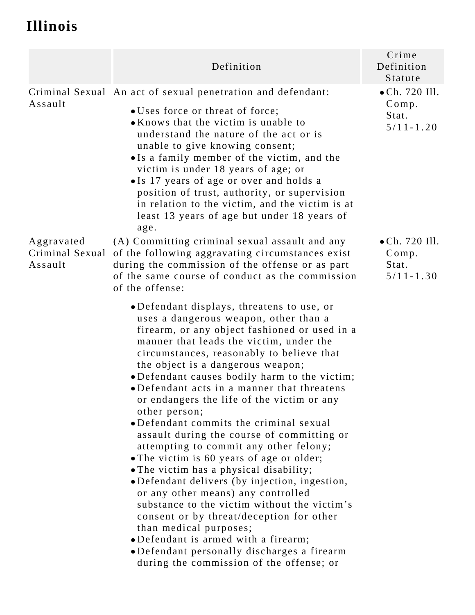# **Illinois**

|                                          | Definition                                                                                                                                                                                                                                                                                                                                                                                                                                                                                                                                                                                                                                                                                                                                                                                                                                                                                                                                                                                               | Crime<br>Definition<br>Statute                            |
|------------------------------------------|----------------------------------------------------------------------------------------------------------------------------------------------------------------------------------------------------------------------------------------------------------------------------------------------------------------------------------------------------------------------------------------------------------------------------------------------------------------------------------------------------------------------------------------------------------------------------------------------------------------------------------------------------------------------------------------------------------------------------------------------------------------------------------------------------------------------------------------------------------------------------------------------------------------------------------------------------------------------------------------------------------|-----------------------------------------------------------|
| Assault                                  | Criminal Sexual An act of sexual penetration and defendant:<br>• Uses force or threat of force;<br>• Knows that the victim is unable to<br>understand the nature of the act or is<br>unable to give knowing consent;<br>• Is a family member of the victim, and the<br>victim is under 18 years of age; or<br>• Is 17 years of age or over and holds a<br>position of trust, authority, or supervision<br>in relation to the victim, and the victim is at<br>least 13 years of age but under 18 years of<br>age.                                                                                                                                                                                                                                                                                                                                                                                                                                                                                         | $\bullet$ Ch. 720 Ill.<br>Comp.<br>Stat.<br>$5/11 - 1.20$ |
| Aggravated<br>Criminal Sexual<br>Assault | (A) Committing criminal sexual assault and any<br>of the following aggravating circumstances exist<br>during the commission of the offense or as part<br>of the same course of conduct as the commission<br>of the offense:                                                                                                                                                                                                                                                                                                                                                                                                                                                                                                                                                                                                                                                                                                                                                                              | $\bullet$ Ch. 720 Ill.<br>Comp.<br>Stat.<br>$5/11 - 1.30$ |
|                                          | •Defendant displays, threatens to use, or<br>uses a dangerous weapon, other than a<br>firearm, or any object fashioned or used in a<br>manner that leads the victim, under the<br>circumstances, reasonably to believe that<br>the object is a dangerous weapon;<br>•Defendant causes bodily harm to the victim;<br>•Defendant acts in a manner that threatens<br>or endangers the life of the victim or any<br>other person;<br>• Defendant commits the criminal sexual<br>assault during the course of committing or<br>attempting to commit any other felony;<br>• The victim is 60 years of age or older;<br>• The victim has a physical disability;<br>• Defendant delivers (by injection, ingestion,<br>or any other means) any controlled<br>substance to the victim without the victim's<br>consent or by threat/deception for other<br>than medical purposes;<br>• Defendant is armed with a firearm;<br>·Defendant personally discharges a firearm<br>during the commission of the offense; or |                                                           |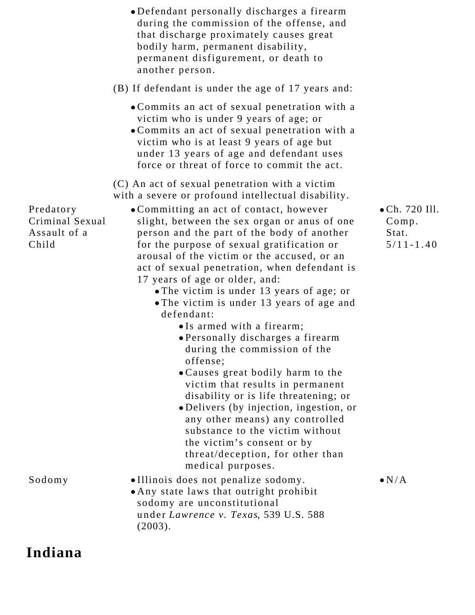|                                                       | • Defendant personally discharges a firearm<br>during the commission of the offense, and<br>that discharge proximately causes great<br>bodily harm, permanent disability,<br>permanent disfigurement, or death to<br>another person.                                                                                                                                                                                                                                                                                                                                                                                                                                                                                                                                                                                                                                                                                 |                                                   |
|-------------------------------------------------------|----------------------------------------------------------------------------------------------------------------------------------------------------------------------------------------------------------------------------------------------------------------------------------------------------------------------------------------------------------------------------------------------------------------------------------------------------------------------------------------------------------------------------------------------------------------------------------------------------------------------------------------------------------------------------------------------------------------------------------------------------------------------------------------------------------------------------------------------------------------------------------------------------------------------|---------------------------------------------------|
|                                                       | (B) If defendant is under the age of 17 years and:                                                                                                                                                                                                                                                                                                                                                                                                                                                                                                                                                                                                                                                                                                                                                                                                                                                                   |                                                   |
|                                                       | • Commits an act of sexual penetration with a<br>victim who is under 9 years of age; or<br>• Commits an act of sexual penetration with a<br>victim who is at least 9 years of age but<br>under 13 years of age and defendant uses<br>force or threat of force to commit the act.                                                                                                                                                                                                                                                                                                                                                                                                                                                                                                                                                                                                                                     |                                                   |
| Predatory<br>Criminal Sexual<br>Assault of a<br>Child | (C) An act of sexual penetration with a victim<br>with a severe or profound intellectual disability.<br>• Committing an act of contact, however<br>slight, between the sex organ or anus of one<br>person and the part of the body of another<br>for the purpose of sexual gratification or<br>arousal of the victim or the accused, or an<br>act of sexual penetration, when defendant is<br>17 years of age or older, and:<br>• The victim is under 13 years of age; or<br>• The victim is under 13 years of age and<br>defendant:<br>• Is armed with a firearm;<br>• Personally discharges a firearm<br>during the commission of the<br>offense;<br>. Causes great bodily harm to the<br>victim that results in permanent<br>disability or is life threatening; or<br>• Delivers (by injection, ingestion, or<br>any other means) any controlled<br>substance to the victim without<br>the victim's consent or by | • Ch. 720 Ill.<br>Comp.<br>Stat.<br>$5/11 - 1.40$ |
| Sodomy                                                | threat/deception, for other than<br>medical purposes.<br>. Illinois does not penalize sodomy.                                                                                                                                                                                                                                                                                                                                                                                                                                                                                                                                                                                                                                                                                                                                                                                                                        | $\bullet N/A$                                     |
|                                                       | . Any state laws that outright prohibit<br>sodomy are unconstitutional<br>under Lawrence v. Texas, 539 U.S. 588<br>(2003).                                                                                                                                                                                                                                                                                                                                                                                                                                                                                                                                                                                                                                                                                                                                                                                           |                                                   |

**Indiana**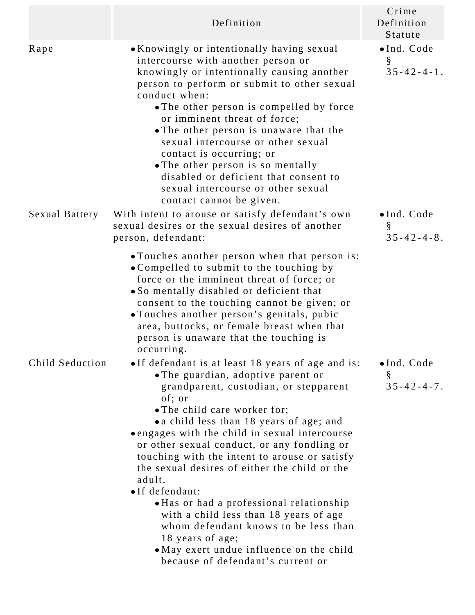|                 | Definition                                                                                                                                                                                                                                                                                                                                                                                                                                                                                                                                                                                                                                                                                | Crime<br>Definition<br>Statute          |
|-----------------|-------------------------------------------------------------------------------------------------------------------------------------------------------------------------------------------------------------------------------------------------------------------------------------------------------------------------------------------------------------------------------------------------------------------------------------------------------------------------------------------------------------------------------------------------------------------------------------------------------------------------------------------------------------------------------------------|-----------------------------------------|
| Rape            | • Knowingly or intentionally having sexual<br>intercourse with another person or<br>knowingly or intentionally causing another<br>person to perform or submit to other sexual<br>conduct when:<br>• The other person is compelled by force<br>or imminent threat of force;<br>• The other person is unaware that the<br>sexual intercourse or other sexual<br>contact is occurring; or<br>• The other person is so mentally<br>disabled or deficient that consent to<br>sexual intercourse or other sexual<br>contact cannot be given.                                                                                                                                                    | · Ind. Code<br>§<br>$35 - 42 - 4 - 1$ . |
| Sexual Battery  | With intent to arouse or satisfy defendant's own<br>sexual desires or the sexual desires of another<br>person, defendant:                                                                                                                                                                                                                                                                                                                                                                                                                                                                                                                                                                 | · Ind. Code<br>§<br>$35 - 42 - 4 - 8$ . |
|                 | • Touches another person when that person is:<br>• Compelled to submit to the touching by<br>force or the imminent threat of force; or<br>• So mentally disabled or deficient that<br>consent to the touching cannot be given; or<br>• Touches another person's genitals, pubic<br>area, buttocks, or female breast when that<br>person is unaware that the touching is<br>occurring.                                                                                                                                                                                                                                                                                                     |                                         |
| Child Seduction | • If defendant is at least 18 years of age and is:<br>• The guardian, adoptive parent or<br>grandparent, custodian, or stepparent<br>of; or<br>• The child care worker for;<br>• a child less than 18 years of age; and<br>• engages with the child in sexual intercourse<br>or other sexual conduct, or any fondling or<br>touching with the intent to arouse or satisfy<br>the sexual desires of either the child or the<br>adult.<br>•If defendant:<br>• Has or had a professional relationship<br>with a child less than 18 years of age<br>whom defendant knows to be less than<br>18 years of age;<br>• May exert undue influence on the child<br>because of defendant's current or | · Ind. Code<br>§<br>$35 - 42 - 4 - 7$ . |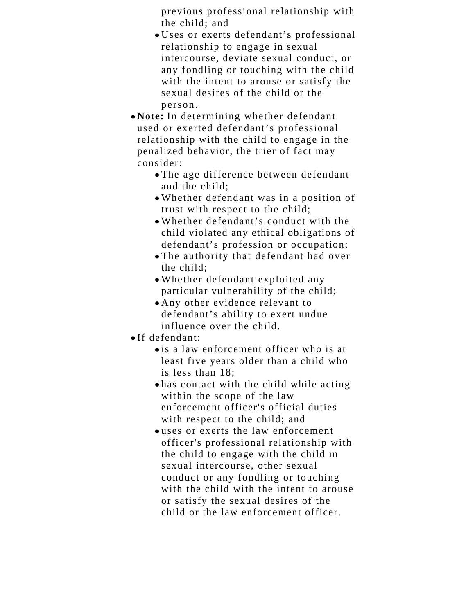previous professional relationship with the child; and

- Uses or exerts defendant's professional relationship to engage in sexual intercourse, deviate sexual conduct, or any fondling or touching with the child with the intent to arouse or satisfy the sexual desires of the child or the person.
- **Note:** In determining whether defendant used or exerted defendant's professional relationship with the child to engage in the penalized behavior, the trier of fact may consider:
	- The age difference between defendant and the child;
	- Whether defendant was in a position of trust with respect to the child;
	- Whether defendant's conduct with the child violated any ethical obligations of defendant's profession or occupation;
	- The authority that defendant had over the child;
	- Whether defendant exploited any particular vulnerability of the child;
	- Any other evidence relevant to defendant's ability to exert undue influence over the child.
- If defendant:
	- is a law enforcement officer who is at least five years older than a child who is less than 18;
	- has contact with the child while acting within the scope of the law enforcement officer's official duties with respect to the child; and
	- uses or exerts the law enforcement officer's professional relationship with the child to engage with the child in sexual intercourse, other sexual conduct or any fondling or touching with the child with the intent to arouse or satisfy the sexual desires of the child or the law enforcement officer.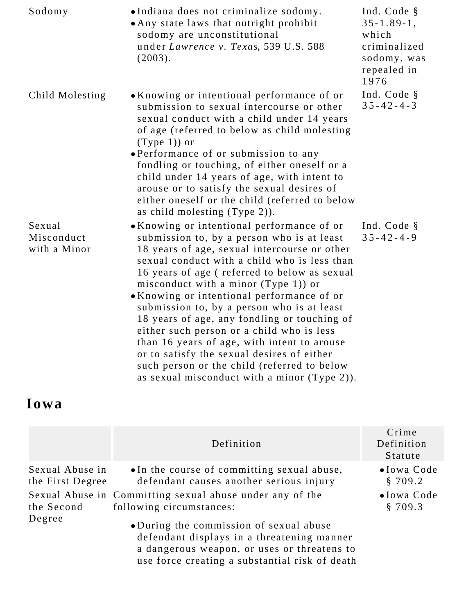| Sodomy                               | ·Indiana does not criminalize sodomy.<br>• Any state laws that outright prohibit<br>sodomy are unconstitutional<br>under Lawrence v. Texas, 539 U.S. 588<br>(2003).                                                                                                                                                                                                                                                                                                                                                                                                                                                                                                   | Ind. Code §<br>$35 - 1.89 - 1$ ,<br>which<br>criminalized<br>sodomy, was<br>repealed in<br>1976 |
|--------------------------------------|-----------------------------------------------------------------------------------------------------------------------------------------------------------------------------------------------------------------------------------------------------------------------------------------------------------------------------------------------------------------------------------------------------------------------------------------------------------------------------------------------------------------------------------------------------------------------------------------------------------------------------------------------------------------------|-------------------------------------------------------------------------------------------------|
| Child Molesting                      | • Knowing or intentional performance of or<br>submission to sexual intercourse or other<br>sexual conduct with a child under 14 years<br>of age (referred to below as child molesting<br>$(Type 1)$ or<br>• Performance of or submission to any<br>fondling or touching, of either oneself or a<br>child under 14 years of age, with intent to<br>arouse or to satisfy the sexual desires of<br>either oneself or the child (referred to below<br>as child molesting (Type 2)).                                                                                                                                                                                       | Ind. Code §<br>$35 - 42 - 4 - 3$                                                                |
| Sexual<br>Misconduct<br>with a Minor | • Knowing or intentional performance of or<br>submission to, by a person who is at least<br>18 years of age, sexual intercourse or other<br>sexual conduct with a child who is less than<br>16 years of age (referred to below as sexual<br>misconduct with a minor (Type 1)) or<br>• Knowing or intentional performance of or<br>submission to, by a person who is at least<br>18 years of age, any fondling or touching of<br>either such person or a child who is less<br>than 16 years of age, with intent to arouse<br>or to satisfy the sexual desires of either<br>such person or the child (referred to below<br>as sexual misconduct with a minor (Type 2)). | Ind. Code §<br>$35 - 42 - 4 - 9$                                                                |

# **Iowa**

|                                     | Definition                                                                                                                                                                             | Crime<br>Definition<br>Statute |
|-------------------------------------|----------------------------------------------------------------------------------------------------------------------------------------------------------------------------------------|--------------------------------|
| Sexual Abuse in<br>the First Degree | • In the course of committing sexual abuse,<br>defendant causes another serious injury                                                                                                 | $\bullet$ Iowa Code<br>§ 709.2 |
| the Second                          | Sexual Abuse in Committing sexual abuse under any of the<br>following circumstances:                                                                                                   | $\bullet$ Iowa Code<br>§ 709.3 |
| Degree                              | • During the commission of sexual abuse<br>defendant displays in a threatening manner<br>a dangerous weapon, or uses or threatens to<br>use force creating a substantial risk of death |                                |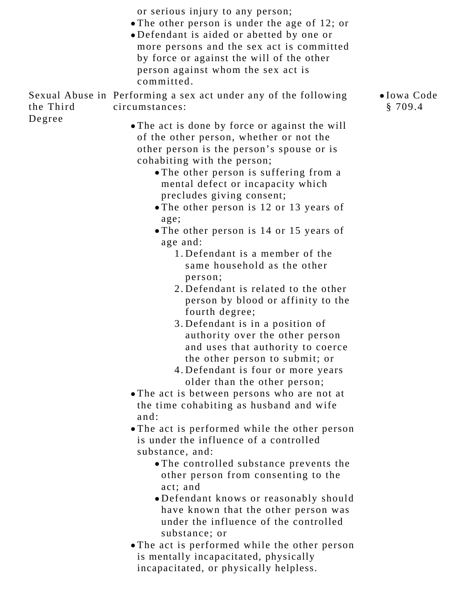or serious injury to any person;

- The other person is under the age of 12; or
- Defendant is aided or abetted by one or more persons and the sex act is committed by force or against the will of the other person against whom the sex act is committed.

Sexual Abuse in Performing a sex act under any of the following the Third Degree circumstances:

- The act is done by force or against the will of the other person, whether or not the other person is the person's spouse or is cohabiting with the person;
	- The other person is suffering from a mental defect or incapacity which precludes giving consent;
	- The other person is 12 or 13 years of age;
	- The other person is 14 or 15 years of age and:
		- Defendant is a member of the 1. same household as the other person;
		- 2. Defendant is related to the other person by blood or affinity to the fourth degree;
		- Defendant is in a position of 3. authority over the other person and uses that authority to coerce the other person to submit; or
		- Defendant is four or more years 4. older than the other person;
- The act is between persons who are not at the time cohabiting as husband and wife and:
- The act is performed while the other person is under the influence of a controlled substance, and:
	- The controlled substance prevents the other person from consenting to the act; and
	- Defendant knows or reasonably should have known that the other person was under the influence of the controlled substance; or
- The act is performed while the other person is mentally incapacitated, physically incapacitated, or physically helpless.

Iowa Code § 709.4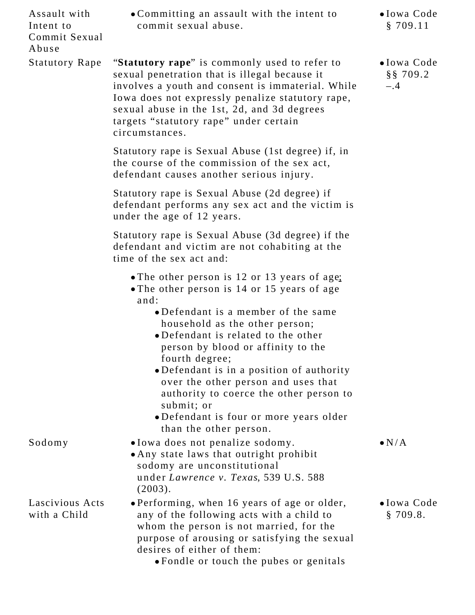| Assault with<br>Intent to<br>Commit Sexual<br>Abuse | • Committing an assault with the intent to<br>commit sexual abuse.                                                                                                                                                                                                                                                                                                                                                                                                                         | $\bullet$ Iowa Code<br>\$709.11             |
|-----------------------------------------------------|--------------------------------------------------------------------------------------------------------------------------------------------------------------------------------------------------------------------------------------------------------------------------------------------------------------------------------------------------------------------------------------------------------------------------------------------------------------------------------------------|---------------------------------------------|
| <b>Statutory Rape</b>                               | "Statutory rape" is commonly used to refer to<br>sexual penetration that is illegal because it<br>involves a youth and consent is immaterial. While<br>Iowa does not expressly penalize statutory rape,<br>sexual abuse in the 1st, 2d, and 3d degrees<br>targets "statutory rape" under certain<br>circumstances.                                                                                                                                                                         | $\bullet$ Iowa Code<br>$§$ § 709.2<br>$-.4$ |
|                                                     | Statutory rape is Sexual Abuse (1st degree) if, in<br>the course of the commission of the sex act,<br>defendant causes another serious injury.                                                                                                                                                                                                                                                                                                                                             |                                             |
|                                                     | Statutory rape is Sexual Abuse (2d degree) if<br>defendant performs any sex act and the victim is<br>under the age of 12 years.                                                                                                                                                                                                                                                                                                                                                            |                                             |
|                                                     | Statutory rape is Sexual Abuse (3d degree) if the<br>defendant and victim are not cohabiting at the<br>time of the sex act and:                                                                                                                                                                                                                                                                                                                                                            |                                             |
|                                                     | • The other person is 12 or 13 years of age:<br>• The other person is 14 or 15 years of age<br>and:<br>• Defendant is a member of the same<br>household as the other person;<br>•Defendant is related to the other<br>person by blood or affinity to the<br>fourth degree;<br>•Defendant is in a position of authority<br>over the other person and uses that<br>authority to coerce the other person to<br>submit; or<br>•Defendant is four or more years older<br>than the other person. |                                             |
| Sodomy                                              | · Iowa does not penalize sodomy.<br>• Any state laws that outright prohibit<br>sodomy are unconstitutional<br>under Lawrence v. Texas, 539 U.S. 588<br>(2003).                                                                                                                                                                                                                                                                                                                             | $\bullet N/A$                               |
| Lascivious Acts<br>with a Child                     | • Performing, when 16 years of age or older,<br>any of the following acts with a child to<br>whom the person is not married, for the<br>purpose of arousing or satisfying the sexual<br>desires of either of them:<br>• Fondle or touch the pubes or genitals                                                                                                                                                                                                                              | $\bullet$ Iowa Code<br>\$709.8.             |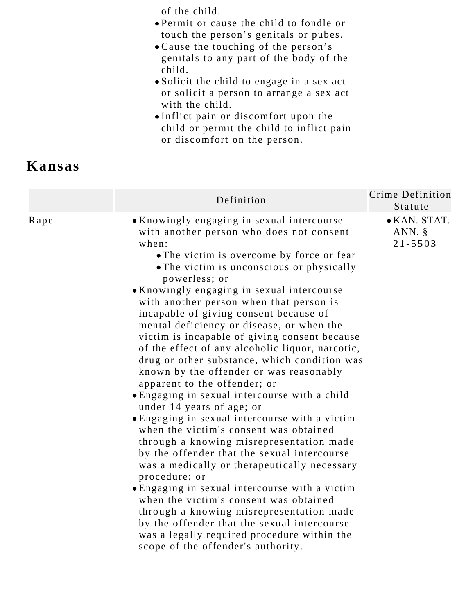of the child.

- Permit or cause the child to fondle or touch the person's genitals or pubes.
- Cause the touching of the person's genitals to any part of the body of the child.
- Solicit the child to engage in a sex act or solicit a person to arrange a sex act with the child.
- Inflict pain or discomfort upon the child or permit the child to inflict pain or discomfort on the person.

### **Kansas**

|      | Definition                                                                                                                                                                                                                                                                                                                                                                                                                                                                                                                                                                                                                                                                                                                                                                                                                                                                                                                                                                                                                                                                                                                                                                                                                                   | Crime Definition<br>Statute              |
|------|----------------------------------------------------------------------------------------------------------------------------------------------------------------------------------------------------------------------------------------------------------------------------------------------------------------------------------------------------------------------------------------------------------------------------------------------------------------------------------------------------------------------------------------------------------------------------------------------------------------------------------------------------------------------------------------------------------------------------------------------------------------------------------------------------------------------------------------------------------------------------------------------------------------------------------------------------------------------------------------------------------------------------------------------------------------------------------------------------------------------------------------------------------------------------------------------------------------------------------------------|------------------------------------------|
| Rape | • Knowingly engaging in sexual intercourse<br>with another person who does not consent<br>when:<br>• The victim is overcome by force or fear<br>• The victim is unconscious or physically<br>powerless; or<br>• Knowingly engaging in sexual intercourse<br>with another person when that person is<br>incapable of giving consent because of<br>mental deficiency or disease, or when the<br>victim is incapable of giving consent because<br>of the effect of any alcoholic liquor, narcotic,<br>drug or other substance, which condition was<br>known by the offender or was reasonably<br>apparent to the offender; or<br>• Engaging in sexual intercourse with a child<br>under 14 years of age; or<br>• Engaging in sexual intercourse with a victim<br>when the victim's consent was obtained<br>through a knowing misrepresentation made<br>by the offender that the sexual intercourse<br>was a medically or therapeutically necessary<br>procedure; or<br>• Engaging in sexual intercourse with a victim<br>when the victim's consent was obtained<br>through a knowing misrepresentation made<br>by the offender that the sexual intercourse<br>was a legally required procedure within the<br>scope of the offender's authority. | • KAN. STAT.<br>ANN. $\S$<br>$21 - 5503$ |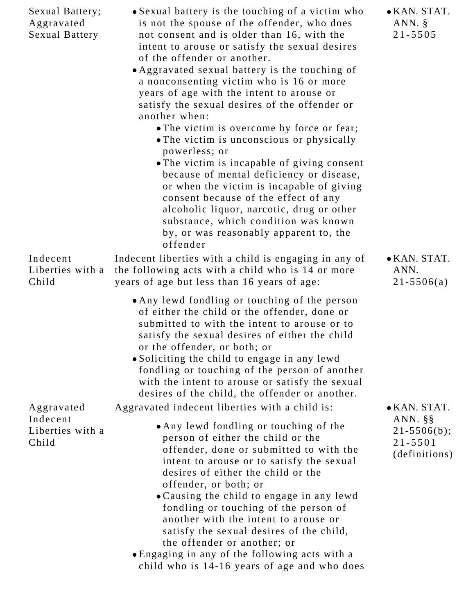| Sexual Battery;<br>Aggravated<br><b>Sexual Battery</b> | • Sexual battery is the touching of a victim who<br>is not the spouse of the offender, who does<br>not consent and is older than 16, with the<br>intent to arouse or satisfy the sexual desires<br>of the offender or another.<br>• Aggravated sexual battery is the touching of<br>a nonconsenting victim who is 16 or more<br>years of age with the intent to arouse or<br>satisfy the sexual desires of the offender or<br>another when:<br>• The victim is overcome by force or fear;<br>• The victim is unconscious or physically<br>powerless; or<br>• The victim is incapable of giving consent<br>because of mental deficiency or disease,<br>or when the victim is incapable of giving<br>consent because of the effect of any<br>alcoholic liquor, narcotic, drug or other<br>substance, which condition was known<br>by, or was reasonably apparent to, the<br>offender | • KAN. STAT.<br>ANN. $\S$<br>$21 - 5505$                                          |
|--------------------------------------------------------|------------------------------------------------------------------------------------------------------------------------------------------------------------------------------------------------------------------------------------------------------------------------------------------------------------------------------------------------------------------------------------------------------------------------------------------------------------------------------------------------------------------------------------------------------------------------------------------------------------------------------------------------------------------------------------------------------------------------------------------------------------------------------------------------------------------------------------------------------------------------------------|-----------------------------------------------------------------------------------|
| Indecent<br>Liberties with a<br>Child                  | Indecent liberties with a child is engaging in any of<br>the following acts with a child who is 14 or more<br>years of age but less than 16 years of age:                                                                                                                                                                                                                                                                                                                                                                                                                                                                                                                                                                                                                                                                                                                          | • KAN. STAT.<br>ANN.<br>$21 - 5506(a)$                                            |
|                                                        | • Any lewd fondling or touching of the person<br>of either the child or the offender, done or<br>submitted to with the intent to arouse or to<br>satisfy the sexual desires of either the child<br>or the offender, or both; or<br>• Soliciting the child to engage in any lewd<br>fondling or touching of the person of another<br>with the intent to arouse or satisfy the sexual<br>desires of the child, the offender or another.                                                                                                                                                                                                                                                                                                                                                                                                                                              |                                                                                   |
| Aggravated<br>Indecent<br>Liberties with a<br>Child    | Aggravated indecent liberties with a child is:<br>• Any lewd fondling or touching of the<br>person of either the child or the<br>offender, done or submitted to with the<br>intent to arouse or to satisfy the sexual<br>desires of either the child or the<br>offender, or both; or<br>. Causing the child to engage in any lewd<br>fondling or touching of the person of<br>another with the intent to arouse or<br>satisfy the sexual desires of the child,<br>the offender or another; or<br>• Engaging in any of the following acts with a<br>child who is 14-16 years of age and who does                                                                                                                                                                                                                                                                                    | • KAN. STAT.<br>ANN. $\S$ $\S$<br>$21 - 5506(b);$<br>$21 - 5501$<br>(definitions) |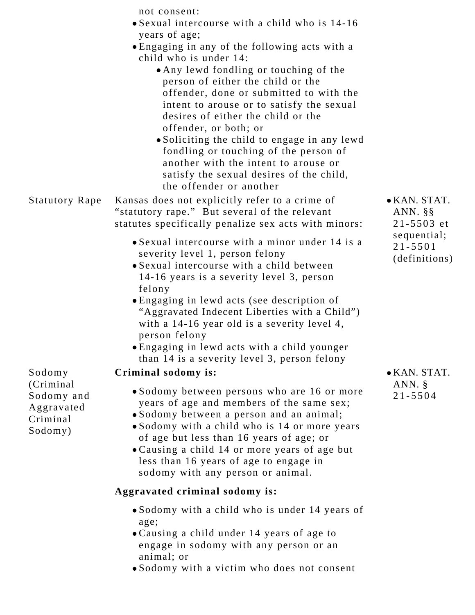|                          | not consent:                                                                            |                            |
|--------------------------|-----------------------------------------------------------------------------------------|----------------------------|
|                          | • Sexual intercourse with a child who is 14-16                                          |                            |
|                          | years of age;                                                                           |                            |
|                          | • Engaging in any of the following acts with a<br>child who is under 14:                |                            |
|                          | • Any lewd fondling or touching of the                                                  |                            |
|                          | person of either the child or the                                                       |                            |
|                          | offender, done or submitted to with the                                                 |                            |
|                          | intent to arouse or to satisfy the sexual                                               |                            |
|                          | desires of either the child or the                                                      |                            |
|                          | offender, or both; or                                                                   |                            |
|                          | • Soliciting the child to engage in any lewd<br>fondling or touching of the person of   |                            |
|                          | another with the intent to arouse or                                                    |                            |
|                          | satisfy the sexual desires of the child,                                                |                            |
|                          | the offender or another                                                                 |                            |
| <b>Statutory Rape</b>    | Kansas does not explicitly refer to a crime of                                          | $\bullet$ KAN. STAT.       |
|                          | "statutory rape." But several of the relevant                                           | ANN. $\S$ $\S$             |
|                          | statutes specifically penalize sex acts with minors:                                    | $21 - 5503$ et             |
|                          | • Sexual intercourse with a minor under 14 is a                                         | sequential;<br>$21 - 5501$ |
|                          | severity level 1, person felony                                                         | (definitions)              |
|                          | • Sexual intercourse with a child between                                               |                            |
|                          | 14-16 years is a severity level 3, person                                               |                            |
|                          | felony<br>• Engaging in lewd acts (see description of                                   |                            |
|                          | "Aggravated Indecent Liberties with a Child")                                           |                            |
|                          | with a 14-16 year old is a severity level 4,                                            |                            |
|                          | person felony                                                                           |                            |
|                          | • Engaging in lewd acts with a child younger                                            |                            |
|                          | than 14 is a severity level 3, person felony                                            |                            |
| Sodomy                   | Criminal sodomy is:                                                                     | $\bullet$ KAN. STAT.       |
| (Criminal)               | • Sodomy between persons who are 16 or more                                             | ANN. $\S$<br>$21 - 5504$   |
| Sodomy and<br>Aggravated | years of age and members of the same sex;                                               |                            |
| Criminal                 | • Sodomy between a person and an animal;                                                |                            |
| Sodomy)                  | • Sodomy with a child who is 14 or more years                                           |                            |
|                          | of age but less than 16 years of age; or                                                |                            |
|                          | • Causing a child 14 or more years of age but<br>less than 16 years of age to engage in |                            |
|                          | sodomy with any person or animal.                                                       |                            |
|                          | Aggravated criminal sodomy is:                                                          |                            |
|                          |                                                                                         |                            |
|                          | • Sodomy with a child who is under 14 years of<br>age;                                  |                            |
|                          | • Causing a child under 14 years of age to                                              |                            |
|                          | engage in sodomy with any person or an<br>animal; or                                    |                            |
|                          | . Sodomy with a victim who does not consent                                             |                            |
|                          |                                                                                         |                            |
|                          |                                                                                         |                            |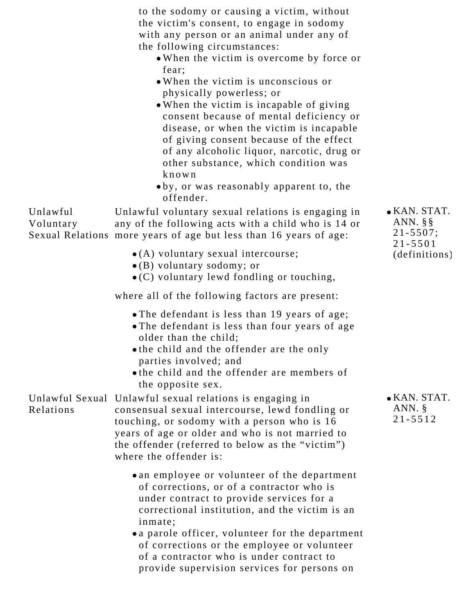to the sodomy or causing a victim, without the victim's consent, to engage in sodomy with any person or an animal under any of the following circumstances:

- When the victim is overcome by force or fear;
- When the victim is unconscious or physically powerless; or
- When the victim is incapable of giving consent because of mental deficiency or disease, or when the victim is incapable of giving consent because of the effect of any alcoholic liquor, narcotic, drug or other substance, which condition was known
- by, or was reasonably apparent to, the offender.

Unlawful Voluntary Sexual Relations more years of age but less than 16 years of age: Unlawful voluntary sexual relations is engaging in any of the following acts with a child who is 14 or

- (A) voluntary sexual intercourse;
- (B) voluntary sodomy; or
- (C) voluntary lewd fondling or touching,

where all of the following factors are present:

- The defendant is less than 19 years of age;
- The defendant is less than four years of age older than the child;
- the child and the offender are the only parties involved; and
- the child and the offender are members of the opposite sex.

Unlawful Sexual Unlawful sexual relations is engaging in Relations consensual sexual intercourse, lewd fondling or touching, or sodomy with a person who is 16 years of age or older and who is not married to the offender (referred to below as the "victim") where the offender is:

- an employee or volunteer of the department of corrections, or of a contractor who is under contract to provide services for a correctional institution, and the victim is an inmate;
- a parole officer, volunteer for the department of corrections or the employee or volunteer of a contractor who is under contract to provide supervision services for persons on

KAN. STAT. ANN. §§ 21-5507; 21-5501 (definitions)

KAN. STAT. ANN. § 21-5512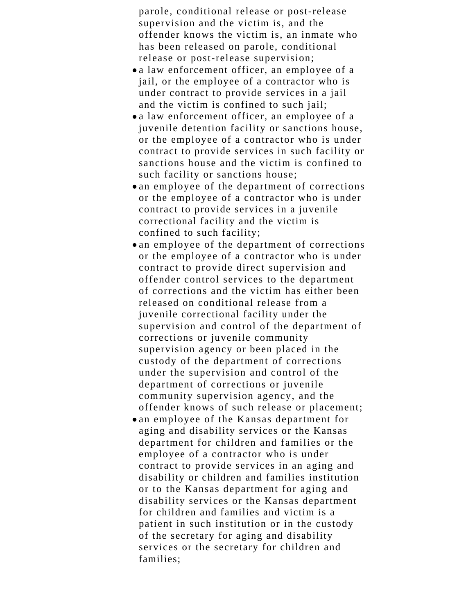parole, conditional release or post-release supervision and the victim is, and the offender knows the victim is, an inmate who has been released on parole, conditional release or post-release supervision;

- a law enforcement officer, an employee of a jail, or the employee of a contractor who is under contract to provide services in a jail and the victim is confined to such jail;
- a law enforcement officer, an employee of a juvenile detention facility or sanctions house, or the employee of a contractor who is under contract to provide services in such facility or sanctions house and the victim is confined to such facility or sanctions house;
- an employee of the department of corrections or the employee of a contractor who is under contract to provide services in a juvenile correctional facility and the victim is confined to such facility;
- an employee of the department of corrections or the employee of a contractor who is under contract to provide direct supervision and offender control services to the department of corrections and the victim has either been released on conditional release from a juvenile correctional facility under the supervision and control of the department of corrections or juvenile community supervision agency or been placed in the custody of the department of corrections under the supervision and control of the department of corrections or juvenile community supervision agency, and the offender knows of such release or placement;
- an employee of the Kansas department for aging and disability services or the Kansas department for children and families or the employee of a contractor who is under contract to provide services in an aging and disability or children and families institution or to the Kansas department for aging and disability services or the Kansas department for children and families and victim is a patient in such institution or in the custody of the secretary for aging and disability services or the secretary for children and families;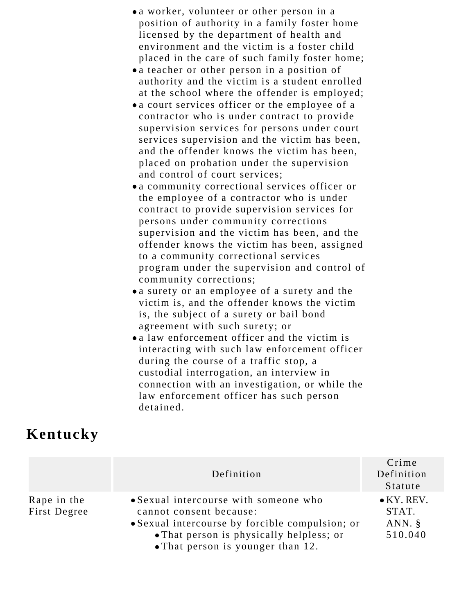- a worker, volunteer or other person in a position of authority in a family foster home licensed by the department of health and environment and the victim is a foster child placed in the care of such family foster home;
- a teacher or other person in a position of authority and the victim is a student enrolled at the school where the offender is employed;
- a court services officer or the employee of a contractor who is under contract to provide supervision services for persons under court services supervision and the victim has been, and the offender knows the victim has been, placed on probation under the supervision and control of court services;
- a community correctional services officer or the employee of a contractor who is under contract to provide supervision services for persons under community corrections supervision and the victim has been, and the offender knows the victim has been, assigned to a community correctional services program under the supervision and control of community corrections;
- a surety or an employee of a surety and the victim is, and the offender knows the victim is, the subject of a surety or bail bond agreement with such surety; or
- a law enforcement officer and the victim is interacting with such law enforcement officer during the course of a traffic stop, a custodial interrogation, an interview in connection with an investigation, or while the law enforcement officer has such person detained.

#### **Kentucky**

|                             | Definition                                                                                                                                                      | Crime<br>Definition<br>Statute                      |
|-----------------------------|-----------------------------------------------------------------------------------------------------------------------------------------------------------------|-----------------------------------------------------|
| Rape in the<br>First Degree | • Sexual intercourse with someone who<br>cannot consent because:<br>• Sexual intercourse by forcible compulsion; or<br>• That person is physically helpless; or | $\bullet$ KY. REV.<br>STAT.<br>ANN. $\S$<br>510.040 |
|                             | • That person is younger than 12.                                                                                                                               |                                                     |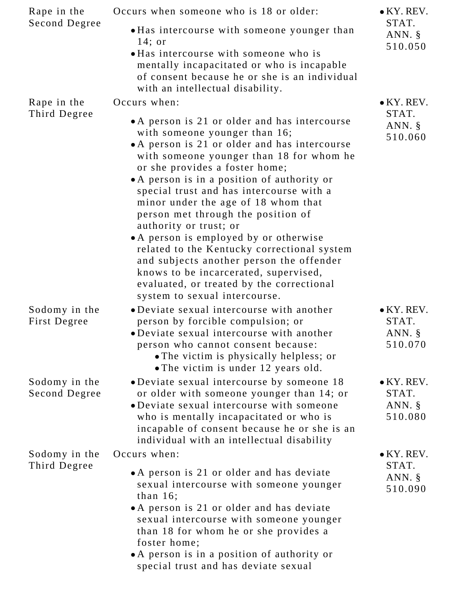| Occurs when someone who is 18 or older:                                                                                                                                                                                                                                                                                                                                                                                                                                                                                                                                                                                                                                     | $\bullet$ KY. REV.                                  |
|-----------------------------------------------------------------------------------------------------------------------------------------------------------------------------------------------------------------------------------------------------------------------------------------------------------------------------------------------------------------------------------------------------------------------------------------------------------------------------------------------------------------------------------------------------------------------------------------------------------------------------------------------------------------------------|-----------------------------------------------------|
| • Has intercourse with someone younger than<br>$14;$ or<br>• Has intercourse with someone who is<br>mentally incapacitated or who is incapable<br>of consent because he or she is an individual<br>with an intellectual disability.                                                                                                                                                                                                                                                                                                                                                                                                                                         | STAT.<br>ANN. $\S$<br>510.050                       |
| Occurs when:                                                                                                                                                                                                                                                                                                                                                                                                                                                                                                                                                                                                                                                                | $\bullet$ KY. REV.                                  |
| • A person is 21 or older and has intercourse<br>with someone younger than 16;<br>• A person is 21 or older and has intercourse<br>with someone younger than 18 for whom he<br>or she provides a foster home;<br>• A person is in a position of authority or<br>special trust and has intercourse with a<br>minor under the age of 18 whom that<br>person met through the position of<br>authority or trust; or<br>• A person is employed by or otherwise<br>related to the Kentucky correctional system<br>and subjects another person the offender<br>knows to be incarcerated, supervised,<br>evaluated, or treated by the correctional<br>system to sexual intercourse. | STAT.<br>ANN. $\S$<br>510.060                       |
| • Deviate sexual intercourse with another<br>person by forcible compulsion; or<br>• Deviate sexual intercourse with another<br>person who cannot consent because:<br>• The victim is physically helpless; or<br>• The victim is under 12 years old.                                                                                                                                                                                                                                                                                                                                                                                                                         | $\bullet$ KY. REV.<br>STAT.<br>ANN. $\S$<br>510.070 |
| • Deviate sexual intercourse by someone 18<br>or older with someone younger than 14; or<br>• Deviate sexual intercourse with someone<br>who is mentally incapacitated or who is<br>incapable of consent because he or she is an<br>individual with an intellectual disability                                                                                                                                                                                                                                                                                                                                                                                               | $\bullet$ KY. REV.<br>STAT.<br>ANN. §<br>510.080    |
| Occurs when:                                                                                                                                                                                                                                                                                                                                                                                                                                                                                                                                                                                                                                                                | $\bullet$ KY. REV.                                  |
| • A person is 21 or older and has deviate<br>sexual intercourse with someone younger<br>than $16$ ;<br>• A person is 21 or older and has deviate<br>sexual intercourse with someone younger<br>than 18 for whom he or she provides a<br>foster home;<br>• A person is in a position of authority or                                                                                                                                                                                                                                                                                                                                                                         | STAT.<br>ANN. $\S$<br>510.090                       |
|                                                                                                                                                                                                                                                                                                                                                                                                                                                                                                                                                                                                                                                                             | special trust and has deviate sexual                |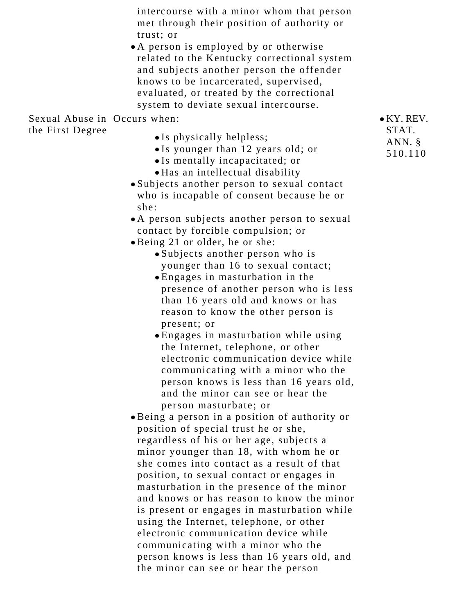intercourse with a minor whom that person met through their position of authority or trust; or

A person is employed by or otherwise related to the Kentucky correctional system and subjects another person the offender knows to be incarcerated, supervised, evaluated, or treated by the correctional system to deviate sexual intercourse.

Sexual Abuse in Occurs when:

the First Degree

- Is physically helpless;
- Is younger than 12 years old; or
- Is mentally incapacitated; or
- Has an intellectual disability
- Subjects another person to sexual contact who is incapable of consent because he or she:
- A person subjects another person to sexual contact by forcible compulsion; or
- Being 21 or older, he or she:
	- Subjects another person who is younger than 16 to sexual contact;
	- Engages in masturbation in the presence of another person who is less than 16 years old and knows or has reason to know the other person is present; or
	- Engages in masturbation while using the Internet, telephone, or other electronic communication device while communicating with a minor who the person knows is less than 16 years old, and the minor can see or hear the person masturbate; or
- Being a person in a position of authority or position of special trust he or she, regardless of his or her age, subjects a minor younger than 18, with whom he or she comes into contact as a result of that position, to sexual contact or engages in masturbation in the presence of the minor and knows or has reason to know the minor is present or engages in masturbation while using the Internet, telephone, or other electronic communication device while communicating with a minor who the person knows is less than 16 years old, and the minor can see or hear the person

KY. REV. STAT. ANN. § 510.110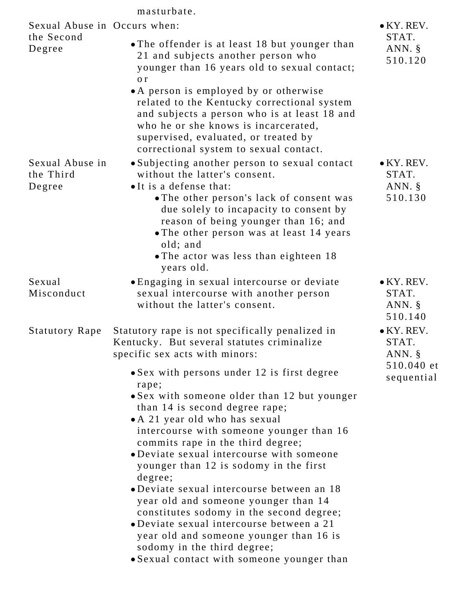### masturbate.

| Sexual Abuse in Occurs when:           |                                                                                                                                                                                                                                                                                                                                                                                                                                                                                                                                                                                                                                                                                                                                                                                                       | $\bullet$ KY. REV.                                                   |
|----------------------------------------|-------------------------------------------------------------------------------------------------------------------------------------------------------------------------------------------------------------------------------------------------------------------------------------------------------------------------------------------------------------------------------------------------------------------------------------------------------------------------------------------------------------------------------------------------------------------------------------------------------------------------------------------------------------------------------------------------------------------------------------------------------------------------------------------------------|----------------------------------------------------------------------|
| the Second<br>Degree                   | • The offender is at least 18 but younger than<br>21 and subjects another person who<br>younger than 16 years old to sexual contact;<br>o r<br>• A person is employed by or otherwise<br>related to the Kentucky correctional system<br>and subjects a person who is at least 18 and<br>who he or she knows is incarcerated,<br>supervised, evaluated, or treated by<br>correctional system to sexual contact.                                                                                                                                                                                                                                                                                                                                                                                        | STAT.<br>ANN. §<br>510.120                                           |
| Sexual Abuse in<br>the Third<br>Degree | • Subjecting another person to sexual contact<br>without the latter's consent.<br>• It is a defense that:<br>• The other person's lack of consent was<br>due solely to incapacity to consent by<br>reason of being younger than 16; and<br>• The other person was at least 14 years<br>old; and<br>• The actor was less than eighteen 18<br>years old.                                                                                                                                                                                                                                                                                                                                                                                                                                                | $\bullet$ KY. REV.<br>STAT.<br>ANN. $\S$<br>510.130                  |
| Sexual<br>Misconduct                   | • Engaging in sexual intercourse or deviate<br>sexual intercourse with another person<br>without the latter's consent.                                                                                                                                                                                                                                                                                                                                                                                                                                                                                                                                                                                                                                                                                | $\bullet$ KY. REV.<br>STAT.<br>ANN. $\S$<br>510.140                  |
| <b>Statutory Rape</b>                  | Statutory rape is not specifically penalized in<br>Kentucky. But several statutes criminalize<br>specific sex acts with minors:<br>• Sex with persons under 12 is first degree<br>rape;<br>• Sex with someone older than 12 but younger<br>than 14 is second degree rape;<br>• A 21 year old who has sexual<br>intercourse with someone younger than 16<br>commits rape in the third degree;<br>• Deviate sexual intercourse with someone<br>younger than 12 is sodomy in the first<br>degree;<br>• Deviate sexual intercourse between an 18<br>year old and someone younger than 14<br>constitutes sodomy in the second degree;<br>• Deviate sexual intercourse between a 21<br>year old and someone younger than 16 is<br>sodomy in the third degree;<br>• Sexual contact with someone younger than | $\bullet$ KY. REV.<br>STAT.<br>ANN. $\S$<br>510.040 et<br>sequential |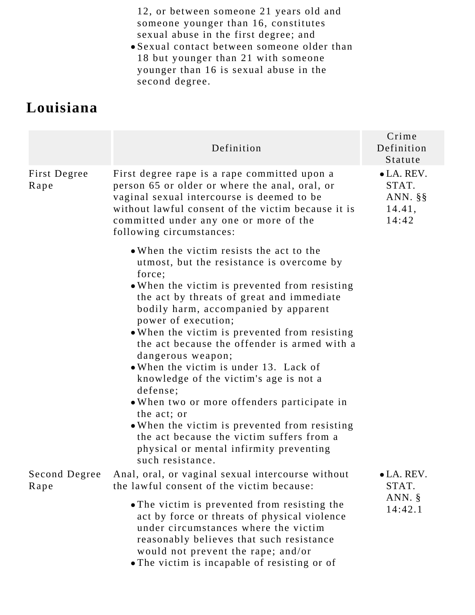12, or between someone 21 years old and someone younger than 16, constitutes sexual abuse in the first degree; and

Sexual contact between someone older than 18 but younger than 21 with someone younger than 16 is sexual abuse in the second degree.

## **Louisiana**

|                       | Definition                                                                                                                                                                                                                                                                                                                                                                                                                                                                                                                                                                                                                                                                                                    | Crime<br>Definition<br>Statute                                |
|-----------------------|---------------------------------------------------------------------------------------------------------------------------------------------------------------------------------------------------------------------------------------------------------------------------------------------------------------------------------------------------------------------------------------------------------------------------------------------------------------------------------------------------------------------------------------------------------------------------------------------------------------------------------------------------------------------------------------------------------------|---------------------------------------------------------------|
| First Degree<br>Rape  | First degree rape is a rape committed upon a<br>person 65 or older or where the anal, oral, or<br>vaginal sexual intercourse is deemed to be<br>without lawful consent of the victim because it is<br>committed under any one or more of the<br>following circumstances:                                                                                                                                                                                                                                                                                                                                                                                                                                      | $\bullet$ LA. REV.<br>STAT.<br>ANN. $\S$ §<br>14.41,<br>14:42 |
|                       | • When the victim resists the act to the<br>utmost, but the resistance is overcome by<br>force;<br>• When the victim is prevented from resisting<br>the act by threats of great and immediate<br>bodily harm, accompanied by apparent<br>power of execution;<br>• When the victim is prevented from resisting<br>the act because the offender is armed with a<br>dangerous weapon;<br>. When the victim is under 13. Lack of<br>knowledge of the victim's age is not a<br>defense;<br>• When two or more offenders participate in<br>the act; or<br>• When the victim is prevented from resisting<br>the act because the victim suffers from a<br>physical or mental infirmity preventing<br>such resistance. |                                                               |
| Second Degree<br>Rape | Anal, oral, or vaginal sexual intercourse without<br>the lawful consent of the victim because:                                                                                                                                                                                                                                                                                                                                                                                                                                                                                                                                                                                                                | $\bullet$ LA. REV.<br>STAT.                                   |
|                       | • The victim is prevented from resisting the<br>act by force or threats of physical violence<br>under circumstances where the victim<br>reasonably believes that such resistance<br>would not prevent the rape; and/or<br>• The victim is incapable of resisting or of                                                                                                                                                                                                                                                                                                                                                                                                                                        | ANN. $\S$<br>14:42.1                                          |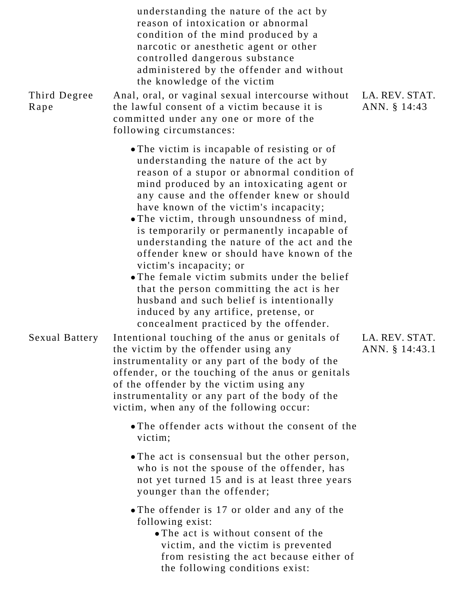| Third Degree<br>Rape  | understanding the nature of the act by<br>reason of intoxication or abnormal<br>condition of the mind produced by a<br>narcotic or anesthetic agent or other<br>controlled dangerous substance<br>administered by the offender and without<br>the knowledge of the victim<br>Anal, oral, or vaginal sexual intercourse without<br>the lawful consent of a victim because it is<br>committed under any one or more of the<br>following circumstances:                                                                                                                                                                                                                                                                                                                                                                                                                  | LA. REV. STAT.<br>ANN. § 14:43   |
|-----------------------|-----------------------------------------------------------------------------------------------------------------------------------------------------------------------------------------------------------------------------------------------------------------------------------------------------------------------------------------------------------------------------------------------------------------------------------------------------------------------------------------------------------------------------------------------------------------------------------------------------------------------------------------------------------------------------------------------------------------------------------------------------------------------------------------------------------------------------------------------------------------------|----------------------------------|
| <b>Sexual Battery</b> | • The victim is incapable of resisting or of<br>understanding the nature of the act by<br>reason of a stupor or abnormal condition of<br>mind produced by an intoxicating agent or<br>any cause and the offender knew or should<br>have known of the victim's incapacity;<br>. The victim, through unsoundness of mind,<br>is temporarily or permanently incapable of<br>understanding the nature of the act and the<br>offender knew or should have known of the<br>victim's incapacity; or<br>• The female victim submits under the belief<br>that the person committing the act is her<br>husband and such belief is intentionally<br>induced by any artifice, pretense, or<br>concealment practiced by the offender.<br>Intentional touching of the anus or genitals of<br>the victim by the offender using any<br>instrumentality or any part of the body of the | LA. REV. STAT.<br>ANN. § 14:43.1 |
|                       | offender, or the touching of the anus or genitals<br>of the offender by the victim using any<br>instrumentality or any part of the body of the<br>victim, when any of the following occur:                                                                                                                                                                                                                                                                                                                                                                                                                                                                                                                                                                                                                                                                            |                                  |
|                       | • The offender acts without the consent of the<br>victim;                                                                                                                                                                                                                                                                                                                                                                                                                                                                                                                                                                                                                                                                                                                                                                                                             |                                  |
|                       | • The act is consensual but the other person,<br>who is not the spouse of the offender, has<br>not yet turned 15 and is at least three years<br>younger than the offender;                                                                                                                                                                                                                                                                                                                                                                                                                                                                                                                                                                                                                                                                                            |                                  |
|                       | • The offender is 17 or older and any of the<br>following exist:<br>• The act is without consent of the<br>victim, and the victim is prevented<br>from resisting the act because either of<br>the following conditions exist:                                                                                                                                                                                                                                                                                                                                                                                                                                                                                                                                                                                                                                         |                                  |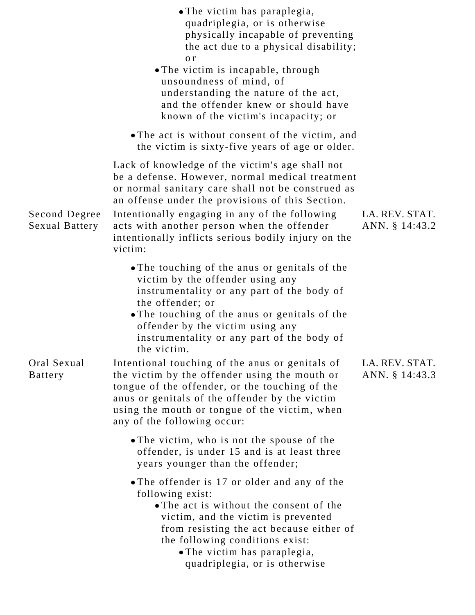|                                 | • The victim has paraplegia,<br>quadriplegia, or is otherwise<br>physically incapable of preventing<br>the act due to a physical disability;<br>0r<br>• The victim is incapable, through<br>unsoundness of mind, of<br>understanding the nature of the act,<br>and the offender knew or should have<br>known of the victim's incapacity; or                                   |                                  |
|---------------------------------|-------------------------------------------------------------------------------------------------------------------------------------------------------------------------------------------------------------------------------------------------------------------------------------------------------------------------------------------------------------------------------|----------------------------------|
|                                 | • The act is without consent of the victim, and<br>the victim is sixty-five years of age or older.                                                                                                                                                                                                                                                                            |                                  |
| Second Degree<br>Sexual Battery | Lack of knowledge of the victim's age shall not<br>be a defense. However, normal medical treatment<br>or normal sanitary care shall not be construed as<br>an offense under the provisions of this Section.<br>Intentionally engaging in any of the following<br>acts with another person when the offender<br>intentionally inflicts serious bodily injury on the<br>victim: | LA. REV. STAT.<br>ANN. § 14:43.2 |
|                                 | • The touching of the anus or genitals of the<br>victim by the offender using any<br>instrumentality or any part of the body of<br>the offender; or<br>• The touching of the anus or genitals of the<br>offender by the victim using any<br>instrumentality or any part of the body of<br>the victim.                                                                         |                                  |
| Oral Sexual<br><b>Battery</b>   | Intentional touching of the anus or genitals of<br>the victim by the offender using the mouth or<br>tongue of the offender, or the touching of the<br>anus or genitals of the offender by the victim<br>using the mouth or tongue of the victim, when<br>any of the following occur:                                                                                          | LA. REV. STAT.<br>ANN. § 14:43.3 |
|                                 | • The victim, who is not the spouse of the<br>offender, is under 15 and is at least three<br>years younger than the offender;                                                                                                                                                                                                                                                 |                                  |
|                                 | • The offender is 17 or older and any of the<br>following exist:<br>• The act is without the consent of the<br>victim, and the victim is prevented<br>from resisting the act because either of<br>the following conditions exist:<br>• The victim has paraplegia,<br>quadriplegia, or is otherwise                                                                            |                                  |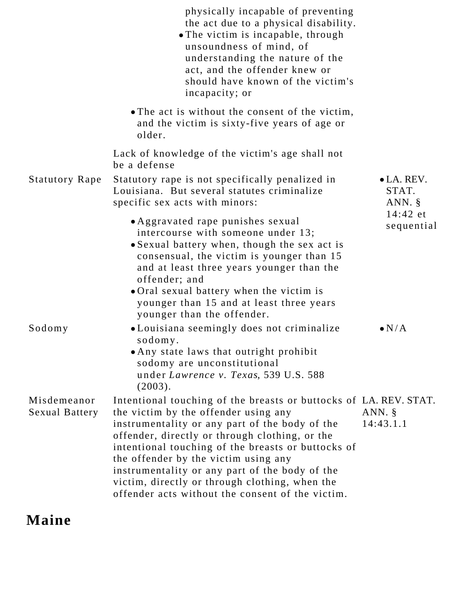|                               | physically incapable of preventing<br>the act due to a physical disability.<br>• The victim is incapable, through<br>unsoundness of mind, of<br>understanding the nature of the<br>act, and the offender knew or<br>should have known of the victim's<br>incapacity; or                                                                                                                                                                                             |                                          |
|-------------------------------|---------------------------------------------------------------------------------------------------------------------------------------------------------------------------------------------------------------------------------------------------------------------------------------------------------------------------------------------------------------------------------------------------------------------------------------------------------------------|------------------------------------------|
|                               | • The act is without the consent of the victim,<br>and the victim is sixty-five years of age or<br>older.                                                                                                                                                                                                                                                                                                                                                           |                                          |
|                               | Lack of knowledge of the victim's age shall not<br>be a defense                                                                                                                                                                                                                                                                                                                                                                                                     |                                          |
| <b>Statutory Rape</b>         | Statutory rape is not specifically penalized in<br>Louisiana. But several statutes criminalize<br>specific sex acts with minors:                                                                                                                                                                                                                                                                                                                                    | $\bullet$ LA. REV.<br>STAT.<br>ANN. $\S$ |
|                               | • Aggravated rape punishes sexual<br>intercourse with someone under 13;<br>• Sexual battery when, though the sex act is<br>consensual, the victim is younger than 15<br>and at least three years younger than the<br>offender; and<br>• Oral sexual battery when the victim is<br>younger than 15 and at least three years<br>younger than the offender.                                                                                                            | 14:42 et<br>sequential                   |
| Sodomy                        | • Louisiana seemingly does not criminalize<br>sodomy.<br>. Any state laws that outright prohibit<br>sodomy are unconstitutional<br>under Lawrence v. Texas, 539 U.S. 588<br>(2003).                                                                                                                                                                                                                                                                                 | $\bullet N/A$                            |
| Misdemeanor<br>Sexual Battery | Intentional touching of the breasts or buttocks of LA. REV. STAT.<br>the victim by the offender using any<br>instrumentality or any part of the body of the<br>offender, directly or through clothing, or the<br>intentional touching of the breasts or buttocks of<br>the offender by the victim using any<br>instrumentality or any part of the body of the<br>victim, directly or through clothing, when the<br>offender acts without the consent of the victim. | ANN. $\S$<br>14:43.1.1                   |

# **Maine**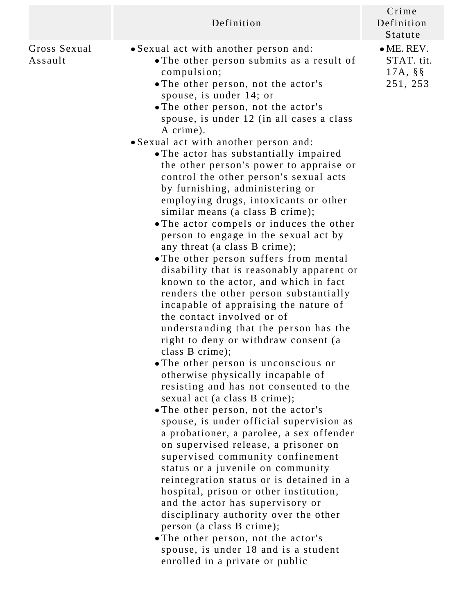|                         | Definition                                                                                                                                                                                                                                                                                                                                                                                                                                                                                                                                                                                                                                                                                                                                                                                                                                                                                                                                                                                                                                                                                                                                                                                                                                                                                                                                                                                                                                                                                                                                                                                                                                                                                                                                                        | Crime<br>Definition<br>Statute                              |
|-------------------------|-------------------------------------------------------------------------------------------------------------------------------------------------------------------------------------------------------------------------------------------------------------------------------------------------------------------------------------------------------------------------------------------------------------------------------------------------------------------------------------------------------------------------------------------------------------------------------------------------------------------------------------------------------------------------------------------------------------------------------------------------------------------------------------------------------------------------------------------------------------------------------------------------------------------------------------------------------------------------------------------------------------------------------------------------------------------------------------------------------------------------------------------------------------------------------------------------------------------------------------------------------------------------------------------------------------------------------------------------------------------------------------------------------------------------------------------------------------------------------------------------------------------------------------------------------------------------------------------------------------------------------------------------------------------------------------------------------------------------------------------------------------------|-------------------------------------------------------------|
| Gross Sexual<br>Assault | • Sexual act with another person and:<br>• The other person submits as a result of<br>compulsion;<br>• The other person, not the actor's<br>spouse, is under 14; or<br>• The other person, not the actor's<br>spouse, is under 12 (in all cases a class<br>A crime).<br>· Sexual act with another person and:<br>• The actor has substantially impaired<br>the other person's power to appraise or<br>control the other person's sexual acts<br>by furnishing, administering or<br>employing drugs, intoxicants or other<br>similar means (a class B crime);<br>• The actor compels or induces the other<br>person to engage in the sexual act by<br>any threat (a class B crime);<br>• The other person suffers from mental<br>disability that is reasonably apparent or<br>known to the actor, and which in fact<br>renders the other person substantially<br>incapable of appraising the nature of<br>the contact involved or of<br>understanding that the person has the<br>right to deny or withdraw consent (a<br>class B crime);<br>• The other person is unconscious or<br>otherwise physically incapable of<br>resisting and has not consented to the<br>sexual act (a class B crime);<br>• The other person, not the actor's<br>spouse, is under official supervision as<br>a probationer, a parolee, a sex offender<br>on supervised release, a prisoner on<br>supervised community confinement<br>status or a juvenile on community<br>reintegration status or is detained in a<br>hospital, prison or other institution,<br>and the actor has supervisory or<br>disciplinary authority over the other<br>person (a class B crime);<br>• The other person, not the actor's<br>spouse, is under 18 and is a student<br>enrolled in a private or public | $\bullet$ ME. REV.<br>STAT. tit.<br>$17A, \S$ §<br>251, 253 |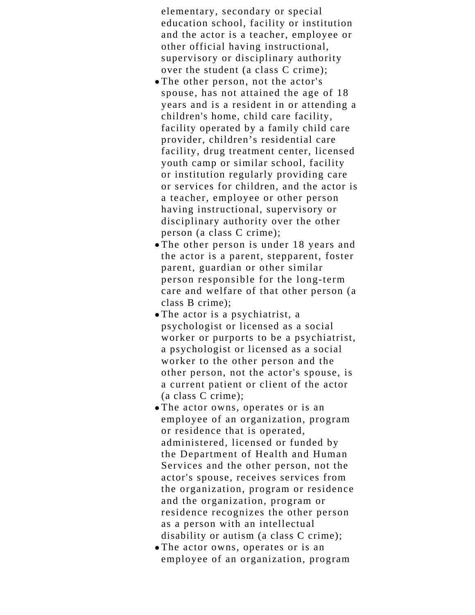elementary, secondary or special education school, facility or institution and the actor is a teacher, employee or other official having instructional, supervisory or disciplinary authority over the student (a class C crime);

- The other person, not the actor's spouse, has not attained the age of 18 years and is a resident in or attending a children's home, child care facility, facility operated by a family child care provider, children's residential care facility, drug treatment center, licensed youth camp or similar school, facility or institution regularly providing care or services for children, and the actor is a teacher, employee or other person having instructional, supervisory or disciplinary authority over the other person (a class C crime);
- The other person is under 18 years and the actor is a parent, stepparent, foster parent, guardian or other similar person responsible for the long-term care and welfare of that other person (a class B crime);
- The actor is a psychiatrist, a psychologist or licensed as a social worker or purports to be a psychiatrist, a psychologist or licensed as a social worker to the other person and the other person, not the actor's spouse, is a current patient or client of the actor (a class C crime);
- The actor owns, operates or is an employee of an organization, program or residence that is operated, administered, licensed or funded by the Department of Health and Human Services and the other person, not the actor's spouse, receives services from the organization, program or residence and the organization, program or residence recognizes the other person as a person with an intellectual disability or autism (a class C crime);
- The actor owns, operates or is an employee of an organization, program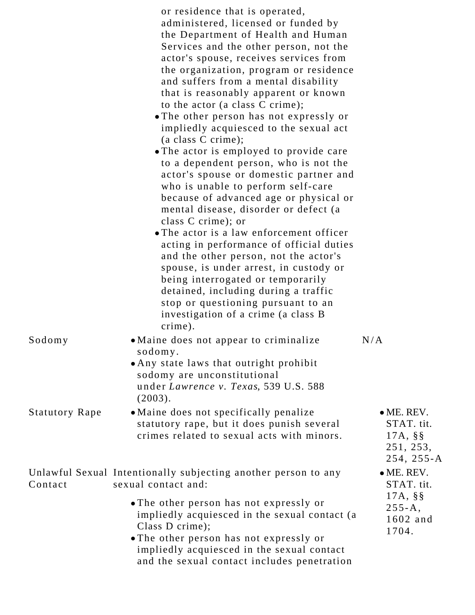|                       | or residence that is operated,<br>administered, licensed or funded by<br>the Department of Health and Human<br>Services and the other person, not the<br>actor's spouse, receives services from<br>the organization, program or residence<br>and suffers from a mental disability<br>that is reasonably apparent or known<br>to the actor (a class C crime);<br>• The other person has not expressly or<br>impliedly acquiesced to the sexual act<br>(a class C crime);<br>• The actor is employed to provide care<br>to a dependent person, who is not the<br>actor's spouse or domestic partner and<br>who is unable to perform self-care<br>because of advanced age or physical or<br>mental disease, disorder or defect (a<br>class C crime); or<br>• The actor is a law enforcement officer<br>acting in performance of official duties<br>and the other person, not the actor's<br>spouse, is under arrest, in custody or<br>being interrogated or temporarily<br>detained, including during a traffic<br>stop or questioning pursuant to an<br>investigation of a crime (a class B |                                                                                     |
|-----------------------|-------------------------------------------------------------------------------------------------------------------------------------------------------------------------------------------------------------------------------------------------------------------------------------------------------------------------------------------------------------------------------------------------------------------------------------------------------------------------------------------------------------------------------------------------------------------------------------------------------------------------------------------------------------------------------------------------------------------------------------------------------------------------------------------------------------------------------------------------------------------------------------------------------------------------------------------------------------------------------------------------------------------------------------------------------------------------------------------|-------------------------------------------------------------------------------------|
| Sodomy                | crime).<br>• Maine does not appear to criminalize<br>sodomy.<br>• Any state laws that outright prohibit<br>sodomy are unconstitutional<br>under Lawrence v. Texas, 539 U.S. 588<br>(2003).                                                                                                                                                                                                                                                                                                                                                                                                                                                                                                                                                                                                                                                                                                                                                                                                                                                                                                | N/A                                                                                 |
| <b>Statutory Rape</b> | • Maine does not specifically penalize<br>statutory rape, but it does punish several<br>crimes related to sexual acts with minors.                                                                                                                                                                                                                                                                                                                                                                                                                                                                                                                                                                                                                                                                                                                                                                                                                                                                                                                                                        | $\bullet$ ME. REV.<br>STAT. tit.<br>$17A, \S$ §<br>251, 253,<br>$254, 255 - A$      |
| Contact               | Unlawful Sexual Intentionally subjecting another person to any<br>sexual contact and:<br>• The other person has not expressly or<br>impliedly acquiesced in the sexual contact (a<br>Class D crime);<br>• The other person has not expressly or<br>impliedly acquiesced in the sexual contact<br>and the sexual contact includes penetration                                                                                                                                                                                                                                                                                                                                                                                                                                                                                                                                                                                                                                                                                                                                              | $\bullet$ ME. REV.<br>STAT. tit.<br>$17A, \S$ §<br>$255 - A$ ,<br>1602 and<br>1704. |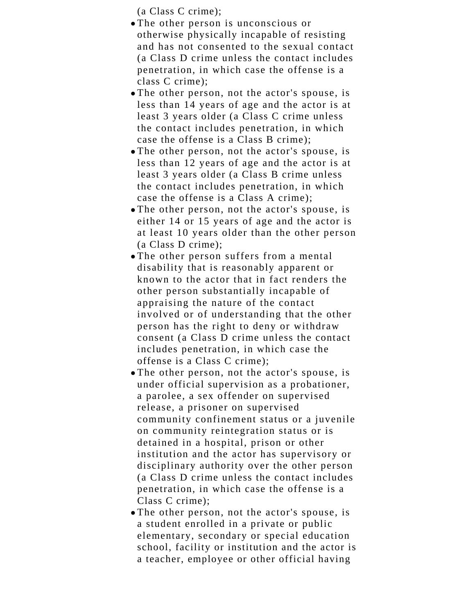(a Class C crime);

- The other person is unconscious or otherwise physically incapable of resisting and has not consented to the sexual contact (a Class D crime unless the contact includes penetration, in which case the offense is a class C crime);
- The other person, not the actor's spouse, is less than 14 years of age and the actor is at least 3 years older (a Class C crime unless the contact includes penetration, in which case the offense is a Class B crime);
- The other person, not the actor's spouse, is less than 12 years of age and the actor is at least 3 years older (a Class B crime unless the contact includes penetration, in which case the offense is a Class A crime);
- The other person, not the actor's spouse, is either 14 or 15 years of age and the actor is at least 10 years older than the other person (a Class D crime);
- The other person suffers from a mental disability that is reasonably apparent or known to the actor that in fact renders the other person substantially incapable of appraising the nature of the contact involved or of understanding that the other person has the right to deny or withdraw consent (a Class D crime unless the contact includes penetration, in which case the offense is a Class C crime);
- The other person, not the actor's spouse, is under official supervision as a probationer, a parolee, a sex offender on supervised release, a prisoner on supervised community confinement status or a juvenile on community reintegration status or is detained in a hospital, prison or other institution and the actor has supervisory or disciplinary authority over the other person (a Class D crime unless the contact includes penetration, in which case the offense is a Class C crime);
- The other person, not the actor's spouse, is a student enrolled in a private or public elementary, secondary or special education school, facility or institution and the actor is a teacher, employee or other official having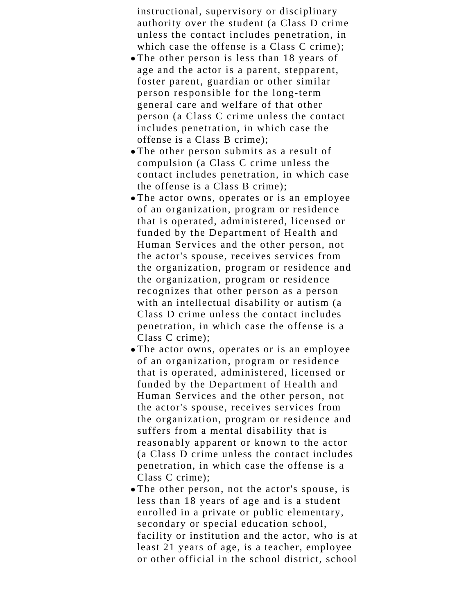instructional, supervisory or disciplinary authority over the student (a Class D crime unless the contact includes penetration, in which case the offense is a Class C crime);

- The other person is less than 18 years of age and the actor is a parent, stepparent, foster parent, guardian or other similar person responsible for the long-term general care and welfare of that other person (a Class C crime unless the contact includes penetration, in which case the offense is a Class B crime);
- The other person submits as a result of compulsion (a Class C crime unless the contact includes penetration, in which case the offense is a Class B crime);
- The actor owns, operates or is an employee of an organization, program or residence that is operated, administered, licensed or funded by the Department of Health and Human Services and the other person, not the actor's spouse, receives services from the organization, program or residence and the organization, program or residence recognizes that other person as a person with an intellectual disability or autism (a Class D crime unless the contact includes penetration, in which case the offense is a Class C crime);
- The actor owns, operates or is an employee of an organization, program or residence that is operated, administered, licensed or funded by the Department of Health and Human Services and the other person, not the actor's spouse, receives services from the organization, program or residence and suffers from a mental disability that is reasonably apparent or known to the actor (a Class D crime unless the contact includes penetration, in which case the offense is a Class C crime);
- The other person, not the actor's spouse, is less than 18 years of age and is a student enrolled in a private or public elementary, secondary or special education school, facility or institution and the actor, who is at least 21 years of age, is a teacher, employee or other official in the school district, school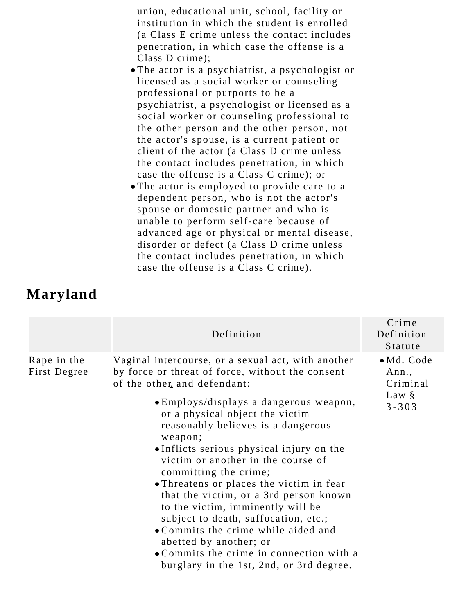union, educational unit, school, facility or institution in which the student is enrolled (a Class E crime unless the contact includes penetration, in which case the offense is a Class D crime);

- The actor is a psychiatrist, a psychologist or licensed as a social worker or counseling professional or purports to be a psychiatrist, a psychologist or licensed as a social worker or counseling professional to the other person and the other person, not the actor's spouse, is a current patient or client of the actor (a Class D crime unless the contact includes penetration, in which case the offense is a Class C crime); or
- The actor is employed to provide care to a dependent person, who is not the actor's spouse or domestic partner and who is unable to perform self-care because of advanced age or physical or mental disease, disorder or defect (a Class D crime unless the contact includes penetration, in which case the offense is a Class C crime).

## **Maryland**

|                             | Definition                                                                                                                                                                                                                                                                                                                                                                                                                                                                                                                                                                                                           | Crime<br>Definition<br>Statute                                   |
|-----------------------------|----------------------------------------------------------------------------------------------------------------------------------------------------------------------------------------------------------------------------------------------------------------------------------------------------------------------------------------------------------------------------------------------------------------------------------------------------------------------------------------------------------------------------------------------------------------------------------------------------------------------|------------------------------------------------------------------|
| Rape in the<br>First Degree | Vaginal intercourse, or a sexual act, with another<br>by force or threat of force, without the consent<br>of the other, and defendant:<br>• Employs/displays a dangerous weapon,<br>or a physical object the victim<br>reasonably believes is a dangerous<br>weapon;<br>• Inflicts serious physical injury on the<br>victim or another in the course of<br>committing the crime;<br>• Threatens or places the victim in fear<br>that the victim, or a 3rd person known<br>to the victim, imminently will be<br>subject to death, suffocation, etc.;<br>• Commits the crime while aided and<br>abetted by another; or | $\bullet$ Md. Code<br>Ann.,<br>Criminal<br>Law $\S$<br>$3 - 303$ |
|                             | • Commits the crime in connection with a<br>burglary in the 1st, 2nd, or 3rd degree.                                                                                                                                                                                                                                                                                                                                                                                                                                                                                                                                 |                                                                  |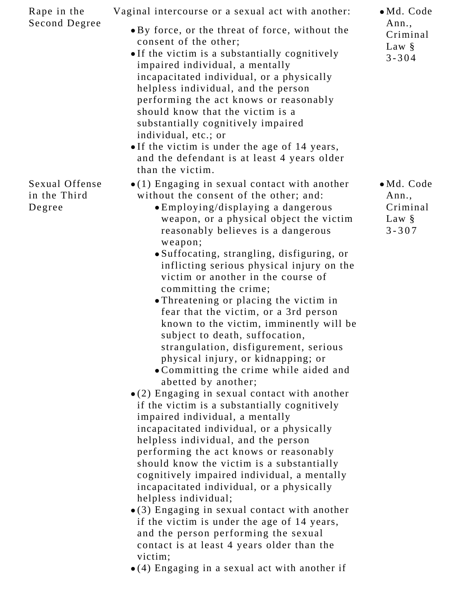| Rape in the<br>Second Degree             | Vaginal intercourse or a sexual act with another:<br>• By force, or the threat of force, without the<br>consent of the other;<br>• If the victim is a substantially cognitively<br>impaired individual, a mentally<br>incapacitated individual, or a physically<br>helpless individual, and the person<br>performing the act knows or reasonably<br>should know that the victim is a<br>substantially cognitively impaired<br>individual, etc.; or<br>• If the victim is under the age of 14 years,<br>and the defendant is at least 4 years older<br>than the victim.                                                                                                                                                                                                                                                                                                                                                                                                                                                                                                                                                                                                                                                                                                                                                                                                                                                    | $\bullet$ Md. Code<br>Ann.,<br>Criminal<br>Law $\S$<br>$3 - 304$ |
|------------------------------------------|---------------------------------------------------------------------------------------------------------------------------------------------------------------------------------------------------------------------------------------------------------------------------------------------------------------------------------------------------------------------------------------------------------------------------------------------------------------------------------------------------------------------------------------------------------------------------------------------------------------------------------------------------------------------------------------------------------------------------------------------------------------------------------------------------------------------------------------------------------------------------------------------------------------------------------------------------------------------------------------------------------------------------------------------------------------------------------------------------------------------------------------------------------------------------------------------------------------------------------------------------------------------------------------------------------------------------------------------------------------------------------------------------------------------------|------------------------------------------------------------------|
| Sexual Offense<br>in the Third<br>Degree | $\bullet$ (1) Engaging in sexual contact with another<br>without the consent of the other; and:<br>• Employing/displaying a dangerous<br>weapon, or a physical object the victim<br>reasonably believes is a dangerous<br>weapon;<br>• Suffocating, strangling, disfiguring, or<br>inflicting serious physical injury on the<br>victim or another in the course of<br>committing the crime;<br>• Threatening or placing the victim in<br>fear that the victim, or a 3rd person<br>known to the victim, imminently will be<br>subject to death, suffocation,<br>strangulation, disfigurement, serious<br>physical injury, or kidnapping; or<br>• Committing the crime while aided and<br>abetted by another;<br>$\bullet$ (2) Engaging in sexual contact with another<br>if the victim is a substantially cognitively<br>impaired individual, a mentally<br>incapacitated individual, or a physically<br>helpless individual, and the person<br>performing the act knows or reasonably<br>should know the victim is a substantially<br>cognitively impaired individual, a mentally<br>incapacitated individual, or a physically<br>helpless individual;<br>$\bullet$ (3) Engaging in sexual contact with another<br>if the victim is under the age of 14 years,<br>and the person performing the sexual<br>contact is at least 4 years older than the<br>victim;<br>$\bullet$ (4) Engaging in a sexual act with another if | $\bullet$ Md. Code<br>Ann.,<br>Criminal<br>Law §<br>$3 - 307$    |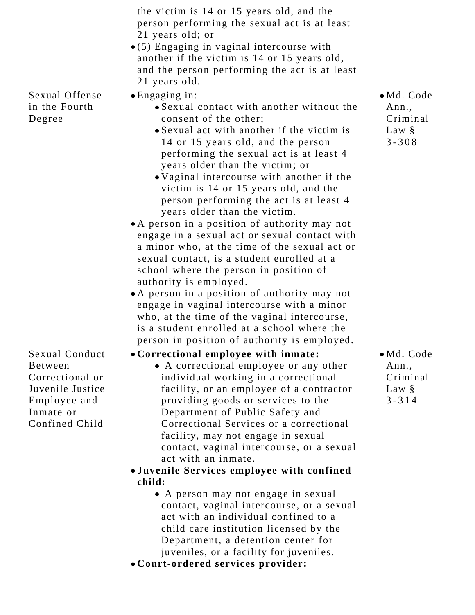|                                                                                                                        | the victim is 14 or 15 years old, and the<br>person performing the sexual act is at least<br>21 years old; or<br>$\bullet$ (5) Engaging in vaginal intercourse with<br>another if the victim is 14 or 15 years old,<br>and the person performing the act is at least<br>21 years old.                                                                                                                                                                                                                                                                                                                                                                                                                                                                                                                                                                                                                                                              |                                                                  |
|------------------------------------------------------------------------------------------------------------------------|----------------------------------------------------------------------------------------------------------------------------------------------------------------------------------------------------------------------------------------------------------------------------------------------------------------------------------------------------------------------------------------------------------------------------------------------------------------------------------------------------------------------------------------------------------------------------------------------------------------------------------------------------------------------------------------------------------------------------------------------------------------------------------------------------------------------------------------------------------------------------------------------------------------------------------------------------|------------------------------------------------------------------|
| Sexual Offense<br>in the Fourth<br>Degree                                                                              | $\bullet$ Engaging in:<br>• Sexual contact with another without the<br>consent of the other;<br>• Sexual act with another if the victim is<br>14 or 15 years old, and the person<br>performing the sexual act is at least 4<br>years older than the victim; or<br>• Vaginal intercourse with another if the<br>victim is 14 or 15 years old, and the<br>person performing the act is at least 4<br>years older than the victim.<br>• A person in a position of authority may not<br>engage in a sexual act or sexual contact with<br>a minor who, at the time of the sexual act or<br>sexual contact, is a student enrolled at a<br>school where the person in position of<br>authority is employed.<br>• A person in a position of authority may not<br>engage in vaginal intercourse with a minor<br>who, at the time of the vaginal intercourse,<br>is a student enrolled at a school where the<br>person in position of authority is employed. | · Md. Code<br>Ann.,<br>Criminal<br>Law §<br>$3 - 308$            |
| Sexual Conduct<br><b>Between</b><br>Correctional or<br>Juvenile Justice<br>Employee and<br>Inmate or<br>Confined Child | • Correctional employee with inmate:<br>• A correctional employee or any other<br>individual working in a correctional<br>facility, or an employee of a contractor<br>providing goods or services to the<br>Department of Public Safety and<br>Correctional Services or a correctional<br>facility, may not engage in sexual<br>contact, vaginal intercourse, or a sexual<br>act with an inmate.<br>•Juvenile Services employee with confined<br>child:<br>• A person may not engage in sexual<br>contact, vaginal intercourse, or a sexual<br>act with an individual confined to a<br>child care institution licensed by the<br>Department, a detention center for<br>juveniles, or a facility for juveniles.                                                                                                                                                                                                                                     | $\bullet$ Md. Code<br>Ann.,<br>Criminal<br>Law $\S$<br>$3 - 314$ |

**Court-ordered services provider:**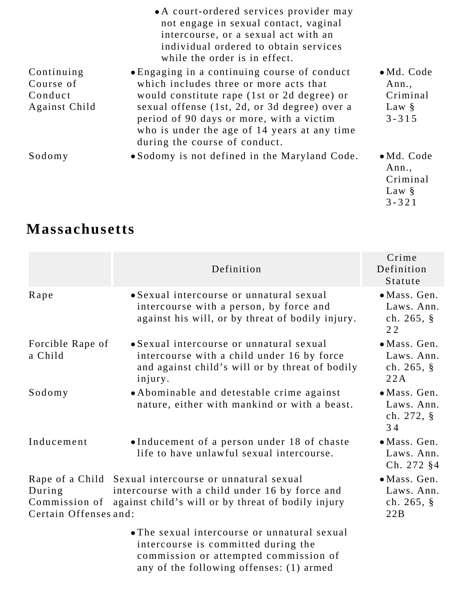|                                                     | • A court-ordered services provider may<br>not engage in sexual contact, vaginal<br>intercourse, or a sexual act with an<br>individual ordered to obtain services<br>while the order is in effect.                                                                                                                  |                                                                  |
|-----------------------------------------------------|---------------------------------------------------------------------------------------------------------------------------------------------------------------------------------------------------------------------------------------------------------------------------------------------------------------------|------------------------------------------------------------------|
| Continuing<br>Course of<br>Conduct<br>Against Child | • Engaging in a continuing course of conduct<br>which includes three or more acts that<br>would constitute rape (1st or 2d degree) or<br>sexual offense (1st, 2d, or 3d degree) over a<br>period of 90 days or more, with a victim<br>who is under the age of 14 years at any time<br>during the course of conduct. | $\bullet$ Md. Code<br>Ann.,<br>Criminal<br>Law $\S$<br>$3 - 315$ |
| Sodomy                                              | • Sodomy is not defined in the Maryland Code.                                                                                                                                                                                                                                                                       | $\bullet$ Md. Code<br>Ann.,<br>Criminal<br>Law §<br>$3 - 321$    |

# **Massachusetts**

|                                                  | Definition                                                                                                                                                     | Crime<br>Definition<br>Statute                             |
|--------------------------------------------------|----------------------------------------------------------------------------------------------------------------------------------------------------------------|------------------------------------------------------------|
| Rape                                             | • Sexual intercourse or unnatural sexual<br>intercourse with a person, by force and<br>against his will, or by threat of bodily injury.                        | · Mass. Gen.<br>Laws. Ann.<br>ch. $265, \S$<br>22          |
| Forcible Rape of<br>a Child                      | • Sexual intercourse or unnatural sexual<br>intercourse with a child under 16 by force<br>and against child's will or by threat of bodily<br>injury.           | $\bullet$ Mass. Gen.<br>Laws. Ann.<br>ch. $265, \S$<br>22A |
| Sodomy                                           | • Abominable and detestable crime against<br>nature, either with mankind or with a beast.                                                                      | · Mass. Gen.<br>Laws. Ann.<br>ch. $272, \S$<br>34          |
| Inducement                                       | •Inducement of a person under 18 of chaste<br>life to have unlawful sexual intercourse.                                                                        | $\bullet$ Mass. Gen.<br>Laws. Ann.<br>$Ch. 272$ §4         |
| During<br>Commission of<br>Certain Offenses and: | Rape of a Child Sexual intercourse or unnatural sexual<br>intercourse with a child under 16 by force and<br>against child's will or by threat of bodily injury | • Mass. Gen.<br>Laws. Ann.<br>ch. $265, \S$<br>22B         |
|                                                  | • The sexual intercourse or unnatural sexual<br>intercourse is committed during the<br>commission or attempted commission of                                   |                                                            |

any of the following offenses: (1) armed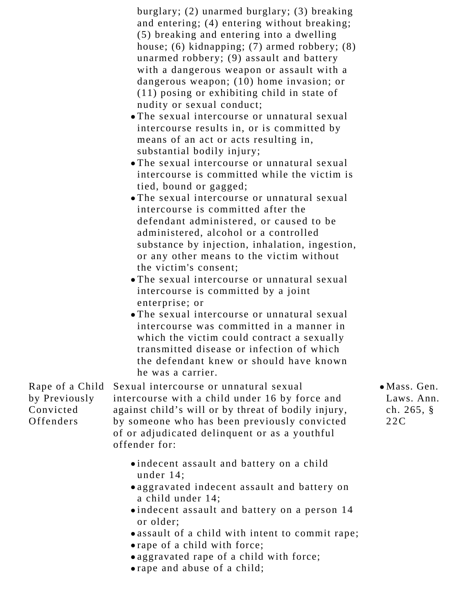| Rape of a Child<br>by Previously<br>Convicted<br>Offenders | burglary; (2) unarmed burglary; (3) breaking<br>and entering; (4) entering without breaking;<br>(5) breaking and entering into a dwelling<br>house; $(6)$ kidnapping; $(7)$ armed robbery; $(8)$<br>unarmed robbery; (9) assault and battery<br>with a dangerous weapon or assault with a<br>dangerous weapon; (10) home invasion; or<br>$(11)$ posing or exhibiting child in state of<br>nudity or sexual conduct;<br>• The sexual intercourse or unnatural sexual<br>intercourse results in, or is committed by<br>means of an act or acts resulting in,<br>substantial bodily injury;<br>• The sexual intercourse or unnatural sexual<br>intercourse is committed while the victim is<br>tied, bound or gagged;<br>• The sexual intercourse or unnatural sexual<br>intercourse is committed after the<br>defendant administered, or caused to be<br>administered, alcohol or a controlled<br>substance by injection, inhalation, ingestion,<br>or any other means to the victim without<br>the victim's consent;<br>• The sexual intercourse or unnatural sexual<br>intercourse is committed by a joint<br>enterprise; or<br>• The sexual intercourse or unnatural sexual<br>intercourse was committed in a manner in<br>which the victim could contract a sexually<br>transmitted disease or infection of which<br>the defendant knew or should have known<br>he was a carrier.<br>Sexual intercourse or unnatural sexual<br>intercourse with a child under 16 by force and<br>against child's will or by threat of bodily injury,<br>by someone who has been previously convicted<br>of or adjudicated delinquent or as a youthful<br>offender for: | $\bullet$ Mas<br>Law<br>ch.<br>22C |
|------------------------------------------------------------|----------------------------------------------------------------------------------------------------------------------------------------------------------------------------------------------------------------------------------------------------------------------------------------------------------------------------------------------------------------------------------------------------------------------------------------------------------------------------------------------------------------------------------------------------------------------------------------------------------------------------------------------------------------------------------------------------------------------------------------------------------------------------------------------------------------------------------------------------------------------------------------------------------------------------------------------------------------------------------------------------------------------------------------------------------------------------------------------------------------------------------------------------------------------------------------------------------------------------------------------------------------------------------------------------------------------------------------------------------------------------------------------------------------------------------------------------------------------------------------------------------------------------------------------------------------------------------------------------------------------------------------------------------|------------------------------------|
|                                                            | .indecent assault and battery on a child<br>under $14$ ;<br>oaggravated indecent assault and battery on<br>a child under 14;<br>•indecent assault and battery on a person 14<br>or older;<br>• assault of a child with intent to commit rape;<br>• rape of a child with force;<br>• aggravated rape of a child with force;                                                                                                                                                                                                                                                                                                                                                                                                                                                                                                                                                                                                                                                                                                                                                                                                                                                                                                                                                                                                                                                                                                                                                                                                                                                                                                                               |                                    |

rape and abuse of a child;

ss. Gen.  $\sqrt{s}$ . Ann.  $265, §$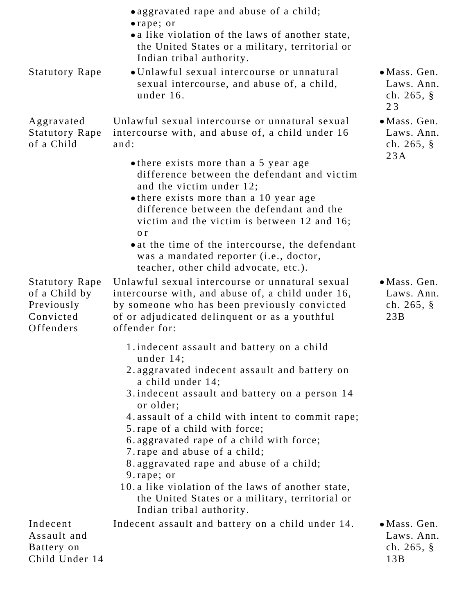|                                                                                | oaggravated rape and abuse of a child;<br>• rape; or<br>• a like violation of the laws of another state,<br>the United States or a military, territorial or<br>Indian tribal authority.                                                                             |                                                            |
|--------------------------------------------------------------------------------|---------------------------------------------------------------------------------------------------------------------------------------------------------------------------------------------------------------------------------------------------------------------|------------------------------------------------------------|
| <b>Statutory Rape</b>                                                          | • Unlawful sexual intercourse or unnatural<br>sexual intercourse, and abuse of, a child,<br>under 16.                                                                                                                                                               | · Mass. Gen.<br>Laws. Ann.<br>ch. $265, \S$<br>23          |
| Aggravated<br><b>Statutory Rape</b><br>of a Child                              | Unlawful sexual intercourse or unnatural sexual<br>intercourse with, and abuse of, a child under 16<br>and:                                                                                                                                                         | $\bullet$ Mass. Gen.<br>Laws. Ann.<br>ch. $265, \S$<br>23A |
|                                                                                | • there exists more than a 5 year age<br>difference between the defendant and victim<br>and the victim under 12;<br>• there exists more than a 10 year age<br>difference between the defendant and the<br>victim and the victim is between 12 and 16;<br>$\alpha$ r |                                                            |
|                                                                                | • at the time of the intercourse, the defendant<br>was a mandated reporter (i.e., doctor,<br>teacher, other child advocate, etc.).                                                                                                                                  |                                                            |
| <b>Statutory Rape</b><br>of a Child by<br>Previously<br>Convicted<br>Offenders | Unlawful sexual intercourse or unnatural sexual<br>intercourse with, and abuse of, a child under 16,<br>by someone who has been previously convicted<br>of or adjudicated delinquent or as a youthful<br>offender for:                                              | · Mass. Gen.<br>Laws. Ann.<br>ch. $265, \S$<br>23B         |
|                                                                                | 1. indecent assault and battery on a child<br>under $14$ ;                                                                                                                                                                                                          |                                                            |
|                                                                                | 2. aggravated indecent assault and battery on<br>a child under 14;                                                                                                                                                                                                  |                                                            |
|                                                                                | 3. indecent assault and battery on a person 14<br>or older;                                                                                                                                                                                                         |                                                            |
|                                                                                | 4. assault of a child with intent to commit rape;<br>5. rape of a child with force;                                                                                                                                                                                 |                                                            |
|                                                                                | 6. aggravated rape of a child with force;<br>7. rape and abuse of a child;                                                                                                                                                                                          |                                                            |
|                                                                                | 8. aggravated rape and abuse of a child;<br>9. rape; or                                                                                                                                                                                                             |                                                            |
|                                                                                | 10. a like violation of the laws of another state,<br>the United States or a military, territorial or<br>Indian tribal authority.                                                                                                                                   |                                                            |
| Indecent<br>Assault and<br>Battery on<br>Child Under 14                        | Indecent assault and battery on a child under 14.                                                                                                                                                                                                                   | • Mass. Gen.<br>Laws. Ann.<br>ch. $265, \S$<br>13B         |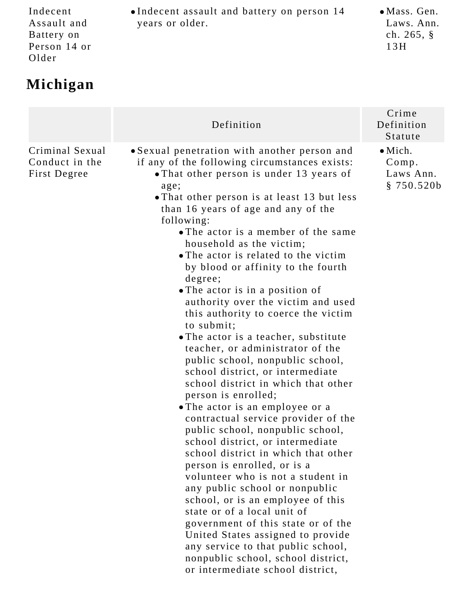Indecent Assault and Battery on Person 14 or Older

# **Michigan**

|                                                   | Definition                                                                                                                                                                                                                                                                                                                                                                                                                                                                                                                                                                                                                                                                                                                                                                                                                                                                                                                                                                                                                                                                                                                                                                                                                                                                                                                      | Crime<br>Definition<br>Statute                      |
|---------------------------------------------------|---------------------------------------------------------------------------------------------------------------------------------------------------------------------------------------------------------------------------------------------------------------------------------------------------------------------------------------------------------------------------------------------------------------------------------------------------------------------------------------------------------------------------------------------------------------------------------------------------------------------------------------------------------------------------------------------------------------------------------------------------------------------------------------------------------------------------------------------------------------------------------------------------------------------------------------------------------------------------------------------------------------------------------------------------------------------------------------------------------------------------------------------------------------------------------------------------------------------------------------------------------------------------------------------------------------------------------|-----------------------------------------------------|
| Criminal Sexual<br>Conduct in the<br>First Degree | • Sexual penetration with another person and<br>if any of the following circumstances exists:<br>. That other person is under 13 years of<br>age;<br>• That other person is at least 13 but less<br>than 16 years of age and any of the<br>following:<br>• The actor is a member of the same<br>household as the victim;<br>• The actor is related to the victim<br>by blood or affinity to the fourth<br>degree;<br>. The actor is in a position of<br>authority over the victim and used<br>this authority to coerce the victim<br>to submit;<br>• The actor is a teacher, substitute<br>teacher, or administrator of the<br>public school, nonpublic school,<br>school district, or intermediate<br>school district in which that other<br>person is enrolled;<br>• The actor is an employee or a<br>contractual service provider of the<br>public school, nonpublic school,<br>school district, or intermediate<br>school district in which that other<br>person is enrolled, or is a<br>volunteer who is not a student in<br>any public school or nonpublic<br>school, or is an employee of this<br>state or of a local unit of<br>government of this state or of the<br>United States assigned to provide<br>any service to that public school,<br>nonpublic school, school district,<br>or intermediate school district, | $\bullet$ Mich.<br>Comp.<br>Laws Ann.<br>\$750.520b |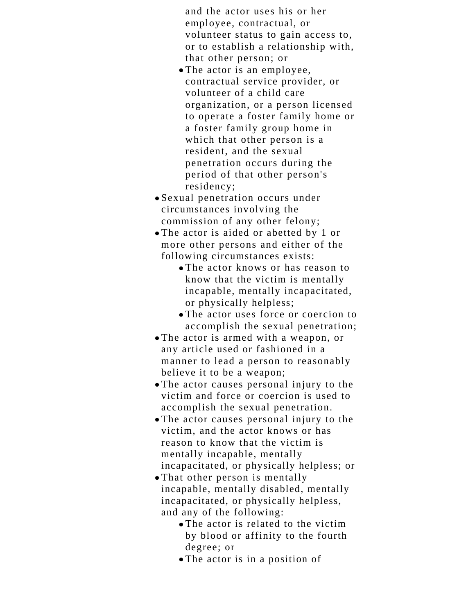and the actor uses his or her employee, contractual, or volunteer status to gain access to, or to establish a relationship with, that other person; or

- The actor is an employee, contractual service provider, or volunteer of a child care organization, or a person licensed to operate a foster family home or a foster family group home in which that other person is a resident, and the sexual penetration occurs during the period of that other person's residency;
- Sexual penetration occurs under circumstances involving the commission of any other felony;
- The actor is aided or abetted by 1 or more other persons and either of the following circumstances exists:
	- The actor knows or has reason to know that the victim is mentally incapable, mentally incapacitated, or physically helpless;
	- The actor uses force or coercion to accomplish the sexual penetration;
- The actor is armed with a weapon, or any article used or fashioned in a manner to lead a person to reasonably believe it to be a weapon;
- The actor causes personal injury to the victim and force or coercion is used to accomplish the sexual penetration.
- The actor causes personal injury to the victim, and the actor knows or has reason to know that the victim is mentally incapable, mentally incapacitated, or physically helpless; or
- That other person is mentally incapable, mentally disabled, mentally incapacitated, or physically helpless, and any of the following:
	- The actor is related to the victim by blood or affinity to the fourth degree; or
	- The actor is in a position of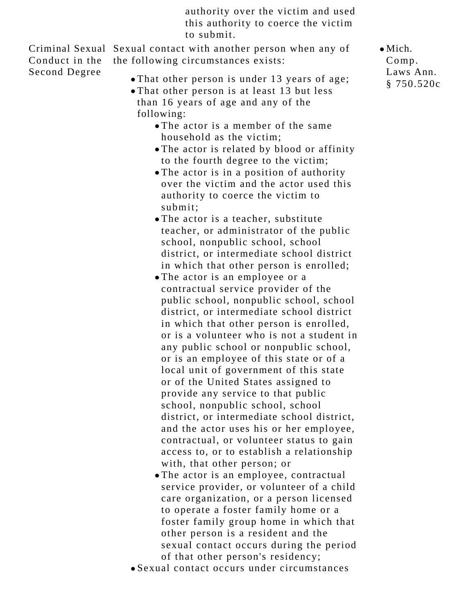authority over the victim and used this authority to coerce the victim to submit.

Criminal Sexual Sexual contact with another person when any of Conduct in the Second Degree the following circumstances exists:

- That other person is under 13 years of age;
- That other person is at least 13 but less than 16 years of age and any of the following:
	- The actor is a member of the same household as the victim;
	- The actor is related by blood or affinity to the fourth degree to the victim;
	- The actor is in a position of authority over the victim and the actor used this authority to coerce the victim to submit;
	- The actor is a teacher, substitute teacher, or administrator of the public school, nonpublic school, school district, or intermediate school district in which that other person is enrolled;
	- The actor is an employee or a contractual service provider of the public school, nonpublic school, school district, or intermediate school district in which that other person is enrolled, or is a volunteer who is not a student in any public school or nonpublic school, or is an employee of this state or of a local unit of government of this state or of the United States assigned to provide any service to that public school, nonpublic school, school district, or intermediate school district, and the actor uses his or her employee, contractual, or volunteer status to gain access to, or to establish a relationship with, that other person; or
	- The actor is an employee, contractual service provider, or volunteer of a child care organization, or a person licensed to operate a foster family home or a foster family group home in which that other person is a resident and the sexual contact occurs during the period of that other person's residency;
- Sexual contact occurs under circumstances

 $\bullet$  Mich. Comp. Laws Ann. § 750.520c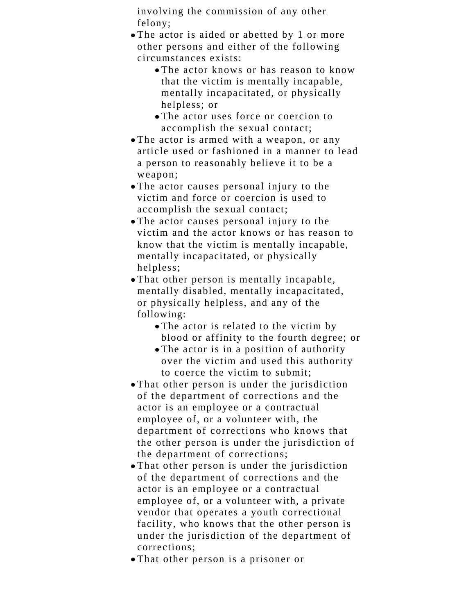involving the commission of any other felony;

- The actor is aided or abetted by 1 or more other persons and either of the following circumstances exists:
	- The actor knows or has reason to know that the victim is mentally incapable, mentally incapacitated, or physically helpless; or
	- The actor uses force or coercion to accomplish the sexual contact;
- The actor is armed with a weapon, or any article used or fashioned in a manner to lead a person to reasonably believe it to be a weapon;
- The actor causes personal injury to the victim and force or coercion is used to accomplish the sexual contact;
- The actor causes personal injury to the victim and the actor knows or has reason to know that the victim is mentally incapable, mentally incapacitated, or physically helpless;
- That other person is mentally incapable, mentally disabled, mentally incapacitated, or physically helpless, and any of the following:
	- The actor is related to the victim by blood or affinity to the fourth degree; or
	- The actor is in a position of authority over the victim and used this authority to coerce the victim to submit;
- That other person is under the jurisdiction of the department of corrections and the actor is an employee or a contractual employee of, or a volunteer with, the department of corrections who knows that the other person is under the jurisdiction of the department of corrections;
- That other person is under the jurisdiction of the department of corrections and the actor is an employee or a contractual employee of, or a volunteer with, a private vendor that operates a youth correctional facility, who knows that the other person is under the jurisdiction of the department of corrections;
- That other person is a prisoner or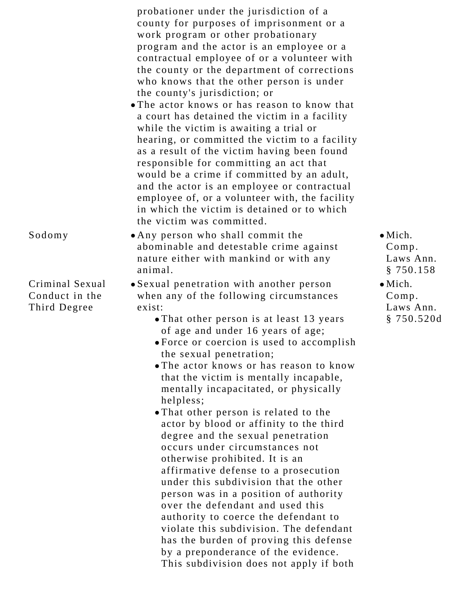probationer under the jurisdiction of a county for purposes of imprisonment or a work program or other probationary program and the actor is an employee or a contractual employee of or a volunteer with the county or the department of corrections who knows that the other person is under the county's jurisdiction; or

- The actor knows or has reason to know that a court has detained the victim in a facility while the victim is awaiting a trial or hearing, or committed the victim to a facility as a result of the victim having been found responsible for committing an act that would be a crime if committed by an adult, and the actor is an employee or contractual employee of, or a volunteer with, the facility in which the victim is detained or to which the victim was committed.
- Sodomy Any person who shall commit the abominable and detestable crime against nature either with mankind or with any animal.

Criminal Sexual Conduct in the Third Degree

Sexual penetration with another person when any of the following circumstances exist:

- That other person is at least 13 years of age and under 16 years of age;
- Force or coercion is used to accomplish the sexual penetration;
- The actor knows or has reason to know that the victim is mentally incapable, mentally incapacitated, or physically helpless;
- That other person is related to the actor by blood or affinity to the third degree and the sexual penetration occurs under circumstances not otherwise prohibited. It is an affirmative defense to a prosecution under this subdivision that the other person was in a position of authority over the defendant and used this authority to coerce the defendant to violate this subdivision. The defendant has the burden of proving this defense by a preponderance of the evidence. This subdivision does not apply if both
- $\bullet$  Mich. Comp. Laws Ann. § 750.158
- $\bullet$  Mich. Comp. Laws Ann. § 750.520d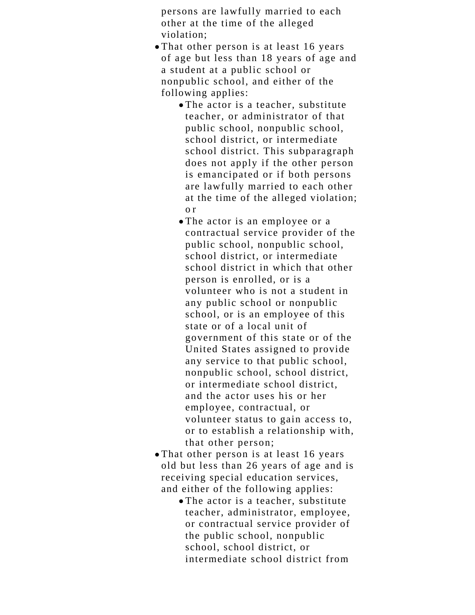persons are lawfully married to each other at the time of the alleged violation;

- That other person is at least 16 years of age but less than 18 years of age and a student at a public school or nonpublic school, and either of the following applies:
	- The actor is a teacher, substitute teacher, or administrator of that public school, nonpublic school, school district, or intermediate school district. This subparagraph does not apply if the other person is emancipated or if both persons are lawfully married to each other at the time of the alleged violation; o r
	- The actor is an employee or a contractual service provider of the public school, nonpublic school, school district, or intermediate school district in which that other person is enrolled, or is a volunteer who is not a student in any public school or nonpublic school, or is an employee of this state or of a local unit of government of this state or of the United States assigned to provide any service to that public school, nonpublic school, school district, or intermediate school district, and the actor uses his or her employee, contractual, or volunteer status to gain access to, or to establish a relationship with, that other person;
- That other person is at least 16 years old but less than 26 years of age and is receiving special education services, and either of the following applies:
	- The actor is a teacher, substitute teacher, administrator, employee, or contractual service provider of the public school, nonpublic school, school district, or intermediate school district from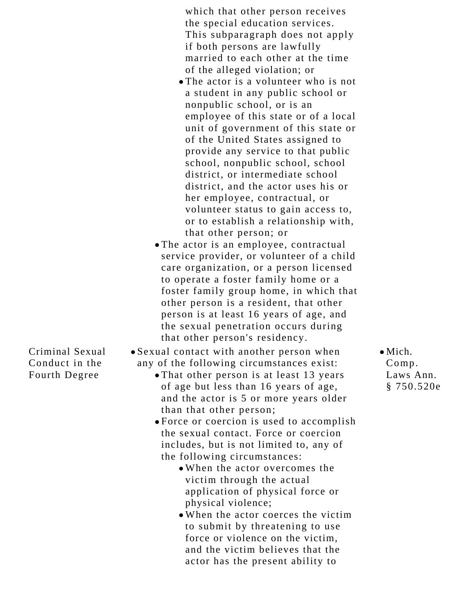which that other person receives the special education services. This subparagraph does not apply if both persons are lawfully married to each other at the time of the alleged violation; or

- The actor is a volunteer who is not a student in any public school or nonpublic school, or is an employee of this state or of a local unit of government of this state or of the United States assigned to provide any service to that public school, nonpublic school, school district, or intermediate school district, and the actor uses his or her employee, contractual, or volunteer status to gain access to, or to establish a relationship with, that other person; or
- The actor is an employee, contractual service provider, or volunteer of a child care organization, or a person licensed to operate a foster family home or a foster family group home, in which that other person is a resident, that other person is at least 16 years of age, and the sexual penetration occurs during that other person's residency.

Criminal Sexual Conduct in the Fourth Degree

- Sexual contact with another person when any of the following circumstances exist:
	- That other person is at least 13 years of age but less than 16 years of age, and the actor is 5 or more years older than that other person;
	- Force or coercion is used to accomplish the sexual contact. Force or coercion includes, but is not limited to, any of the following circumstances:
		- When the actor overcomes the victim through the actual application of physical force or physical violence;
		- When the actor coerces the victim to submit by threatening to use force or violence on the victim, and the victim believes that the actor has the present ability to

 $\bullet$  Mich. Comp. Laws Ann. § 750.520e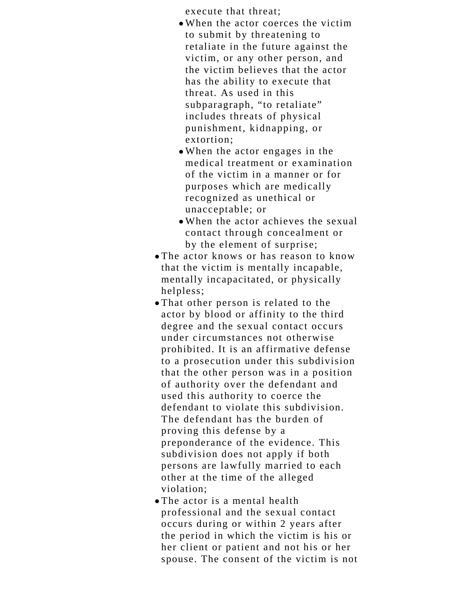execute that threat;

- When the actor coerces the victim to submit by threatening to retaliate in the future against the victim, or any other person, and the victim believes that the actor has the ability to execute that threat. As used in this subparagraph, "to retaliate" includes threats of physical punishment, kidnapping, or extortion;
- When the actor engages in the medical treatment or examination of the victim in a manner or for purposes which are medically recognized as unethical or unacceptable; or
- When the actor achieves the sexual contact through concealment or by the element of surprise;
- The actor knows or has reason to know that the victim is mentally incapable, mentally incapacitated, or physically helpless;
- That other person is related to the actor by blood or affinity to the third degree and the sexual contact occurs under circumstances not otherwise prohibited. It is an affirmative defense to a prosecution under this subdivision that the other person was in a position of authority over the defendant and used this authority to coerce the defendant to violate this subdivision. The defendant has the burden of proving this defense by a preponderance of the evidence. This subdivision does not apply if both persons are lawfully married to each other at the time of the alleged violation;
- The actor is a mental health professional and the sexual contact occurs during or within 2 years after the period in which the victim is his or her client or patient and not his or her spouse. The consent of the victim is not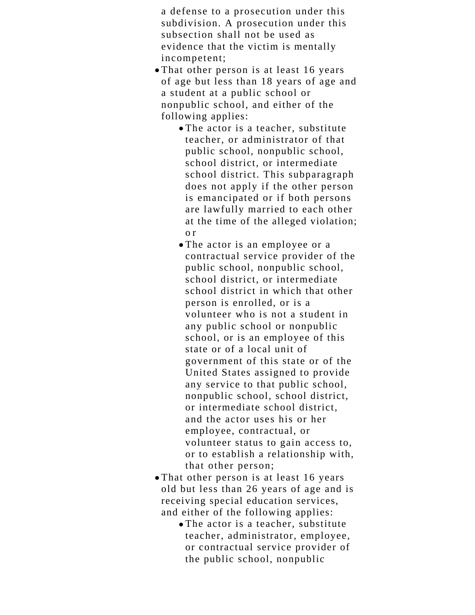a defense to a prosecution under this subdivision. A prosecution under this subsection shall not be used as evidence that the victim is mentally incompetent;

- That other person is at least 16 years of age but less than 18 years of age and a student at a public school or nonpublic school, and either of the following applies:
	- The actor is a teacher, substitute teacher, or administrator of that public school, nonpublic school, school district, or intermediate school district. This subparagraph does not apply if the other person is emancipated or if both persons are lawfully married to each other at the time of the alleged violation; o r
	- The actor is an employee or a contractual service provider of the public school, nonpublic school, school district, or intermediate school district in which that other person is enrolled, or is a volunteer who is not a student in any public school or nonpublic school, or is an employee of this state or of a local unit of government of this state or of the United States assigned to provide any service to that public school, nonpublic school, school district, or intermediate school district, and the actor uses his or her employee, contractual, or volunteer status to gain access to, or to establish a relationship with, that other person;
- That other person is at least 16 years old but less than 26 years of age and is receiving special education services, and either of the following applies:
	- The actor is a teacher, substitute teacher, administrator, employee, or contractual service provider of the public school, nonpublic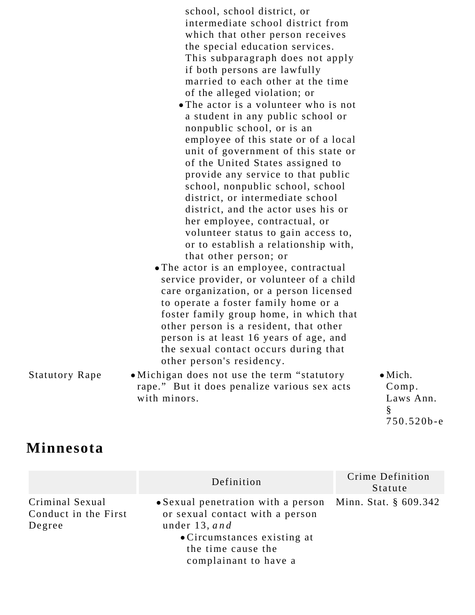school, school district, or intermediate school district from which that other person receives the special education services. This subparagraph does not apply if both persons are lawfully married to each other at the time of the alleged violation; or

- The actor is a volunteer who is not a student in any public school or nonpublic school, or is an employee of this state or of a local unit of government of this state or of the United States assigned to provide any service to that public school, nonpublic school, school district, or intermediate school district, and the actor uses his or her employee, contractual, or volunteer status to gain access to, or to establish a relationship with, that other person; or
- The actor is an employee, contractual service provider, or volunteer of a child care organization, or a person licensed to operate a foster family home or a foster family group home, in which that other person is a resident, that other person is at least 16 years of age, and the sexual contact occurs during that other person's residency.
- Statutory Rape Michigan does not use the term "statutory" rape." But it does penalize various sex acts with minors.

 $\bullet$  Mich. Comp. Laws Ann. § 750.520b-e

## **Minnesota**

|                                                   | Definition                                                                                                                                                                                       | Crime Definition<br>Statute |
|---------------------------------------------------|--------------------------------------------------------------------------------------------------------------------------------------------------------------------------------------------------|-----------------------------|
| Criminal Sexual<br>Conduct in the First<br>Degree | • Sexual penetration with a person Minn. Stat. $\S$ 609.342<br>or sexual contact with a person<br>under $13$ , and<br>• Circumstances existing at<br>the time cause the<br>complainant to have a |                             |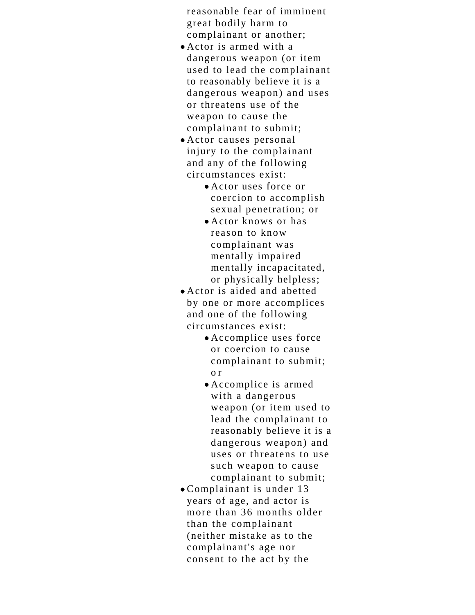reasonable fear of imminent great bodily harm to complainant or another;

- Actor is armed with a dangerous weapon (or item used to lead the complainant to reasonably believe it is a dangerous weapon) and uses or threatens use of the weapon to cause the complainant to submit;
- Actor causes personal injury to the complainant and any of the following circumstances exist:
	- Actor uses force or coercion to accomplish sexual penetration; or
	- Actor knows or has reason to know complainant was mentally impaired mentally incapacitated, or physically helpless;
- Actor is aided and abetted by one or more accomplices and one of the following circumstances exist:
	- Accomplice uses force or coercion to cause complainant to submit; o r
	- Accomplice is armed with a dangerous weapon (or item used to lead the complainant to reasonably believe it is a dangerous weapon) and uses or threatens to use such weapon to cause complainant to submit;
- Complainant is under 13 years of age, and actor is more than 36 months older than the complainant (neither mistake as to the complainant's age nor consent to the act by the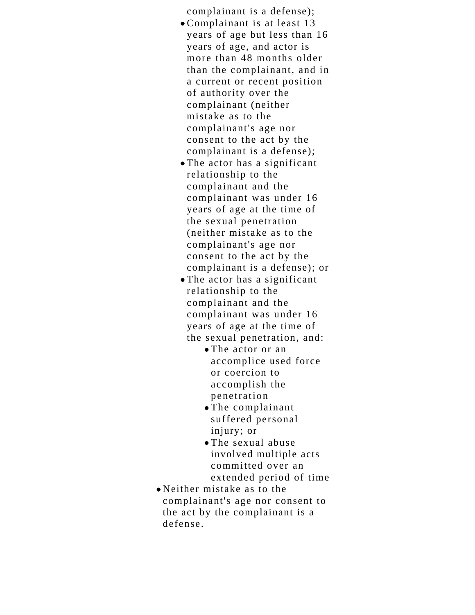complainant is a defense);

- Complainant is at least 13 years of age but less than 16 years of age, and actor is more than 48 months older than the complainant, and in a current or recent position of authority over the complainant (neither mistake as to the complainant's age nor consent to the act by the complainant is a defense);
- The actor has a significant relationship to the complainant and the complainant was under 16 years of age at the time of the sexual penetration (neither mistake as to the complainant's age nor consent to the act by the complainant is a defense); or
- The actor has a significant relationship to the complainant and the complainant was under 16 years of age at the time of the sexual penetration, and:
	- The actor or an accomplice used force or coercion to accomplish the penetration
	- The complainant suffered personal injury; or
	- The sexual abuse involved multiple acts committed over an extended period of time
- Neither mistake as to the complainant's age nor consent to the act by the complainant is a defense.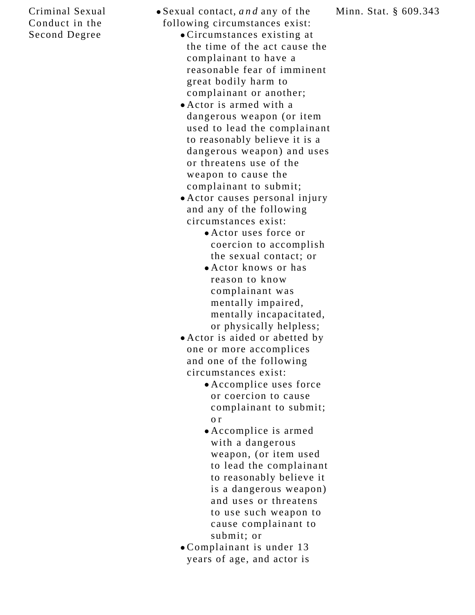#### Criminal Sexual Conduct in the Second Degree

- Sexual contact, *and* any of the following circumstances exist:
	- Circumstances existing at the time of the act cause the complainant to have a reasonable fear of imminent great bodily harm to complainant or another;
	- Actor is armed with a dangerous weapon (or item used to lead the complainant to reasonably believe it is a dangerous weapon) and uses or threatens use of the weapon to cause the complainant to submit;
	- Actor causes personal injury and any of the following circumstances exist:
		- Actor uses force or coercion to accomplish the sexual contact; or
		- Actor knows or has reason to know complainant was mentally impaired, mentally incapacitated, or physically helpless;
	- Actor is aided or abetted by one or more accomplices and one of the following circumstances exist:
		- Accomplice uses force or coercion to cause complainant to submit; o r
		- Accomplice is armed with a dangerous weapon, (or item used to lead the complainant to reasonably believe it is a dangerous weapon) and uses or threatens to use such weapon to cause complainant to submit; or
	- Complainant is under 13 years of age, and actor is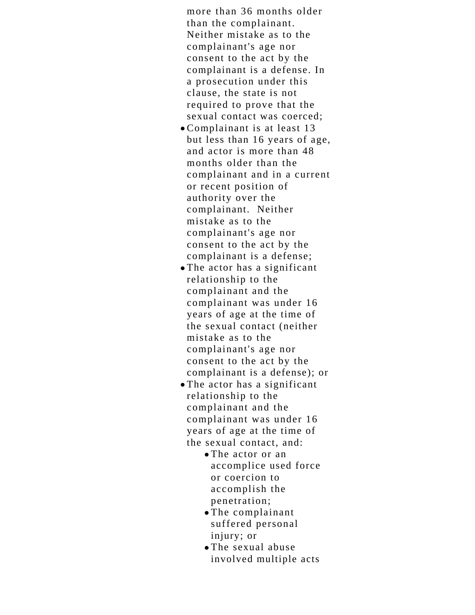more than 36 months older than the complainant. Neither mistake as to the complainant's age nor consent to the act by the complainant is a defense. In a prosecution under this clause, the state is not required to prove that the sexual contact was coerced;

- Complainant is at least 13 but less than 16 years of age, and actor is more than 48 months older than the complainant and in a current or recent position of authority over the complainant. Neither mistake as to the complainant's age nor consent to the act by the complainant is a defense;
- The actor has a significant relationship to the complainant and the complainant was under 16 years of age at the time of the sexual contact (neither mistake as to the complainant's age nor consent to the act by the complainant is a defense); or
- The actor has a significant relationship to the complainant and the complainant was under 16 years of age at the time of the sexual contact, and:
	- The actor or an accomplice used force or coercion to accomplish the penetration;
	- The complainant suffered personal injury; or
	- The sexual abuse involved multiple acts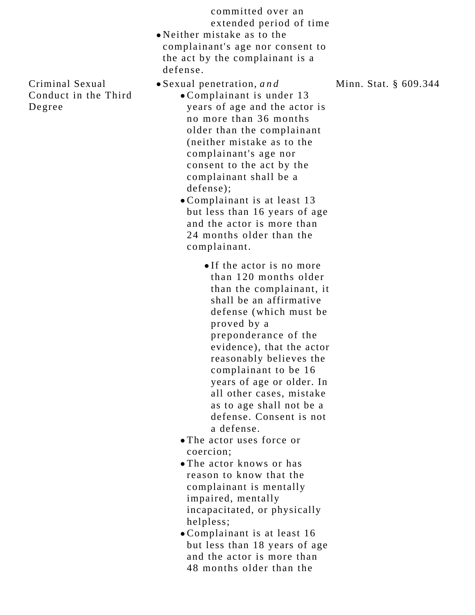committed over an extended period of time

Neither mistake as to the complainant's age nor consent to the act by the complainant is a defense.

- Sexual penetration, *and*
	- Complainant is under 13 years of age and the actor is no more than 36 months older than the complainant (neither mistake as to the complainant's age nor consent to the act by the complainant shall be a defense);
	- Complainant is at least 13 but less than 16 years of age and the actor is more than 24 months older than the complainant.
		- If the actor is no more than 120 months older than the complainant, it shall be an affirmative defense (which must be proved by a preponderance of the evidence), that the actor reasonably believes the complainant to be 16 years of age or older. In all other cases, mistake as to age shall not be a defense. Consent is not a defense.
	- The actor uses force or coercion;
	- The actor knows or has reason to know that the complainant is mentally impaired, mentally incapacitated, or physically helpless;
	- Complainant is at least 16 but less than 18 years of age and the actor is more than 48 months older than the

Criminal Sexual Conduct in the Third Degree

Minn. Stat. § 609.344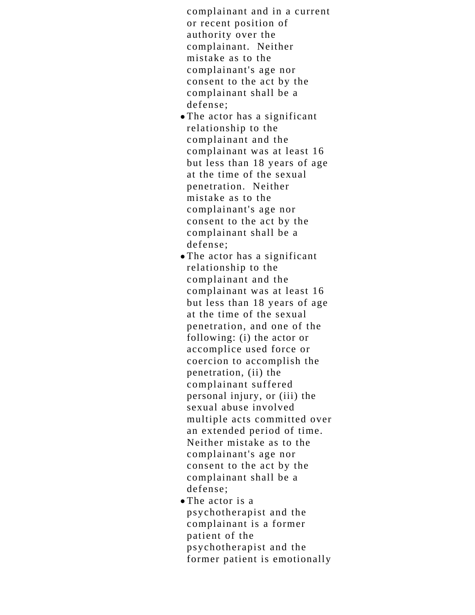complainant and in a current or recent position of authority over the complainant. Neither mistake as to the complainant's age nor consent to the act by the complainant shall be a defense;

- The actor has a significant relationship to the complainant and the complainant was at least 16 but less than 18 years of age at the time of the sexual penetration. Neither mistake as to the complainant's age nor consent to the act by the complainant shall be a defense;
- The actor has a significant relationship to the complainant and the complainant was at least 16 but less than 18 years of age at the time of the sexual penetration, and one of the following: (i) the actor or accomplice used force or coercion to accomplish the penetration, (ii) the complainant suffered personal injury, or (iii) the sexual abuse involved multiple acts committed over an extended period of time. Neither mistake as to the complainant's age nor consent to the act by the complainant shall be a defense;
- The actor is a psychotherapist and the complainant is a former patient of the psychotherapist and the former patient is emotionally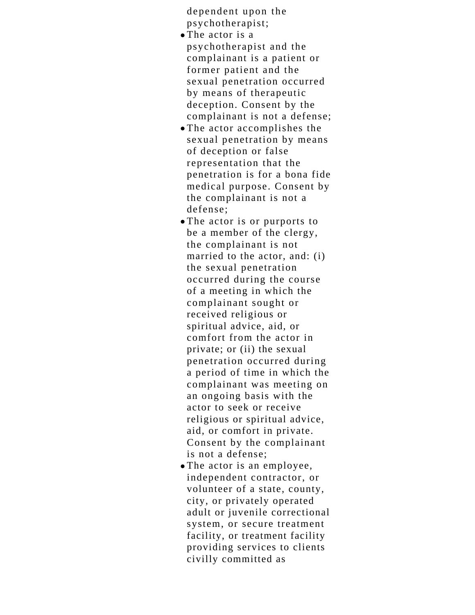dependent upon the psychotherapist;

- The actor is a psychotherapist and the complainant is a patient or former patient and the sexual penetration occurred by means of therapeutic deception. Consent by the complainant is not a defense;
- The actor accomplishes the sexual penetration by means of deception or false representation that the penetration is for a bona fide medical purpose. Consent by the complainant is not a defense;
- The actor is or purports to be a member of the clergy, the complainant is not married to the actor, and: (i) the sexual penetration occurred during the course of a meeting in which the complainant sought or received religious or spiritual advice, aid, or comfort from the actor in private; or (ii) the sexual penetration occurred during a period of time in which the complainant was meeting on an ongoing basis with the actor to seek or receive religious or spiritual advice, aid, or comfort in private. Consent by the complainant is not a defense;
- The actor is an employee, independent contractor, or volunteer of a state, county, city, or privately operated adult or juvenile correctional system, or secure treatment facility, or treatment facility providing services to clients civilly committed as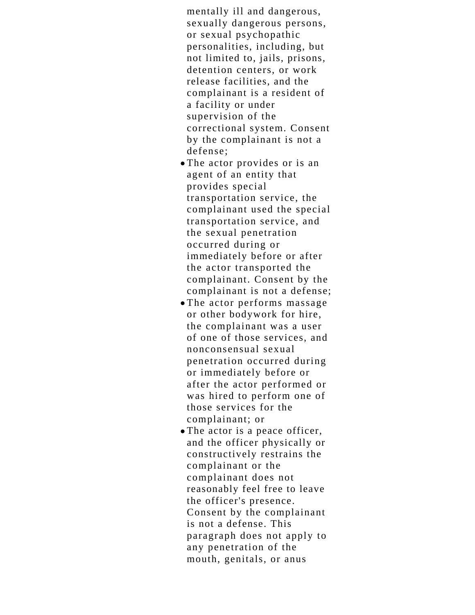mentally ill and dangerous, sexually dangerous persons, or sexual psychopathic personalities, including, but not limited to, jails, prisons, detention centers, or work release facilities, and the complainant is a resident of a facility or under supervision of the correctional system. Consent by the complainant is not a defense;

- The actor provides or is an agent of an entity that provides special transportation service, the complainant used the special transportation service, and the sexual penetration occurred during or immediately before or after the actor transported the complainant. Consent by the complainant is not a defense;
- The actor performs massage or other bodywork for hire, the complainant was a user of one of those services, and nonconsensual sexual penetration occurred during or immediately before or after the actor performed or was hired to perform one of those services for the complainant; or
- The actor is a peace officer, and the officer physically or constructively restrains the complainant or the complainant does not reasonably feel free to leave the officer's presence. Consent by the complainant is not a defense. This paragraph does not apply to any penetration of the mouth, genitals, or anus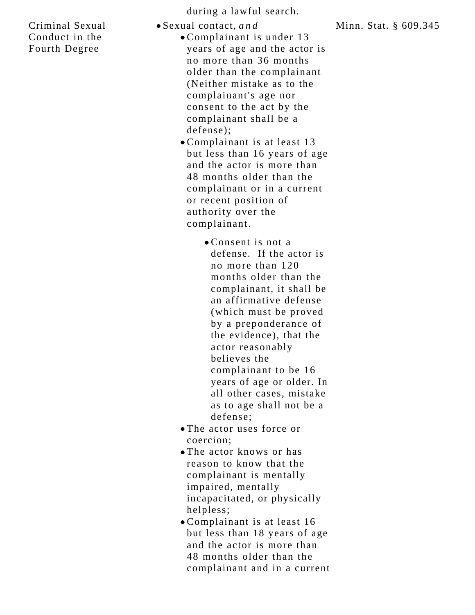Criminal Sexual Conduct in the Fourth Degree

during a lawful search.

Sexual contact, *and*

- Complainant is under 13 years of age and the actor is no more than 36 months older than the complainant (Neither mistake as to the complainant's age nor consent to the act by the complainant shall be a defense);
- Complainant is at least 13 but less than 16 years of age and the actor is more than 48 months older than the complainant or in a current or recent position of authority over the complainant.
	- Consent is not a defense. If the actor is no more than 120 months older than the complainant, it shall be an affirmative defense (which must be proved by a preponderance of the evidence), that the actor reasonably believes the complainant to be 16 years of age or older. In all other cases, mistake as to age shall not be a defense;
- The actor uses force or coercion;
- The actor knows or has reason to know that the complainant is mentally impaired, mentally incapacitated, or physically helpless;
- Complainant is at least 16 but less than 18 years of age and the actor is more than 48 months older than the complainant and in a current

Minn. Stat. § 609.345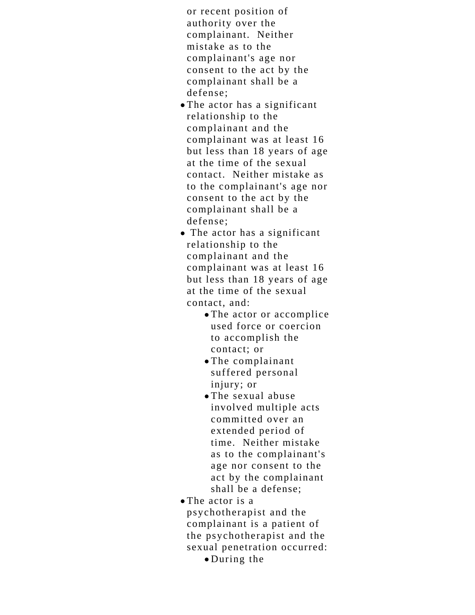or recent position of authority over the complainant. Neither mistake as to the complainant's age nor consent to the act by the complainant shall be a defense;

- The actor has a significant relationship to the complainant and the complainant was at least 16 but less than 18 years of age at the time of the sexual contact. Neither mistake as to the complainant's age nor consent to the act by the complainant shall be a defense;
- The actor has a significant relationship to the complainant and the complainant was at least 16 but less than 18 years of age at the time of the sexual contact, and:
	- The actor or accomplice used force or coercion to accomplish the contact; or
	- The complainant suffered personal injury; or
	- The sexual abuse involved multiple acts committed over an extended period of time. Neither mistake as to the complainant's age nor consent to the act by the complainant shall be a defense;
- The actor is a psychotherapist and the complainant is a patient of the psychotherapist and the sexual penetration occurred:

During the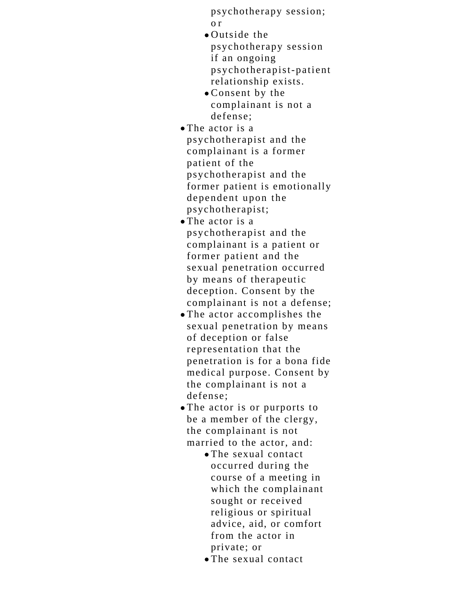psychotherapy session; o r

- Outside the psychotherapy session if an ongoing psychotherapist-patient relationship exists.
- Consent by the complainant is not a defense;
- The actor is a psychotherapist and the complainant is a former patient of the psychotherapist and the former patient is emotionally dependent upon the psychotherapist;
- The actor is a psychotherapist and the complainant is a patient or former patient and the sexual penetration occurred by means of therapeutic deception. Consent by the complainant is not a defense;
- The actor accomplishes the sexual penetration by means of deception or false representation that the penetration is for a bona fide medical purpose. Consent by the complainant is not a defense;
- The actor is or purports to be a member of the clergy, the complainant is not married to the actor, and:
	- The sexual contact occurred during the course of a meeting in which the complainant sought or received religious or spiritual advice, aid, or comfort from the actor in private; or
	- The sexual contact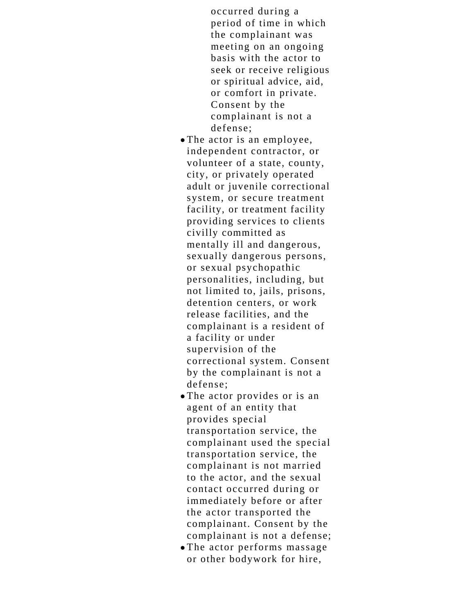occurred during a period of time in which the complainant was meeting on an ongoing basis with the actor to seek or receive religious or spiritual advice, aid, or comfort in private. Consent by the complainant is not a defense;

- The actor is an employee, independent contractor, or volunteer of a state, county, city, or privately operated adult or juvenile correctional system, or secure treatment facility, or treatment facility providing services to clients civilly committed as mentally ill and dangerous, sexually dangerous persons, or sexual psychopathic personalities, including, but not limited to, jails, prisons, detention centers, or work release facilities, and the complainant is a resident of a facility or under supervision of the correctional system. Consent by the complainant is not a defense;
- The actor provides or is an agent of an entity that provides special transportation service, the complainant used the special transportation service, the complainant is not married to the actor, and the sexual contact occurred during or immediately before or after the actor transported the complainant. Consent by the complainant is not a defense;
- The actor performs massage or other bodywork for hire,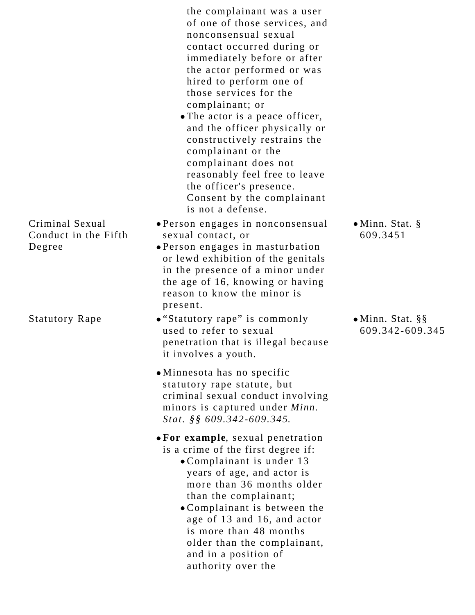|                                                   | the complainant was a user<br>of one of those services, and<br>nonconsensual sexual<br>contact occurred during or<br>immediately before or after<br>the actor performed or was<br>hired to perform one of<br>those services for the<br>complainant; or<br>• The actor is a peace officer,<br>and the officer physically or<br>constructively restrains the<br>complainant or the<br>complainant does not<br>reasonably feel free to leave<br>the officer's presence.<br>Consent by the complainant<br>is not a defense. |                                             |
|---------------------------------------------------|-------------------------------------------------------------------------------------------------------------------------------------------------------------------------------------------------------------------------------------------------------------------------------------------------------------------------------------------------------------------------------------------------------------------------------------------------------------------------------------------------------------------------|---------------------------------------------|
| Criminal Sexual<br>Conduct in the Fifth<br>Degree | • Person engages in nonconsensual<br>sexual contact, or<br>• Person engages in masturbation<br>or lewd exhibition of the genitals<br>in the presence of a minor under<br>the age of 16, knowing or having<br>reason to know the minor is<br>present.                                                                                                                                                                                                                                                                    | $\bullet$ Minn. Stat. §<br>609.3451         |
| <b>Statutory Rape</b>                             | • "Statutory rape" is commonly<br>used to refer to sexual<br>penetration that is illegal because<br>it involves a youth.                                                                                                                                                                                                                                                                                                                                                                                                | $\bullet$ Minn. Stat. §§<br>609.342-609.345 |
|                                                   | • Minnesota has no specific<br>statutory rape statute, but<br>criminal sexual conduct involving<br>minors is captured under Minn.<br>Stat. §§ 609.342-609.345.                                                                                                                                                                                                                                                                                                                                                          |                                             |
|                                                   | • For example, sexual penetration<br>is a crime of the first degree if:<br>• Complainant is under 13<br>years of age, and actor is<br>more than 36 months older<br>than the complainant;<br>• Complainant is between the<br>age of 13 and 16, and actor<br>is more than 48 months<br>older than the complainant,<br>and in a position of<br>authority over the                                                                                                                                                          |                                             |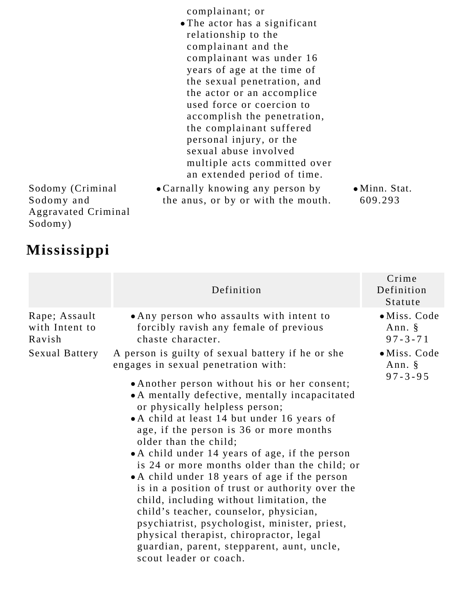complainant; or

- The actor has a significant relationship to the complainant and the complainant was under 16 years of age at the time of the sexual penetration, and the actor or an accomplice used force or coercion to accomplish the penetration, the complainant suffered personal injury, or the sexual abuse involved multiple acts committed over an extended period of time.
- Carnally knowing any person by the anus, or by or with the mouth.

Minn. Stat. 609.293

Sodomy (Criminal Sodomy and Aggravated Criminal Sodomy)

## **Mississippi**

|                                                             | Definition                                                                                                                                                                                                                                                                                                                                                                                                                                                                                                                                                                                                                                                                                                                                                                                                                                                                                                                  | Crime<br>Definition<br>Statute                                                                |
|-------------------------------------------------------------|-----------------------------------------------------------------------------------------------------------------------------------------------------------------------------------------------------------------------------------------------------------------------------------------------------------------------------------------------------------------------------------------------------------------------------------------------------------------------------------------------------------------------------------------------------------------------------------------------------------------------------------------------------------------------------------------------------------------------------------------------------------------------------------------------------------------------------------------------------------------------------------------------------------------------------|-----------------------------------------------------------------------------------------------|
| Rape; Assault<br>with Intent to<br>Ravish<br>Sexual Battery | • Any person who assaults with intent to<br>forcibly ravish any female of previous<br>chaste character.<br>A person is guilty of sexual battery if he or she<br>engages in sexual penetration with:<br>• Another person without his or her consent;<br>• A mentally defective, mentally incapacitated<br>or physically helpless person;<br>• A child at least 14 but under 16 years of<br>age, if the person is 36 or more months<br>older than the child;<br>• A child under 14 years of age, if the person<br>is 24 or more months older than the child; or<br>• A child under 18 years of age if the person<br>is in a position of trust or authority over the<br>child, including without limitation, the<br>child's teacher, counselor, physician,<br>psychiatrist, psychologist, minister, priest,<br>physical therapist, chiropractor, legal<br>guardian, parent, stepparent, aunt, uncle,<br>scout leader or coach. | · Miss. Code<br>Ann. $\S$<br>$97 - 3 - 71$<br>$\bullet$ Miss. Code<br>Ann. §<br>$97 - 3 - 95$ |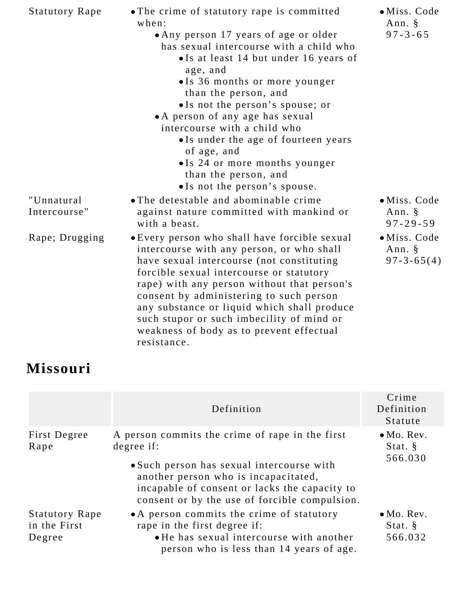| <b>Statutory Rape</b>      | • The crime of statutory rape is committed<br>when:<br>• Any person 17 years of age or older<br>has sexual intercourse with a child who<br>• Is at least 14 but under 16 years of<br>age, and<br>• Is 36 months or more younger<br>than the person, and<br>• Is not the person's spouse; or<br>• A person of any age has sexual<br>intercourse with a child who<br>• Is under the age of fourteen years<br>of age, and<br>• Is 24 or more months younger<br>than the person, and<br>• Is not the person's spouse. | · Miss. Code<br>Ann. §<br>$97 - 3 - 65$    |
|----------------------------|-------------------------------------------------------------------------------------------------------------------------------------------------------------------------------------------------------------------------------------------------------------------------------------------------------------------------------------------------------------------------------------------------------------------------------------------------------------------------------------------------------------------|--------------------------------------------|
| "Unnatural<br>Intercourse" | • The detestable and abominable crime<br>against nature committed with mankind or<br>with a beast.                                                                                                                                                                                                                                                                                                                                                                                                                | · Miss. Code<br>Ann. §<br>$97 - 29 - 59$   |
| Rape; Drugging             | • Every person who shall have forcible sexual<br>intercourse with any person, or who shall<br>have sexual intercourse (not constituting<br>forcible sexual intercourse or statutory<br>rape) with any person without that person's<br>consent by administering to such person<br>any substance or liquid which shall produce<br>such stupor or such imbecility of mind or<br>weakness of body as to prevent effectual<br>resistance.                                                                              | · Miss. Code<br>Ann. §<br>$97 - 3 - 65(4)$ |

# **Missouri**

|                                                 | Definition                                                                                                                                                                                                                                           | Crime<br>Definition<br>Statute           |
|-------------------------------------------------|------------------------------------------------------------------------------------------------------------------------------------------------------------------------------------------------------------------------------------------------------|------------------------------------------|
| First Degree<br>Rape                            | A person commits the crime of rape in the first<br>degree if:<br>• Such person has sexual intercourse with<br>another person who is incapacitated,<br>incapable of consent or lacks the capacity to<br>consent or by the use of forcible compulsion. | $\bullet$ Mo. Rev.<br>Stat. §<br>566.030 |
| <b>Statutory Rape</b><br>in the First<br>Degree | • A person commits the crime of statutory<br>rape in the first degree if:<br>• He has sexual intercourse with another<br>person who is less than 14 years of age.                                                                                    | $\bullet$ Mo. Rev.<br>Stat. §<br>566.032 |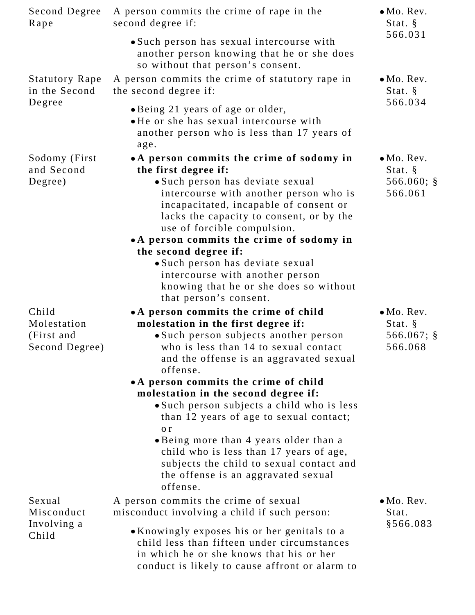| Second Degree<br>Rape                                | A person commits the crime of rape in the<br>second degree if:                                                                                                                                                                                                                                                    | $\bullet$ Mo. Rev.<br>Stat. §                             |
|------------------------------------------------------|-------------------------------------------------------------------------------------------------------------------------------------------------------------------------------------------------------------------------------------------------------------------------------------------------------------------|-----------------------------------------------------------|
|                                                      | • Such person has sexual intercourse with<br>another person knowing that he or she does<br>so without that person's consent.                                                                                                                                                                                      | 566.031                                                   |
| <b>Statutory Rape</b><br>in the Second               | A person commits the crime of statutory rape in<br>the second degree if:                                                                                                                                                                                                                                          | $\bullet$ Mo. Rev.<br>Stat. §<br>566.034                  |
| Degree                                               | • Being 21 years of age or older,<br>• He or she has sexual intercourse with<br>another person who is less than 17 years of<br>age.                                                                                                                                                                               |                                                           |
| Sodomy (First)<br>and Second<br>Degree)              | • A person commits the crime of sodomy in<br>the first degree if:<br>• Such person has deviate sexual<br>intercourse with another person who is<br>incapacitated, incapable of consent or<br>lacks the capacity to consent, or by the<br>use of forcible compulsion.<br>• A person commits the crime of sodomy in | $\bullet$ Mo. Rev.<br>Stat. §<br>566.060; $\S$<br>566.061 |
|                                                      | the second degree if:<br>• Such person has deviate sexual<br>intercourse with another person<br>knowing that he or she does so without<br>that person's consent.                                                                                                                                                  |                                                           |
| Child<br>Molestation<br>(First and<br>Second Degree) | • A person commits the crime of child<br>molestation in the first degree if:<br>·Such person subjects another person<br>who is less than 14 to sexual contact<br>and the offense is an aggravated sexual<br>offense.<br>• A person commits the crime of child<br>molestation in the second degree if:             | $\bullet$ Mo. Rev.<br>Stat. §<br>566.067; $\S$<br>566.068 |
|                                                      | • Such person subjects a child who is less<br>than 12 years of age to sexual contact;<br>o r<br>. Being more than 4 years older than a<br>child who is less than 17 years of age,<br>subjects the child to sexual contact and<br>the offense is an aggravated sexual<br>offense.                                  |                                                           |
| Sexual<br>Misconduct                                 | A person commits the crime of sexual<br>misconduct involving a child if such person:                                                                                                                                                                                                                              | $\bullet$ Mo. Rev.<br>Stat.                               |
| Involving a<br>Child                                 | • Knowingly exposes his or her genitals to a<br>child less than fifteen under circumstances<br>in which he or she knows that his or her<br>conduct is likely to cause affront or alarm to                                                                                                                         | \$566.083                                                 |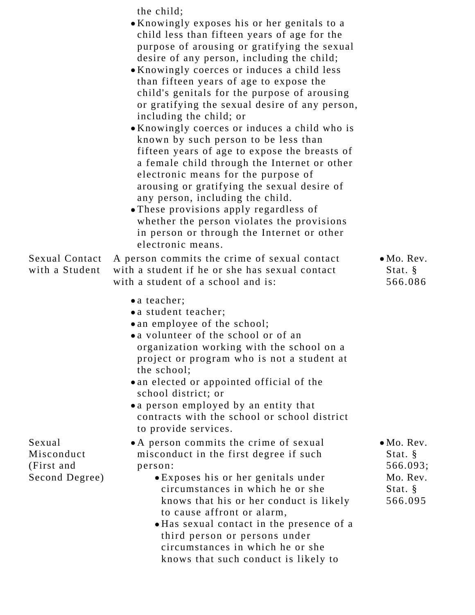| <b>Sexual Contact</b><br>with a Student              | the child;<br>• Knowingly exposes his or her genitals to a<br>child less than fifteen years of age for the<br>purpose of arousing or gratifying the sexual<br>desire of any person, including the child;<br>• Knowingly coerces or induces a child less<br>than fifteen years of age to expose the<br>child's genitals for the purpose of arousing<br>or gratifying the sexual desire of any person,<br>including the child; or<br>• Knowingly coerces or induces a child who is<br>known by such person to be less than<br>fifteen years of age to expose the breasts of<br>a female child through the Internet or other<br>electronic means for the purpose of<br>arousing or gratifying the sexual desire of<br>any person, including the child.<br>• These provisions apply regardless of<br>whether the person violates the provisions<br>in person or through the Internet or other<br>electronic means.<br>A person commits the crime of sexual contact<br>with a student if he or she has sexual contact | $\bullet$ Mo. Rev.<br>Stat. $\S$                                                             |
|------------------------------------------------------|------------------------------------------------------------------------------------------------------------------------------------------------------------------------------------------------------------------------------------------------------------------------------------------------------------------------------------------------------------------------------------------------------------------------------------------------------------------------------------------------------------------------------------------------------------------------------------------------------------------------------------------------------------------------------------------------------------------------------------------------------------------------------------------------------------------------------------------------------------------------------------------------------------------------------------------------------------------------------------------------------------------|----------------------------------------------------------------------------------------------|
| Sexual<br>Misconduct<br>(First and<br>Second Degree) | with a student of a school and is:<br>• a teacher;<br>• a student teacher;<br>• an employee of the school;<br>• a volunteer of the school or of an<br>organization working with the school on a<br>project or program who is not a student at<br>the school;<br>• an elected or appointed official of the<br>school district; or<br>• a person employed by an entity that<br>contracts with the school or school district<br>to provide services.<br>• A person commits the crime of sexual<br>misconduct in the first degree if such<br>person:<br>• Exposes his or her genitals under<br>circumstances in which he or she<br>knows that his or her conduct is likely<br>to cause affront or alarm,<br>• Has sexual contact in the presence of a<br>third person or persons under<br>circumstances in which he or she                                                                                                                                                                                           | 566.086<br>$\bullet$ Mo. Rev.<br>Stat. $\S$<br>566.093;<br>Mo. Rev.<br>Stat. $\S$<br>566.095 |

knows that such conduct is likely to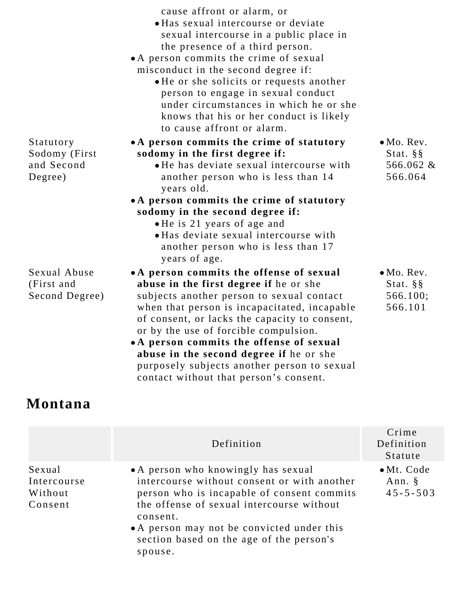|                                                     | cause affront or alarm, or<br>• Has sexual intercourse or deviate<br>sexual intercourse in a public place in<br>the presence of a third person.<br>• A person commits the crime of sexual<br>misconduct in the second degree if:<br>• He or she solicits or requests another<br>person to engage in sexual conduct<br>under circumstances in which he or she<br>knows that his or her conduct is likely<br>to cause affront or alarm. |                                                               |
|-----------------------------------------------------|---------------------------------------------------------------------------------------------------------------------------------------------------------------------------------------------------------------------------------------------------------------------------------------------------------------------------------------------------------------------------------------------------------------------------------------|---------------------------------------------------------------|
| Statutory<br>Sodomy (First<br>and Second<br>Degree) | • A person commits the crime of statutory<br>sodomy in the first degree if:<br>• He has deviate sexual intercourse with<br>another person who is less than 14<br>years old.<br>• A person commits the crime of statutory<br>sodomy in the second degree if:<br>• He is 21 years of age and<br>• Has deviate sexual intercourse with<br>another person who is less than 17<br>years of age.                                            | $\bullet$ Mo. Rev.<br>Stat. $\S$ $\S$<br>566.062 &<br>566.064 |
| Sexual Abuse<br>(First and<br>Second Degree)        | • A person commits the offense of sexual<br>abuse in the first degree if he or she<br>subjects another person to sexual contact<br>when that person is incapacitated, incapable<br>of consent, or lacks the capacity to consent,<br>or by the use of forcible compulsion.<br>• A person commits the offense of sexual<br>abuse in the second degree if he or she                                                                      | $\bullet$ Mo. Rev.<br>Stat. $\S$ $\S$<br>566.100;<br>566.101  |

## **Montana**

|                                             | Definition                                                                                                                                                                                                                                                                                     | Crime<br>Definition<br>Statute                    |
|---------------------------------------------|------------------------------------------------------------------------------------------------------------------------------------------------------------------------------------------------------------------------------------------------------------------------------------------------|---------------------------------------------------|
| Sexual<br>Intercourse<br>Without<br>Consent | • A person who knowingly has sexual<br>intercourse without consent or with another<br>person who is incapable of consent commits<br>the offense of sexual intercourse without<br>consent.<br>• A person may not be convicted under this<br>section based on the age of the person's<br>spouse. | $\bullet$ Mt. Code<br>Ann. $\S$<br>$45 - 5 - 503$ |

purposely subjects another person to sexual

contact without that person's consent.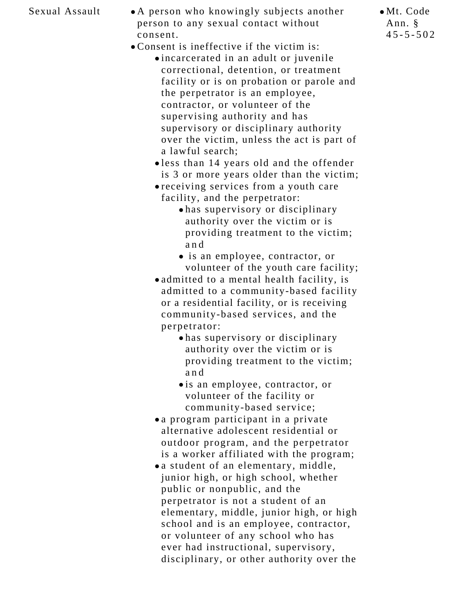- Sexual Assault A person who knowingly subjects another person to any sexual contact without consent.
	- Consent is ineffective if the victim is:
		- incarcerated in an adult or juvenile correctional, detention, or treatment facility or is on probation or parole and the perpetrator is an employee, contractor, or volunteer of the supervising authority and has supervisory or disciplinary authority over the victim, unless the act is part of a lawful search;
			- less than 14 years old and the offender is 3 or more years older than the victim;
			- receiving services from a youth care facility, and the perpetrator:
				- has supervisory or disciplinary authority over the victim or is providing treatment to the victim; and
				- is an employee, contractor, or volunteer of the youth care facility;
			- admitted to a mental health facility, is admitted to a community-based facility or a residential facility, or is receiving community-based services, and the perpetrator:
				- has supervisory or disciplinary authority over the victim or is providing treatment to the victim; and
				- is an employee, contractor, or volunteer of the facility or community-based service;
			- a program participant in a private alternative adolescent residential or outdoor program, and the perpetrator is a worker affiliated with the program;
			- a student of an elementary, middle, junior high, or high school, whether public or nonpublic, and the perpetrator is not a student of an elementary, middle, junior high, or high school and is an employee, contractor, or volunteer of any school who has ever had instructional, supervisory, disciplinary, or other authority over the

Mt. Code Ann. §  $45 - 5 - 502$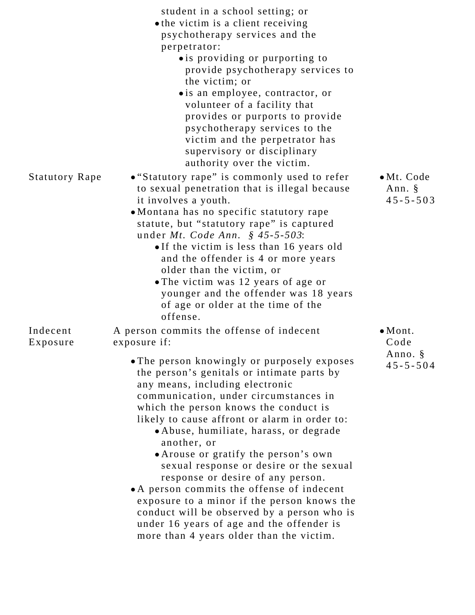|                       | student in a school setting; or<br>• the victim is a client receiving<br>psychotherapy services and the<br>perpetrator:<br>• is providing or purporting to                                                                                                                                                                                                                                                                                                                                                                                                                                                                                                                            |                                           |
|-----------------------|---------------------------------------------------------------------------------------------------------------------------------------------------------------------------------------------------------------------------------------------------------------------------------------------------------------------------------------------------------------------------------------------------------------------------------------------------------------------------------------------------------------------------------------------------------------------------------------------------------------------------------------------------------------------------------------|-------------------------------------------|
|                       | provide psychotherapy services to<br>the victim; or                                                                                                                                                                                                                                                                                                                                                                                                                                                                                                                                                                                                                                   |                                           |
|                       | • is an employee, contractor, or<br>volunteer of a facility that<br>provides or purports to provide<br>psychotherapy services to the<br>victim and the perpetrator has<br>supervisory or disciplinary<br>authority over the victim.                                                                                                                                                                                                                                                                                                                                                                                                                                                   |                                           |
| <b>Statutory Rape</b> | • "Statutory rape" is commonly used to refer<br>to sexual penetration that is illegal because<br>it involves a youth.<br>• Montana has no specific statutory rape<br>statute, but "statutory rape" is captured<br>under <i>Mt. Code Ann.</i> § $45 - 5 - 503$ :<br>• If the victim is less than 16 years old<br>and the offender is 4 or more years<br>older than the victim, or<br>• The victim was 12 years of age or<br>younger and the offender was 18 years<br>of age or older at the time of the<br>offense.                                                                                                                                                                    | • Mt. Code<br>Ann. $\S$<br>$45 - 5 - 503$ |
| Indecent<br>Exposure  | A person commits the offense of indecent<br>exposure if:                                                                                                                                                                                                                                                                                                                                                                                                                                                                                                                                                                                                                              | $\bullet$ Mont.<br>Code                   |
|                       | • The person knowingly or purposely exposes<br>the person's genitals or intimate parts by<br>any means, including electronic<br>communication, under circumstances in<br>which the person knows the conduct is<br>likely to cause affront or alarm in order to:<br>• Abuse, humiliate, harass, or degrade<br>another, or<br>• Arouse or gratify the person's own<br>sexual response or desire or the sexual<br>response or desire of any person.<br>• A person commits the offense of indecent<br>exposure to a minor if the person knows the<br>conduct will be observed by a person who is<br>under 16 years of age and the offender is<br>more than 4 years older than the victim. | Anno. §<br>$45 - 5 - 504$                 |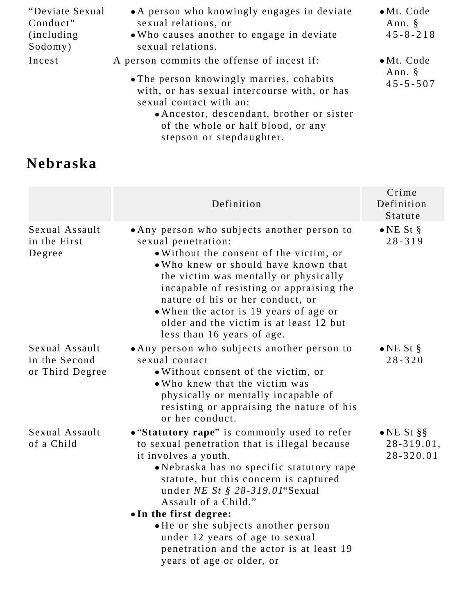| "Deviate Sexual<br>Conduct"<br><i>(including)</i><br>Sodomy) | • A person who knowingly engages in deviate<br>sexual relations, or<br>. Who causes another to engage in deviate<br>sexual relations.                             | $\bullet$ Mt. Code<br>Ann. §<br>$45 - 8 - 218$    |
|--------------------------------------------------------------|-------------------------------------------------------------------------------------------------------------------------------------------------------------------|---------------------------------------------------|
| Incest                                                       | A person commits the offense of incest if:<br>• The person knowingly marries, cohabits<br>with, or has sexual intercourse with, or has<br>sexual contact with an: | $\bullet$ Mt. Code<br>Ann. $\S$<br>$45 - 5 - 507$ |
|                                                              | • Ancestor, descendant, brother or sister<br>of the whole or half blood, or any<br>stepson or stepdaughter.                                                       |                                                   |

## **Nebraska**

|                                                    | Definition                                                                                                                                                                                                                                                                                                                                                                                        | Crime<br>Definition<br>Statute                |
|----------------------------------------------------|---------------------------------------------------------------------------------------------------------------------------------------------------------------------------------------------------------------------------------------------------------------------------------------------------------------------------------------------------------------------------------------------------|-----------------------------------------------|
| Sexual Assault<br>in the First<br>Degree           | • Any person who subjects another person to<br>sexual penetration:<br>. Without the consent of the victim, or<br>• Who knew or should have known that<br>the victim was mentally or physically<br>incapable of resisting or appraising the<br>nature of his or her conduct, or<br>• When the actor is 19 years of age or<br>older and the victim is at least 12 but<br>less than 16 years of age. | $\bullet$ NE St §<br>$28 - 319$               |
| Sexual Assault<br>in the Second<br>or Third Degree | • Any person who subjects another person to<br>sexual contact<br>. Without consent of the victim, or<br>• Who knew that the victim was<br>physically or mentally incapable of<br>resisting or appraising the nature of his<br>or her conduct.                                                                                                                                                     | $\bullet$ NE St §<br>$28 - 320$               |
| Sexual Assault<br>of a Child                       | • "Statutory rape" is commonly used to refer<br>to sexual penetration that is illegal because<br>it involves a youth.<br>• Nebraska has no specific statutory rape<br>statute, but this concern is captured<br>under NE St $\S$ 28-319.01 Sexual<br>Assault of a Child."                                                                                                                          | $\bullet$ NE St §§<br>28-319.01,<br>28-320.01 |
|                                                    | • In the first degree:<br>• He or she subjects another person<br>under 12 years of age to sexual<br>penetration and the actor is at least 19<br>years of age or older, or                                                                                                                                                                                                                         |                                               |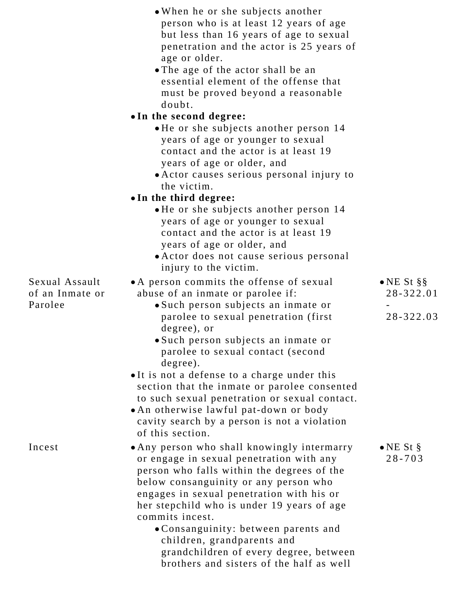|                                   | • When he or she subjects another<br>person who is at least 12 years of age<br>but less than 16 years of age to sexual<br>penetration and the actor is 25 years of<br>age or older.<br>• The age of the actor shall be an<br>essential element of the offense that<br>must be proved beyond a reasonable                                                                                                                                                 |                                     |
|-----------------------------------|----------------------------------------------------------------------------------------------------------------------------------------------------------------------------------------------------------------------------------------------------------------------------------------------------------------------------------------------------------------------------------------------------------------------------------------------------------|-------------------------------------|
|                                   | doubt.                                                                                                                                                                                                                                                                                                                                                                                                                                                   |                                     |
|                                   | •In the second degree:                                                                                                                                                                                                                                                                                                                                                                                                                                   |                                     |
|                                   | • He or she subjects another person 14<br>years of age or younger to sexual<br>contact and the actor is at least 19<br>years of age or older, and<br>• Actor causes serious personal injury to<br>the victim.                                                                                                                                                                                                                                            |                                     |
|                                   | • In the third degree:                                                                                                                                                                                                                                                                                                                                                                                                                                   |                                     |
|                                   | • He or she subjects another person 14<br>years of age or younger to sexual<br>contact and the actor is at least 19<br>years of age or older, and<br>• Actor does not cause serious personal<br>injury to the victim.                                                                                                                                                                                                                                    |                                     |
| Sexual Assault<br>of an Inmate or | • A person commits the offense of sexual<br>abuse of an inmate or parolee if:                                                                                                                                                                                                                                                                                                                                                                            | $\bullet$ NE St §§<br>$28 - 322.01$ |
| Parolee                           | • Such person subjects an inmate or<br>parolee to sexual penetration (first)<br>degree), or<br>• Such person subjects an inmate or<br>parolee to sexual contact (second                                                                                                                                                                                                                                                                                  | 28-322.03                           |
|                                   | degree).<br>• It is not a defense to a charge under this<br>section that the inmate or parolee consented<br>to such sexual penetration or sexual contact.<br>• An otherwise lawful pat-down or body<br>cavity search by a person is not a violation<br>of this section.                                                                                                                                                                                  |                                     |
| Incest                            | • Any person who shall knowingly intermarry<br>or engage in sexual penetration with any<br>person who falls within the degrees of the<br>below consanguinity or any person who<br>engages in sexual penetration with his or<br>her stepchild who is under 19 years of age<br>commits incest.<br>• Consanguinity: between parents and<br>children, grandparents and<br>grandchildren of every degree, between<br>brothers and sisters of the half as well | $\bullet$ NE St §<br>$28 - 703$     |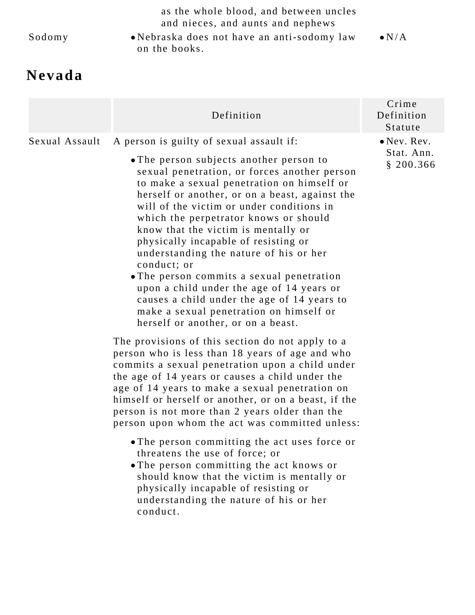| Sodomy | as the whole blood, and between uncles<br>and nieces, and aunts and nephews<br>• Nebraska does not have an anti-sodomy law<br>on the books. | $\bullet N/A$        |
|--------|---------------------------------------------------------------------------------------------------------------------------------------------|----------------------|
| Nevada |                                                                                                                                             |                      |
|        |                                                                                                                                             | $\bigcap_{n \geq 1}$ |

|                | Definition                                                                                                                                                                                                                                                                                                                                                                                                                                                                                                                                                                                                                                                                                  | Crime<br>Definition<br>Statute                 |
|----------------|---------------------------------------------------------------------------------------------------------------------------------------------------------------------------------------------------------------------------------------------------------------------------------------------------------------------------------------------------------------------------------------------------------------------------------------------------------------------------------------------------------------------------------------------------------------------------------------------------------------------------------------------------------------------------------------------|------------------------------------------------|
| Sexual Assault | A person is guilty of sexual assault if:<br>• The person subjects another person to<br>sexual penetration, or forces another person<br>to make a sexual penetration on himself or<br>herself or another, or on a beast, against the<br>will of the victim or under conditions in<br>which the perpetrator knows or should<br>know that the victim is mentally or<br>physically incapable of resisting or<br>understanding the nature of his or her<br>conduct; or<br>• The person commits a sexual penetration<br>upon a child under the age of 14 years or<br>causes a child under the age of 14 years to<br>make a sexual penetration on himself or<br>herself or another, or on a beast. | $\bullet$ Nev. Rev.<br>Stat. Ann.<br>\$200.366 |

The provisions of this section do not apply to a person who is less than 18 years of age and who commits a sexual penetration upon a child under the age of 14 years or causes a child under the age of 14 years to make a sexual penetration on himself or herself or another, or on a beast, if the person is not more than 2 years older than the person upon whom the act was committed unless:

- The person committing the act uses force or threatens the use of force; or
- The person committing the act knows or should know that the victim is mentally or physically incapable of resisting or understanding the nature of his or her conduct.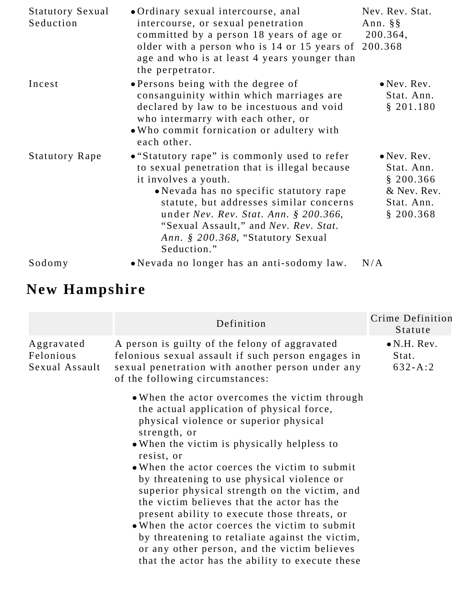| <b>Statutory Sexual</b><br>Seduction | • Ordinary sexual intercourse, anal<br>intercourse, or sexual penetration<br>committed by a person 18 years of age or<br>older with a person who is 14 or 15 years of 200.368<br>age and who is at least 4 years younger than<br>the perpetrator.                                                                                                  | Nev. Rev. Stat.<br>Ann. $\S$ $\S$<br>200.364,                                            |
|--------------------------------------|----------------------------------------------------------------------------------------------------------------------------------------------------------------------------------------------------------------------------------------------------------------------------------------------------------------------------------------------------|------------------------------------------------------------------------------------------|
| Incest                               | • Persons being with the degree of<br>consanguinity within which marriages are<br>declared by law to be incestuous and void<br>who intermarry with each other, or<br>• Who commit fornication or adultery with<br>each other.                                                                                                                      | $\bullet$ Nev. Rev.<br>Stat. Ann.<br>\$201.180                                           |
| <b>Statutory Rape</b>                | • "Statutory rape" is commonly used to refer<br>to sexual penetration that is illegal because<br>it involves a youth.<br>• Nevada has no specific statutory rape<br>statute, but addresses similar concerns<br>under Nev. Rev. Stat. Ann. $$200.366,$<br>"Sexual Assault," and Nev. Rev. Stat.<br>Ann. § 200.368, "Statutory Sexual<br>Seduction." | $\bullet$ Nev. Rev.<br>Stat. Ann.<br>\$200.366<br>& Nev. Rev.<br>Stat. Ann.<br>\$200.368 |
| Sodomy                               | • Nevada no longer has an anti-sodomy law.                                                                                                                                                                                                                                                                                                         | N/A                                                                                      |

# **New Hampshire**

|                                           | Definition                                                                                                                                                                                                                                                                                                                                                                                                                                                                                                                                                                                                                                                             | Crime Definition<br>Statute                 |
|-------------------------------------------|------------------------------------------------------------------------------------------------------------------------------------------------------------------------------------------------------------------------------------------------------------------------------------------------------------------------------------------------------------------------------------------------------------------------------------------------------------------------------------------------------------------------------------------------------------------------------------------------------------------------------------------------------------------------|---------------------------------------------|
| Aggravated<br>Felonious<br>Sexual Assault | A person is guilty of the felony of aggravated<br>felonious sexual assault if such person engages in<br>sexual penetration with another person under any<br>of the following circumstances:                                                                                                                                                                                                                                                                                                                                                                                                                                                                            | $\bullet$ N.H. Rev.<br>Stat.<br>$632 - A:2$ |
|                                           | • When the actor overcomes the victim through<br>the actual application of physical force,<br>physical violence or superior physical<br>strength, or<br>• When the victim is physically helpless to<br>resist, or<br>• When the actor coerces the victim to submit<br>by threatening to use physical violence or<br>superior physical strength on the victim, and<br>the victim believes that the actor has the<br>present ability to execute those threats, or<br>• When the actor coerces the victim to submit<br>by threatening to retaliate against the victim,<br>or any other person, and the victim believes<br>that the actor has the ability to execute these |                                             |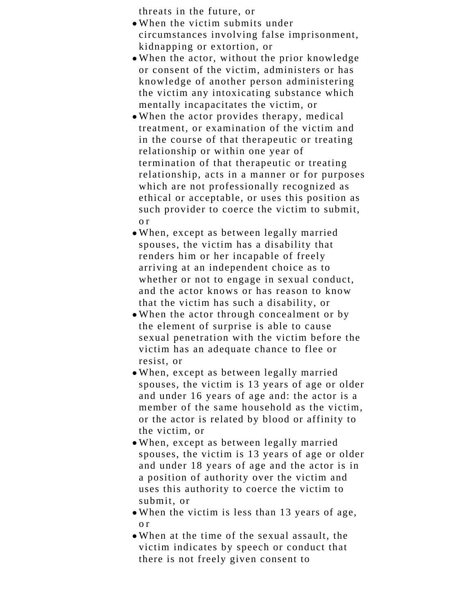threats in the future, or

- When the victim submits under circumstances involving false imprisonment, kidnapping or extortion, or
- When the actor, without the prior knowledge or consent of the victim, administers or has knowledge of another person administering the victim any intoxicating substance which mentally incapacitates the victim, or
- When the actor provides therapy, medical treatment, or examination of the victim and in the course of that therapeutic or treating relationship or within one year of termination of that therapeutic or treating relationship, acts in a manner or for purposes which are not professionally recognized as ethical or acceptable, or uses this position as such provider to coerce the victim to submit, o r
- When, except as between legally married spouses, the victim has a disability that renders him or her incapable of freely arriving at an independent choice as to whether or not to engage in sexual conduct, and the actor knows or has reason to know that the victim has such a disability, or
- When the actor through concealment or by the element of surprise is able to cause sexual penetration with the victim before the victim has an adequate chance to flee or resist, or
- When, except as between legally married spouses, the victim is 13 years of age or older and under 16 years of age and: the actor is a member of the same household as the victim, or the actor is related by blood or affinity to the victim, or
- When, except as between legally married spouses, the victim is 13 years of age or older and under 18 years of age and the actor is in a position of authority over the victim and uses this authority to coerce the victim to submit, or
- When the victim is less than 13 years of age, o r
- When at the time of the sexual assault, the victim indicates by speech or conduct that there is not freely given consent to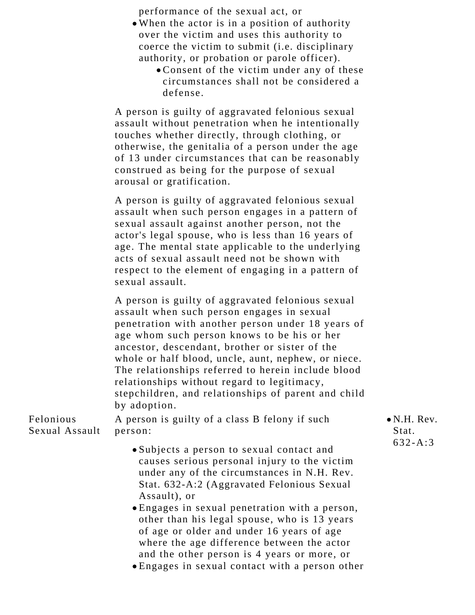performance of the sexual act, or

- When the actor is in a position of authority over the victim and uses this authority to coerce the victim to submit (i.e. disciplinary authority, or probation or parole officer).
	- Consent of the victim under any of these circumstances shall not be considered a defense.

A person is guilty of aggravated felonious sexual assault without penetration when he intentionally touches whether directly, through clothing, or otherwise, the genitalia of a person under the age of 13 under circumstances that can be reasonably construed as being for the purpose of sexual arousal or gratification.

A person is guilty of aggravated felonious sexual assault when such person engages in a pattern of sexual assault against another person, not the actor's legal spouse, who is less than 16 years of age. The mental state applicable to the underlying acts of sexual assault need not be shown with respect to the element of engaging in a pattern of sexual assault.

A person is guilty of aggravated felonious sexual assault when such person engages in sexual penetration with another person under 18 years of age whom such person knows to be his or her ancestor, descendant, brother or sister of the whole or half blood, uncle, aunt, nephew, or niece. The relationships referred to herein include blood relationships without regard to legitimacy, stepchildren, and relationships of parent and child by adoption.

Felonious Sexual Assault A person is guilty of a class B felony if such person:

- Subjects a person to sexual contact and causes serious personal injury to the victim under any of the circumstances in N.H. Rev. Stat. 632-A:2 (Aggravated Felonious Sexual Assault), or
- Engages in sexual penetration with a person, other than his legal spouse, who is 13 years of age or older and under 16 years of age where the age difference between the actor and the other person is 4 years or more, or

Engages in sexual contact with a person other

N.H. Rev. Stat. 632-A:3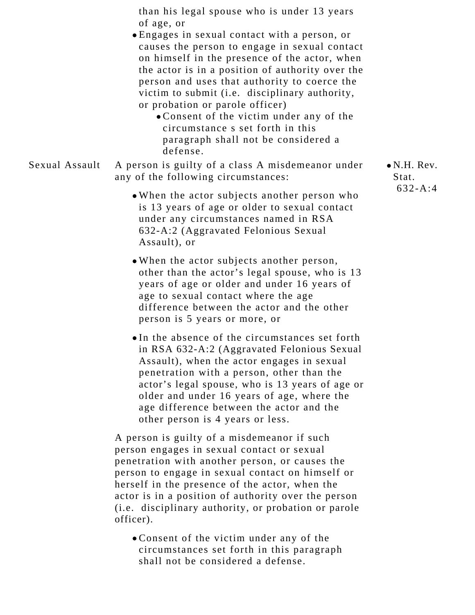than his legal spouse who is under 13 years of age, or

- Engages in sexual contact with a person, or causes the person to engage in sexual contact on himself in the presence of the actor, when the actor is in a position of authority over the person and uses that authority to coerce the victim to submit (i.e. disciplinary authority, or probation or parole officer)
	- Consent of the victim under any of the circumstance s set forth in this paragraph shall not be considered a defense.
- Sexual Assault A person is guilty of a class A misdemeanor under any of the following circumstances:
	- When the actor subjects another person who is 13 years of age or older to sexual contact under any circumstances named in RSA 632-A:2 (Aggravated Felonious Sexual Assault), or
	- When the actor subjects another person, other than the actor's legal spouse, who is 13 years of age or older and under 16 years of age to sexual contact where the age difference between the actor and the other person is 5 years or more, or
	- In the absence of the circumstances set forth in RSA 632-A:2 (Aggravated Felonious Sexual Assault), when the actor engages in sexual penetration with a person, other than the actor's legal spouse, who is 13 years of age or older and under 16 years of age, where the age difference between the actor and the other person is 4 years or less.

A person is guilty of a misdemeanor if such person engages in sexual contact or sexual penetration with another person, or causes the person to engage in sexual contact on himself or herself in the presence of the actor, when the actor is in a position of authority over the person (i.e. disciplinary authority, or probation or parole officer).

Consent of the victim under any of the circumstances set forth in this paragraph shall not be considered a defense.

N.H. Rev. Stat. 632-A:4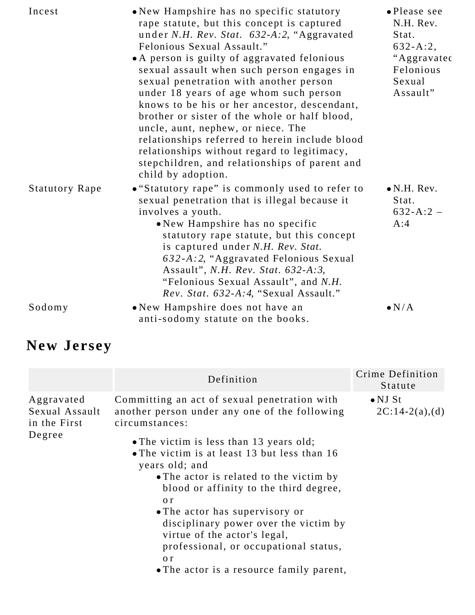| Incest                | • New Hampshire has no specific statutory<br>rape statute, but this concept is captured<br>under N.H. Rev. Stat. 632-A:2, "Aggravated<br>Felonious Sexual Assault."<br>• A person is guilty of aggravated felonious<br>sexual assault when such person engages in<br>sexual penetration with another person<br>under 18 years of age whom such person<br>knows to be his or her ancestor, descendant,<br>brother or sister of the whole or half blood,<br>uncle, aunt, nephew, or niece. The<br>relationships referred to herein include blood<br>relationships without regard to legitimacy,<br>stepchildren, and relationships of parent and<br>child by adoption. | · Please see<br>N.H. Rev.<br>Stat.<br>$632 - A:2,$<br>"Aggravated<br>Felonious<br>Sexual<br>Assault" |
|-----------------------|----------------------------------------------------------------------------------------------------------------------------------------------------------------------------------------------------------------------------------------------------------------------------------------------------------------------------------------------------------------------------------------------------------------------------------------------------------------------------------------------------------------------------------------------------------------------------------------------------------------------------------------------------------------------|------------------------------------------------------------------------------------------------------|
| <b>Statutory Rape</b> | • "Statutory rape" is commonly used to refer to<br>sexual penetration that is illegal because it<br>involves a youth.<br>• New Hampshire has no specific<br>statutory rape statute, but this concept<br>is captured under N.H. Rev. Stat.<br>632-A:2, "Aggravated Felonious Sexual<br>Assault", <i>N.H. Rev. Stat.</i> 632-A:3,<br>"Felonious Sexual Assault", and N.H.<br>Rev. Stat. 632-A:4, "Sexual Assault."                                                                                                                                                                                                                                                     | $\bullet$ N.H. Rev.<br>Stat.<br>$632 - A:2 -$<br>A:4                                                 |
| Sodomy                | • New Hampshire does not have an<br>anti-sodomy statute on the books.                                                                                                                                                                                                                                                                                                                                                                                                                                                                                                                                                                                                | $\bullet N/A$                                                                                        |

# **New Jersey**

|                                                        | Definition                                                                                                                                                                                                                                                                                                                                                                                                                                 | Crime Definition<br>Statute         |
|--------------------------------------------------------|--------------------------------------------------------------------------------------------------------------------------------------------------------------------------------------------------------------------------------------------------------------------------------------------------------------------------------------------------------------------------------------------------------------------------------------------|-------------------------------------|
| Aggravated<br>Sexual Assault<br>in the First<br>Degree | Committing an act of sexual penetration with<br>another person under any one of the following<br>circumstances:<br>• The victim is less than 13 years old;<br>• The victim is at least 13 but less than 16<br>years old; and<br>• The actor is related to the victim by<br>blood or affinity to the third degree,<br>$\alpha r$<br>• The actor has supervisory or<br>disciplinary power over the victim by<br>virtue of the actor's legal, | $\bullet$ NJ St<br>$2C:14-2(a),(d)$ |
|                                                        | professional, or occupational status,<br>o r<br>• The actor is a resource family parent,                                                                                                                                                                                                                                                                                                                                                   |                                     |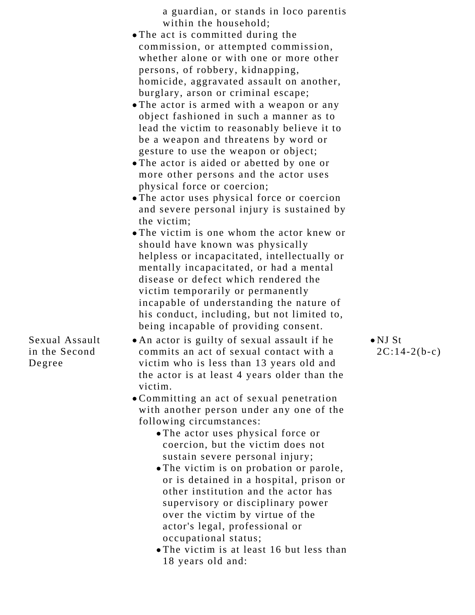a guardian, or stands in loco parentis within the household;

- The act is committed during the commission, or attempted commission, whether alone or with one or more other persons, of robbery, kidnapping, homicide, aggravated assault on another, burglary, arson or criminal escape;
- The actor is armed with a weapon or any object fashioned in such a manner as to lead the victim to reasonably believe it to be a weapon and threatens by word or gesture to use the weapon or object;
- The actor is aided or abetted by one or more other persons and the actor uses physical force or coercion;
- The actor uses physical force or coercion and severe personal injury is sustained by the victim;
- The victim is one whom the actor knew or should have known was physically helpless or incapacitated, intellectually or mentally incapacitated, or had a mental disease or defect which rendered the victim temporarily or permanently incapable of understanding the nature of his conduct, including, but not limited to, being incapable of providing consent.
- An actor is guilty of sexual assault if he commits an act of sexual contact with a victim who is less than 13 years old and the actor is at least 4 years older than the victim.
- Committing an act of sexual penetration with another person under any one of the following circumstances:
	- The actor uses physical force or coercion, but the victim does not sustain severe personal injury;
	- The victim is on probation or parole, or is detained in a hospital, prison or other institution and the actor has supervisory or disciplinary power over the victim by virtue of the actor's legal, professional or occupational status;
	- The victim is at least 16 but less than 18 years old and:

NJ St  $2C:14-2(b-c)$ 

Sexual Assault in the Second Degree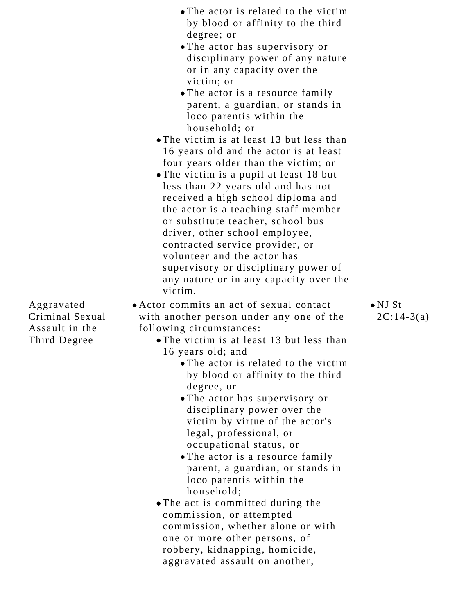- The actor is related to the victim by blood or affinity to the third degree; or
- The actor has supervisory or disciplinary power of any nature or in any capacity over the victim; or
- The actor is a resource family parent, a guardian, or stands in loco parentis within the household; or
- The victim is at least 13 but less than 16 years old and the actor is at least four years older than the victim; or
- The victim is a pupil at least 18 but less than 22 years old and has not received a high school diploma and the actor is a teaching staff member or substitute teacher, school bus driver, other school employee, contracted service provider, or volunteer and the actor has supervisory or disciplinary power of any nature or in any capacity over the victim.
- 
- Actor commits an act of sexual contact with another person under any one of the following circumstances:
	- The victim is at least 13 but less than 16 years old; and
		- The actor is related to the victim by blood or affinity to the third degree, or
		- The actor has supervisory or disciplinary power over the victim by virtue of the actor's legal, professional, or occupational status, or
		- The actor is a resource family parent, a guardian, or stands in loco parentis within the household;
	- The act is committed during the commission, or attempted commission, whether alone or with one or more other persons, of robbery, kidnapping, homicide, aggravated assault on another,

NJ St  $2C:14-3(a)$ 

Aggravated Criminal Sexual Assault in the Third Degree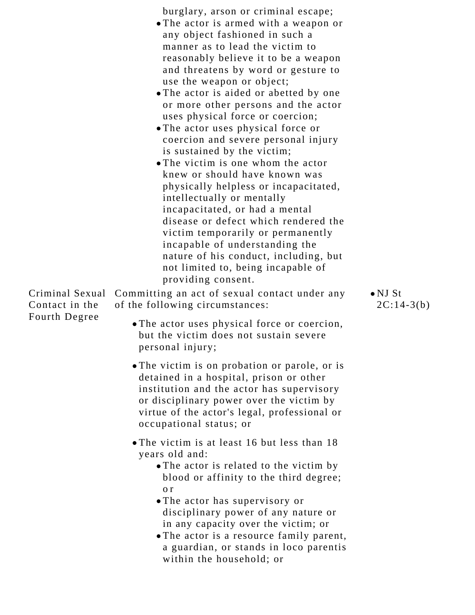| burglary, arson or criminal escape; |  |  |
|-------------------------------------|--|--|
|                                     |  |  |

- The actor is armed with a weapon or any object fashioned in such a manner as to lead the victim to reasonably believe it to be a weapon and threatens by word or gesture to use the weapon or object;
- The actor is aided or abetted by one or more other persons and the actor uses physical force or coercion;
- The actor uses physical force or coercion and severe personal injury is sustained by the victim;
- The victim is one whom the actor knew or should have known was physically helpless or incapacitated, intellectually or mentally incapacitated, or had a mental disease or defect which rendered the victim temporarily or permanently incapable of understanding the nature of his conduct, including, but not limited to, being incapable of providing consent.

Criminal Sexual Committing an act of sexual contact under any Contact in the Fourth Degree of the following circumstances:

- The actor uses physical force or coercion, but the victim does not sustain severe personal injury;
- The victim is on probation or parole, or is detained in a hospital, prison or other institution and the actor has supervisory or disciplinary power over the victim by virtue of the actor's legal, professional or occupational status; or
- The victim is at least 16 but less than 18 years old and:
	- The actor is related to the victim by blood or affinity to the third degree; o r
	- The actor has supervisory or disciplinary power of any nature or in any capacity over the victim; or
	- The actor is a resource family parent, a guardian, or stands in loco parentis within the household; or

NJ St  $2C:14-3(b)$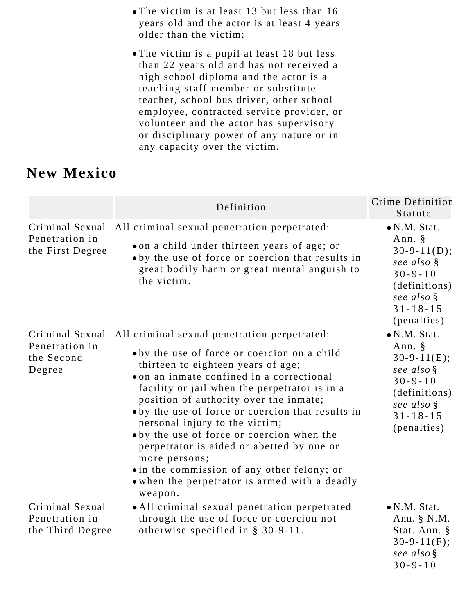- The victim is at least 13 but less than 16 years old and the actor is at least 4 years older than the victim;
- The victim is a pupil at least 18 but less than 22 years old and has not received a high school diploma and the actor is a teaching staff member or substitute teacher, school bus driver, other school employee, contracted service provider, or volunteer and the actor has supervisory or disciplinary power of any nature or in any capacity over the victim.

## **New Mexico**

|                                                           | Definition                                                                                                                                                                                                                                                                                                                                                                                                                                                                                                                                                                           | Crime Definition<br>Statute                                                                                                                       |
|-----------------------------------------------------------|--------------------------------------------------------------------------------------------------------------------------------------------------------------------------------------------------------------------------------------------------------------------------------------------------------------------------------------------------------------------------------------------------------------------------------------------------------------------------------------------------------------------------------------------------------------------------------------|---------------------------------------------------------------------------------------------------------------------------------------------------|
| Criminal Sexual<br>Penetration in<br>the First Degree     | All criminal sexual penetration perpetrated:<br>on a child under thirteen years of age; or<br>• by the use of force or coercion that results in<br>great bodily harm or great mental anguish to<br>the victim.                                                                                                                                                                                                                                                                                                                                                                       | $\bullet$ N.M. Stat.<br>Ann. $\S$<br>$30-9-11(D);$<br>see also §<br>$30 - 9 - 10$<br>(definitions)<br>see also §<br>$31 - 18 - 15$<br>(penalties) |
| Criminal Sexual<br>Penetration in<br>the Second<br>Degree | All criminal sexual penetration perpetrated:<br>• by the use of force or coercion on a child<br>thirteen to eighteen years of age;<br>on an inmate confined in a correctional<br>facility or jail when the perpetrator is in a<br>position of authority over the inmate;<br>oby the use of force or coercion that results in<br>personal injury to the victim;<br>oby the use of force or coercion when the<br>perpetrator is aided or abetted by one or<br>more persons;<br>• in the commission of any other felony; or<br>. when the perpetrator is armed with a deadly<br>weapon. | $\bullet$ N.M. Stat.<br>Ann. $\S$<br>$30-9-11(E);$<br>see also §<br>$30 - 9 - 10$<br>(definitions)<br>see also §<br>$31 - 18 - 15$<br>(penalties) |
| Criminal Sexual<br>Penetration in<br>the Third Degree     | • All criminal sexual penetration perpetrated<br>through the use of force or coercion not<br>otherwise specified in $\S$ 30-9-11.                                                                                                                                                                                                                                                                                                                                                                                                                                                    | $\bullet$ N.M. Stat.<br>Ann. $\S$ N.M.<br>Stat. Ann. §<br>$30-9-11(F);$<br>see also §<br>$30 - 9 - 10$                                            |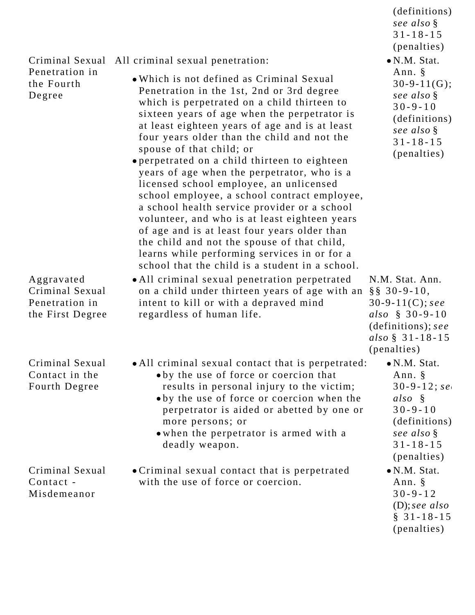| Criminal Sexual                                                     | All criminal sexual penetration:                                                                                                                                                                                                                                                                                                                                                                                                                                                                                                                                                                                                                                                                                                                                                                                 | see also §<br>$31 - 18 - 15$<br>(penalties)<br>$\bullet$ N.M. Stat.                                                                                   |
|---------------------------------------------------------------------|------------------------------------------------------------------------------------------------------------------------------------------------------------------------------------------------------------------------------------------------------------------------------------------------------------------------------------------------------------------------------------------------------------------------------------------------------------------------------------------------------------------------------------------------------------------------------------------------------------------------------------------------------------------------------------------------------------------------------------------------------------------------------------------------------------------|-------------------------------------------------------------------------------------------------------------------------------------------------------|
| Penetration in<br>the Fourth<br>Degree                              | • Which is not defined as Criminal Sexual<br>Penetration in the 1st, 2nd or 3rd degree<br>which is perpetrated on a child thirteen to<br>sixteen years of age when the perpetrator is<br>at least eighteen years of age and is at least<br>four years older than the child and not the<br>spouse of that child; or<br>• perpetrated on a child thirteen to eighteen<br>years of age when the perpetrator, who is a<br>licensed school employee, an unlicensed<br>school employee, a school contract employee,<br>a school health service provider or a school<br>volunteer, and who is at least eighteen years<br>of age and is at least four years older than<br>the child and not the spouse of that child,<br>learns while performing services in or for a<br>school that the child is a student in a school. | Ann. $\S$<br>$30 - 9 - 11(G);$<br>see also §<br>$30 - 9 - 10$<br>(definitions)<br>see also §<br>$31 - 18 - 15$<br>(penalties)                         |
| Aggravated<br>Criminal Sexual<br>Penetration in<br>the First Degree | • All criminal sexual penetration perpetrated<br>on a child under thirteen years of age with an<br>intent to kill or with a depraved mind<br>regardless of human life.                                                                                                                                                                                                                                                                                                                                                                                                                                                                                                                                                                                                                                           | N.M. Stat. Ann.<br>$\S$ § 30-9-10,<br>30-9-11(C); see<br>also $§ 30-9-10$<br>(definitions); see<br>also $\S$ 31-18-15<br>(penalties)                  |
| Criminal Sexual<br>Contact in the<br>Fourth Degree                  | • All criminal sexual contact that is perpetrated:<br>oby the use of force or coercion that<br>results in personal injury to the victim;<br>• by the use of force or coercion when the<br>perpetrator is aided or abetted by one or<br>more persons; or<br>• when the perpetrator is armed with a<br>deadly weapon.                                                                                                                                                                                                                                                                                                                                                                                                                                                                                              | $\bullet$ N.M. Stat.<br>Ann. $\S$<br>$30 - 9 - 12$ ; se<br>$also \S$<br>$30 - 9 - 10$<br>(definitions)<br>see also §<br>$31 - 18 - 15$<br>(penalties) |
| Criminal Sexual<br>Contact -<br>Misdemeanor                         | • Criminal sexual contact that is perpetrated<br>with the use of force or coercion.                                                                                                                                                                                                                                                                                                                                                                                                                                                                                                                                                                                                                                                                                                                              | $\bullet$ N.M. Stat.<br>Ann. §<br>$30 - 9 - 12$<br>$(D)$ ; see also<br>$§ 31 - 18 - 15$<br>(penalties)                                                |

(definitions);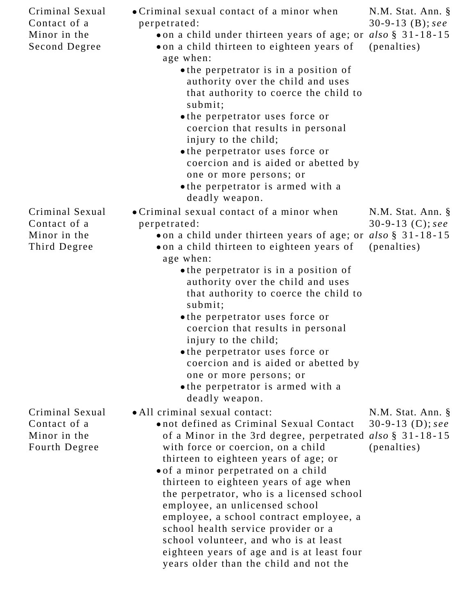| Criminal Sexual<br>Contact of a<br>Minor in the<br>Second Degree | • Criminal sexual contact of a minor when<br>perpetrated:<br>on a child under thirteen years of age; or<br>on a child thirteen to eighteen years of<br>age when:<br>• the perpetrator is in a position of<br>authority over the child and uses<br>that authority to coerce the child to<br>submit;<br>• the perpetrator uses force or<br>coercion that results in personal<br>injury to the child;<br>• the perpetrator uses force or                                                                                                                                                                     | N.M. Stat. Ann. §<br>30-9-13 (B); see<br>also $\S$ 31-18-15<br>(penalties) |
|------------------------------------------------------------------|-----------------------------------------------------------------------------------------------------------------------------------------------------------------------------------------------------------------------------------------------------------------------------------------------------------------------------------------------------------------------------------------------------------------------------------------------------------------------------------------------------------------------------------------------------------------------------------------------------------|----------------------------------------------------------------------------|
|                                                                  | coercion and is aided or abetted by<br>one or more persons; or<br>• the perpetrator is armed with a<br>deadly weapon.                                                                                                                                                                                                                                                                                                                                                                                                                                                                                     |                                                                            |
| Criminal Sexual                                                  | • Criminal sexual contact of a minor when                                                                                                                                                                                                                                                                                                                                                                                                                                                                                                                                                                 | N.M. Stat. Ann. §                                                          |
| Contact of a                                                     | perpetrated:                                                                                                                                                                                                                                                                                                                                                                                                                                                                                                                                                                                              | 30-9-13 (C); see                                                           |
| Minor in the                                                     | on a child under thirteen years of age; or                                                                                                                                                                                                                                                                                                                                                                                                                                                                                                                                                                | also $\S$ 31-18-15                                                         |
| Third Degree                                                     | on a child thirteen to eighteen years of<br>age when:                                                                                                                                                                                                                                                                                                                                                                                                                                                                                                                                                     | (penalties)                                                                |
|                                                                  | • the perpetrator is in a position of<br>authority over the child and uses<br>that authority to coerce the child to<br>submit;<br>• the perpetrator uses force or                                                                                                                                                                                                                                                                                                                                                                                                                                         |                                                                            |
|                                                                  | coercion that results in personal<br>injury to the child;<br>• the perpetrator uses force or<br>coercion and is aided or abetted by<br>one or more persons; or<br>• the perpetrator is armed with a<br>deadly weapon.                                                                                                                                                                                                                                                                                                                                                                                     |                                                                            |
| Criminal Sexual<br>Contact of a<br>Minor in the<br>Fourth Degree | • All criminal sexual contact:<br>onot defined as Criminal Sexual Contact<br>of a Minor in the 3rd degree, perpetrated also $\S$ 31-18-15<br>with force or coercion, on a child<br>thirteen to eighteen years of age; or<br>of a minor perpetrated on a child<br>thirteen to eighteen years of age when<br>the perpetrator, who is a licensed school<br>employee, an unlicensed school<br>employee, a school contract employee, a<br>school health service provider or a<br>school volunteer, and who is at least<br>eighteen years of age and is at least four<br>years older than the child and not the | N.M. Stat. Ann. §<br>30-9-13 (D); see<br>(penalties)                       |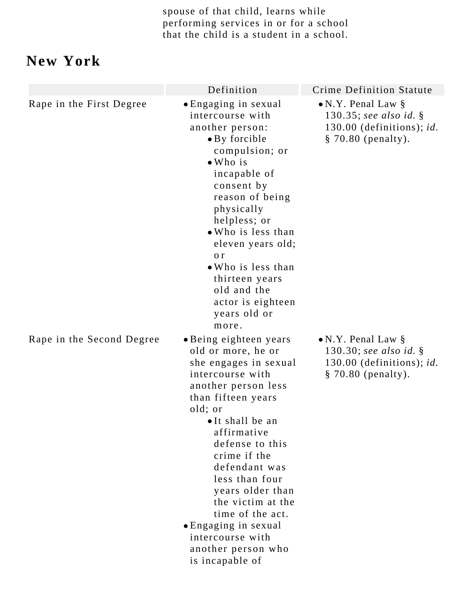spouse of that child, learns while performing services in or for a school that the child is a student in a school.

## **New York**

|                           | Definition                                                                                                                                                                                                                                                                                                                                                                                                  | <b>Crime Definition Statute</b>                                                                              |
|---------------------------|-------------------------------------------------------------------------------------------------------------------------------------------------------------------------------------------------------------------------------------------------------------------------------------------------------------------------------------------------------------------------------------------------------------|--------------------------------------------------------------------------------------------------------------|
| Rape in the First Degree  | • Engaging in sexual<br>intercourse with<br>another person:<br>• By forcible<br>compulsion; or<br>$\bullet$ Who is<br>incapable of<br>consent by<br>reason of being<br>physically<br>helpless; or<br>• Who is less than<br>eleven years old;<br>o r<br>• Who is less than<br>thirteen years<br>old and the<br>actor is eighteen<br>years old or<br>more.                                                    | $\bullet$ N.Y. Penal Law §<br>130.35; see also id. $\S$<br>130.00 (definitions); id.<br>$§ 70.80$ (penalty). |
| Rape in the Second Degree | • Being eighteen years<br>old or more, he or<br>she engages in sexual<br>intercourse with<br>another person less<br>than fifteen years<br>old; or<br>•It shall be an<br>affirmative<br>defense to this<br>crime if the<br>defendant was<br>less than four<br>years older than<br>the victim at the<br>time of the act.<br>• Engaging in sexual<br>intercourse with<br>another person who<br>is incapable of | $\bullet$ N.Y. Penal Law §<br>130.30; see also id. $\S$<br>130.00 (definitions); id.<br>$§ 70.80$ (penalty). |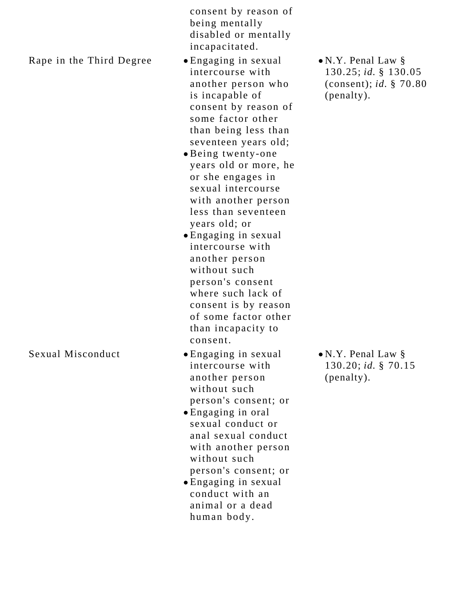consent by reason of being mentally disabled or mentally incapacitated.

Rape in the Third Degree  $\bullet$  Engaging in sexual

- intercourse with another person who is incapable of consent by reason of some factor other than being less than seventeen years old;
- Being twenty-one years old or more, he or she engages in sexual intercourse with another person less than seventeen years old; or
- Engaging in sexual intercourse with another person without such person's consent where such lack of consent is by reason of some factor other than incapacity to consent.
- Sexual Misconduct Engaging in sexual intercourse with another person without such person's consent; or
	- Engaging in oral sexual conduct or anal sexual conduct with another person without such person's consent; or
	- Engaging in sexual conduct with an animal or a dead human body.

N.Y. Penal Law § 130.25; *id.* § 130.05 (consent); *id.* § 70.80 (penalty).

N.Y. Penal Law § 130.20; *id.* § 70.15 (penalty).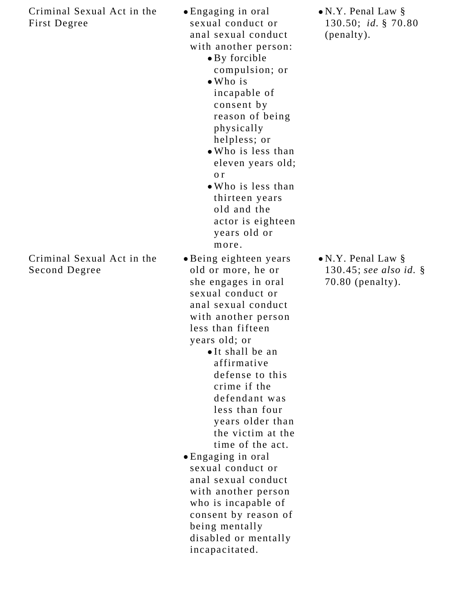Criminal Sexual Act in the First Degree

Criminal Sexual Act in the Second Degree

- Engaging in oral sexual conduct or anal sexual conduct with another person:
	- By forcible compulsion; or
	- Who is incapable of consent by reason of being physically helpless; or
	- Who is less than eleven years old; o r
	- Who is less than thirteen years old and the actor is eighteen years old or more.

Being eighteen years old or more, he or she engages in oral sexual conduct or anal sexual conduct with another person less than fifteen years old; or

> It shall be an affirmative defense to this crime if the defendant was less than four years older than the victim at the time of the act.

Engaging in oral sexual conduct or anal sexual conduct with another person who is incapable of consent by reason of being mentally disabled or mentally incapacitated.

N.Y. Penal Law § 130.50; *id.* § 70.80 (penalty).

N.Y. Penal Law § 130.45; *see also id.* § 70.80 (penalty).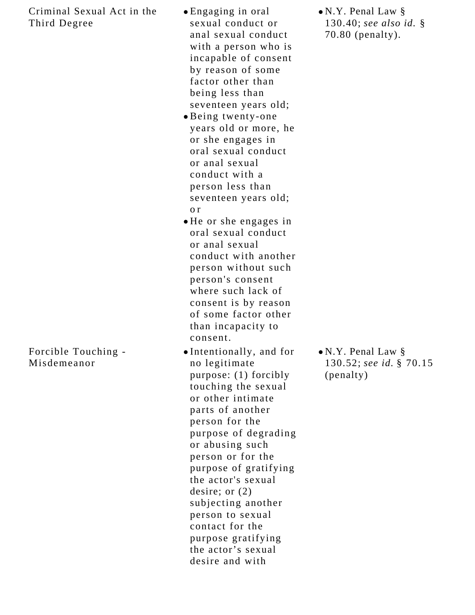#### Criminal Sexual Act in the Third Degree

- Forcible Touching -
- Misdemeanor
- Engaging in oral sexual conduct or anal sexual conduct with a person who is incapable of consent by reason of some factor other than being less than seventeen years old;
- Being twenty-one years old or more, he or she engages in oral sexual conduct or anal sexual conduct with a person less than seventeen years old; o r
- He or she engages in oral sexual conduct or anal sexual conduct with another person without such person's consent where such lack of consent is by reason of some factor other than incapacity to consent.
- Intentionally, and for no legitimate purpose: (1) forcibly touching the sexual or other intimate parts of another person for the purpose of degrading or abusing such person or for the purpose of gratifying the actor's sexual desire; or (2) subjecting another person to sexual contact for the purpose gratifying the actor's sexual desire and with

N.Y. Penal Law § 130.40; *see also id.* § 70.80 (penalty).

N.Y. Penal Law § 130.52; *see id.* § 70.15 (penalty)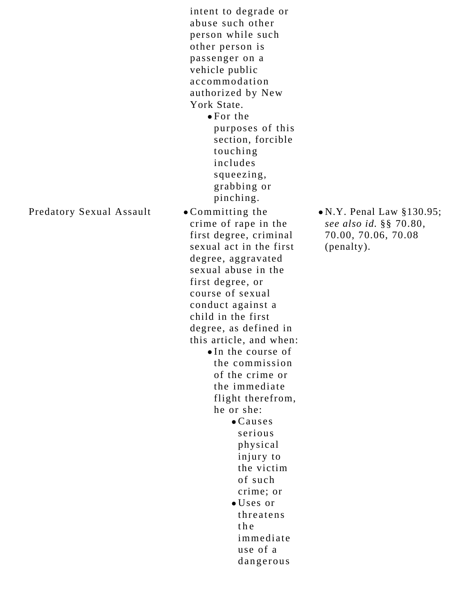intent to degrade or abuse such other person while such other person is passenger on a vehicle public accommodation authorized by New York State. For the

purposes of this section, forcible touching includes squeezing, grabbing or pinching.

#### Predatory Sexual Assault • Committing the

crime of rape in the first degree, criminal sexual act in the first degree, aggravated sexual abuse in the first degree, or course of sexual conduct against a child in the first degree, as defined in this article, and when: •In the course of the commission of the crime or the immediate flight therefrom, he or she: Causes serious physical injury to the victim of such crime; or Uses or threatens the immediate

> use of a dangerous

N.Y. Penal Law §130.95; *see also id.* §§ 70.80, 70.00, 70.06, 70.08 (penalty).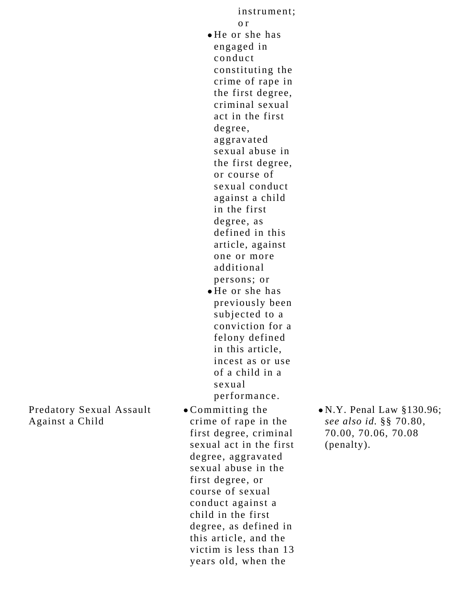Predatory Sexual Assault Against a Child

sexual performance. Committing the crime of rape in the first degree, criminal sexual act in the first degree, aggravated sexual abuse in the first degree, or course of sexual conduct against a child in the first degree, as defined in this article, and the victim is less than 13 years old, when the

N.Y. Penal Law §130.96; *see also id.* §§ 70.80, 70.00, 70.06, 70.08 (penalty).

instrument; o r He or she has engaged in conduct constituting the crime of rape in the first degree, criminal sexual act in the first degree, aggravated sexual abuse in the first degree, or course of sexual conduct against a child in the first degree, as defined in this article, against one or more additional persons; or He or she has previously been subjected to a

conviction for a felony defined in this article, incest as or use of a child in a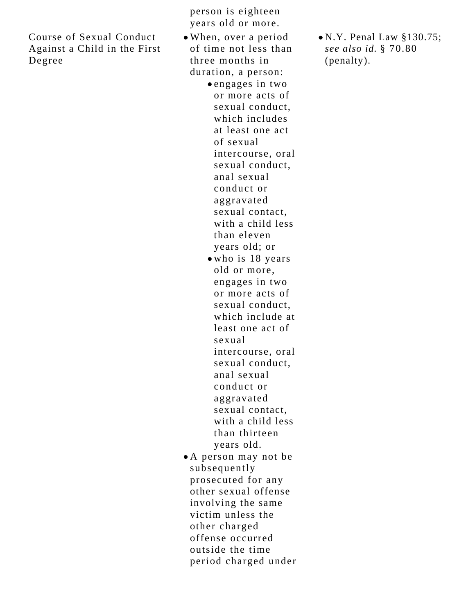Course of Sexual Conduct Against a Child in the First Degree

person is eighteen years old or more.

- When, over a period of time not less than three months in duration, a person:
	- engages in two or more acts of sexual conduct, which includes at least one act of sexual intercourse, oral sexual conduct, anal sexual conduct or aggravated sexual contact, with a child less than eleven years old; or
	- who is 18 years old or more, engages in two or more acts of sexual conduct, which include at least one act of sexual intercourse, oral sexual conduct, anal sexual conduct or aggravated sexual contact, with a child less than thirteen years old.
- A person may not be subsequently prosecuted for any other sexual offense involving the same victim unless the other charged offense occurred outside the time period charged under

N.Y. Penal Law §130.75; *see also id.* § 70.80 (penalty).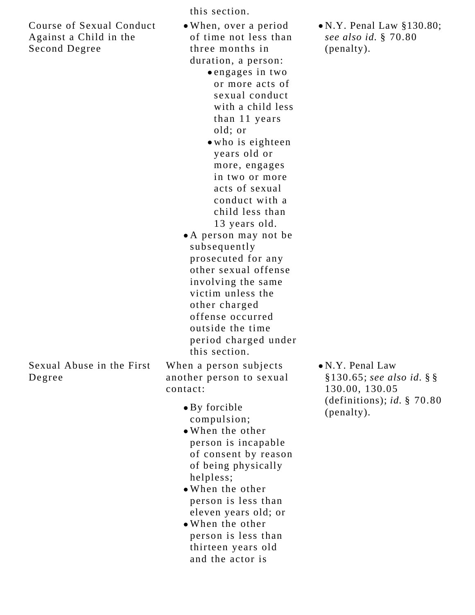Course of Sexual Conduct Against a Child in the Second Degree

this section.

- When, over a period of time not less than three months in duration, a person:
	- engages in two or more acts of sexual conduct with a child less than 11 years old; or
	- who is eighteen years old or more, engages in two or more acts of sexual conduct with a child less than 13 years old.
- A person may not be subsequently prosecuted for any other sexual offense involving the same victim unless the other charged offense occurred outside the time period charged under this section.

Sexual Abuse in the First Degree

When a person subjects another person to sexual contact:

- By forcible compulsion;
- When the other person is incapable of consent by reason of being physically helpless;
- When the other person is less than eleven years old; or
- When the other person is less than thirteen years old and the actor is

N.Y. Penal Law §130.80; *see also id.* § 70.80 (penalty).

N.Y. Penal Law §130.65; *see also id.* § § 130.00, 130.05 (definitions); *id.* § 70.80 (penalty).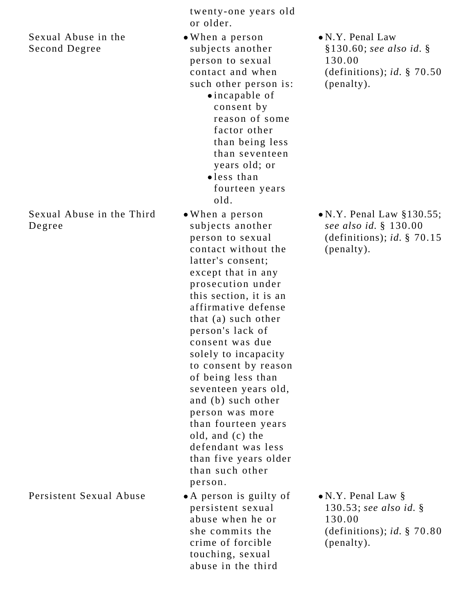#### Sexual Abuse in the Second Degree

#### Sexual Abuse in the Third Degree

Persistent Sexual Abuse • A person is guilty of

twenty-one years old or older.

- When a person subjects another person to sexual contact and when such other person is:
	- incapable of consent by reason of some factor other than being less than seventeen years old; or
	- less than fourteen years old.
- When a person subjects another person to sexual contact without the latter's consent; except that in any prosecution under this section, it is an affirmative defense that (a) such other person's lack of consent was due solely to incapacity to consent by reason of being less than seventeen years old, and (b) such other person was more than fourteen years old, and (c) the defendant was less than five years older than such other person.
- persistent sexual abuse when he or she commits the crime of forcible touching, sexual abuse in the third

N.Y. Penal Law §130.60; *see also id.* § 130.00 (definitions); *id.* § 70.50 (penalty).

N.Y. Penal Law §130.55; *see also id.* § 130.00 (definitions); *id.* § 70.15 (penalty).

N.Y. Penal Law § 130.53; *see also id.* § 130.00 (definitions); *id.* § 70.80 (penalty).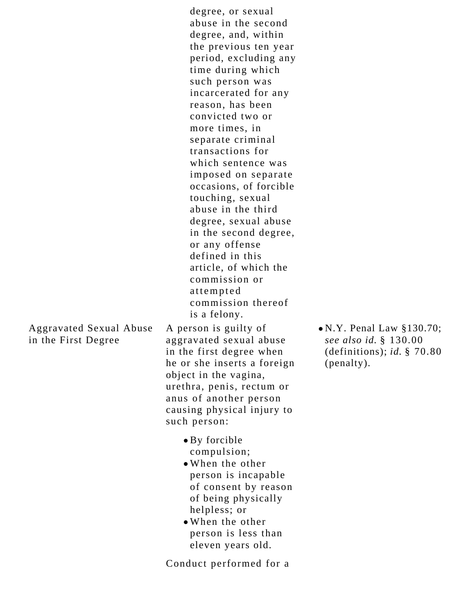degree, or sexual abuse in the second degree, and, within the previous ten year period, excluding any time during which such person was incarcerated for any reason, has been convicted two or more times, in separate criminal transactions for which sentence was imposed on separate occasions, of forcible touching, sexual abuse in the third degree, sexual abuse in the second degree, or any offense defined in this article, of which the commission or attempted commission thereof is a felony.

Aggravated Sexual Abuse in the First Degree

A person is guilty of aggravated sexual abuse in the first degree when he or she inserts a foreign object in the vagina, urethra, penis, rectum or anus of another person causing physical injury to such person:

- By forcible compulsion;
- When the other person is incapable of consent by reason of being physically helpless; or
- When the other person is less than eleven years old.

Conduct performed for a

N.Y. Penal Law §130.70; *see also id.* § 130.00 (definitions); *id.* § 70.80 (penalty).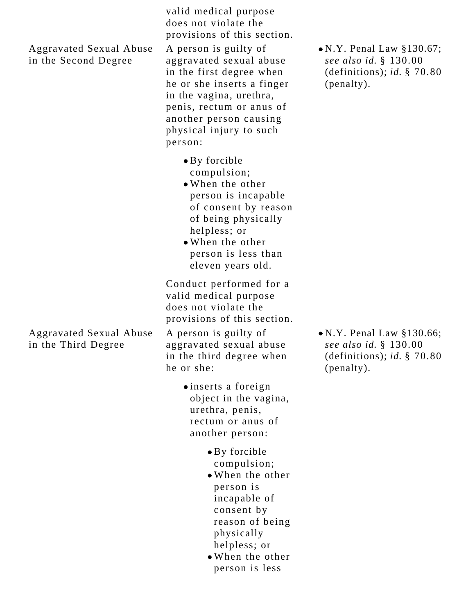Aggravated Sexual Abuse in the Second Degree

valid medical purpose does not violate the provisions of this section. A person is guilty of

aggravated sexual abuse in the first degree when he or she inserts a finger in the vagina, urethra, penis, rectum or anus of another person causing physical injury to such person:

- By forcible compulsion;
- When the other person is incapable of consent by reason of being physically helpless; or
- When the other person is less than eleven years old.

Conduct performed for a valid medical purpose does not violate the provisions of this section.

A person is guilty of aggravated sexual abuse in the third degree when he or she:

- inserts a foreign object in the vagina, urethra, penis, rectum or anus of another person:
	- By forcible compulsion;
	- When the other person is incapable of consent by reason of being physically helpless; or
	- When the other person is less

• N.Y. Penal Law §130.67; *see also id.* § 130.00 (definitions); *id.* § 70.80 (penalty).

N.Y. Penal Law §130.66; *see also id.* § 130.00 (definitions); *id.* § 70.80 (penalty).

Aggravated Sexual Abuse in the Third Degree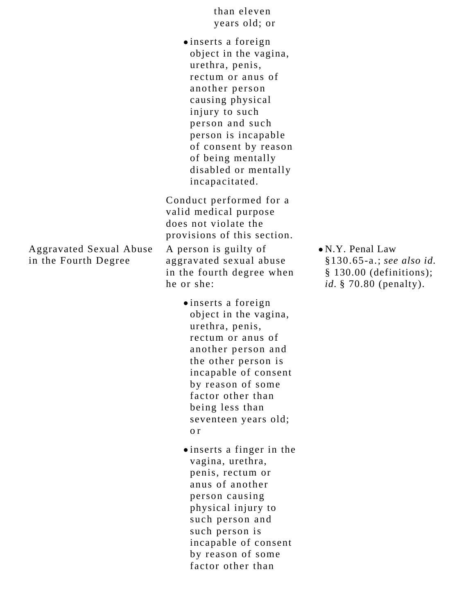than eleven years old; or

inserts a foreign object in the vagina, urethra, penis, rectum or anus of another person causing physical injury to such person and such person is incapable of consent by reason of being mentally disabled or mentally incapacitated.

Conduct performed for a valid medical purpose does not violate the provisions of this section.

A person is guilty of aggravated sexual abuse in the fourth degree when he or she:

- inserts a foreign object in the vagina, urethra, penis, rectum or anus of another person and the other person is incapable of consent by reason of some factor other than being less than seventeen years old; o r
- inserts a finger in the vagina, urethra, penis, rectum or anus of another person causing physical injury to such person and such person is incapable of consent by reason of some factor other than

N.Y. Penal Law §130.65-a.; *see also id.*  § 130.00 (definitions); *id.* § 70.80 (penalty).

Aggravated Sexual Abuse in the Fourth Degree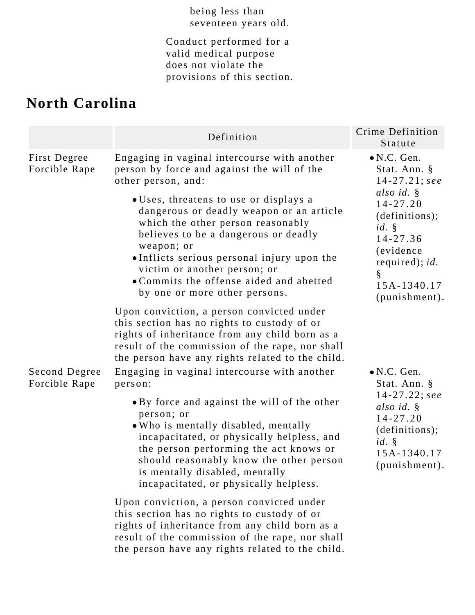#### being less than seventeen years old.

Conduct performed for a valid medical purpose does not violate the provisions of this section.

# **North Carolina**

|                                | Definition                                                                                                                                                                                                                                                                                                                                                                                                                  | Crime Definition<br>Statute                                                                                                                                                                   |
|--------------------------------|-----------------------------------------------------------------------------------------------------------------------------------------------------------------------------------------------------------------------------------------------------------------------------------------------------------------------------------------------------------------------------------------------------------------------------|-----------------------------------------------------------------------------------------------------------------------------------------------------------------------------------------------|
| First Degree<br>Forcible Rape  | Engaging in vaginal intercourse with another<br>person by force and against the will of the<br>other person, and:<br>. Uses, threatens to use or displays a<br>dangerous or deadly weapon or an article<br>which the other person reasonably<br>believes to be a dangerous or deadly<br>weapon; or<br>•Inflicts serious personal injury upon the<br>victim or another person; or<br>• Commits the offense aided and abetted | $\bullet$ N.C. Gen.<br>Stat. Ann. §<br>$14 - 27.21$ ; see<br>also id. §<br>$14 - 27.20$<br>(definitions);<br>id.<br>$14 - 27.36$<br><i>(evidence)</i><br>required); $id.$<br>ş<br>15A-1340.17 |
| Second Degree<br>Forcible Rape | by one or more other persons.<br>Upon conviction, a person convicted under<br>this section has no rights to custody of or<br>rights of inheritance from any child born as a<br>result of the commission of the rape, nor shall<br>the person have any rights related to the child.<br>Engaging in vaginal intercourse with another<br>person:                                                                               | (punishment).<br>$\bullet$ N.C. Gen.<br>Stat. Ann. §                                                                                                                                          |
|                                | • By force and against the will of the other<br>person; or<br>. Who is mentally disabled, mentally<br>incapacitated, or physically helpless, and<br>the person performing the act knows or<br>should reasonably know the other person<br>is mentally disabled, mentally<br>incapacitated, or physically helpless.                                                                                                           | $14 - 27.22$ ; see<br>also id. $\S$<br>$14 - 27.20$<br>(definitions);<br>$id.$ $\S$<br>15A-1340.17<br>(punishment).                                                                           |
|                                | Upon conviction, a person convicted under<br>this section has no rights to custody of or<br>rights of inheritance from any child born as a<br>result of the commission of the rape, nor shall<br>the person have any rights related to the child.                                                                                                                                                                           |                                                                                                                                                                                               |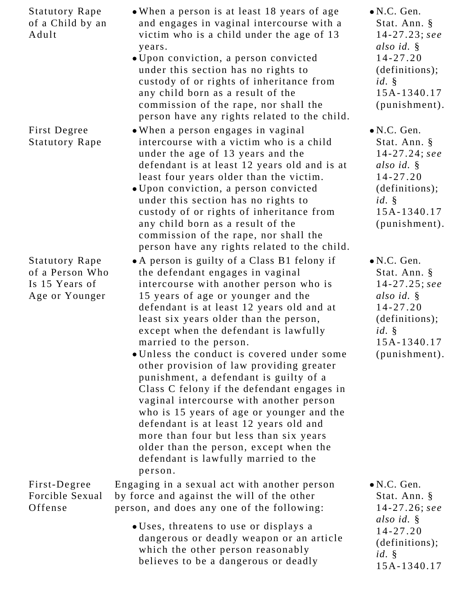| <b>Statutory Rape</b><br>of a Child by an<br>Adult                           | • When a person is at least 18 years of age<br>and engages in vaginal intercourse with a<br>victim who is a child under the age of 13<br>years.<br>• Upon conviction, a person convicted<br>under this section has no rights to<br>custody of or rights of inheritance from<br>any child born as a result of the<br>commission of the rape, nor shall the<br>person have any rights related to the child.                                                                                                                                                                                                                                                                                                                                                                             | $\bullet$ N.C. Gen.<br>Stat. Ann. §<br>$14 - 27.23$ ; see<br>also id. §<br>$14 - 27.20$<br>(definitions);<br>$id. \S$<br>15A-1340.17<br>(punishment). |
|------------------------------------------------------------------------------|---------------------------------------------------------------------------------------------------------------------------------------------------------------------------------------------------------------------------------------------------------------------------------------------------------------------------------------------------------------------------------------------------------------------------------------------------------------------------------------------------------------------------------------------------------------------------------------------------------------------------------------------------------------------------------------------------------------------------------------------------------------------------------------|-------------------------------------------------------------------------------------------------------------------------------------------------------|
| First Degree<br><b>Statutory Rape</b>                                        | • When a person engages in vaginal<br>intercourse with a victim who is a child<br>under the age of 13 years and the<br>defendant is at least 12 years old and is at<br>least four years older than the victim.<br>· Upon conviction, a person convicted<br>under this section has no rights to<br>custody of or rights of inheritance from<br>any child born as a result of the<br>commission of the rape, nor shall the<br>person have any rights related to the child.                                                                                                                                                                                                                                                                                                              | $\bullet$ N.C. Gen.<br>Stat. Ann. §<br>$14 - 27.24$ ; see<br>also id. §<br>$14 - 27.20$<br>(definitions);<br>$id. \S$<br>15A-1340.17<br>(punishment). |
| <b>Statutory Rape</b><br>of a Person Who<br>Is 15 Years of<br>Age or Younger | • A person is guilty of a Class B1 felony if<br>the defendant engages in vaginal<br>intercourse with another person who is<br>15 years of age or younger and the<br>defendant is at least 12 years old and at<br>least six years older than the person,<br>except when the defendant is lawfully<br>married to the person.<br>• Unless the conduct is covered under some<br>other provision of law providing greater<br>punishment, a defendant is guilty of a<br>Class C felony if the defendant engages in<br>vaginal intercourse with another person<br>who is 15 years of age or younger and the<br>defendant is at least 12 years old and<br>more than four but less than six years<br>older than the person, except when the<br>defendant is lawfully married to the<br>person. | $\bullet$ N.C. Gen.<br>Stat. Ann. §<br>$14 - 27.25$ ; see<br>also id. §<br>$14 - 27.20$<br>(definitions);<br>id.<br>15A-1340.17<br>$(punishment)$ .   |
| First-Degree<br>Forcible Sexual<br>Offense                                   | Engaging in a sexual act with another person<br>by force and against the will of the other<br>person, and does any one of the following:                                                                                                                                                                                                                                                                                                                                                                                                                                                                                                                                                                                                                                              | $\bullet$ N.C. Gen.<br>Stat. Ann. §<br>$14 - 27.26$ ; see<br>also id. §                                                                               |
|                                                                              | • Uses, threatens to use or displays a<br>dangerous or deadly weapon or an article<br>which the other person reasonably<br>believes to be a dangerous or deadly                                                                                                                                                                                                                                                                                                                                                                                                                                                                                                                                                                                                                       | $14 - 27.20$<br>(definitions);<br>$id. \S$<br>15A-1340.17                                                                                             |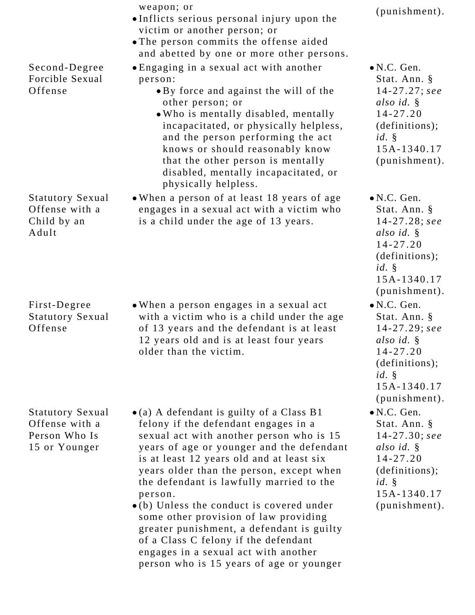|                                                                             | weapon; or<br>• Inflicts serious personal injury upon the<br>victim or another person; or<br>• The person commits the offense aided<br>and abetted by one or more other persons.                                                                                                                                                                                                                                                                                                                                                                                                                          | (punishment).                                                                                                                                            |
|-----------------------------------------------------------------------------|-----------------------------------------------------------------------------------------------------------------------------------------------------------------------------------------------------------------------------------------------------------------------------------------------------------------------------------------------------------------------------------------------------------------------------------------------------------------------------------------------------------------------------------------------------------------------------------------------------------|----------------------------------------------------------------------------------------------------------------------------------------------------------|
| Second-Degree<br>Forcible Sexual<br>Offense                                 | • Engaging in a sexual act with another<br>person:<br>• By force and against the will of the<br>other person; or<br>. Who is mentally disabled, mentally<br>incapacitated, or physically helpless,<br>and the person performing the act<br>knows or should reasonably know<br>that the other person is mentally<br>disabled, mentally incapacitated, or<br>physically helpless.                                                                                                                                                                                                                           | $\bullet$ N.C. Gen.<br>Stat. Ann. §<br>$14 - 27.27$ ; see<br>also id. $\S$<br>$14 - 27.20$<br>(definition);<br>id.<br>15A-1340.17<br>(punishment).       |
| <b>Statutory Sexual</b><br>Offense with a<br>Child by an<br>Adult           | • When a person of at least 18 years of age<br>engages in a sexual act with a victim who<br>is a child under the age of 13 years.                                                                                                                                                                                                                                                                                                                                                                                                                                                                         | $\bullet$ N.C. Gen.<br>Stat. Ann. §<br>$14 - 27.28$ ; see<br>also id. $\S$<br>$14 - 27.20$<br>(definition);<br>$id. \S$<br>15A-1340.17<br>(punishment).  |
| First-Degree<br><b>Statutory Sexual</b><br>Offense                          | • When a person engages in a sexual act<br>with a victim who is a child under the age<br>of 13 years and the defendant is at least<br>12 years old and is at least four years<br>older than the victim.                                                                                                                                                                                                                                                                                                                                                                                                   | $\bullet$ N.C. Gen.<br>Stat. Ann. §<br>$14 - 27.29$ ; see<br>also id. §<br>$14 - 27.20$<br>(definitions);<br>$id. \S$<br>15A-1340.17<br>(punishment).    |
| <b>Statutory Sexual</b><br>Offense with a<br>Person Who Is<br>15 or Younger | $\bullet$ (a) A defendant is guilty of a Class B1<br>felony if the defendant engages in a<br>sexual act with another person who is 15<br>years of age or younger and the defendant<br>is at least 12 years old and at least six<br>years older than the person, except when<br>the defendant is lawfully married to the<br>person.<br>$\bullet$ (b) Unless the conduct is covered under<br>some other provision of law providing<br>greater punishment, a defendant is guilty<br>of a Class C felony if the defendant<br>engages in a sexual act with another<br>person who is 15 years of age or younger | $\bullet$ N.C. Gen.<br>Stat. Ann. §<br>$14 - 27.30$ ; see<br>also id. $\S$<br>$14 - 27.20$<br>(definitions);<br>$id. \S$<br>15A-1340.17<br>(punishment). |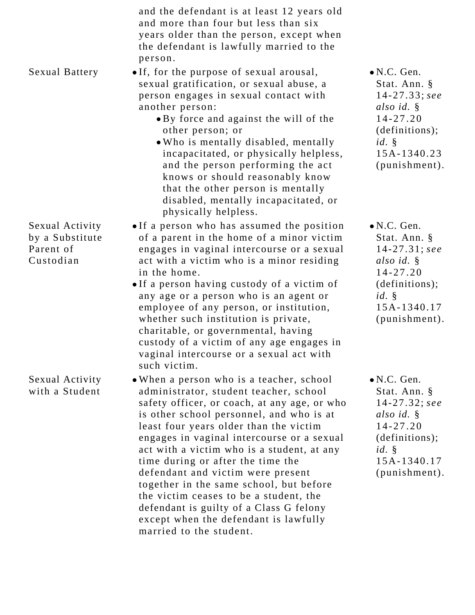|                                                              | and the defendant is at least 12 years old<br>and more than four but less than six<br>years older than the person, except when<br>the defendant is lawfully married to the<br>person.                                                                                                                                                                                                                                                                                                                                                                                                              |                                                                                                                                                          |
|--------------------------------------------------------------|----------------------------------------------------------------------------------------------------------------------------------------------------------------------------------------------------------------------------------------------------------------------------------------------------------------------------------------------------------------------------------------------------------------------------------------------------------------------------------------------------------------------------------------------------------------------------------------------------|----------------------------------------------------------------------------------------------------------------------------------------------------------|
| <b>Sexual Battery</b>                                        | • If, for the purpose of sexual arousal,<br>sexual gratification, or sexual abuse, a<br>person engages in sexual contact with<br>another person:<br>• By force and against the will of the<br>other person; or<br>. Who is mentally disabled, mentally<br>incapacitated, or physically helpless,<br>and the person performing the act<br>knows or should reasonably know<br>that the other person is mentally<br>disabled, mentally incapacitated, or<br>physically helpless.                                                                                                                      | $\bullet$ N.C. Gen.<br>Stat. Ann. §<br>$14 - 27.33$ ; see<br>also id. $\S$<br>$14 - 27.20$<br>(definitions);<br>$id. \S$<br>15A-1340.23<br>(punishment). |
| Sexual Activity<br>by a Substitute<br>Parent of<br>Custodian | • If a person who has assumed the position<br>of a parent in the home of a minor victim<br>engages in vaginal intercourse or a sexual<br>act with a victim who is a minor residing<br>in the home.<br>. If a person having custody of a victim of<br>any age or a person who is an agent or<br>employee of any person, or institution,<br>whether such institution is private,<br>charitable, or governmental, having<br>custody of a victim of any age engages in<br>vaginal intercourse or a sexual act with<br>such victim.                                                                     | $\bullet$ N.C. Gen.<br>Stat. Ann. §<br>$14 - 27.31$ ; see<br>also id. §<br>$14 - 27.20$<br>(definitions);<br>$id. \S$<br>15A-1340.17<br>(punishment).    |
| Sexual Activity<br>with a Student                            | • When a person who is a teacher, school<br>administrator, student teacher, school<br>safety officer, or coach, at any age, or who<br>is other school personnel, and who is at<br>least four years older than the victim<br>engages in vaginal intercourse or a sexual<br>act with a victim who is a student, at any<br>time during or after the time the<br>defendant and victim were present<br>together in the same school, but before<br>the victim ceases to be a student, the<br>defendant is guilty of a Class G felony<br>except when the defendant is lawfully<br>married to the student. | $\bullet$ N.C. Gen.<br>Stat. Ann. §<br>$14 - 27.32$ ; see<br>also id. $\S$<br>$14 - 27.20$<br>(definitions);<br>$id. \S$<br>15A-1340.17<br>(punishment). |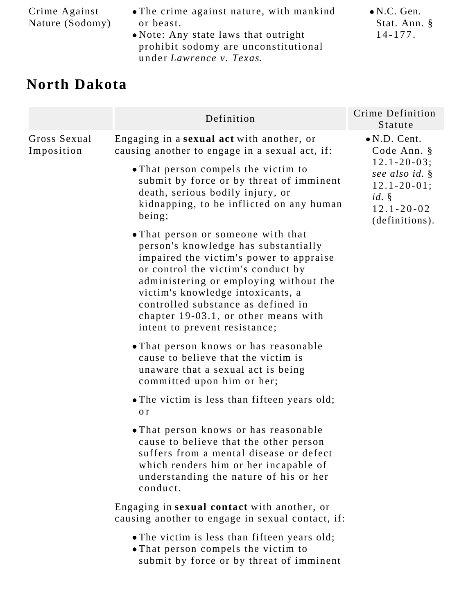| Crime Against   |  |
|-----------------|--|
| Nature (Sodomy) |  |

- The crime against nature, with mankind or beast.
- Note: Any state laws that outright prohibit sodomy are unconstitutional under *Lawrence v. Texas*.

N.C. Gen. Stat. Ann. § 14-177.

### **North Dakota**

|                            | Definition                                                                                                                                                                                                                                                                                                                                                | Crime Definition<br>Statute                                                                           |
|----------------------------|-----------------------------------------------------------------------------------------------------------------------------------------------------------------------------------------------------------------------------------------------------------------------------------------------------------------------------------------------------------|-------------------------------------------------------------------------------------------------------|
| Gross Sexual<br>Imposition | Engaging in a sexual act with another, or<br>causing another to engage in a sexual act, if:                                                                                                                                                                                                                                                               | $\bullet$ N.D. Cent.<br>Code Ann. §                                                                   |
|                            | • That person compels the victim to<br>submit by force or by threat of imminent<br>death, serious bodily injury, or<br>kidnapping, to be inflicted on any human<br>being;                                                                                                                                                                                 | $12.1 - 20 - 03;$<br>see also id. §<br>$12.1 - 20 - 01;$<br>id.<br>$12.1 - 20 - 02$<br>(definitions). |
|                            | • That person or someone with that<br>person's knowledge has substantially<br>impaired the victim's power to appraise<br>or control the victim's conduct by<br>administering or employing without the<br>victim's knowledge intoxicants, a<br>controlled substance as defined in<br>chapter 19-03.1, or other means with<br>intent to prevent resistance; |                                                                                                       |
|                            | • That person knows or has reasonable<br>cause to believe that the victim is<br>unaware that a sexual act is being<br>committed upon him or her;                                                                                                                                                                                                          |                                                                                                       |
|                            | • The victim is less than fifteen years old;<br>o r                                                                                                                                                                                                                                                                                                       |                                                                                                       |
|                            | . That person knows or has reasonable<br>cause to believe that the other person<br>suffers from a mental disease or defect<br>which renders him or her incapable of<br>understanding the nature of his or her<br>conduct.                                                                                                                                 |                                                                                                       |
|                            | Engaging in sexual contact with another, or<br>causing another to engage in sexual contact, if:                                                                                                                                                                                                                                                           |                                                                                                       |
|                            | • The victim is less than fifteen years old;<br>. That person compels the victim to<br>submit by force or by threat of imminent                                                                                                                                                                                                                           |                                                                                                       |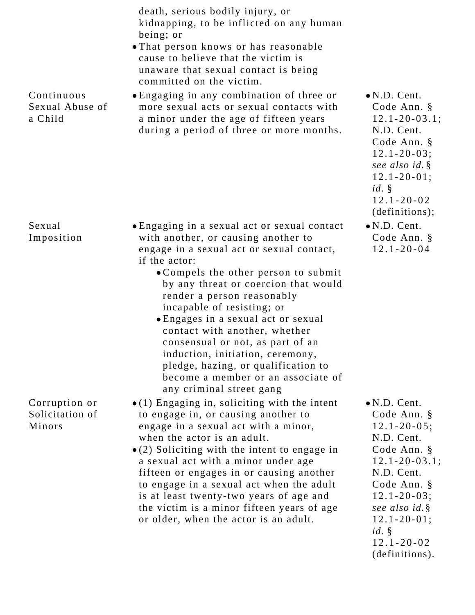|                                            | death, serious bodily injury, or<br>kidnapping, to be inflicted on any human<br>being; or<br>• That person knows or has reasonable<br>cause to believe that the victim is<br>unaware that sexual contact is being<br>committed on the victim.                                                                                                                                                                                                                                                                                                          |                                                                                                                                                                                                                                                     |
|--------------------------------------------|--------------------------------------------------------------------------------------------------------------------------------------------------------------------------------------------------------------------------------------------------------------------------------------------------------------------------------------------------------------------------------------------------------------------------------------------------------------------------------------------------------------------------------------------------------|-----------------------------------------------------------------------------------------------------------------------------------------------------------------------------------------------------------------------------------------------------|
| Continuous<br>Sexual Abuse of<br>a Child   | • Engaging in any combination of three or<br>more sexual acts or sexual contacts with<br>a minor under the age of fifteen years<br>during a period of three or more months.                                                                                                                                                                                                                                                                                                                                                                            | $\bullet$ N.D. Cent.<br>Code Ann. §<br>$12.1 - 20 - 03.1$ ;<br>N.D. Cent.<br>Code Ann. §<br>$12.1 - 20 - 03;$<br>see also id. §<br>$12.1 - 20 - 01$ ;<br>id.<br>$12.1 - 20 - 02$<br>(definitions);                                                  |
| Sexual<br>Imposition                       | • Engaging in a sexual act or sexual contact<br>with another, or causing another to<br>engage in a sexual act or sexual contact,<br>if the actor:<br>• Compels the other person to submit<br>by any threat or coercion that would<br>render a person reasonably<br>incapable of resisting; or<br>· Engages in a sexual act or sexual<br>contact with another, whether<br>consensual or not, as part of an<br>induction, initiation, ceremony,<br>pledge, hazing, or qualification to<br>become a member or an associate of<br>any criminal street gang | $\bullet$ N.D. Cent.<br>Code Ann. §<br>$12.1 - 20 - 04$                                                                                                                                                                                             |
| Corruption or<br>Solicitation of<br>Minors | $\bullet$ (1) Engaging in, soliciting with the intent<br>to engage in, or causing another to<br>engage in a sexual act with a minor,<br>when the actor is an adult.<br>$\bullet$ (2) Soliciting with the intent to engage in<br>a sexual act with a minor under age<br>fifteen or engages in or causing another<br>to engage in a sexual act when the adult<br>is at least twenty-two years of age and<br>the victim is a minor fifteen years of age<br>or older, when the actor is an adult.                                                          | $\bullet$ N.D. Cent.<br>Code Ann. §<br>$12.1 - 20 - 05;$<br>N.D. Cent.<br>Code Ann. §<br>$12.1 - 20 - 03.1$ ;<br>N.D. Cent.<br>Code Ann. §<br>$12.1 - 20 - 03;$<br>see also id. §<br>$12.1 - 20 - 01;$<br>id.<br>$12.1 - 20 - 02$<br>(definitions). |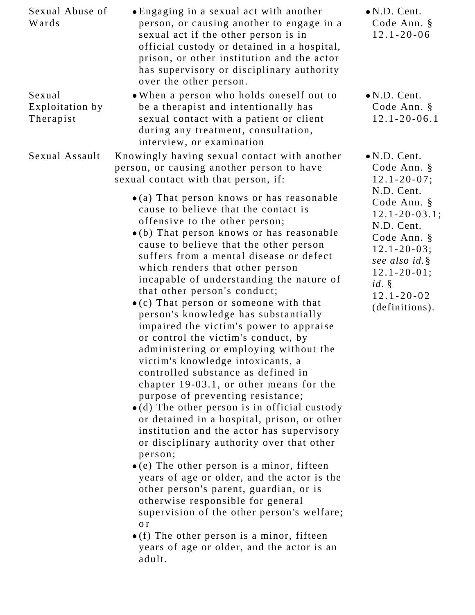| Sexual Abuse of<br>Wards               | • Engaging in a sexual act with another<br>person, or causing another to engage in a<br>sexual act if the other person is in<br>official custody or detained in a hospital,<br>prison, or other institution and the actor<br>has supervisory or disciplinary authority<br>over the other person.                                                                                                                                                                                                                                                                                                                                                                                                                                                                                                                                                                                                                                                                                                                                                                                                                                                                                                                                                                            | $\bullet$ N.D. Cent.<br>Code Ann. §<br>$12.1 - 20 - 06$                                                                                                    |
|----------------------------------------|-----------------------------------------------------------------------------------------------------------------------------------------------------------------------------------------------------------------------------------------------------------------------------------------------------------------------------------------------------------------------------------------------------------------------------------------------------------------------------------------------------------------------------------------------------------------------------------------------------------------------------------------------------------------------------------------------------------------------------------------------------------------------------------------------------------------------------------------------------------------------------------------------------------------------------------------------------------------------------------------------------------------------------------------------------------------------------------------------------------------------------------------------------------------------------------------------------------------------------------------------------------------------------|------------------------------------------------------------------------------------------------------------------------------------------------------------|
| Sexual<br>Exploitation by<br>Therapist | . When a person who holds oneself out to<br>be a therapist and intentionally has<br>sexual contact with a patient or client<br>during any treatment, consultation,<br>interview, or examination                                                                                                                                                                                                                                                                                                                                                                                                                                                                                                                                                                                                                                                                                                                                                                                                                                                                                                                                                                                                                                                                             | $\bullet$ N.D. Cent.<br>Code Ann. §<br>$12.1 - 20 - 06.1$                                                                                                  |
| Sexual Assault                         | Knowingly having sexual contact with another<br>person, or causing another person to have<br>sexual contact with that person, if:<br>$\bullet$ (a) That person knows or has reasonable                                                                                                                                                                                                                                                                                                                                                                                                                                                                                                                                                                                                                                                                                                                                                                                                                                                                                                                                                                                                                                                                                      | $\bullet$ N.D. Cent.<br>Code Ann. §<br>$12.1 - 20 - 07$ ;<br>N.D. Cent.<br>Code Ann. §                                                                     |
|                                        | cause to believe that the contact is<br>offensive to the other person;<br>•(b) That person knows or has reasonable<br>cause to believe that the other person<br>suffers from a mental disease or defect<br>which renders that other person<br>incapable of understanding the nature of<br>that other person's conduct;<br>$\bullet$ (c) That person or someone with that<br>person's knowledge has substantially<br>impaired the victim's power to appraise<br>or control the victim's conduct, by<br>administering or employing without the<br>victim's knowledge intoxicants, a<br>controlled substance as defined in<br>chapter 19-03.1, or other means for the<br>purpose of preventing resistance;<br>$\bullet$ (d) The other person is in official custody<br>or detained in a hospital, prison, or other<br>institution and the actor has supervisory<br>or disciplinary authority over that other<br>person;<br>$\bullet$ (e) The other person is a minor, fifteen<br>years of age or older, and the actor is the<br>other person's parent, guardian, or is<br>otherwise responsible for general<br>supervision of the other person's welfare;<br>o r<br>$\bullet$ (f) The other person is a minor, fifteen<br>years of age or older, and the actor is an<br>adult. | $12.1 - 20 - 03.1$ ;<br>N.D. Cent.<br>Code Ann. §<br>$12.1 - 20 - 03;$<br>see also id. §<br>$12.1 - 20 - 01;$<br>id.<br>$12.1 - 20 - 02$<br>(definitions). |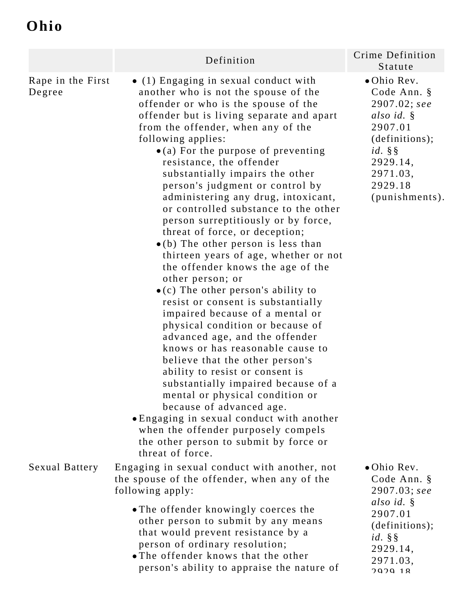# **Ohio**

|                             | Definition                                                                                                                                                                                                                                                                                                                                                                                                                                                                                                                                                                                                                                                                                                                                                                                                                                                                                                                                                                                                                                                                                                                                                                                                                                               | Crime Definition<br>Statute                                                                                                                                 |
|-----------------------------|----------------------------------------------------------------------------------------------------------------------------------------------------------------------------------------------------------------------------------------------------------------------------------------------------------------------------------------------------------------------------------------------------------------------------------------------------------------------------------------------------------------------------------------------------------------------------------------------------------------------------------------------------------------------------------------------------------------------------------------------------------------------------------------------------------------------------------------------------------------------------------------------------------------------------------------------------------------------------------------------------------------------------------------------------------------------------------------------------------------------------------------------------------------------------------------------------------------------------------------------------------|-------------------------------------------------------------------------------------------------------------------------------------------------------------|
| Rape in the First<br>Degree | • (1) Engaging in sexual conduct with<br>another who is not the spouse of the<br>offender or who is the spouse of the<br>offender but is living separate and apart<br>from the offender, when any of the<br>following applies:<br>$\bullet$ (a) For the purpose of preventing<br>resistance, the offender<br>substantially impairs the other<br>person's judgment or control by<br>administering any drug, intoxicant,<br>or controlled substance to the other<br>person surreptitiously or by force,<br>threat of force, or deception;<br>$\bullet$ (b) The other person is less than<br>thirteen years of age, whether or not<br>the offender knows the age of the<br>other person; or<br>$\bullet$ (c) The other person's ability to<br>resist or consent is substantially<br>impaired because of a mental or<br>physical condition or because of<br>advanced age, and the offender<br>knows or has reasonable cause to<br>believe that the other person's<br>ability to resist or consent is<br>substantially impaired because of a<br>mental or physical condition or<br>because of advanced age.<br>• Engaging in sexual conduct with another<br>when the offender purposely compels<br>the other person to submit by force or<br>threat of force. | • Ohio Rev.<br>Code Ann. §<br>$2907.02;$ see<br>also id. $\S$<br>2907.01<br>(definitions);<br>$id. \S$<br>2929.14,<br>2971.03,<br>2929.18<br>(punishments). |
| <b>Sexual Battery</b>       | Engaging in sexual conduct with another, not<br>the spouse of the offender, when any of the<br>following apply:                                                                                                                                                                                                                                                                                                                                                                                                                                                                                                                                                                                                                                                                                                                                                                                                                                                                                                                                                                                                                                                                                                                                          | • Ohio Rev.<br>Code Ann. §<br>$2907.03;$ see                                                                                                                |
|                             | . The offender knowingly coerces the<br>other person to submit by any means<br>that would prevent resistance by a<br>person of ordinary resolution;<br>• The offender knows that the other<br>person's ability to appraise the nature of                                                                                                                                                                                                                                                                                                                                                                                                                                                                                                                                                                                                                                                                                                                                                                                                                                                                                                                                                                                                                 | also id. §<br>2907.01<br>(definitions);<br>$id. \S$<br>2929.14,<br>2971.03,<br>707018                                                                       |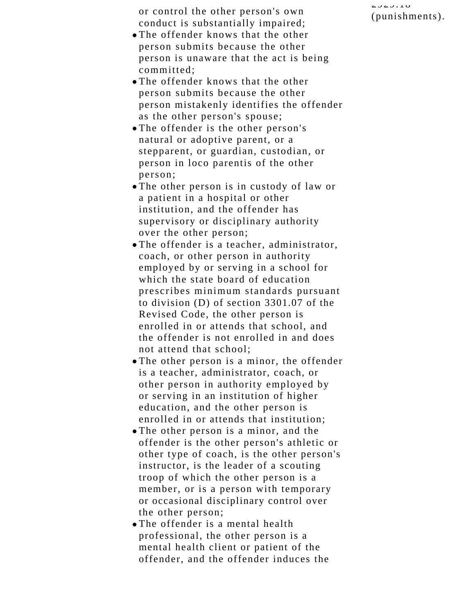or control the other person's own conduct is substantially impaired;

- The offender knows that the other person submits because the other person is unaware that the act is being committed;
- The offender knows that the other person submits because the other person mistakenly identifies the offender as the other person's spouse;
- The offender is the other person's natural or adoptive parent, or a stepparent, or guardian, custodian, or person in loco parentis of the other person;
- The other person is in custody of law or a patient in a hospital or other institution, and the offender has supervisory or disciplinary authority over the other person;
- The offender is a teacher, administrator, coach, or other person in authority employed by or serving in a school for which the state board of education prescribes minimum standards pursuant to division (D) of section 3301.07 of the Revised Code, the other person is enrolled in or attends that school, and the offender is not enrolled in and does not attend that school;
- The other person is a minor, the offender is a teacher, administrator, coach, or other person in authority employed by or serving in an institution of higher education, and the other person is enrolled in or attends that institution;
- The other person is a minor, and the offender is the other person's athletic or other type of coach, is the other person's instructor, is the leader of a scouting troop of which the other person is a member, or is a person with temporary or occasional disciplinary control over the other person;
- The offender is a mental health professional, the other person is a mental health client or patient of the offender, and the offender induces the

 $2727.10$ (punishments).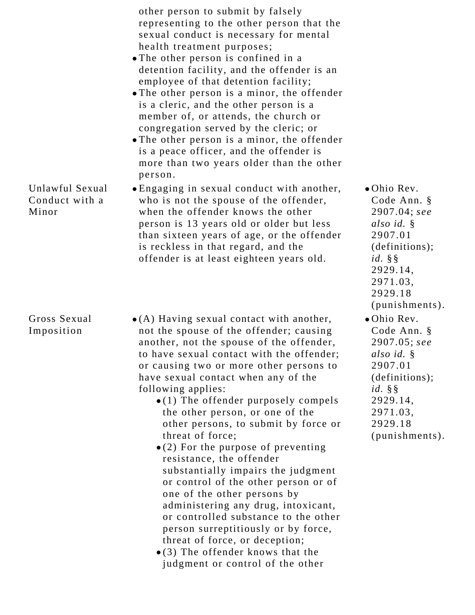|                                            | other person to submit by falsely<br>representing to the other person that the<br>sexual conduct is necessary for mental<br>health treatment purposes;<br>• The other person is confined in a<br>detention facility, and the offender is an<br>employee of that detention facility;<br>• The other person is a minor, the offender<br>is a cleric, and the other person is a<br>member of, or attends, the church or<br>congregation served by the cleric; or<br>• The other person is a minor, the offender<br>is a peace officer, and the offender is<br>more than two years older than the other<br>person.                                                                                                                                                                                                                                                                |                                                                                                                                                           |
|--------------------------------------------|-------------------------------------------------------------------------------------------------------------------------------------------------------------------------------------------------------------------------------------------------------------------------------------------------------------------------------------------------------------------------------------------------------------------------------------------------------------------------------------------------------------------------------------------------------------------------------------------------------------------------------------------------------------------------------------------------------------------------------------------------------------------------------------------------------------------------------------------------------------------------------|-----------------------------------------------------------------------------------------------------------------------------------------------------------|
| Unlawful Sexual<br>Conduct with a<br>Minor | • Engaging in sexual conduct with another,<br>who is not the spouse of the offender,<br>when the offender knows the other<br>person is 13 years old or older but less<br>than sixteen years of age, or the offender<br>is reckless in that regard, and the<br>offender is at least eighteen years old.                                                                                                                                                                                                                                                                                                                                                                                                                                                                                                                                                                        | • Ohio Rev.<br>Code Ann. §<br>$2907.04;$ see<br>also id. §<br>2907.01<br>(definitions);<br>$id. \S$<br>2929.14,<br>2971.03,<br>2929.18<br>(punishments).  |
| Gross Sexual<br>Imposition                 | $\bullet$ (A) Having sexual contact with another,<br>not the spouse of the offender; causing<br>another, not the spouse of the offender,<br>to have sexual contact with the offender;<br>or causing two or more other persons to<br>have sexual contact when any of the<br>following applies:<br>$\bullet$ (1) The offender purposely compels<br>the other person, or one of the<br>other persons, to submit by force or<br>threat of force;<br>$\bullet$ (2) For the purpose of preventing<br>resistance, the offender<br>substantially impairs the judgment<br>or control of the other person or of<br>one of the other persons by<br>administering any drug, intoxicant,<br>or controlled substance to the other<br>person surreptitiously or by force,<br>threat of force, or deception;<br>$\bullet$ (3) The offender knows that the<br>judgment or control of the other | • Ohio Rev.<br>Code Ann. §<br>$2907.05$ ; see<br>also id. §<br>2907.01<br>(definitions);<br>$id. \S$<br>2929.14,<br>2971.03,<br>2929.18<br>(punishments). |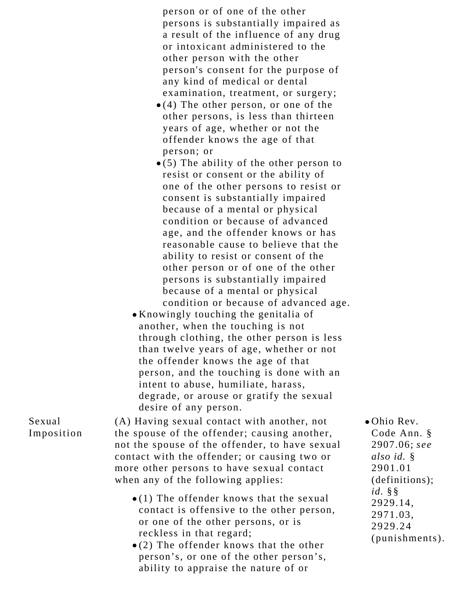person or of one of the other persons is substantially impaired as a result of the influence of any drug or intoxicant administered to the other person with the other person's consent for the purpose of any kind of medical or dental examination, treatment, or surgery;

- $\bullet$  (4) The other person, or one of the other persons, is less than thirteen years of age, whether or not the offender knows the age of that person; or
- $\bullet$  (5) The ability of the other person to resist or consent or the ability of one of the other persons to resist or consent is substantially impaired because of a mental or physical condition or because of advanced age, and the offender knows or has reasonable cause to believe that the ability to resist or consent of the other person or of one of the other persons is substantially impaired because of a mental or physical condition or because of advanced age.
- Knowingly touching the genitalia of another, when the touching is not through clothing, the other person is less than twelve years of age, whether or not the offender knows the age of that person, and the touching is done with an intent to abuse, humiliate, harass, degrade, or arouse or gratify the sexual desire of any person.

Sexual Imposition (A) Having sexual contact with another, not the spouse of the offender; causing another, not the spouse of the offender, to have sexual contact with the offender; or causing two or more other persons to have sexual contact when any of the following applies:

- $\bullet$  (1) The offender knows that the sexual contact is offensive to the other person, or one of the other persons, or is reckless in that regard;
- $\bullet$  (2) The offender knows that the other person's, or one of the other person's, ability to appraise the nature of or

Ohio Rev. Code Ann. § 2907.06; *see also id.* § 2901.01 (definitions); *id.* §§ 2929.14, 2971.03, 2929.24 (punishments).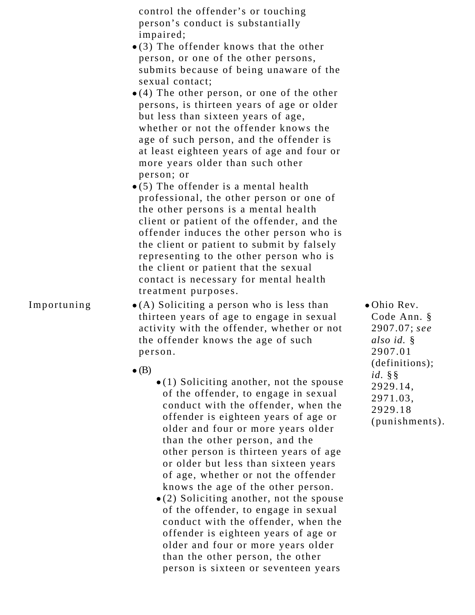| control the offender's or touching<br>person's conduct is substantially                                                                                                                                                                                                                                                                                                                         |
|-------------------------------------------------------------------------------------------------------------------------------------------------------------------------------------------------------------------------------------------------------------------------------------------------------------------------------------------------------------------------------------------------|
| impaired;                                                                                                                                                                                                                                                                                                                                                                                       |
| $\bullet$ (3) The offender knows that the other                                                                                                                                                                                                                                                                                                                                                 |
| person, or one of the other persons,                                                                                                                                                                                                                                                                                                                                                            |
| submits because of being unaware of the                                                                                                                                                                                                                                                                                                                                                         |
| sexual contact;                                                                                                                                                                                                                                                                                                                                                                                 |
| $\bullet$ (4) The other person, or one of the other                                                                                                                                                                                                                                                                                                                                             |
| persons, is thirteen years of age or older                                                                                                                                                                                                                                                                                                                                                      |
| but less than sixteen years of age,                                                                                                                                                                                                                                                                                                                                                             |
| whether or not the offender knows the                                                                                                                                                                                                                                                                                                                                                           |
| age of such person, and the offender is                                                                                                                                                                                                                                                                                                                                                         |
| at least eighteen years of age and four or                                                                                                                                                                                                                                                                                                                                                      |
| more years older than such other                                                                                                                                                                                                                                                                                                                                                                |
| person; or                                                                                                                                                                                                                                                                                                                                                                                      |
| $\bullet$ (5) The offender is a mental health                                                                                                                                                                                                                                                                                                                                                   |
| professional, the other person or one of                                                                                                                                                                                                                                                                                                                                                        |
| the other persons is a mental health                                                                                                                                                                                                                                                                                                                                                            |
|                                                                                                                                                                                                                                                                                                                                                                                                 |
| client or patient of the offender, and the                                                                                                                                                                                                                                                                                                                                                      |
| offender induces the other person who is                                                                                                                                                                                                                                                                                                                                                        |
| the client or patient to submit by falsely                                                                                                                                                                                                                                                                                                                                                      |
| representing to the other person who is                                                                                                                                                                                                                                                                                                                                                         |
| the client or patient that the sexual                                                                                                                                                                                                                                                                                                                                                           |
| contact is necessary for mental health                                                                                                                                                                                                                                                                                                                                                          |
| treatment purposes.                                                                                                                                                                                                                                                                                                                                                                             |
| $\mathbf{A}$ $\mathbf{A}$ $\mathbf{A}$ $\mathbf{A}$ $\mathbf{A}$ $\mathbf{A}$ $\mathbf{A}$ $\mathbf{A}$ $\mathbf{A}$ $\mathbf{A}$ $\mathbf{A}$ $\mathbf{A}$ $\mathbf{A}$ $\mathbf{A}$ $\mathbf{A}$ $\mathbf{A}$ $\mathbf{A}$ $\mathbf{A}$ $\mathbf{A}$ $\mathbf{A}$ $\mathbf{A}$ $\mathbf{A}$ $\mathbf{A}$ $\mathbf{A}$ $\mathbf{$<br>$\mathbf{1}$ , $\mathbf{1}$ , $\mathbf{1}$ , $\mathbf{1}$ |

- Importuning  $\bullet$  (A) Soliciting a person who is less than thirteen years of age to engage in sexual activity with the offender, whether or not the offender knows the age of such person.
	- $\bullet$  (B)
- $\bullet$  (1) Soliciting another, not the spouse of the offender, to engage in sexual conduct with the offender, when the offender is eighteen years of age or older and four or more years older than the other person, and the other person is thirteen years of age or older but less than sixteen years of age, whether or not the offender knows the age of the other person.
- $\bullet$  (2) Soliciting another, not the spouse of the offender, to engage in sexual conduct with the offender, when the offender is eighteen years of age or older and four or more years older than the other person, the other person is sixteen or seventeen years

Ohio Rev. Code Ann. § 2907.07; *see also id.* § 2907.01 (definitions); *id.* §§ 2929.14, 2971.03, 2929.18 (punishments).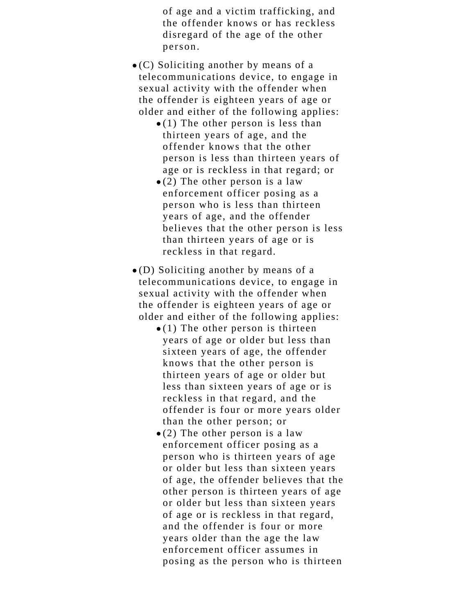of age and a victim trafficking, and the offender knows or has reckless disregard of the age of the other person.

- $\bullet$  (C) Soliciting another by means of a telecommunications device, to engage in sexual activity with the offender when the offender is eighteen years of age or older and either of the following applies:
	- $\bullet$  (1) The other person is less than thirteen years of age, and the offender knows that the other person is less than thirteen years of age or is reckless in that regard; or
	- $\bullet$  (2) The other person is a law enforcement officer posing as a person who is less than thirteen years of age, and the offender believes that the other person is less than thirteen years of age or is reckless in that regard.
- (D) Soliciting another by means of a telecommunications device, to engage in sexual activity with the offender when the offender is eighteen years of age or older and either of the following applies:
	- $\bullet$  (1) The other person is thirteen years of age or older but less than sixteen years of age, the offender knows that the other person is thirteen years of age or older but less than sixteen years of age or is reckless in that regard, and the offender is four or more years older than the other person; or
	- $\bullet$  (2) The other person is a law enforcement officer posing as a person who is thirteen years of age or older but less than sixteen years of age, the offender believes that the other person is thirteen years of age or older but less than sixteen years of age or is reckless in that regard, and the offender is four or more years older than the age the law enforcement officer assumes in posing as the person who is thirteen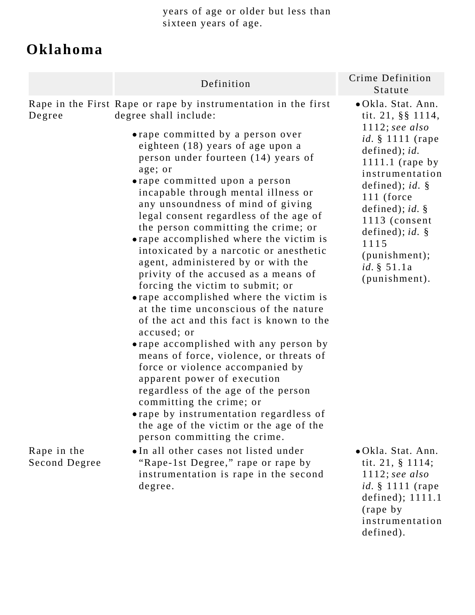years of age or older but less than sixteen years of age.

# **Oklahoma**

|                              | Definition                                                                                                                                                                                                                                                                                                                                                                                                                                                                                                                                                                                                                                                                                                                                                                                                                                                                                                                                                                                                                                                                                                                 | Crime Definition<br>Statute                                                                                                                                                                                                                                                                                            |
|------------------------------|----------------------------------------------------------------------------------------------------------------------------------------------------------------------------------------------------------------------------------------------------------------------------------------------------------------------------------------------------------------------------------------------------------------------------------------------------------------------------------------------------------------------------------------------------------------------------------------------------------------------------------------------------------------------------------------------------------------------------------------------------------------------------------------------------------------------------------------------------------------------------------------------------------------------------------------------------------------------------------------------------------------------------------------------------------------------------------------------------------------------------|------------------------------------------------------------------------------------------------------------------------------------------------------------------------------------------------------------------------------------------------------------------------------------------------------------------------|
| Degree                       | Rape in the First Rape or rape by instrumentation in the first<br>degree shall include:<br>• rape committed by a person over<br>eighteen (18) years of age upon a<br>person under fourteen (14) years of<br>age; or<br>• rape committed upon a person<br>incapable through mental illness or<br>any unsoundness of mind of giving<br>legal consent regardless of the age of<br>the person committing the crime; or<br>• rape accomplished where the victim is<br>intoxicated by a narcotic or anesthetic<br>agent, administered by or with the<br>privity of the accused as a means of<br>forcing the victim to submit; or<br>• rape accomplished where the victim is<br>at the time unconscious of the nature<br>of the act and this fact is known to the<br>accused; or<br>• rape accomplished with any person by<br>means of force, violence, or threats of<br>force or violence accompanied by<br>apparent power of execution<br>regardless of the age of the person<br>committing the crime; or<br>• rape by instrumentation regardless of<br>the age of the victim or the age of the<br>person committing the crime. | · Okla. Stat. Ann.<br>tit. $21, \S \S 1114,$<br>$1112;$ see also<br><i>id.</i> § 1111 (rape<br>defined); id.<br>1111.1 (rape by<br>instrumentation<br>defined); $id.$ §<br>$111$ (force<br>defined); id. $\S$<br>1113 (consent<br>defined); id. $\S$<br>1115<br>(punishment);<br><i>id.</i> $§ 51.1a$<br>(punishment). |
| Rape in the<br>Second Degree | •In all other cases not listed under<br>"Rape-1st Degree," rape or rape by<br>instrumentation is rape in the second<br>degree.                                                                                                                                                                                                                                                                                                                                                                                                                                                                                                                                                                                                                                                                                                                                                                                                                                                                                                                                                                                             | • Okla. Stat. Ann.<br>tit. $21, \S 1114;$<br>$1112;$ see also<br><i>id.</i> § 1111 (rape<br>defined); $1111.1$<br>(rape by<br>instrumentation                                                                                                                                                                          |

defined).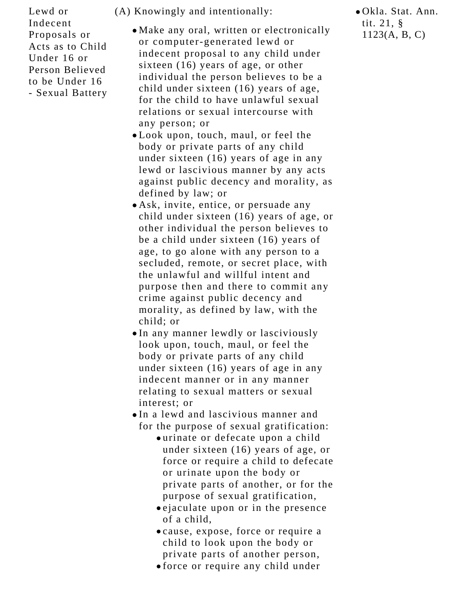Lewd or Indecent Proposals or Acts as to Child Under 16 or Person Believed to be Under 16 - Sexual Battery

- (A) Knowingly and intentionally:
	- Make any oral, written or electronically or computer-generated lewd or indecent proposal to any child under sixteen (16) years of age, or other individual the person believes to be a child under sixteen (16) years of age, for the child to have unlawful sexual relations or sexual intercourse with any person; or
	- Look upon, touch, maul, or feel the body or private parts of any child under sixteen (16) years of age in any lewd or lascivious manner by any acts against public decency and morality, as defined by law; or
	- Ask, invite, entice, or persuade any child under sixteen (16) years of age, or other individual the person believes to be a child under sixteen (16) years of age, to go alone with any person to a secluded, remote, or secret place, with the unlawful and willful intent and purpose then and there to commit any crime against public decency and morality, as defined by law, with the child; or
	- In any manner lewdly or lasciviously look upon, touch, maul, or feel the body or private parts of any child under sixteen (16) years of age in any indecent manner or in any manner relating to sexual matters or sexual interest; or
	- In a lewd and lascivious manner and for the purpose of sexual gratification:
		- urinate or defecate upon a child under sixteen (16) years of age, or force or require a child to defecate or urinate upon the body or private parts of another, or for the purpose of sexual gratification,
		- ejaculate upon or in the presence of a child,
		- cause, expose, force or require a child to look upon the body or private parts of another person,
		- force or require any child under

Okla. Stat. Ann. tit. 21, § 1123(A, B, C)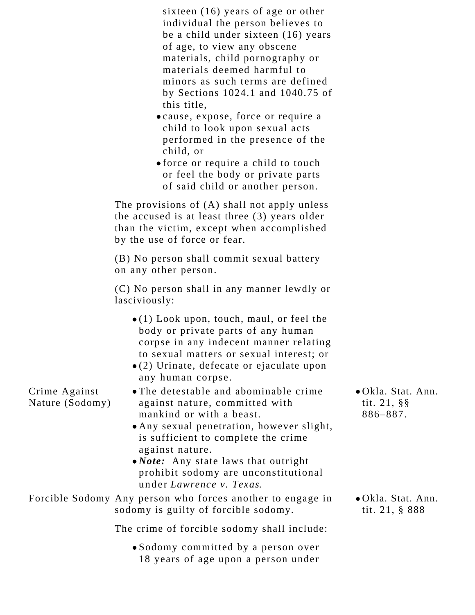| sixteen $(16)$ years of age or other  |
|---------------------------------------|
| individual the person believes to     |
| be a child under sixteen (16) years   |
| of age, to view any obscene           |
| materials, child pornography or       |
| materials deemed harmful to           |
| minors as such terms are defined      |
| by Sections $1024.1$ and $1040.75$ of |
| this title,                           |

- cause, expose, force or require a child to look upon sexual acts performed in the presence of the child, or
- force or require a child to touch or feel the body or private parts of said child or another person.

The provisions of (A) shall not apply unless the accused is at least three (3) years older than the victim, except when accomplished by the use of force or fear.

(B) No person shall commit sexual battery on any other person.

(C) No person shall in any manner lewdly or lasciviously:

- $\bullet$ (1) Look upon, touch, maul, or feel the body or private parts of any human corpse in any indecent manner relating to sexual matters or sexual interest; or
- (2) Urinate, defecate or ejaculate upon any human corpse.
- The detestable and abominable crime against nature, committed with mankind or with a beast.
- Any sexual penetration, however slight, is sufficient to complete the crime against nature.
- *Note:* Any state laws that outright prohibit sodomy are unconstitutional under *Lawrence v. Texas*.

Forcible Sodomy Any person who forces another to engage in sodomy is guilty of forcible sodomy.

Crime Against Nature (Sodomy)

The crime of forcible sodomy shall include:

Sodomy committed by a person over 18 years of age upon a person under Okla. Stat. Ann. tit. 21, §§ 886–887.

Okla. Stat. Ann. tit. 21, § 888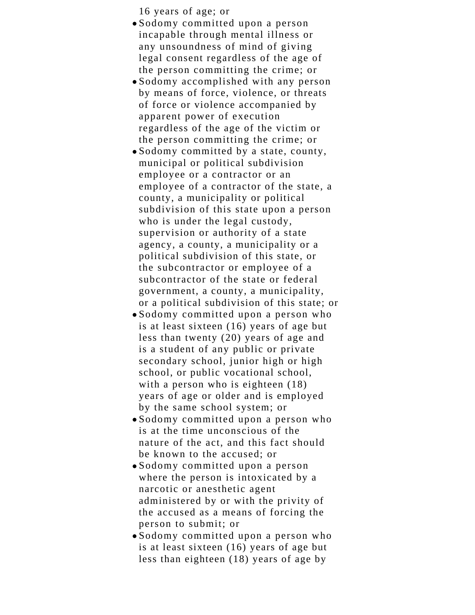16 years of age; or

- Sodomy committed upon a person incapable through mental illness or any unsoundness of mind of giving legal consent regardless of the age of the person committing the crime; or
- Sodomy accomplished with any person by means of force, violence, or threats of force or violence accompanied by apparent power of execution regardless of the age of the victim or the person committing the crime; or
- Sodomy committed by a state, county, municipal or political subdivision employee or a contractor or an employee of a contractor of the state, a county, a municipality or political subdivision of this state upon a person who is under the legal custody, supervision or authority of a state agency, a county, a municipality or a political subdivision of this state, or the subcontractor or employee of a subcontractor of the state or federal government, a county, a municipality, or a political subdivision of this state; or
- Sodomy committed upon a person who is at least sixteen (16) years of age but less than twenty (20) years of age and is a student of any public or private secondary school, junior high or high school, or public vocational school, with a person who is eighteen (18) years of age or older and is employed by the same school system; or
- Sodomy committed upon a person who is at the time unconscious of the nature of the act, and this fact should be known to the accused; or
- Sodomy committed upon a person where the person is intoxicated by a narcotic or anesthetic agent administered by or with the privity of the accused as a means of forcing the person to submit; or
- Sodomy committed upon a person who is at least sixteen (16) years of age but less than eighteen (18) years of age by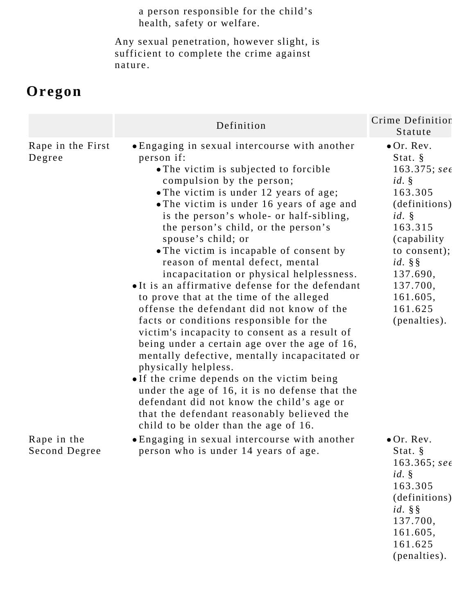a person responsible for the child's health, safety or welfare.

Any sexual penetration, however slight, is sufficient to complete the crime against nature.

## **Oregon**

|                              | Definition                                                                                                                                                                                                                                                                                                                                                                                                                                                                                                                                                                                                                                                                                                                                                                                                                                                                                                                                                                                                                                                        | Crime Definition<br>Statute                                                                                                                                                                                             |
|------------------------------|-------------------------------------------------------------------------------------------------------------------------------------------------------------------------------------------------------------------------------------------------------------------------------------------------------------------------------------------------------------------------------------------------------------------------------------------------------------------------------------------------------------------------------------------------------------------------------------------------------------------------------------------------------------------------------------------------------------------------------------------------------------------------------------------------------------------------------------------------------------------------------------------------------------------------------------------------------------------------------------------------------------------------------------------------------------------|-------------------------------------------------------------------------------------------------------------------------------------------------------------------------------------------------------------------------|
| Rape in the First<br>Degree  | • Engaging in sexual intercourse with another<br>person if:<br>• The victim is subjected to forcible<br>compulsion by the person;<br>• The victim is under 12 years of age;<br>• The victim is under 16 years of age and<br>is the person's whole- or half-sibling,<br>the person's child, or the person's<br>spouse's child; or<br>• The victim is incapable of consent by<br>reason of mental defect, mental<br>incapacitation or physical helplessness.<br>• It is an affirmative defense for the defendant<br>to prove that at the time of the alleged<br>offense the defendant did not know of the<br>facts or conditions responsible for the<br>victim's incapacity to consent as a result of<br>being under a certain age over the age of 16,<br>mentally defective, mentally incapacitated or<br>physically helpless.<br>. If the crime depends on the victim being<br>under the age of 16, it is no defense that the<br>defendant did not know the child's age or<br>that the defendant reasonably believed the<br>child to be older than the age of 16. | $\bullet$ Or. Rev.<br>Stat. $\S$<br>$163.375;$ see<br>id.<br>163.305<br>(definitions)<br>$id. \S$<br>163.315<br>(capability)<br>to consent);<br>$id. \S$<br>137.690,<br>137.700,<br>161.605,<br>161.625<br>(penalties). |
| Rape in the<br>Second Degree | • Engaging in sexual intercourse with another<br>person who is under 14 years of age.                                                                                                                                                                                                                                                                                                                                                                                                                                                                                                                                                                                                                                                                                                                                                                                                                                                                                                                                                                             | $\bullet$ Or. Rev.<br>Stat. §<br>163.365; see<br>id.<br>163.305<br>(definitions)<br>$id. \S$<br>137.700,<br>161.605,<br>161.625<br>(penalties).                                                                         |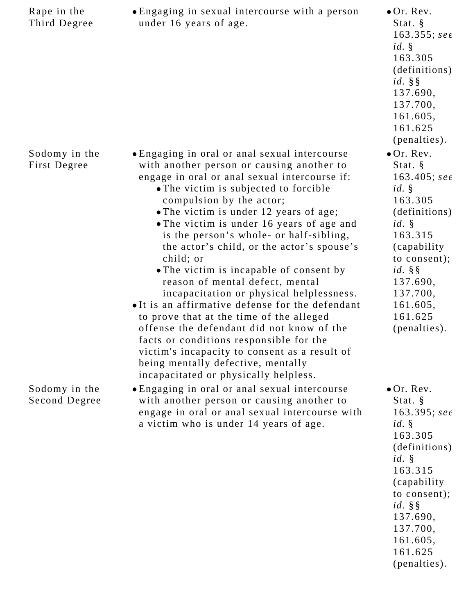| Rape in the<br>Third Degree    | • Engaging in sexual intercourse with a person<br>under 16 years of age.                                                                                                                                                                                                                                                                                                                                                                                                                                                                                                                                                                                                                                                                                                                                                                                        | $\bullet$ Or. Rev.<br>Stat. $\S$<br>$163.355;$ see<br>id.<br>163.305<br>(definitions)<br>$id. \S$<br>137.690,<br>137.700,<br>161.605,<br>161.625<br>(penalties).                                                         |
|--------------------------------|-----------------------------------------------------------------------------------------------------------------------------------------------------------------------------------------------------------------------------------------------------------------------------------------------------------------------------------------------------------------------------------------------------------------------------------------------------------------------------------------------------------------------------------------------------------------------------------------------------------------------------------------------------------------------------------------------------------------------------------------------------------------------------------------------------------------------------------------------------------------|--------------------------------------------------------------------------------------------------------------------------------------------------------------------------------------------------------------------------|
| Sodomy in the<br>First Degree  | • Engaging in oral or anal sexual intercourse<br>with another person or causing another to<br>engage in oral or anal sexual intercourse if:<br>• The victim is subjected to forcible<br>compulsion by the actor;<br>• The victim is under 12 years of age;<br>• The victim is under 16 years of age and<br>is the person's whole- or half-sibling,<br>the actor's child, or the actor's spouse's<br>child; or<br>• The victim is incapable of consent by<br>reason of mental defect, mental<br>incapacitation or physical helplessness.<br>• It is an affirmative defense for the defendant<br>to prove that at the time of the alleged<br>offense the defendant did not know of the<br>facts or conditions responsible for the<br>victim's incapacity to consent as a result of<br>being mentally defective, mentally<br>incapacitated or physically helpless. | $\bullet$ Or. Rev.<br>Stat. $\S$<br>$163.405$ ; see<br>id.<br>163.305<br>(definitions)<br>$id. \S$<br>163.315<br>(capability)<br>to consent);<br>$id. \S$<br>137.690,<br>137.700,<br>161.605,<br>161.625<br>(penalties). |
| Sodomy in the<br>Second Degree | • Engaging in oral or anal sexual intercourse<br>with another person or causing another to<br>engage in oral or anal sexual intercourse with<br>a victim who is under 14 years of age.                                                                                                                                                                                                                                                                                                                                                                                                                                                                                                                                                                                                                                                                          | $\bullet$ Or. Rev.<br>Stat. $\S$<br>$163.395;$ see<br>id.<br>163.305<br>(definitions)<br>$id. \S$<br>163.315<br>(capability)<br>to consent);<br>$id. \S$<br>137.690,<br>137.700,<br>161.605,<br>161.625<br>(penalties).  |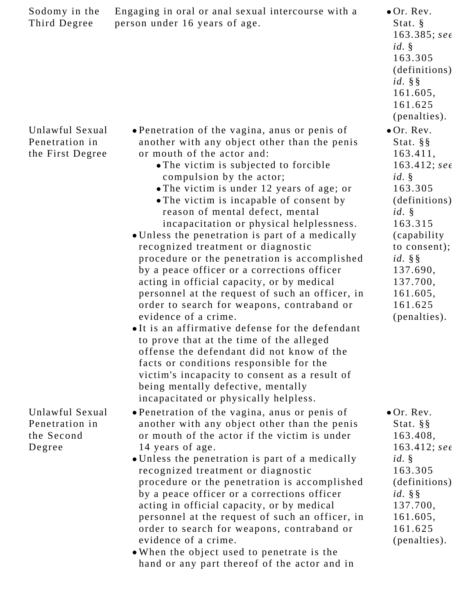| Sodomy in the<br>Third Degree                             | Engaging in oral or anal sexual intercourse with a<br>person under 16 years of age.                                                                                                                                                                                                                                                                                                                                                                                                                                                                                                                                                                                                                                                                                                                                                                                                                                                                                                                                                                           | $\bullet$ Or. Rev.<br>Stat. $\S$<br>$163.385;$ see<br>id.<br>163.305<br>(definitions)<br>$id. \S$<br>161.605,<br>161.625<br>(penalties).                                                                                                 |
|-----------------------------------------------------------|---------------------------------------------------------------------------------------------------------------------------------------------------------------------------------------------------------------------------------------------------------------------------------------------------------------------------------------------------------------------------------------------------------------------------------------------------------------------------------------------------------------------------------------------------------------------------------------------------------------------------------------------------------------------------------------------------------------------------------------------------------------------------------------------------------------------------------------------------------------------------------------------------------------------------------------------------------------------------------------------------------------------------------------------------------------|------------------------------------------------------------------------------------------------------------------------------------------------------------------------------------------------------------------------------------------|
| Unlawful Sexual<br>Penetration in<br>the First Degree     | • Penetration of the vagina, anus or penis of<br>another with any object other than the penis<br>or mouth of the actor and:<br>• The victim is subjected to forcible<br>compulsion by the actor;<br>• The victim is under 12 years of age; or<br>• The victim is incapable of consent by<br>reason of mental defect, mental<br>incapacitation or physical helplessness.<br>• Unless the penetration is part of a medically<br>recognized treatment or diagnostic<br>procedure or the penetration is accomplished<br>by a peace officer or a corrections officer<br>acting in official capacity, or by medical<br>personnel at the request of such an officer, in<br>order to search for weapons, contraband or<br>evidence of a crime.<br>•It is an affirmative defense for the defendant<br>to prove that at the time of the alleged<br>offense the defendant did not know of the<br>facts or conditions responsible for the<br>victim's incapacity to consent as a result of<br>being mentally defective, mentally<br>incapacitated or physically helpless. | $\bullet$ Or. Rev.<br>Stat. $\S$ $\S$<br>163.411,<br>$163.412;$ see<br>id.<br>163.305<br>(definitions)<br>$id. \S$<br>163.315<br>(capability)<br>to consent);<br>$id. \S$<br>137.690,<br>137.700,<br>161.605,<br>161.625<br>(penalties). |
| Unlawful Sexual<br>Penetration in<br>the Second<br>Degree | • Penetration of the vagina, anus or penis of<br>another with any object other than the penis<br>or mouth of the actor if the victim is under<br>14 years of age.<br>• Unless the penetration is part of a medically<br>recognized treatment or diagnostic<br>procedure or the penetration is accomplished<br>by a peace officer or a corrections officer<br>acting in official capacity, or by medical<br>personnel at the request of such an officer, in<br>order to search for weapons, contraband or<br>evidence of a crime.<br>• When the object used to penetrate is the<br>hand or any part thereof of the actor and in                                                                                                                                                                                                                                                                                                                                                                                                                                | $\bullet$ Or. Rev.<br>Stat. $\S$ §<br>163.408,<br>$163.412;$ see<br>id.<br>163.305<br>(definitions)<br>$id. \S$<br>137.700,<br>161.605,<br>161.625<br>(penalties).                                                                       |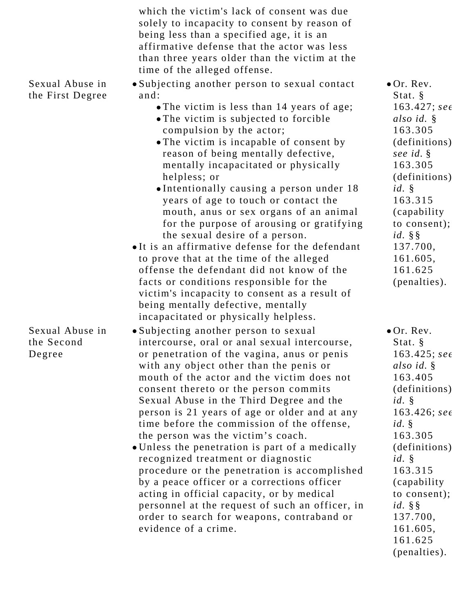|                                         | which the victim's lack of consent was due<br>solely to incapacity to consent by reason of<br>being less than a specified age, it is an<br>affirmative defense that the actor was less<br>than three years older than the victim at the<br>time of the alleged offense.                                                                                                                                                                                                                                                                                                                                                                                                                                                                                                                                                                                |                                                                                                                                                                                                                                                                             |
|-----------------------------------------|--------------------------------------------------------------------------------------------------------------------------------------------------------------------------------------------------------------------------------------------------------------------------------------------------------------------------------------------------------------------------------------------------------------------------------------------------------------------------------------------------------------------------------------------------------------------------------------------------------------------------------------------------------------------------------------------------------------------------------------------------------------------------------------------------------------------------------------------------------|-----------------------------------------------------------------------------------------------------------------------------------------------------------------------------------------------------------------------------------------------------------------------------|
| Sexual Abuse in<br>the First Degree     | • Subjecting another person to sexual contact<br>and:<br>• The victim is less than 14 years of age;<br>• The victim is subjected to forcible<br>compulsion by the actor;<br>• The victim is incapable of consent by<br>reason of being mentally defective,<br>mentally incapacitated or physically<br>helpless; or<br>•Intentionally causing a person under 18<br>years of age to touch or contact the<br>mouth, anus or sex organs of an animal<br>for the purpose of arousing or gratifying<br>the sexual desire of a person.<br>•It is an affirmative defense for the defendant<br>to prove that at the time of the alleged<br>offense the defendant did not know of the<br>facts or conditions responsible for the<br>victim's incapacity to consent as a result of<br>being mentally defective, mentally<br>incapacitated or physically helpless. | $\bullet$ Or. Rev.<br>Stat. §<br>$163.427;$ see<br>also id. §<br>163.305<br>(definitions)<br>see id. §<br>163.305<br>(definitions)<br>$id. \S$<br>163.315<br>(capability)<br>to consent);<br>$id. \S$<br>137.700,<br>161.605,<br>161.625<br>(penalties).                    |
| Sexual Abuse in<br>the Second<br>Degree | · Subjecting another person to sexual<br>intercourse, oral or anal sexual intercourse,<br>or penetration of the vagina, anus or penis<br>with any object other than the penis or<br>mouth of the actor and the victim does not<br>consent thereto or the person commits<br>Sexual Abuse in the Third Degree and the<br>person is 21 years of age or older and at any<br>time before the commission of the offense,<br>the person was the victim's coach.<br>• Unless the penetration is part of a medically<br>recognized treatment or diagnostic<br>procedure or the penetration is accomplished<br>by a peace officer or a corrections officer<br>acting in official capacity, or by medical<br>personnel at the request of such an officer, in<br>order to search for weapons, contraband or<br>evidence of a crime.                                | $\bullet$ Or. Rev.<br>Stat. §<br>$163.425;$ see<br>also id. §<br>163.405<br>(definitions)<br>id.<br>$163.426;$ see<br>id.<br>163.305<br>(definitions)<br>$id. \S$<br>163.315<br>(capability)<br>to consent);<br>$id. \S$<br>137.700,<br>161.605,<br>161.625<br>(penalties). |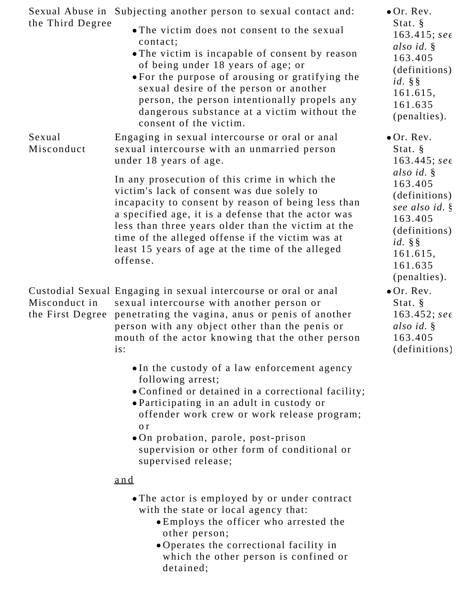| the Third Degree                  | Sexual Abuse in Subjecting another person to sexual contact and:<br>• The victim does not consent to the sexual<br>contact;<br>• The victim is incapable of consent by reason<br>of being under 18 years of age; or<br>• For the purpose of arousing or gratifying the<br>sexual desire of the person or another<br>person, the person intentionally propels any<br>dangerous substance at a victim without the<br>consent of the victim. | $\bullet$ Or. Rev.<br>Stat. §<br>$163.415$ ; see<br>also id. §<br>163.405<br>(definitions)<br>$id. \S$<br>161.615,<br>161.635<br>(penalties). |
|-----------------------------------|-------------------------------------------------------------------------------------------------------------------------------------------------------------------------------------------------------------------------------------------------------------------------------------------------------------------------------------------------------------------------------------------------------------------------------------------|-----------------------------------------------------------------------------------------------------------------------------------------------|
| Sexual<br>Misconduct              | Engaging in sexual intercourse or oral or anal<br>sexual intercourse with an unmarried person<br>under 18 years of age.                                                                                                                                                                                                                                                                                                                   | $\bullet$ Or. Rev.<br>Stat. §<br>$163.445;$ see                                                                                               |
|                                   | In any prosecution of this crime in which the<br>victim's lack of consent was due solely to<br>incapacity to consent by reason of being less than<br>a specified age, it is a defense that the actor was<br>less than three years older than the victim at the<br>time of the alleged offense if the victim was at<br>least 15 years of age at the time of the alleged<br>offense.                                                        | also id. §<br>163.405<br>(definitions)<br>see also id. §<br>163.405<br>(definitions)<br>$id. \S$<br>161.615,<br>161.635<br>(penalties).       |
| Misconduct in<br>the First Degree | Custodial Sexual Engaging in sexual intercourse or oral or anal<br>sexual intercourse with another person or<br>penetrating the vagina, anus or penis of another<br>person with any object other than the penis or<br>mouth of the actor knowing that the other person<br>is:                                                                                                                                                             | $\bullet$ Or. Rev.<br>Stat. $\S$<br>$163.452;$ see<br>also id. §<br>163.405<br>(definitions)                                                  |
|                                   | • In the custody of a law enforcement agency<br>following arrest;<br>• Confined or detained in a correctional facility;<br>• Participating in an adult in custody or<br>offender work crew or work release program;<br>o r<br>.On probation, parole, post-prison<br>supervision or other form of conditional or<br>supervised release;                                                                                                    |                                                                                                                                               |
|                                   | <u>and</u>                                                                                                                                                                                                                                                                                                                                                                                                                                |                                                                                                                                               |
|                                   | • The actor is employed by or under contract<br>with the state or local agency that:<br>• Employs the officer who arrested the<br>other person;<br>• Operates the correctional facility in<br>which the other person is confined or<br>detained;                                                                                                                                                                                          |                                                                                                                                               |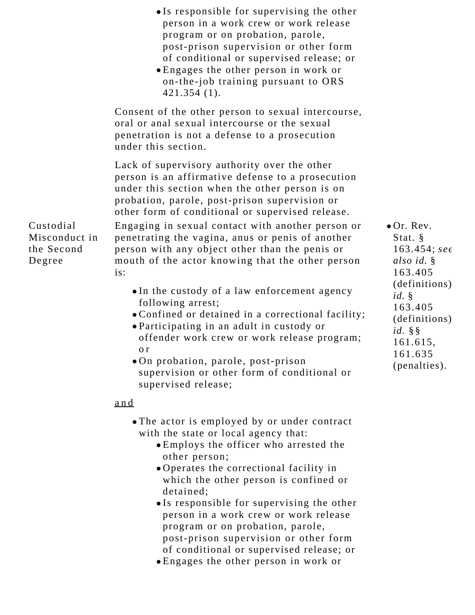|                                                    | • Is responsible for supervising the other<br>person in a work crew or work release<br>program or on probation, parole,<br>post-prison supervision or other form<br>of conditional or supervised release; or<br>• Engages the other person in work or<br>on-the-job training pursuant to ORS<br>$421.354(1)$ .                                                             |                                                                                                     |
|----------------------------------------------------|----------------------------------------------------------------------------------------------------------------------------------------------------------------------------------------------------------------------------------------------------------------------------------------------------------------------------------------------------------------------------|-----------------------------------------------------------------------------------------------------|
|                                                    | Consent of the other person to sexual intercourse,<br>oral or anal sexual intercourse or the sexual<br>penetration is not a defense to a prosecution<br>under this section.                                                                                                                                                                                                |                                                                                                     |
|                                                    | Lack of supervisory authority over the other<br>person is an affirmative defense to a prosecution<br>under this section when the other person is on<br>probation, parole, post-prison supervision or<br>other form of conditional or supervised release.                                                                                                                   |                                                                                                     |
| Custodial<br>Misconduct in<br>the Second<br>Degree | Engaging in sexual contact with another person or<br>penetrating the vagina, anus or penis of another<br>person with any object other than the penis or<br>mouth of the actor knowing that the other person<br>is:                                                                                                                                                         | $\bullet$ Or. Rev.<br>Stat. $\S$<br>$163.454;$ see<br>also id. §<br>163.405                         |
|                                                    | • In the custody of a law enforcement agency<br>following arrest;<br>• Confined or detained in a correctional facility;<br>• Participating in an adult in custody or<br>offender work crew or work release program;<br>o r<br>• On probation, parole, post-prison<br>supervision or other form of conditional or<br>supervised release;                                    | (definitions)<br>id.<br>163.405<br>(definitions)<br>$id. \S$<br>161.615,<br>161.635<br>(penalties). |
|                                                    | <u>and</u>                                                                                                                                                                                                                                                                                                                                                                 |                                                                                                     |
|                                                    | • The actor is employed by or under contract<br>with the state or local agency that:<br>• Employs the officer who arrested the<br>other person;<br>• Operates the correctional facility in<br>which the other person is confined or<br>detained;<br>•Is responsible for supervising the other<br>person in a work crew or work release<br>program or on probation, parole, |                                                                                                     |

of conditional or supervised release; or Engages the other person in work or

post-prison supervision or other form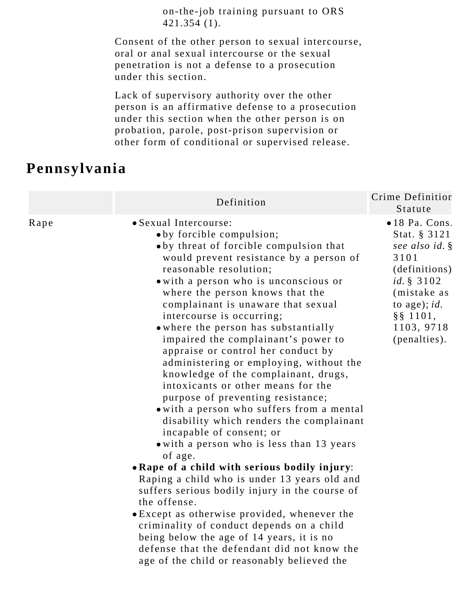on-the-job training pursuant to ORS 421.354 (1).

Consent of the other person to sexual intercourse, oral or anal sexual intercourse or the sexual penetration is not a defense to a prosecution under this section.

Lack of supervisory authority over the other person is an affirmative defense to a prosecution under this section when the other person is on probation, parole, post-prison supervision or other form of conditional or supervised release.

#### **Pennsylvania**

|      | Definition                                                                                                                                                                                                                                                                                                                                                                                                                                                                                                                                                                                                                                                                                                                                                                                                                                                                                                                                                                                                                                                                                                                                                                                   | Crime Definition<br>Statute                                                                                                                                                             |
|------|----------------------------------------------------------------------------------------------------------------------------------------------------------------------------------------------------------------------------------------------------------------------------------------------------------------------------------------------------------------------------------------------------------------------------------------------------------------------------------------------------------------------------------------------------------------------------------------------------------------------------------------------------------------------------------------------------------------------------------------------------------------------------------------------------------------------------------------------------------------------------------------------------------------------------------------------------------------------------------------------------------------------------------------------------------------------------------------------------------------------------------------------------------------------------------------------|-----------------------------------------------------------------------------------------------------------------------------------------------------------------------------------------|
| Rape | • Sexual Intercourse:<br>• by forcible compulsion;<br>• by threat of forcible compulsion that<br>would prevent resistance by a person of<br>reasonable resolution;<br>• with a person who is unconscious or<br>where the person knows that the<br>complainant is unaware that sexual<br>intercourse is occurring;<br>• where the person has substantially<br>impaired the complainant's power to<br>appraise or control her conduct by<br>administering or employing, without the<br>knowledge of the complainant, drugs,<br>intoxicants or other means for the<br>purpose of preventing resistance;<br>• with a person who suffers from a mental<br>disability which renders the complainant<br>incapable of consent; or<br>• with a person who is less than 13 years<br>of age.<br>• Rape of a child with serious bodily injury:<br>Raping a child who is under 13 years old and<br>suffers serious bodily injury in the course of<br>the offense.<br>• Except as otherwise provided, whenever the<br>criminality of conduct depends on a child<br>being below the age of 14 years, it is no<br>defense that the defendant did not know the<br>age of the child or reasonably believed the | $\bullet$ 18 Pa. Cons.<br>Stat. § 3121<br>see also id. §<br>3101<br>(definitions)<br><i>id.</i> $§ 3102$<br>(mistake as<br>to age); $id.$<br>$\S$ § 1101,<br>1103, 9718<br>(penalties). |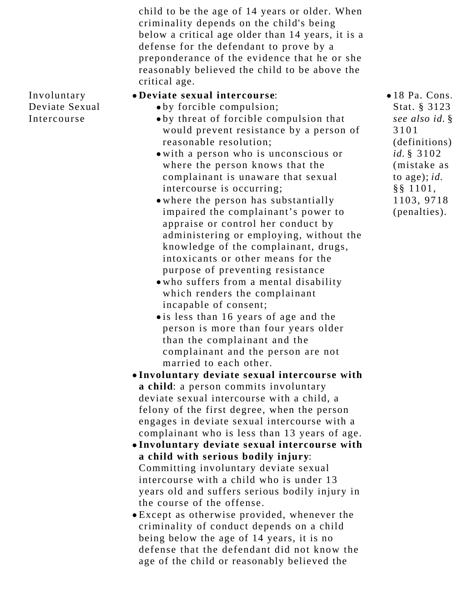child to be the age of 14 years or older. When criminality depends on the child's being below a critical age older than 14 years, it is a defense for the defendant to prove by a preponderance of the evidence that he or she reasonably believed the child to be above the critical age.

Involuntary Deviate Sexual Intercourse

- **Deviate sexual intercourse**:
	- by forcible compulsion;
	- by threat of forcible compulsion that would prevent resistance by a person of reasonable resolution;
	- with a person who is unconscious or where the person knows that the complainant is unaware that sexual intercourse is occurring;
	- where the person has substantially impaired the complainant's power to appraise or control her conduct by administering or employing, without the knowledge of the complainant, drugs, intoxicants or other means for the purpose of preventing resistance
	- who suffers from a mental disability which renders the complainant incapable of consent;
	- is less than 16 years of age and the person is more than four years older than the complainant and the complainant and the person are not married to each other.
- **Involuntary deviate sexual intercourse with a child**: a person commits involuntary deviate sexual intercourse with a child, a felony of the first degree, when the person engages in deviate sexual intercourse with a complainant who is less than 13 years of age.
- **Involuntary deviate sexual intercourse with a child with serious bodily injury**: Committing involuntary deviate sexual intercourse with a child who is under 13 years old and suffers serious bodily injury in the course of the offense.
- Except as otherwise provided, whenever the criminality of conduct depends on a child being below the age of 14 years, it is no defense that the defendant did not know the age of the child or reasonably believed the

18 Pa. Cons. Stat. § 3123 *see also id.* § 3101 (definitions); *id.* § 3102 (mistake as to age); *id.* §§ 1101, 1103, 9718 (penalties).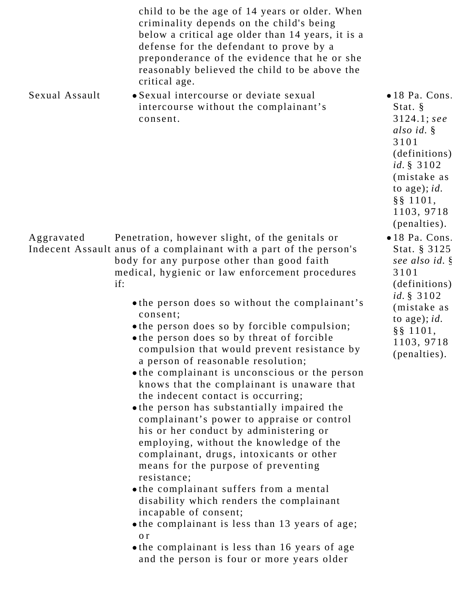|                | child to be the age of 14 years or older. When<br>criminality depends on the child's being<br>below a critical age older than 14 years, it is a<br>defense for the defendant to prove by a<br>preponderance of the evidence that he or she<br>reasonably believed the child to be above the<br>critical age.                                                                                                                                                                                                                                                                                                                                                                                                                                                                                                                                                                                                                                                                                                                                                                                                                                                                       |                                                                                                                                                                                                 |
|----------------|------------------------------------------------------------------------------------------------------------------------------------------------------------------------------------------------------------------------------------------------------------------------------------------------------------------------------------------------------------------------------------------------------------------------------------------------------------------------------------------------------------------------------------------------------------------------------------------------------------------------------------------------------------------------------------------------------------------------------------------------------------------------------------------------------------------------------------------------------------------------------------------------------------------------------------------------------------------------------------------------------------------------------------------------------------------------------------------------------------------------------------------------------------------------------------|-------------------------------------------------------------------------------------------------------------------------------------------------------------------------------------------------|
| Sexual Assault | · Sexual intercourse or deviate sexual<br>intercourse without the complainant's<br>consent.                                                                                                                                                                                                                                                                                                                                                                                                                                                                                                                                                                                                                                                                                                                                                                                                                                                                                                                                                                                                                                                                                        | $\bullet$ 18 Pa. Cons.<br>Stat. §<br>$3124.1;$ see<br>also id. §<br>3101<br>(definitions)<br><i>id.</i> $§ 3102$<br>(mistake as<br>to age); $id.$<br>$\S$ § 1101,<br>1103, 9718<br>(penalties). |
| Aggravated     | Penetration, however slight, of the genitals or<br>Indecent Assault anus of a complainant with a part of the person's<br>body for any purpose other than good faith<br>medical, hygienic or law enforcement procedures<br>if:<br>• the person does so without the complainant's<br>consent;<br>• the person does so by forcible compulsion;<br>• the person does so by threat of forcible<br>compulsion that would prevent resistance by<br>a person of reasonable resolution;<br>• the complainant is unconscious or the person<br>knows that the complainant is unaware that<br>the indecent contact is occurring;<br>• the person has substantially impaired the<br>complainant's power to appraise or control<br>his or her conduct by administering or<br>employing, without the knowledge of the<br>complainant, drugs, intoxicants or other<br>means for the purpose of preventing<br>resistance;<br>• the complainant suffers from a mental<br>disability which renders the complainant<br>incapable of consent;<br>• the complainant is less than 13 years of age;<br>o r<br>• the complainant is less than 16 years of age<br>and the person is four or more years older | •18 Pa. Cons.<br>Stat. § 3125<br>see also id. §<br>3101<br>(definitions)<br><i>id.</i> $§ 3102$<br>(mistake as<br>to age); $id.$<br>$\S$ § 1101,<br>1103, 9718<br>(penalties).                  |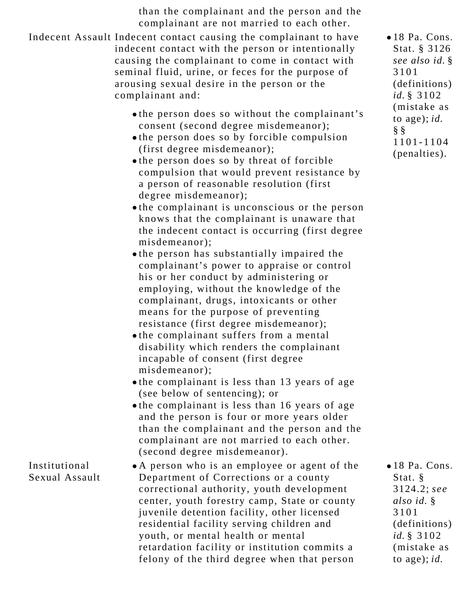than the complainant and the person and the complainant are not married to each other.

Indecent Assault Indecent contact causing the complainant to have indecent contact with the person or intentionally causing the complainant to come in contact with seminal fluid, urine, or feces for the purpose of arousing sexual desire in the person or the complainant and: the person does so without the complainant's consent (second degree misdemeanor); the person does so by forcible compulsion (first degree misdemeanor); • the person does so by threat of forcible compulsion that would prevent resistance by a person of reasonable resolution (first degree misdemeanor); the complainant is unconscious or the person knows that the complainant is unaware that the indecent contact is occurring (first degree misdemeanor); the person has substantially impaired the complainant's power to appraise or control his or her conduct by administering or employing, without the knowledge of the complainant, drugs, intoxicants or other means for the purpose of preventing resistance (first degree misdemeanor); the complainant suffers from a mental disability which renders the complainant incapable of consent (first degree misdemeanor); the complainant is less than 13 years of age (see below of sentencing); or the complainant is less than 16 years of age and the person is four or more years older than the complainant and the person and the complainant are not married to each other. (second degree misdemeanor). 18 Pa. Cons. Stat. § 3126; *see also id.* § 3101 (definitions); *id.* § 3102 (mistake as to age); *id.* § § 1101-1104 (penalties). Institutional Sexual Assault A person who is an employee or agent of the Department of Corrections or a county correctional authority, youth development center, youth forestry camp, State or county juvenile detention facility, other licensed residential facility serving children and youth, or mental health or mental retardation facility or institution commits a felony of the third degree when that person 18 Pa. Cons. Stat. § 3124.2; *see also id.* § 3101 (definitions); *id.* § 3102 (mistake as to age); *id.*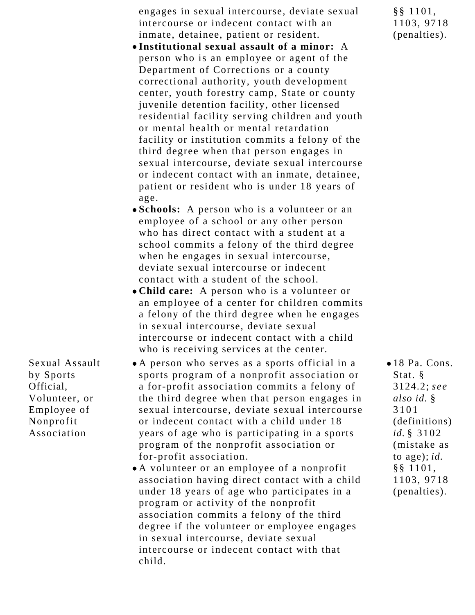engages in sexual intercourse, deviate sexual intercourse or indecent contact with an inmate, detainee, patient or resident.

- **Institutional sexual assault of a minor:** A person who is an employee or agent of the Department of Corrections or a county correctional authority, youth development center, youth forestry camp, State or county juvenile detention facility, other licensed residential facility serving children and youth or mental health or mental retardation facility or institution commits a felony of the third degree when that person engages in sexual intercourse, deviate sexual intercourse or indecent contact with an inmate, detainee, patient or resident who is under 18 years of age.
- **Schools:** A person who is a volunteer or an employee of a school or any other person who has direct contact with a student at a school commits a felony of the third degree when he engages in sexual intercourse, deviate sexual intercourse or indecent contact with a student of the school.
- **Child care:** A person who is a volunteer or an employee of a center for children commits a felony of the third degree when he engages in sexual intercourse, deviate sexual intercourse or indecent contact with a child who is receiving services at the center.
- A person who serves as a sports official in a sports program of a nonprofit association or a for-profit association commits a felony of the third degree when that person engages in sexual intercourse, deviate sexual intercourse or indecent contact with a child under 18 years of age who is participating in a sports program of the nonprofit association or for-profit association.

Sexual Assault

Volunteer, or Employee of Nonprofit Association

by Sports Official,

> A volunteer or an employee of a nonprofit association having direct contact with a child under 18 years of age who participates in a program or activity of the nonprofit association commits a felony of the third degree if the volunteer or employee engages in sexual intercourse, deviate sexual intercourse or indecent contact with that child.

18 Pa. Cons. Stat. § 3124.2; *see also id.* § 3101 (definitions); *id.* § 3102 (mistake as to age); *id.* §§ 1101, 1103, 9718 (penalties).

§§ 1101, 1103, 9718 (penalties).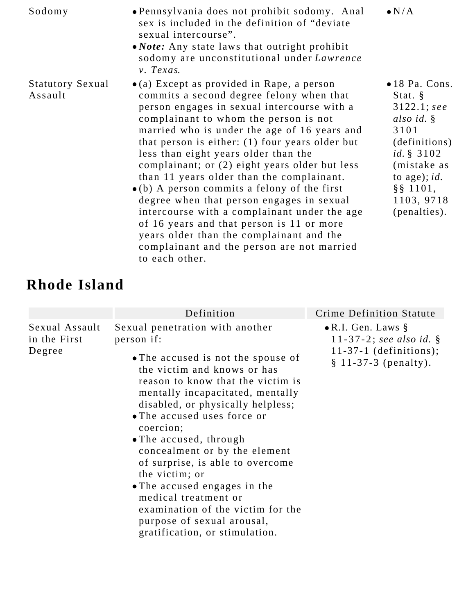| Sodomy                             | • Pennsylvania does not prohibit sodomy. Anal<br>sex is included in the definition of "deviate"<br>sexual intercourse".<br>• <i>Note:</i> Any state laws that outright prohibit<br>sodomy are unconstitutional under Lawrence<br>$v.$ Texas.                                                                                                                                                                                                                                                                                                                                                                                                                                                                                                     | $\bullet N/A$                                                                                                                                                                                         |
|------------------------------------|--------------------------------------------------------------------------------------------------------------------------------------------------------------------------------------------------------------------------------------------------------------------------------------------------------------------------------------------------------------------------------------------------------------------------------------------------------------------------------------------------------------------------------------------------------------------------------------------------------------------------------------------------------------------------------------------------------------------------------------------------|-------------------------------------------------------------------------------------------------------------------------------------------------------------------------------------------------------|
| <b>Statutory Sexual</b><br>Assault | $\bullet$ (a) Except as provided in Rape, a person<br>commits a second degree felony when that<br>person engages in sexual intercourse with a<br>complainant to whom the person is not<br>married who is under the age of 16 years and<br>that person is either: $(1)$ four years older but<br>less than eight years older than the<br>complainant; or (2) eight years older but less<br>than 11 years older than the complainant.<br>$\bullet$ (b) A person commits a felony of the first<br>degree when that person engages in sexual<br>intercourse with a complainant under the age<br>of 16 years and that person is 11 or more<br>years older than the complainant and the<br>complainant and the person are not married<br>to each other. | $\bullet$ 18 Pa. Cons.<br>Stat. $\S$<br>$3122.1;$ see<br>also id. $\S$<br>3101<br>(definitions)<br><i>id.</i> $§ 3102$<br>(mistake as<br>to age); $id.$<br>$\S$ § 1101,<br>1103, 9718<br>(penalties). |

# **Rhode Island**

|                                          | Definition                                                                                                                                                                                                                                                                                                                                                                                                                                                                                                                                                 | Crime Definition Statute                                                                                       |
|------------------------------------------|------------------------------------------------------------------------------------------------------------------------------------------------------------------------------------------------------------------------------------------------------------------------------------------------------------------------------------------------------------------------------------------------------------------------------------------------------------------------------------------------------------------------------------------------------------|----------------------------------------------------------------------------------------------------------------|
| Sexual Assault<br>in the First<br>Degree | Sexual penetration with another<br>person if:<br>• The accused is not the spouse of<br>the victim and knows or has<br>reason to know that the victim is<br>mentally incapacitated, mentally<br>disabled, or physically helpless;<br>• The accused uses force or<br>coercion;<br>• The accused, through<br>concealment or by the element<br>of surprise, is able to overcome<br>the victim; or<br>• The accused engages in the<br>medical treatment or<br>examination of the victim for the<br>purpose of sexual arousal,<br>gratification, or stimulation. | $\bullet$ R.I. Gen. Laws §<br>11-37-2; see also id. $\S$<br>$11-37-1$ (definitions);<br>$§ 11-37-3 (penalty).$ |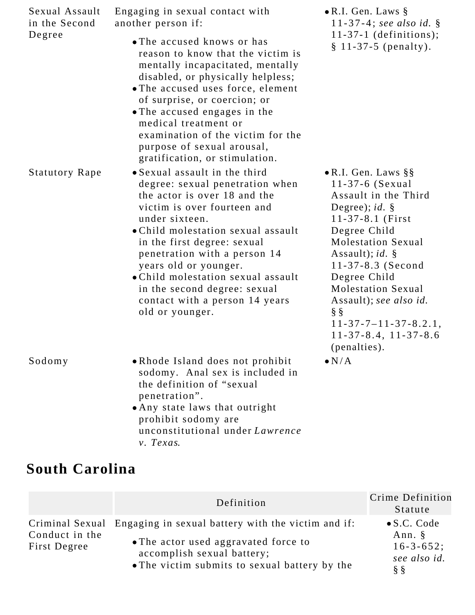| Sexual Assault<br>in the Second | Engaging in sexual contact with<br>another person if:                                                                                                                                                                                                                                                                                                                                                      | $\bullet$ R.I. Gen. Laws $\S$<br>11-37-4; see also id. $\S$                                                                                                                                                                                                                                                                                                                                               |
|---------------------------------|------------------------------------------------------------------------------------------------------------------------------------------------------------------------------------------------------------------------------------------------------------------------------------------------------------------------------------------------------------------------------------------------------------|-----------------------------------------------------------------------------------------------------------------------------------------------------------------------------------------------------------------------------------------------------------------------------------------------------------------------------------------------------------------------------------------------------------|
| Degree                          | • The accused knows or has<br>reason to know that the victim is<br>mentally incapacitated, mentally<br>disabled, or physically helpless;<br>• The accused uses force, element<br>of surprise, or coercion; or<br>• The accused engages in the<br>medical treatment or<br>examination of the victim for the<br>purpose of sexual arousal,<br>gratification, or stimulation.                                 | $11-37-1$ (definitions);<br>$§ 11-37-5 (penalty).$                                                                                                                                                                                                                                                                                                                                                        |
| <b>Statutory Rape</b>           | • Sexual assault in the third<br>degree: sexual penetration when<br>the actor is over 18 and the<br>victim is over fourteen and<br>under sixteen.<br>• Child molestation sexual assault<br>in the first degree: sexual<br>penetration with a person 14<br>years old or younger.<br>• Child molestation sexual assault<br>in the second degree: sexual<br>contact with a person 14 years<br>old or younger. | $\bullet$ R.I. Gen. Laws §§<br>11-37-6 (Sexual<br>Assault in the Third<br>Degree); <i>id.</i> $\S$<br>11-37-8.1 (First<br>Degree Child<br><b>Molestation Sexual</b><br>Assault); <i>id.</i> $\S$<br>$11 - 37 - 8.3$ (Second<br>Degree Child<br><b>Molestation Sexual</b><br>Assault); see also id.<br>$\S$ $\S$<br>$11 - 37 - 7 - 11 - 37 - 8.2.1$ ,<br>$11 - 37 - 8.4$ , $11 - 37 - 8.6$<br>(penalties). |
| Sodomy                          | • Rhode Island does not prohibit<br>sodomy. Anal sex is included in<br>the definition of "sexual"<br>penetration".<br>. Any state laws that outright<br>prohibit sodomy are<br>unconstitutional under Lawrence<br>v. Texas.                                                                                                                                                                                | $\bullet N/A$                                                                                                                                                                                                                                                                                                                                                                                             |

# **South Carolina**

|                                | Definition                                                                                                                                                                                | Crime Definition<br>Statute                                                    |
|--------------------------------|-------------------------------------------------------------------------------------------------------------------------------------------------------------------------------------------|--------------------------------------------------------------------------------|
| Conduct in the<br>First Degree | Criminal Sexual Engaging in sexual battery with the victim and if:<br>• The actor used aggravated force to<br>accomplish sexual battery;<br>• The victim submits to sexual battery by the | $\bullet$ S.C. Code<br>Ann. §<br>$16 - 3 - 652$ ;<br>see also id.<br>$\S$ $\S$ |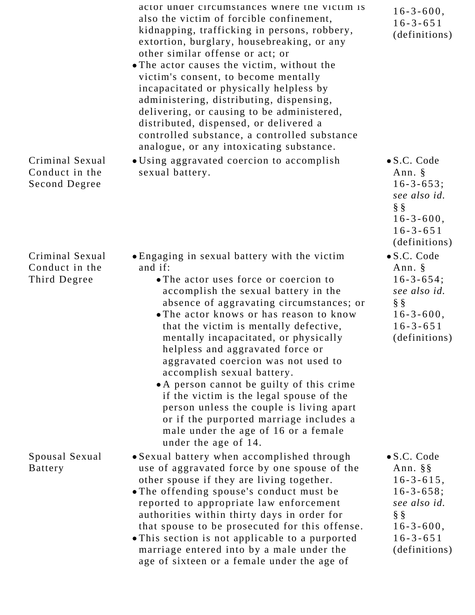|                                                    | actor under circumstances where the victim is<br>also the victim of forcible confinement,<br>kidnapping, trafficking in persons, robbery,<br>extortion, burglary, housebreaking, or any<br>other similar offense or act; or<br>• The actor causes the victim, without the<br>victim's consent, to become mentally<br>incapacitated or physically helpless by<br>administering, distributing, dispensing,<br>delivering, or causing to be administered,<br>distributed, dispensed, or delivered a<br>controlled substance, a controlled substance<br>analogue, or any intoxicating substance.                                                                                | $16 - 3 - 600$ ,<br>$16 - 3 - 651$<br>(definitions)                                                                                                               |
|----------------------------------------------------|-----------------------------------------------------------------------------------------------------------------------------------------------------------------------------------------------------------------------------------------------------------------------------------------------------------------------------------------------------------------------------------------------------------------------------------------------------------------------------------------------------------------------------------------------------------------------------------------------------------------------------------------------------------------------------|-------------------------------------------------------------------------------------------------------------------------------------------------------------------|
| Criminal Sexual<br>Conduct in the<br>Second Degree | • Using aggravated coercion to accomplish<br>sexual battery.                                                                                                                                                                                                                                                                                                                                                                                                                                                                                                                                                                                                                | $\bullet$ S.C. Code<br>Ann. $\S$<br>$16 - 3 - 653;$<br>see also id.<br>$\S$ $\S$<br>$16 - 3 - 600$ ,<br>$16 - 3 - 651$<br>(definitions)                           |
| Criminal Sexual<br>Conduct in the<br>Third Degree  | • Engaging in sexual battery with the victim<br>and if:<br>• The actor uses force or coercion to<br>accomplish the sexual battery in the<br>absence of aggravating circumstances; or<br>• The actor knows or has reason to know<br>that the victim is mentally defective,<br>mentally incapacitated, or physically<br>helpless and aggravated force or<br>aggravated coercion was not used to<br>accomplish sexual battery.<br>• A person cannot be guilty of this crime<br>if the victim is the legal spouse of the<br>person unless the couple is living apart<br>or if the purported marriage includes a<br>male under the age of 16 or a female<br>under the age of 14. | $\bullet$ S.C. Code<br>Ann. $\S$<br>$16 - 3 - 654$ ;<br>see also id.<br>$\S$ $\S$<br>$16 - 3 - 600$ ,<br>$16 - 3 - 651$<br>(definitions)                          |
| Spousal Sexual<br><b>Battery</b>                   | • Sexual battery when accomplished through<br>use of aggravated force by one spouse of the<br>other spouse if they are living together.<br>• The offending spouse's conduct must be<br>reported to appropriate law enforcement<br>authorities within thirty days in order for<br>that spouse to be prosecuted for this offense.<br>• This section is not applicable to a purported<br>marriage entered into by a male under the<br>age of sixteen or a female under the age of                                                                                                                                                                                              | $\bullet$ S.C. Code<br>Ann. $\S$ $\S$<br>$16 - 3 - 615$ ,<br>$16 - 3 - 658$ ;<br>see also id.<br>$\S$ $\S$<br>$16 - 3 - 600$ ,<br>$16 - 3 - 651$<br>(definitions) |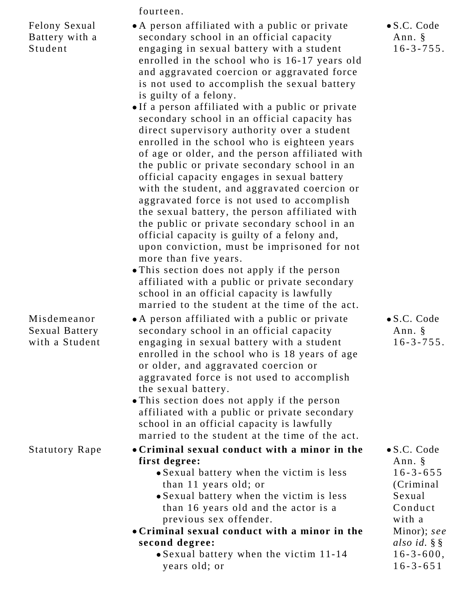fourteen. Felony Sexual Battery with a Student A person affiliated with a public or private secondary school in an official capacity engaging in sexual battery with a student enrolled in the school who is 16-17 years old and aggravated coercion or aggravated force is not used to accomplish the sexual battery is guilty of a felony. If a person affiliated with a public or private secondary school in an official capacity has direct supervisory authority over a student enrolled in the school who is eighteen years of age or older, and the person affiliated with the public or private secondary school in an official capacity engages in sexual battery with the student, and aggravated coercion or aggravated force is not used to accomplish the sexual battery, the person affiliated with the public or private secondary school in an official capacity is guilty of a felony and, upon conviction, must be imprisoned for not more than five years. This section does not apply if the person affiliated with a public or private secondary school in an official capacity is lawfully married to the student at the time of the act. Misdemeanor Sexual Battery with a Student A person affiliated with a public or private secondary school in an official capacity engaging in sexual battery with a student enrolled in the school who is 18 years of age or older, and aggravated coercion or aggravated force is not used to accomplish the sexual battery. This section does not apply if the person affiliated with a public or private secondary school in an official capacity is lawfully married to the student at the time of the act. Statutory Rape **Criminal sexual conduct with a minor in the first degree:**

- Sexual battery when the victim is less than 11 years old; or
- Sexual battery when the victim is less than 16 years old and the actor is a previous sex offender.
- **Criminal sexual conduct with a minor in the second degree:**
	- Sexual battery when the victim 11-14 years old; or

S.C. Code Ann. § 16-3-755.

S.C. Code Ann. § 16-3-755.

S.C. Code Ann. § 16-3-655 (Criminal Sexual Conduct with a Minor); *see also id.* § §  $16-3-600$ , 16-3-651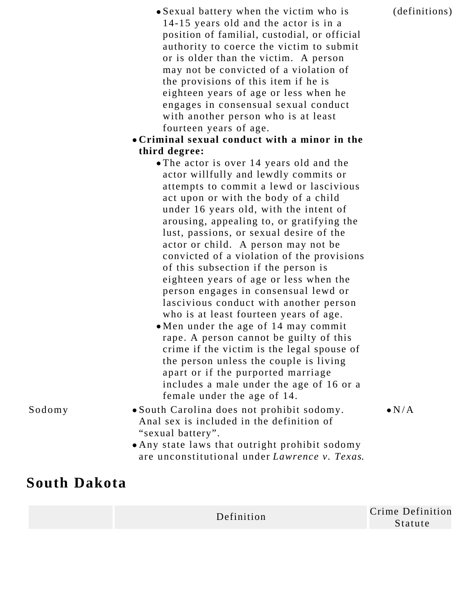(definitions).

- Sexual battery when the victim who is 14-15 years old and the actor is in a position of familial, custodial, or official authority to coerce the victim to submit or is older than the victim. A person may not be convicted of a violation of the provisions of this item if he is eighteen years of age or less when he engages in consensual sexual conduct with another person who is at least fourteen years of age.
- **Criminal sexual conduct with a minor in the third degree:**
	- The actor is over 14 years old and the actor willfully and lewdly commits or attempts to commit a lewd or lascivious act upon or with the body of a child under 16 years old, with the intent of arousing, appealing to, or gratifying the lust, passions, or sexual desire of the actor or child. A person may not be convicted of a violation of the provisions of this subsection if the person is eighteen years of age or less when the person engages in consensual lewd or lascivious conduct with another person who is at least fourteen years of age.
	- Men under the age of 14 may commit rape. A person cannot be guilty of this crime if the victim is the legal spouse of the person unless the couple is living apart or if the purported marriage includes a male under the age of 16 or a female under the age of 14.

- 
- Sodomy South Carolina does not prohibit sodomy. Anal sex is included in the definition of "sexual battery".
	- Any state laws that outright prohibit sodomy are unconstitutional under *Lawrence v. Texas*.

#### **South Dakota**

 $\bullet$  N/A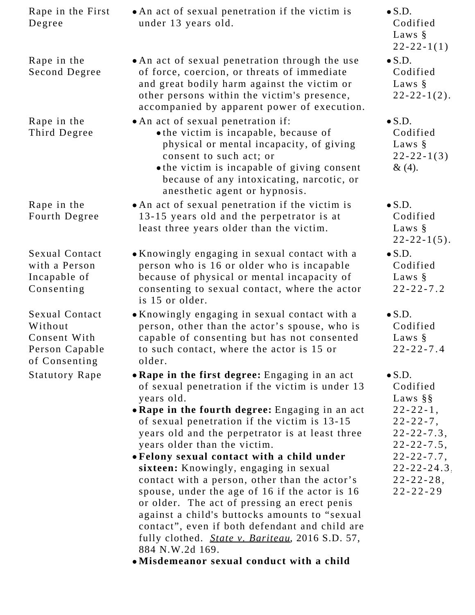| Rape in the First<br>Degree                                                  | • An act of sexual penetration if the victim is<br>under 13 years old.                                                                                                                                                                                                          | $\bullet$ S.D.<br>Codified<br>Laws $\S$<br>$22 - 22 - 1(1)$                  |
|------------------------------------------------------------------------------|---------------------------------------------------------------------------------------------------------------------------------------------------------------------------------------------------------------------------------------------------------------------------------|------------------------------------------------------------------------------|
| Rape in the<br>Second Degree                                                 | • An act of sexual penetration through the use<br>of force, coercion, or threats of immediate<br>and great bodily harm against the victim or<br>other persons within the victim's presence,<br>accompanied by apparent power of execution.                                      | $\bullet$ S.D.<br>Codified<br>Laws $\S$<br>$22 - 22 - 1(2)$ .                |
| Rape in the<br>Third Degree                                                  | • An act of sexual penetration if:<br>• the victim is incapable, because of<br>physical or mental incapacity, of giving<br>consent to such act; or<br>• the victim is incapable of giving consent<br>because of any intoxicating, narcotic, or<br>anesthetic agent or hypnosis. | $\bullet$ S.D.<br>Codified<br>Laws $\S$<br>$22 - 22 - 1(3)$<br>&(4).         |
| Rape in the<br>Fourth Degree                                                 | • An act of sexual penetration if the victim is<br>13-15 years old and the perpetrator is at<br>least three years older than the victim.                                                                                                                                        | $\bullet$ S.D.<br>Codified<br>Laws $\S$<br>$22 - 22 - 1(5)$ .                |
| <b>Sexual Contact</b><br>with a Person<br>Incapable of<br>Consenting         | • Knowingly engaging in sexual contact with a<br>person who is 16 or older who is incapable<br>because of physical or mental incapacity of<br>consenting to sexual contact, where the actor<br>is 15 or older.                                                                  | $\bullet$ S.D.<br>Codified<br>Laws $\S$<br>$22 - 22 - 7.2$                   |
| Sexual Contact<br>Without<br>Consent With<br>Person Capable<br>of Consenting | • Knowingly engaging in sexual contact with a<br>person, other than the actor's spouse, who is<br>capable of consenting but has not consented<br>to such contact, where the actor is 15 or<br>older.                                                                            | $\bullet$ S.D.<br>Codified<br>Laws $\S$<br>$22 - 22 - 7.4$                   |
| <b>Statutory Rape</b>                                                        | • Rape in the first degree: Engaging in an act<br>of sexual penetration if the victim is under 13<br>years old.                                                                                                                                                                 | $\bullet$ S.D.<br>Codified<br>Laws $\S$                                      |
|                                                                              | • Rape in the fourth degree: Engaging in an act<br>of sexual penetration if the victim is 13-15<br>years old and the perpetrator is at least three<br>years older than the victim.                                                                                              | $22 - 22 - 1$ ,<br>$22 - 22 - 7$ ,<br>$22 - 22 - 7.3$ ,<br>$22 - 22 - 7.5$ , |
|                                                                              | • Felony sexual contact with a child under                                                                                                                                                                                                                                      | $22 - 22 - 7.7$ ,                                                            |
|                                                                              | sixteen: Knowingly, engaging in sexual<br>contact with a person, other than the actor's                                                                                                                                                                                         | $22 - 22 - 24.3$<br>$22 - 22 - 28$ ,                                         |
|                                                                              | spouse, under the age of 16 if the actor is 16<br>or older. The act of pressing an erect penis<br>against a child's buttocks amounts to "sexual<br>contact", even if both defendant and child are<br>fully clothed. <i>State v. Bariteau</i> , 2016 S.D. 57,                    | $22 - 22 - 29$                                                               |
|                                                                              | 884 N.W.2d 169.<br>·Misdemeanor sexual conduct with a child                                                                                                                                                                                                                     |                                                                              |
|                                                                              |                                                                                                                                                                                                                                                                                 |                                                                              |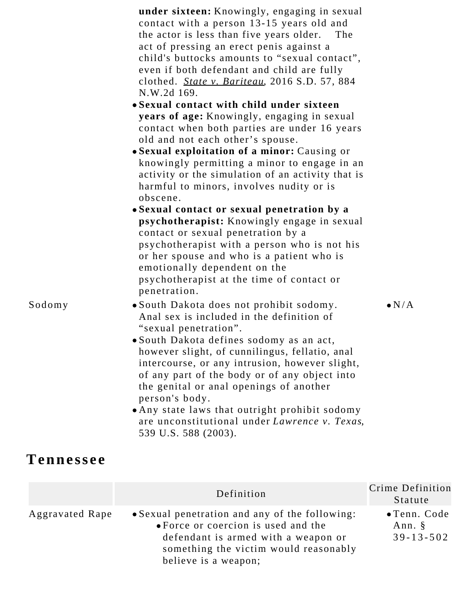|        | under sixteen: Knowingly, engaging in sexual<br>contact with a person 13-15 years old and<br>the actor is less than five years older.<br>The<br>act of pressing an erect penis against a<br>child's buttocks amounts to "sexual contact",<br>even if both defendant and child are fully<br>clothed. State v. Bariteau, 2016 S.D. 57, 884<br>N.W.2d 169.                                                                                                                                                 |               |
|--------|---------------------------------------------------------------------------------------------------------------------------------------------------------------------------------------------------------------------------------------------------------------------------------------------------------------------------------------------------------------------------------------------------------------------------------------------------------------------------------------------------------|---------------|
|        | • Sexual contact with child under sixteen<br>years of age: Knowingly, engaging in sexual<br>contact when both parties are under 16 years<br>old and not each other's spouse.                                                                                                                                                                                                                                                                                                                            |               |
|        | • Sexual exploitation of a minor: Causing or<br>knowingly permitting a minor to engage in an<br>activity or the simulation of an activity that is<br>harmful to minors, involves nudity or is<br>obscene.                                                                                                                                                                                                                                                                                               |               |
|        | • Sexual contact or sexual penetration by a<br>psychotherapist: Knowingly engage in sexual<br>contact or sexual penetration by a<br>psychotherapist with a person who is not his<br>or her spouse and who is a patient who is<br>emotionally dependent on the<br>psychotherapist at the time of contact or<br>penetration.                                                                                                                                                                              |               |
| Sodomy | • South Dakota does not prohibit sodomy.<br>Anal sex is included in the definition of<br>"sexual penetration".<br>· South Dakota defines sodomy as an act,<br>however slight, of cunnilingus, fellatio, anal<br>intercourse, or any intrusion, however slight,<br>of any part of the body or of any object into<br>the genital or anal openings of another<br>person's body.<br>• Any state laws that outright prohibit sodomy<br>are unconstitutional under Lawrence v. Texas,<br>539 U.S. 588 (2003). | $\bullet N/A$ |

# **Tennessee**

|                        | Definition                                                                                                                                                                                    | Crime Definition<br>Statute                       |
|------------------------|-----------------------------------------------------------------------------------------------------------------------------------------------------------------------------------------------|---------------------------------------------------|
| <b>Aggravated Rape</b> | • Sexual penetration and any of the following:<br>• Force or coercion is used and the<br>defendant is armed with a weapon or<br>something the victim would reasonably<br>believe is a weapon; | $\bullet$ Tenn. Code<br>Ann. §<br>$39 - 13 - 502$ |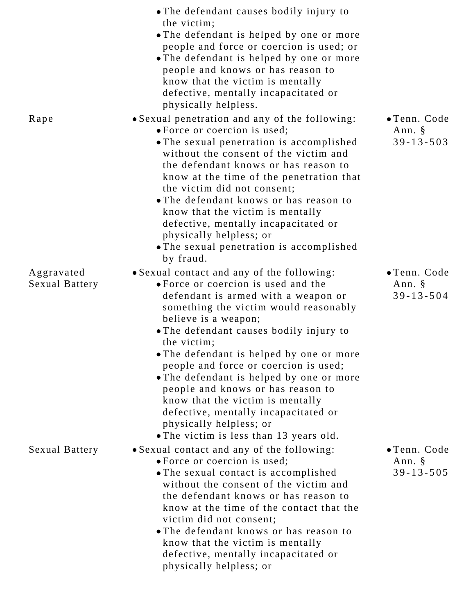|                                     | • The defendant causes bodily injury to<br>the victim;<br>• The defendant is helped by one or more<br>people and force or coercion is used; or<br>• The defendant is helped by one or more<br>people and knows or has reason to<br>know that the victim is mentally<br>defective, mentally incapacitated or<br>physically helpless.                                                                                                                                                                                                                                         |                                                      |
|-------------------------------------|-----------------------------------------------------------------------------------------------------------------------------------------------------------------------------------------------------------------------------------------------------------------------------------------------------------------------------------------------------------------------------------------------------------------------------------------------------------------------------------------------------------------------------------------------------------------------------|------------------------------------------------------|
| Rape                                | • Sexual penetration and any of the following:<br>• Force or coercion is used;<br>. The sexual penetration is accomplished<br>without the consent of the victim and<br>the defendant knows or has reason to<br>know at the time of the penetration that<br>the victim did not consent;<br>• The defendant knows or has reason to<br>know that the victim is mentally<br>defective, mentally incapacitated or<br>physically helpless; or<br>• The sexual penetration is accomplished<br>by fraud.                                                                            | • Tenn. Code<br>Ann. $\S$<br>$39 - 13 - 503$         |
| Aggravated<br><b>Sexual Battery</b> | • Sexual contact and any of the following:<br>• Force or coercion is used and the<br>defendant is armed with a weapon or<br>something the victim would reasonably<br>believe is a weapon;<br>• The defendant causes bodily injury to<br>the victim;<br>• The defendant is helped by one or more<br>people and force or coercion is used;<br>• The defendant is helped by one or more<br>people and knows or has reason to<br>know that the victim is mentally<br>defective, mentally incapacitated or<br>physically helpless; or<br>• The victim is less than 13 years old. | • Tenn. Code<br>Ann. $\S$<br>$39 - 13 - 504$         |
| <b>Sexual Battery</b>               | • Sexual contact and any of the following:<br>• Force or coercion is used;<br>• The sexual contact is accomplished<br>without the consent of the victim and<br>the defendant knows or has reason to<br>know at the time of the contact that the<br>victim did not consent;<br>• The defendant knows or has reason to<br>know that the victim is mentally<br>defective, mentally incapacitated or<br>physically helpless; or                                                                                                                                                 | $\bullet$ Tenn. Code<br>Ann. $\S$<br>$39 - 13 - 505$ |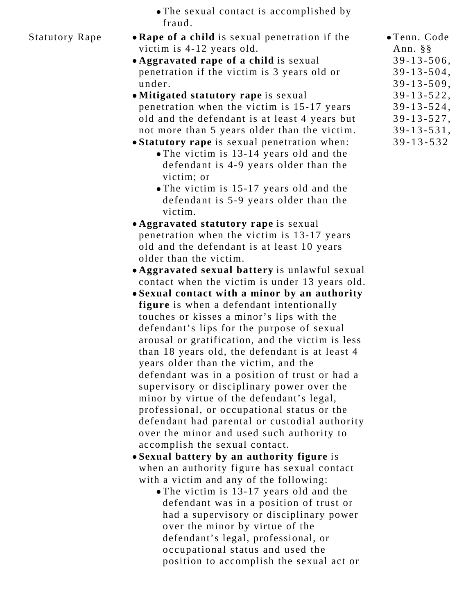|        |  | • The sexual contact is accomplished by |  |
|--------|--|-----------------------------------------|--|
| fraud. |  |                                         |  |

- Statutory Rape  **Rape of a child** is sexual penetration if the victim is 4-12 years old.
	- **Aggravated rape of a child** is sexual penetration if the victim is 3 years old or under.
	- **Mitigated statutory rape** is sexual penetration when the victim is 15-17 years old and the defendant is at least 4 years but not more than 5 years older than the victim.
	- **Statutory rape** is sexual penetration when: The victim is 13-14 years old and the defendant is 4-9 years older than the victim; or
		- The victim is 15-17 years old and the defendant is 5-9 years older than the victim.
	- **Aggravated statutory rape** is sexual penetration when the victim is 13-17 years old and the defendant is at least 10 years older than the victim.
	- **Aggravated sexual battery** is unlawful sexual contact when the victim is under 13 years old.
	- **Sexual contact with a minor by an authority figure** is when a defendant intentionally touches or kisses a minor's lips with the defendant's lips for the purpose of sexual arousal or gratification, and the victim is less than 18 years old, the defendant is at least 4 years older than the victim, and the defendant was in a position of trust or had a supervisory or disciplinary power over the minor by virtue of the defendant's legal, professional, or occupational status or the defendant had parental or custodial authority over the minor and used such authority to accomplish the sexual contact.
	- **Sexual battery by an authority figure** is when an authority figure has sexual contact with a victim and any of the following:
		- The victim is 13-17 years old and the defendant was in a position of trust or had a supervisory or disciplinary power over the minor by virtue of the defendant's legal, professional, or occupational status and used the position to accomplish the sexual act or
- Tenn. Code Ann. §§ 39-13-506, 39-13-504, 39-13-509, 39-13-522, 39-13-524, 39-13-527, 39-13-531,
- 39-13-532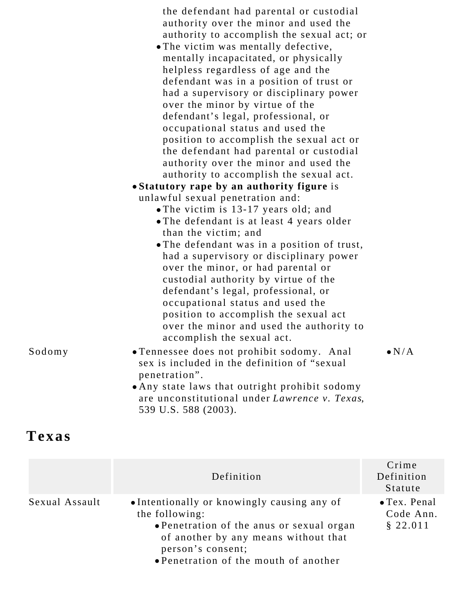|        | the defendant had parental or custodial        |               |
|--------|------------------------------------------------|---------------|
|        | authority over the minor and used the          |               |
|        | authority to accomplish the sexual act; or     |               |
|        | • The victim was mentally defective,           |               |
|        | mentally incapacitated, or physically          |               |
|        | helpless regardless of age and the             |               |
|        | defendant was in a position of trust or        |               |
|        | had a supervisory or disciplinary power        |               |
|        | over the minor by virtue of the                |               |
|        | defendant's legal, professional, or            |               |
|        | occupational status and used the               |               |
|        | position to accomplish the sexual act or       |               |
|        | the defendant had parental or custodial        |               |
|        | authority over the minor and used the          |               |
|        | authority to accomplish the sexual act.        |               |
|        | • Statutory rape by an authority figure is     |               |
|        | unlawful sexual penetration and:               |               |
|        | • The victim is 13-17 years old; and           |               |
|        | • The defendant is at least 4 years older      |               |
|        | than the victim; and                           |               |
|        | . The defendant was in a position of trust,    |               |
|        | had a supervisory or disciplinary power        |               |
|        | over the minor, or had parental or             |               |
|        | custodial authority by virtue of the           |               |
|        | defendant's legal, professional, or            |               |
|        | occupational status and used the               |               |
|        | position to accomplish the sexual act          |               |
|        | over the minor and used the authority to       |               |
|        | accomplish the sexual act.                     |               |
|        |                                                |               |
| Sodomy | · Tennessee does not prohibit sodomy. Anal     | $\bullet N/A$ |
|        | sex is included in the definition of "sexual"  |               |
|        | penetration".                                  |               |
|        | • Any state laws that outright prohibit sodomy |               |
|        | are unconstitutional under Lawrence v. Texas,  |               |
|        | 539 U.S. 588 (2003).                           |               |
|        |                                                |               |

## **Texas**

|                | Definition                                                                                                                                                                                                       | Crime<br>Definition<br>Statute                |
|----------------|------------------------------------------------------------------------------------------------------------------------------------------------------------------------------------------------------------------|-----------------------------------------------|
| Sexual Assault | • Intentionally or knowingly causing any of<br>the following:<br>• Penetration of the anus or sexual organ<br>of another by any means without that<br>person's consent;<br>• Penetration of the mouth of another | $\bullet$ Tex. Penal<br>Code Ann.<br>\$22.011 |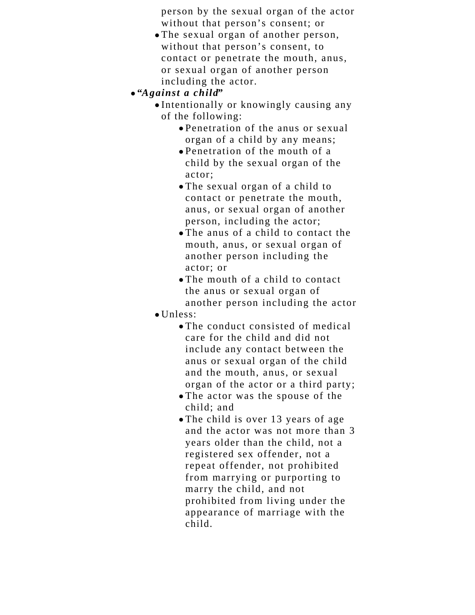person by the sexual organ of the actor without that person's consent; or

- The sexual organ of another person, without that person's consent, to contact or penetrate the mouth, anus, or sexual organ of another person including the actor.
- **"***Against a child***"**
	- Intentionally or knowingly causing any of the following:
		- Penetration of the anus or sexual organ of a child by any means;
		- Penetration of the mouth of a child by the sexual organ of the actor;
		- The sexual organ of a child to contact or penetrate the mouth, anus, or sexual organ of another person, including the actor;
		- The anus of a child to contact the mouth, anus, or sexual organ of another person including the actor; or
		- The mouth of a child to contact the anus or sexual organ of another person including the actor
	- $\bullet$  Unless:
		- The conduct consisted of medical care for the child and did not include any contact between the anus or sexual organ of the child and the mouth, anus, or sexual organ of the actor or a third party;
		- The actor was the spouse of the child; and
		- The child is over 13 years of age and the actor was not more than 3 years older than the child, not a registered sex offender, not a repeat offender, not prohibited from marrying or purporting to marry the child, and not prohibited from living under the appearance of marriage with the child.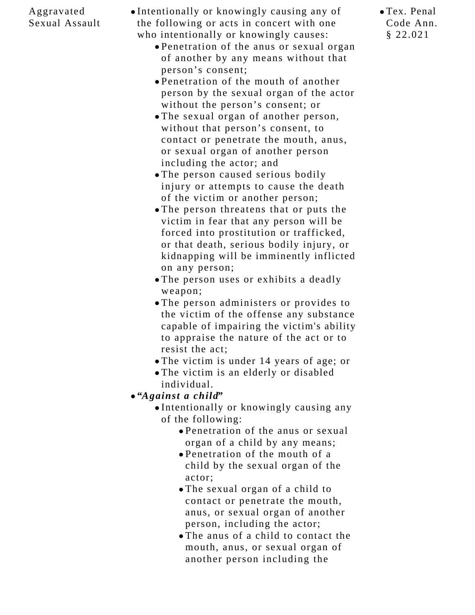## Aggravated Sexual Assault

Intentionally or knowingly causing any of the following or acts in concert with one who intentionally or knowingly causes:

- Penetration of the anus or sexual organ of another by any means without that person's consent;
- Penetration of the mouth of another person by the sexual organ of the actor without the person's consent; or
- The sexual organ of another person, without that person's consent, to contact or penetrate the mouth, anus, or sexual organ of another person including the actor; and
- The person caused serious bodily injury or attempts to cause the death of the victim or another person;
- The person threatens that or puts the victim in fear that any person will be forced into prostitution or trafficked, or that death, serious bodily injury, or kidnapping will be imminently inflicted on any person;
- The person uses or exhibits a deadly weapon;
- The person administers or provides to the victim of the offense any substance capable of impairing the victim's ability to appraise the nature of the act or to resist the act;
- The victim is under 14 years of age; or
- The victim is an elderly or disabled individual.
- **"***Against a child***"**
	- Intentionally or knowingly causing any of the following:
		- Penetration of the anus or sexual organ of a child by any means;
		- Penetration of the mouth of a child by the sexual organ of the actor;
		- The sexual organ of a child to contact or penetrate the mouth, anus, or sexual organ of another person, including the actor;
		- The anus of a child to contact the mouth, anus, or sexual organ of another person including the

Tex. Penal Code Ann. § 22.021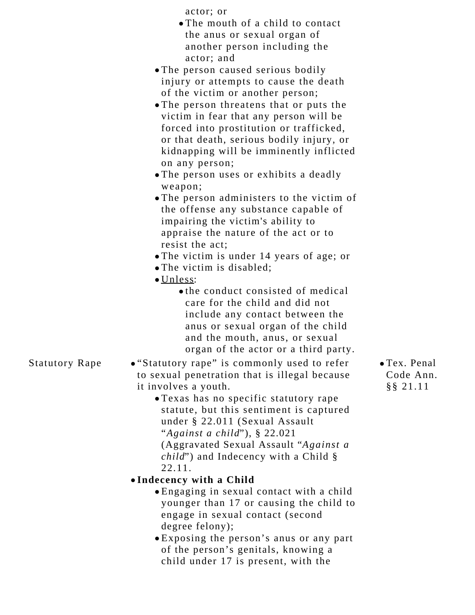actor; or

- The mouth of a child to contact the anus or sexual organ of another person including the actor; and
- The person caused serious bodily injury or attempts to cause the death of the victim or another person;
- The person threatens that or puts the victim in fear that any person will be forced into prostitution or trafficked, or that death, serious bodily injury, or kidnapping will be imminently inflicted on any person;
- The person uses or exhibits a deadly weapon;
- The person administers to the victim of the offense any substance capable of impairing the victim's ability to appraise the nature of the act or to resist the act;
- The victim is under 14 years of age; or
- The victim is disabled;
- Unless:
	- the conduct consisted of medical care for the child and did not include any contact between the anus or sexual organ of the child and the mouth, anus, or sexual organ of the actor or a third party.

Statutory Rape • "Statutory rape" is commonly used to refer to sexual penetration that is illegal because it involves a youth.

Texas has no specific statutory rape statute, but this sentiment is captured under § 22.011 (Sexual Assault "*Against a child*"), § 22.021 (Aggravated Sexual Assault "*Against a child*") and Indecency with a Child § 22.11.

## **Indecency with a Child**

- Engaging in sexual contact with a child younger than 17 or causing the child to engage in sexual contact (second degree felony);
- Exposing the person's anus or any part of the person's genitals, knowing a child under 17 is present, with the

Tex. Penal Code Ann. §§ 21.11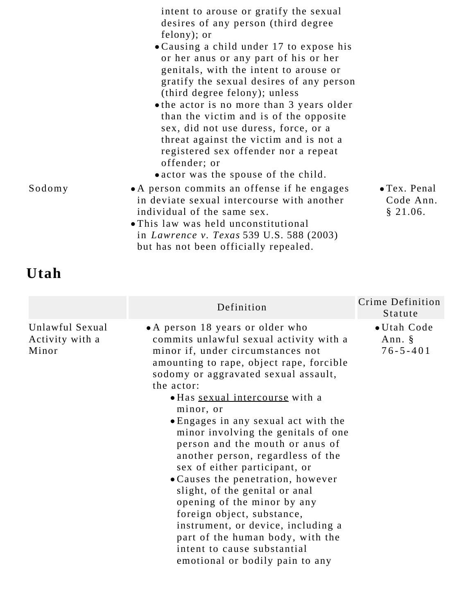|        | intent to arouse or gratify the sexual<br>desires of any person (third degree<br>felony); or<br>• Causing a child under 17 to expose his<br>or her anus or any part of his or her<br>genitals, with the intent to arouse or<br>gratify the sexual desires of any person<br>(third degree felony); unless<br>• the actor is no more than 3 years older<br>than the victim and is of the opposite<br>sex, did not use duress, force, or a<br>threat against the victim and is not a<br>registered sex offender nor a repeat<br>offender; or<br>• actor was the spouse of the child. |                                               |
|--------|-----------------------------------------------------------------------------------------------------------------------------------------------------------------------------------------------------------------------------------------------------------------------------------------------------------------------------------------------------------------------------------------------------------------------------------------------------------------------------------------------------------------------------------------------------------------------------------|-----------------------------------------------|
| Sodomy | • A person commits an offense if he engages<br>in deviate sexual intercourse with another<br>individual of the same sex.<br>• This law was held unconstitutional<br>in <i>Lawrence v. Texas</i> 539 U.S. 588 (2003)<br>but has not been officially repealed.                                                                                                                                                                                                                                                                                                                      | $\bullet$ Tex. Penal<br>Code Ann.<br>§ 21.06. |

# **Utah**

|                                             | Definition                                                                                                                                                                                                                                                                                                                                                                                                                                                                                                                                                                                                                                                                                                                                 | Crime Definition<br>Statute             |
|---------------------------------------------|--------------------------------------------------------------------------------------------------------------------------------------------------------------------------------------------------------------------------------------------------------------------------------------------------------------------------------------------------------------------------------------------------------------------------------------------------------------------------------------------------------------------------------------------------------------------------------------------------------------------------------------------------------------------------------------------------------------------------------------------|-----------------------------------------|
| Unlawful Sexual<br>Activity with a<br>Minor | • A person 18 years or older who<br>commits unlawful sexual activity with a<br>minor if, under circumstances not<br>amounting to rape, object rape, forcible<br>sodomy or aggravated sexual assault,<br>the actor:<br>• Has sexual intercourse with a<br>minor, or<br>• Engages in any sexual act with the<br>minor involving the genitals of one<br>person and the mouth or anus of<br>another person, regardless of the<br>sex of either participant, or<br>• Causes the penetration, however<br>slight, of the genital or anal<br>opening of the minor by any<br>foreign object, substance,<br>instrument, or device, including a<br>part of the human body, with the<br>intent to cause substantial<br>emotional or bodily pain to any | • Utah Code<br>Ann. §<br>$76 - 5 - 401$ |
|                                             |                                                                                                                                                                                                                                                                                                                                                                                                                                                                                                                                                                                                                                                                                                                                            |                                         |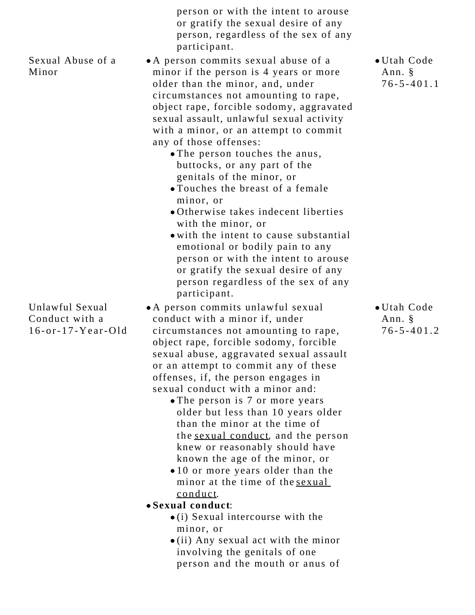|                                                           | person or with the intent to arouse<br>or gratify the sexual desire of any<br>person, regardless of the sex of any<br>participant.                                                                                                                                                                                                                                                                                                                                                                                                                                                                                                                                                                                                                    |                                           |
|-----------------------------------------------------------|-------------------------------------------------------------------------------------------------------------------------------------------------------------------------------------------------------------------------------------------------------------------------------------------------------------------------------------------------------------------------------------------------------------------------------------------------------------------------------------------------------------------------------------------------------------------------------------------------------------------------------------------------------------------------------------------------------------------------------------------------------|-------------------------------------------|
| Sexual Abuse of a<br>Minor                                | • A person commits sexual abuse of a<br>minor if the person is 4 years or more<br>older than the minor, and, under<br>circumstances not amounting to rape,<br>object rape, forcible sodomy, aggravated<br>sexual assault, unlawful sexual activity<br>with a minor, or an attempt to commit<br>any of those offenses:<br>• The person touches the anus,<br>buttocks, or any part of the<br>genitals of the minor, or<br>• Touches the breast of a female<br>minor, or<br>• Otherwise takes indecent liberties<br>with the minor, or<br>• with the intent to cause substantial<br>emotional or bodily pain to any<br>person or with the intent to arouse<br>or gratify the sexual desire of any<br>person regardless of the sex of any<br>participant. | • Utah Code<br>Ann. §<br>$76 - 5 - 401.1$ |
| Unlawful Sexual<br>Conduct with a<br>$16-$ or-17-Year-Old | • A person commits unlawful sexual<br>conduct with a minor if, under<br>circumstances not amounting to rape,<br>object rape, forcible sodomy, forcible<br>sexual abuse, aggravated sexual assault<br>or an attempt to commit any of these<br>offenses, if, the person engages in<br>sexual conduct with a minor and:<br>• The person is 7 or more years<br>older but less than 10 years older<br>than the minor at the time of<br>the sexual conduct, and the person<br>knew or reasonably should have<br>known the age of the minor, or<br>.10 or more years older than the<br>minor at the time of the sexual<br>conduct.<br>• Sexual conduct:<br>$\bullet$ (i) Sexual intercourse with the<br>minor, or<br>Any covual got with the mine            | • Utah Code<br>Ann. §<br>$76 - 5 - 401.2$ |

(ii) Any sexual act with the minor involving the genitals of one person and the mouth or anus of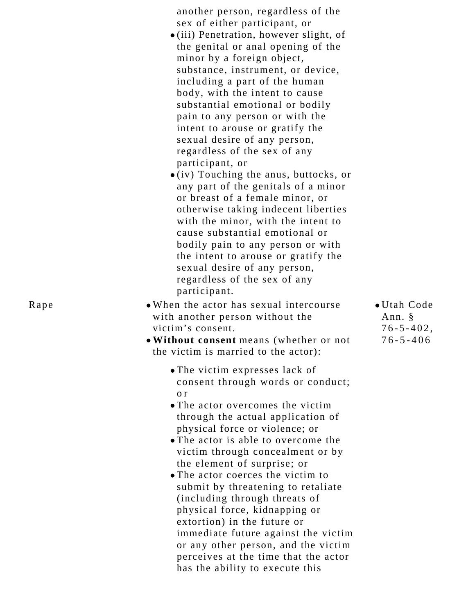another person, regardless of the sex of either participant, or

- (iii) Penetration, however slight, of the genital or anal opening of the minor by a foreign object, substance, instrument, or device, including a part of the human body, with the intent to cause substantial emotional or bodily pain to any person or with the intent to arouse or gratify the sexual desire of any person, regardless of the sex of any participant, or
- $\bullet$  (iv) Touching the anus, buttocks, or any part of the genitals of a minor or breast of a female minor, or otherwise taking indecent liberties with the minor, with the intent to cause substantial emotional or bodily pain to any person or with the intent to arouse or gratify the sexual desire of any person, regardless of the sex of any participant.
- Rape When the actor has sexual intercourse with another person without the victim's consent.
	- **Without consent** means (whether or not the victim is married to the actor):
		- The victim expresses lack of consent through words or conduct; o r
		- The actor overcomes the victim through the actual application of physical force or violence; or
		- The actor is able to overcome the victim through concealment or by the element of surprise; or
		- The actor coerces the victim to submit by threatening to retaliate (including through threats of physical force, kidnapping or extortion) in the future or immediate future against the victim or any other person, and the victim perceives at the time that the actor has the ability to execute this

Utah Code Ann. § 76-5-402, 76-5-406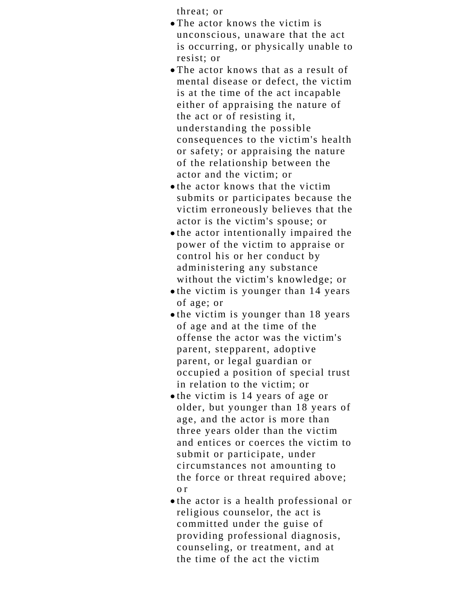threat; or

- The actor knows the victim is unconscious, unaware that the act is occurring, or physically unable to resist; or
- The actor knows that as a result of mental disease or defect, the victim is at the time of the act incapable either of appraising the nature of the act or of resisting it, understanding the possible consequences to the victim's health or safety; or appraising the nature of the relationship between the actor and the victim; or
- $\bullet$  the actor knows that the victim submits or participates because the victim erroneously believes that the actor is the victim's spouse; or
- the actor intentionally impaired the power of the victim to appraise or control his or her conduct by administering any substance without the victim's knowledge; or
- $\bullet$  the victim is younger than 14 years of age; or
- the victim is younger than 18 years of age and at the time of the offense the actor was the victim's parent, stepparent, adoptive parent, or legal guardian or occupied a position of special trust in relation to the victim; or
- the victim is 14 years of age or older, but younger than 18 years of age, and the actor is more than three years older than the victim and entices or coerces the victim to submit or participate, under circumstances not amounting to the force or threat required above; o r
- the actor is a health professional or religious counselor, the act is committed under the guise of providing professional diagnosis, counseling, or treatment, and at the time of the act the victim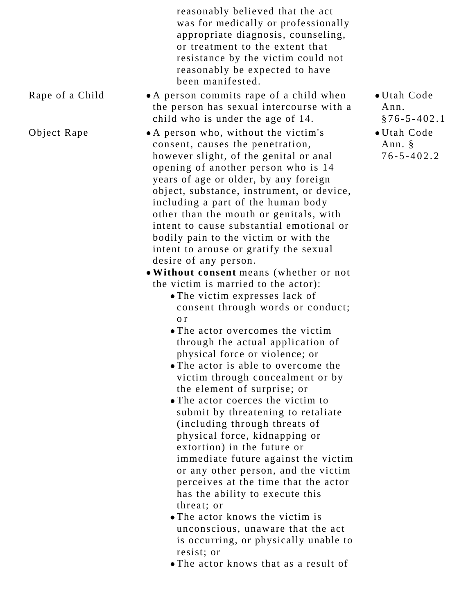reasonably believed that the act was for medically or professionally appropriate diagnosis, counseling, or treatment to the extent that resistance by the victim could not reasonably be expected to have been manifested.

Rape of a Child  $\bullet$  A person commits rape of a child when the person has sexual intercourse with a child who is under the age of 14.

Object Rape  $\bullet$  A person who, without the victim's consent, causes the penetration, however slight, of the genital or anal opening of another person who is 14 years of age or older, by any foreign object, substance, instrument, or device, including a part of the human body other than the mouth or genitals, with intent to cause substantial emotional or bodily pain to the victim or with the intent to arouse or gratify the sexual desire of any person.

> **Without consent** means (whether or not the victim is married to the actor):

- The victim expresses lack of consent through words or conduct; o r
- The actor overcomes the victim through the actual application of physical force or violence; or
- The actor is able to overcome the victim through concealment or by the element of surprise; or
- The actor coerces the victim to submit by threatening to retaliate (including through threats of physical force, kidnapping or extortion) in the future or immediate future against the victim or any other person, and the victim perceives at the time that the actor has the ability to execute this threat; or
- The actor knows the victim is unconscious, unaware that the act is occurring, or physically unable to resist; or
- The actor knows that as a result of
- Utah Code Ann. §76-5-402.1
- Utah Code Ann. § 76-5-402.2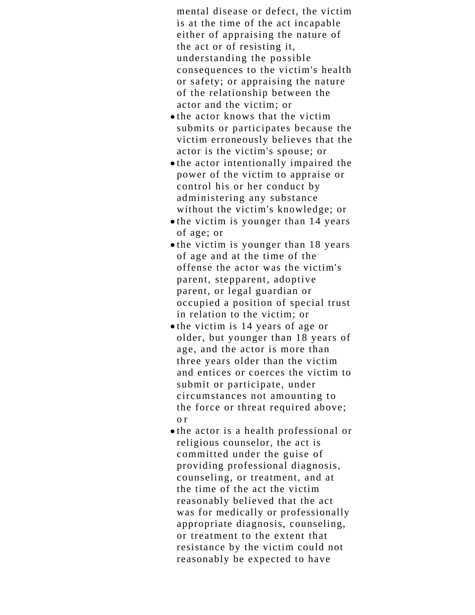mental disease or defect, the victim is at the time of the act incapable either of appraising the nature of the act or of resisting it, understanding the possible consequences to the victim's health or safety; or appraising the nature of the relationship between the actor and the victim; or

- $\bullet$  the actor knows that the victim submits or participates because the victim erroneously believes that the actor is the victim's spouse; or
- the actor intentionally impaired the power of the victim to appraise or control his or her conduct by administering any substance without the victim's knowledge; or
- $\bullet$  the victim is younger than 14 years of age; or
- the victim is younger than 18 years of age and at the time of the offense the actor was the victim's parent, stepparent, adoptive parent, or legal guardian or occupied a position of special trust in relation to the victim; or
- the victim is 14 years of age or older, but younger than 18 years of age, and the actor is more than three years older than the victim and entices or coerces the victim to submit or participate, under circumstances not amounting to the force or threat required above; o r
- the actor is a health professional or religious counselor, the act is committed under the guise of providing professional diagnosis, counseling, or treatment, and at the time of the act the victim reasonably believed that the act was for medically or professionally appropriate diagnosis, counseling, or treatment to the extent that resistance by the victim could not reasonably be expected to have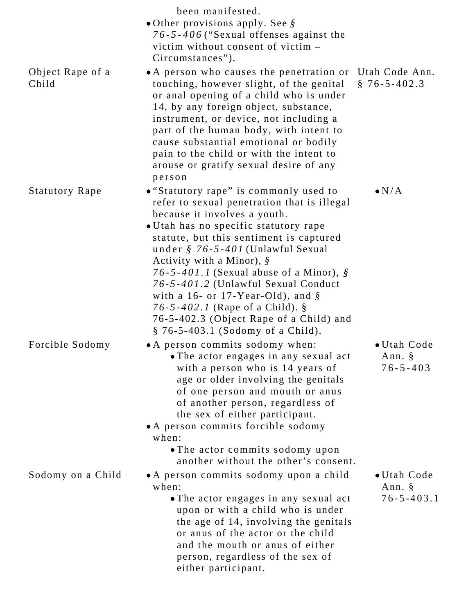|                           | been manifested.<br>• Other provisions apply. See $\S$                                                                                                                                                                                                                                                                                                                                                                                                                                                                                           |                                           |
|---------------------------|--------------------------------------------------------------------------------------------------------------------------------------------------------------------------------------------------------------------------------------------------------------------------------------------------------------------------------------------------------------------------------------------------------------------------------------------------------------------------------------------------------------------------------------------------|-------------------------------------------|
|                           | 76-5-406 ("Sexual offenses against the<br>victim without consent of victim -<br>Circumstances").                                                                                                                                                                                                                                                                                                                                                                                                                                                 |                                           |
| Object Rape of a<br>Child | • A person who causes the penetration or Utah Code Ann.<br>touching, however slight, of the genital<br>or anal opening of a child who is under<br>14, by any foreign object, substance,<br>instrument, or device, not including a<br>part of the human body, with intent to<br>cause substantial emotional or bodily<br>pain to the child or with the intent to<br>arouse or gratify sexual desire of any<br>person                                                                                                                              | $§ 76 - 5 - 402.3$                        |
| <b>Statutory Rape</b>     | • "Statutory rape" is commonly used to<br>refer to sexual penetration that is illegal<br>because it involves a youth.<br>• Utah has no specific statutory rape<br>statute, but this sentiment is captured<br>under § 76-5-401 (Unlawful Sexual<br>Activity with a Minor), $\hat{\mathcal{S}}$<br>76-5-401.1 (Sexual abuse of a Minor), $\S$<br>76-5-401.2 (Unlawful Sexual Conduct<br>with a 16- or 17-Year-Old), and $\S$<br>76-5-402.1 (Rape of a Child). $\S$<br>76-5-402.3 (Object Rape of a Child) and<br>§ 76-5-403.1 (Sodomy of a Child). | $\bullet N/A$                             |
| Forcible Sodomy           | • A person commits sodomy when:<br>• The actor engages in any sexual act<br>with a person who is 14 years of<br>age or older involving the genitals<br>of one person and mouth or anus<br>of another person, regardless of<br>the sex of either participant.<br>• A person commits forcible sodomy<br>when:<br>• The actor commits sodomy upon<br>another without the other's consent.                                                                                                                                                           | • Utah Code<br>Ann. §<br>$76 - 5 - 403$   |
| Sodomy on a Child         | • A person commits sodomy upon a child<br>when:<br>• The actor engages in any sexual act<br>upon or with a child who is under<br>the age of 14, involving the genitals<br>or anus of the actor or the child<br>and the mouth or anus of either<br>person, regardless of the sex of<br>either participant.                                                                                                                                                                                                                                        | • Utah Code<br>Ann. §<br>$76 - 5 - 403.1$ |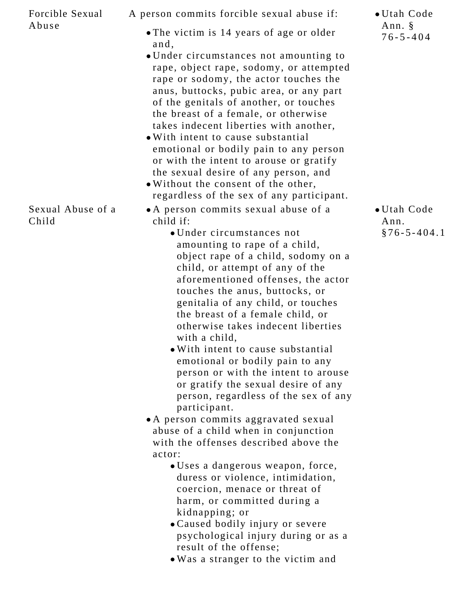| Forcible Sexual            | A person commits forcible sexual abuse if:                                        | • Utah Code              |
|----------------------------|-----------------------------------------------------------------------------------|--------------------------|
| Abuse                      | • The victim is 14 years of age or older                                          | Ann. §<br>$76 - 5 - 404$ |
|                            | and,                                                                              |                          |
|                            | • Under circumstances not amounting to<br>rape, object rape, sodomy, or attempted |                          |
|                            | rape or sodomy, the actor touches the                                             |                          |
|                            | anus, buttocks, pubic area, or any part                                           |                          |
|                            | of the genitals of another, or touches                                            |                          |
|                            | the breast of a female, or otherwise                                              |                          |
|                            | takes indecent liberties with another,                                            |                          |
|                            | • With intent to cause substantial                                                |                          |
|                            | emotional or bodily pain to any person                                            |                          |
|                            | or with the intent to arouse or gratify                                           |                          |
|                            | the sexual desire of any person, and                                              |                          |
|                            | . Without the consent of the other,                                               |                          |
|                            | regardless of the sex of any participant.                                         |                          |
| Sexual Abuse of a<br>Child | • A person commits sexual abuse of a<br>child if:                                 | • Utah Code<br>Ann.      |
|                            | • Under circumstances not                                                         | $§76 - 5 - 404.1$        |
|                            | amounting to rape of a child,                                                     |                          |
|                            | object rape of a child, sodomy on a                                               |                          |
|                            | child, or attempt of any of the                                                   |                          |
|                            | aforementioned offenses, the actor                                                |                          |
|                            | touches the anus, buttocks, or                                                    |                          |
|                            | genitalia of any child, or touches                                                |                          |
|                            | the breast of a female child, or                                                  |                          |
|                            | otherwise takes indecent liberties                                                |                          |
|                            | with a child,                                                                     |                          |
|                            | . With intent to cause substantial<br>emotional or bodily pain to any             |                          |
|                            | person or with the intent to arouse                                               |                          |
|                            | or gratify the sexual desire of any                                               |                          |
|                            | person, regardless of the sex of any                                              |                          |
|                            | participant.                                                                      |                          |
|                            | • A person commits aggravated sexual                                              |                          |
|                            | abuse of a child when in conjunction                                              |                          |
|                            | with the offenses described above the                                             |                          |
|                            | actor:                                                                            |                          |
|                            | • Uses a dangerous weapon, force,                                                 |                          |
|                            | duress or violence, intimidation,                                                 |                          |
|                            | coercion, menace or threat of                                                     |                          |
|                            | harm, or committed during a                                                       |                          |
|                            | kidnapping; or                                                                    |                          |
|                            | • Caused bodily injury or severe                                                  |                          |
|                            | psychological injury during or as a<br>result of the offense;                     |                          |
|                            | . Was a stranger to the victim and                                                |                          |
|                            |                                                                                   |                          |
|                            |                                                                                   |                          |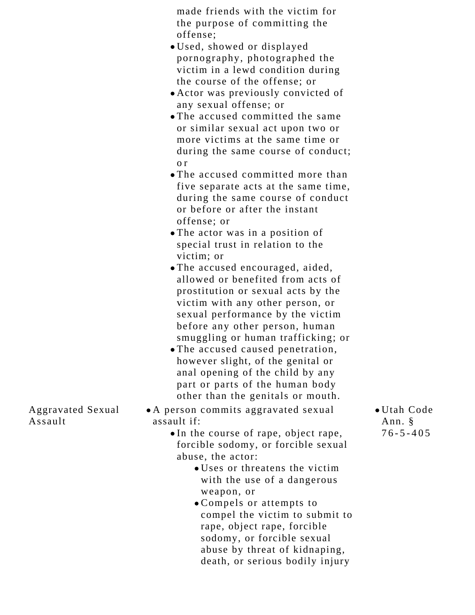made friends with the victim for the purpose of committing the offense;

- Used, showed or displayed pornography, photographed the victim in a lewd condition during the course of the offense; or
- Actor was previously convicted of any sexual offense; or
- The accused committed the same or similar sexual act upon two or more victims at the same time or during the same course of conduct; o r
- The accused committed more than five separate acts at the same time, during the same course of conduct or before or after the instant offense; or
- The actor was in a position of special trust in relation to the victim; or
- The accused encouraged, aided, allowed or benefited from acts of prostitution or sexual acts by the victim with any other person, or sexual performance by the victim before any other person, human smuggling or human trafficking; or
- The accused caused penetration, however slight, of the genital or anal opening of the child by any part or parts of the human body other than the genitals or mouth.
- A person commits aggravated sexual assault if:
	- In the course of rape, object rape, forcible sodomy, or forcible sexual abuse, the actor:
		- Uses or threatens the victim with the use of a dangerous weapon, or
		- Compels or attempts to compel the victim to submit to rape, object rape, forcible sodomy, or forcible sexual abuse by threat of kidnaping, death, or serious bodily injury

Utah Code Ann. § 76-5-405

Aggravated Sexual Assault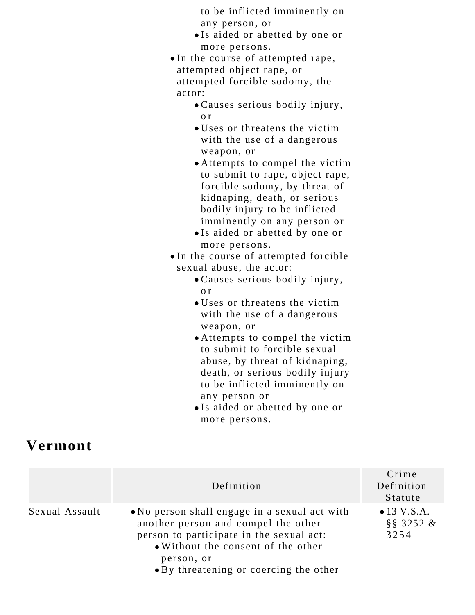to be inflicted imminently on any person, or

- Is aided or abetted by one or more persons.
- In the course of attempted rape, attempted object rape, or attempted forcible sodomy, the actor:
	- Causes serious bodily injury, o r
	- Uses or threatens the victim with the use of a dangerous weapon, or
	- Attempts to compel the victim to submit to rape, object rape, forcible sodomy, by threat of kidnaping, death, or serious bodily injury to be inflicted imminently on any person or
	- Is aided or abetted by one or more persons.

In the course of attempted forcible sexual abuse, the actor:

- Causes serious bodily injury, o r
- Uses or threatens the victim with the use of a dangerous weapon, or
- Attempts to compel the victim to submit to forcible sexual abuse, by threat of kidnaping, death, or serious bodily injury to be inflicted imminently on any person or
- Is aided or abetted by one or more persons.

## **Vermont**

|                | Definition                                                                                                                                                             | Crime<br>Definition<br>Statute                  |
|----------------|------------------------------------------------------------------------------------------------------------------------------------------------------------------------|-------------------------------------------------|
| Sexual Assault | • No person shall engage in a sexual act with<br>another person and compel the other<br>person to participate in the sexual act:<br>• Without the consent of the other | $\bullet$ 13 V.S.A.<br>$\S$ $\S$ 3252 &<br>3254 |
|                | person, or<br>• By threatening or coercing the other                                                                                                                   |                                                 |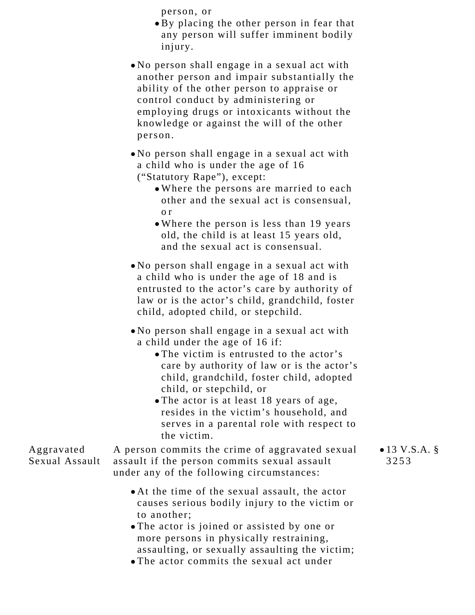person, or

- By placing the other person in fear that any person will suffer imminent bodily injury.
- No person shall engage in a sexual act with another person and impair substantially the ability of the other person to appraise or control conduct by administering or employing drugs or intoxicants without the knowledge or against the will of the other person.
- No person shall engage in a sexual act with a child who is under the age of 16 ("Statutory Rape"), except:
	- Where the persons are married to each other and the sexual act is consensual, o r
	- Where the person is less than 19 years old, the child is at least 15 years old, and the sexual act is consensual.
- No person shall engage in a sexual act with a child who is under the age of 18 and is entrusted to the actor's care by authority of law or is the actor's child, grandchild, foster child, adopted child, or stepchild.
- No person shall engage in a sexual act with a child under the age of 16 if:
	- The victim is entrusted to the actor's care by authority of law or is the actor's child, grandchild, foster child, adopted child, or stepchild, or
	- The actor is at least 18 years of age, resides in the victim's household, and serves in a parental role with respect to the victim.

Aggravated Sexual Assault A person commits the crime of aggravated sexual assault if the person commits sexual assault under any of the following circumstances:

- At the time of the sexual assault, the actor causes serious bodily injury to the victim or to another;
- The actor is joined or assisted by one or more persons in physically restraining, assaulting, or sexually assaulting the victim;
- The actor commits the sexual act under

 $• 13 V.S.A.$ 3253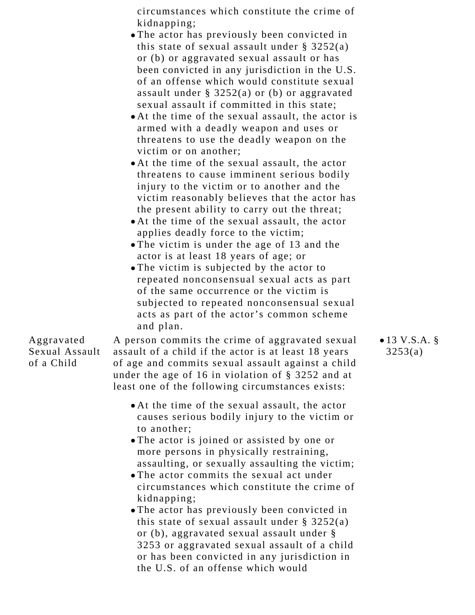circumstances which constitute the crime of kidnapping;

- The actor has previously been convicted in this state of sexual assault under  $\S$  3252(a) or (b) or aggravated sexual assault or has been convicted in any jurisdiction in the U.S. of an offense which would constitute sexual assault under § 3252(a) or (b) or aggravated sexual assault if committed in this state;
- At the time of the sexual assault, the actor is armed with a deadly weapon and uses or threatens to use the deadly weapon on the victim or on another;
- At the time of the sexual assault, the actor threatens to cause imminent serious bodily injury to the victim or to another and the victim reasonably believes that the actor has the present ability to carry out the threat;
- At the time of the sexual assault, the actor applies deadly force to the victim;
- The victim is under the age of 13 and the actor is at least 18 years of age; or
- The victim is subjected by the actor to repeated nonconsensual sexual acts as part of the same occurrence or the victim is subjected to repeated nonconsensual sexual acts as part of the actor's common scheme and plan.

## Aggravated Sexual Assault of a Child

A person commits the crime of aggravated sexual assault of a child if the actor is at least 18 years of age and commits sexual assault against a child under the age of 16 in violation of § 3252 and at least one of the following circumstances exists:

- At the time of the sexual assault, the actor causes serious bodily injury to the victim or to another;
- The actor is joined or assisted by one or more persons in physically restraining, assaulting, or sexually assaulting the victim;
- The actor commits the sexual act under circumstances which constitute the crime of kidnapping;
- The actor has previously been convicted in this state of sexual assault under  $\S$  3252(a) or (b), aggravated sexual assault under § 3253 or aggravated sexual assault of a child or has been convicted in any jurisdiction in the U.S. of an offense which would

 $• 13 V.S.A. §$ 3253(a)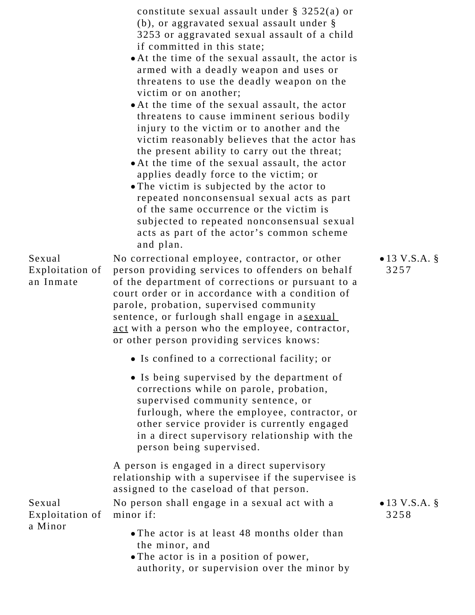|                                        | constitute sexual assault under $\S$ 3252(a) or<br>(b), or aggravated sexual assault under $\S$<br>3253 or aggravated sexual assault of a child<br>if committed in this state;<br>• At the time of the sexual assault, the actor is<br>armed with a deadly weapon and uses or<br>threatens to use the deadly weapon on the<br>victim or on another;<br>• At the time of the sexual assault, the actor<br>threatens to cause imminent serious bodily<br>injury to the victim or to another and the<br>victim reasonably believes that the actor has<br>the present ability to carry out the threat;<br>• At the time of the sexual assault, the actor<br>applies deadly force to the victim; or<br>• The victim is subjected by the actor to<br>repeated nonconsensual sexual acts as part<br>of the same occurrence or the victim is<br>subjected to repeated nonconsensual sexual |                          |
|----------------------------------------|------------------------------------------------------------------------------------------------------------------------------------------------------------------------------------------------------------------------------------------------------------------------------------------------------------------------------------------------------------------------------------------------------------------------------------------------------------------------------------------------------------------------------------------------------------------------------------------------------------------------------------------------------------------------------------------------------------------------------------------------------------------------------------------------------------------------------------------------------------------------------------|--------------------------|
| Sexual<br>Exploitation of<br>an Inmate | acts as part of the actor's common scheme<br>and plan.<br>No correctional employee, contractor, or other<br>person providing services to offenders on behalf<br>of the department of corrections or pursuant to a<br>court order or in accordance with a condition of<br>parole, probation, supervised community                                                                                                                                                                                                                                                                                                                                                                                                                                                                                                                                                                   | • 13 V.S.A. $\S$<br>3257 |
|                                        | sentence, or furlough shall engage in asexual<br>act with a person who the employee, contractor,<br>or other person providing services knows:                                                                                                                                                                                                                                                                                                                                                                                                                                                                                                                                                                                                                                                                                                                                      |                          |
|                                        | • Is confined to a correctional facility; or                                                                                                                                                                                                                                                                                                                                                                                                                                                                                                                                                                                                                                                                                                                                                                                                                                       |                          |
|                                        | • Is being supervised by the department of<br>corrections while on parole, probation,<br>supervised community sentence, or<br>furlough, where the employee, contractor, or<br>other service provider is currently engaged<br>in a direct supervisory relationship with the<br>person being supervised.                                                                                                                                                                                                                                                                                                                                                                                                                                                                                                                                                                             |                          |
|                                        | A person is engaged in a direct supervisory<br>relationship with a supervisee if the supervisee is<br>assigned to the caseload of that person.                                                                                                                                                                                                                                                                                                                                                                                                                                                                                                                                                                                                                                                                                                                                     |                          |
| Sexual<br>Exploitation of              | No person shall engage in a sexual act with a<br>minor if:                                                                                                                                                                                                                                                                                                                                                                                                                                                                                                                                                                                                                                                                                                                                                                                                                         | • 13 V.S.A. $\S$<br>3258 |
| a Minor                                | • The actor is at least 48 months older than<br>the minor, and<br>• The actor is in a position of power,<br>authority, or supervision over the minor by                                                                                                                                                                                                                                                                                                                                                                                                                                                                                                                                                                                                                                                                                                                            |                          |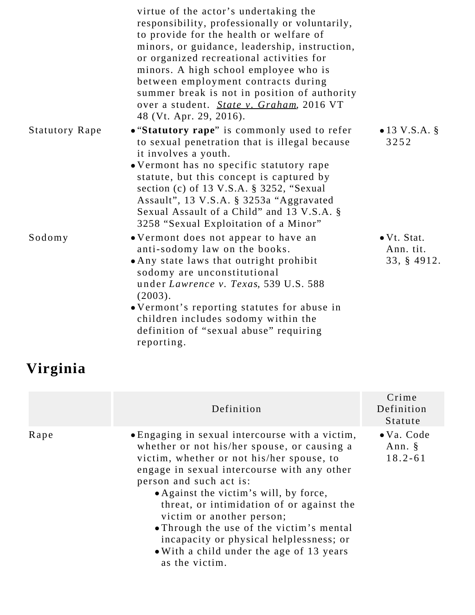|                       | virtue of the actor's undertaking the<br>responsibility, professionally or voluntarily,<br>to provide for the health or welfare of<br>minors, or guidance, leadership, instruction,<br>or organized recreational activities for<br>minors. A high school employee who is<br>between employment contracts during<br>summer break is not in position of authority<br>over a student. State v. Graham, 2016 VT<br>48 (Vt. Apr. 29, 2016). |                                                 |
|-----------------------|----------------------------------------------------------------------------------------------------------------------------------------------------------------------------------------------------------------------------------------------------------------------------------------------------------------------------------------------------------------------------------------------------------------------------------------|-------------------------------------------------|
| <b>Statutory Rape</b> | • "Statutory rape" is commonly used to refer<br>to sexual penetration that is illegal because<br>it involves a youth.<br>• Vermont has no specific statutory rape<br>statute, but this concept is captured by<br>section (c) of 13 V.S.A. § 3252, "Sexual<br>Assault", 13 V.S.A. § 3253a "Aggravated<br>Sexual Assault of a Child" and 13 V.S.A. §<br>3258 "Sexual Exploitation of a Minor"                                            | • 13 V.S.A. $\S$<br>3252                        |
| Sodomy                | • Vermont does not appear to have an<br>anti-sodomy law on the books.<br>• Any state laws that outright prohibit<br>sodomy are unconstitutional<br>under Lawrence v. Texas, 539 U.S. 588<br>(2003).<br>• Vermont's reporting statutes for abuse in<br>children includes sodomy within the<br>definition of "sexual abuse" requiring<br>reporting.                                                                                      | $\bullet$ Vt. Stat.<br>Ann. tit.<br>33, § 4912. |

# **Virginia**

|      | Definition                                                                                                                                                                                                                                                                                                                                                                                                                                                                                     | Crime<br>Definition<br>Statute                 |
|------|------------------------------------------------------------------------------------------------------------------------------------------------------------------------------------------------------------------------------------------------------------------------------------------------------------------------------------------------------------------------------------------------------------------------------------------------------------------------------------------------|------------------------------------------------|
| Rape | • Engaging in sexual intercourse with a victim,<br>whether or not his/her spouse, or causing a<br>victim, whether or not his/her spouse, to<br>engage in sexual intercourse with any other<br>person and such act is:<br>• Against the victim's will, by force,<br>threat, or intimidation of or against the<br>victim or another person;<br>• Through the use of the victim's mental<br>incapacity or physical helplessness; or<br>• With a child under the age of 13 years<br>as the victim. | $\bullet$ Va. Code<br>Ann. $\S$<br>$18.2 - 61$ |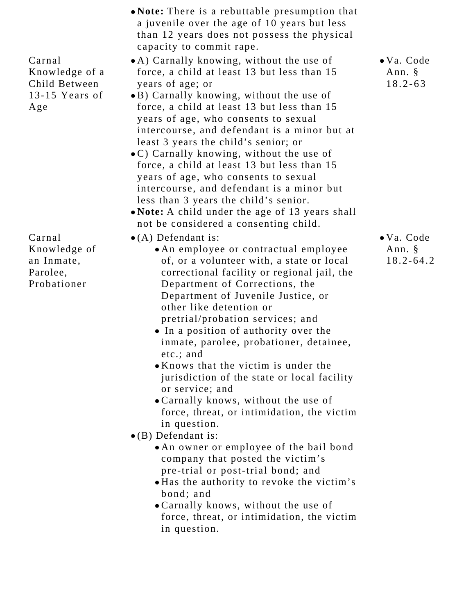| • Note: There is a rebuttable presumption that<br>a juvenile over the age of 10 years but less<br>than 12 years does not possess the physical<br>capacity to commit rape.                                                                                                                                                                                                                                                                                                                                                                                                                                                                                                                                                                                                                                                                                                                                                    |                                                           |
|------------------------------------------------------------------------------------------------------------------------------------------------------------------------------------------------------------------------------------------------------------------------------------------------------------------------------------------------------------------------------------------------------------------------------------------------------------------------------------------------------------------------------------------------------------------------------------------------------------------------------------------------------------------------------------------------------------------------------------------------------------------------------------------------------------------------------------------------------------------------------------------------------------------------------|-----------------------------------------------------------|
| force, a child at least 13 but less than 15<br>years of age; or<br>•B) Carnally knowing, without the use of<br>force, a child at least 13 but less than 15<br>years of age, who consents to sexual<br>intercourse, and defendant is a minor but at<br>least 3 years the child's senior; or<br>$\bullet$ C) Carnally knowing, without the use of<br>force, a child at least 13 but less than 15<br>years of age, who consents to sexual<br>intercourse, and defendant is a minor but<br>less than 3 years the child's senior.<br>. Note: A child under the age of 13 years shall<br>not be considered a consenting child.                                                                                                                                                                                                                                                                                                     | • Va. Code<br>Ann. §<br>$18.2 - 63$                       |
| $\bullet$ (A) Defendant is:<br>• An employee or contractual employee<br>of, or a volunteer with, a state or local<br>correctional facility or regional jail, the<br>Department of Corrections, the<br>Department of Juvenile Justice, or<br>other like detention or<br>pretrial/probation services; and<br>• In a position of authority over the<br>inmate, parolee, probationer, detainee,<br>etc.; and<br>• Knows that the victim is under the<br>jurisdiction of the state or local facility<br>or service; and<br>• Carnally knows, without the use of<br>force, threat, or intimidation, the victim<br>in question.<br>$\bullet$ (B) Defendant is:<br>. An owner or employee of the bail bond<br>company that posted the victim's<br>pre-trial or post-trial bond; and<br>. Has the authority to revoke the victim's<br>bond; and<br>. Carnally knows, without the use of<br>force, threat, or intimidation, the victim | • Va. Code<br>Ann. §<br>$18.2 - 64.2$                     |
|                                                                                                                                                                                                                                                                                                                                                                                                                                                                                                                                                                                                                                                                                                                                                                                                                                                                                                                              | • A) Carnally knowing, without the use of<br>in question. |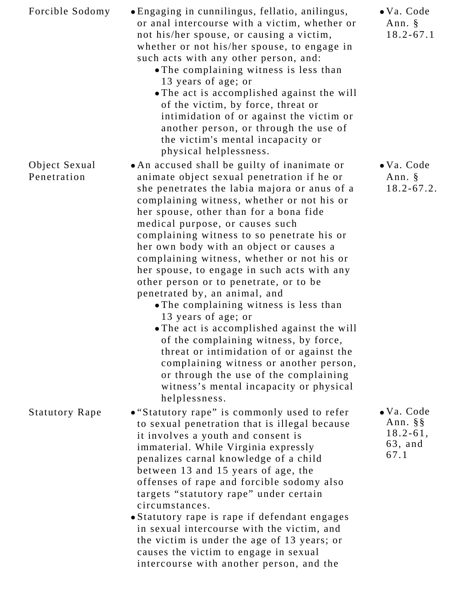| Forcible Sodomy              | • Engaging in cunnilingus, fellatio, anilingus,<br>or anal intercourse with a victim, whether or<br>not his/her spouse, or causing a victim,<br>whether or not his/her spouse, to engage in<br>such acts with any other person, and:<br>• The complaining witness is less than<br>13 years of age; or<br>• The act is accomplished against the will<br>of the victim, by force, threat or<br>intimidation of or against the victim or<br>another person, or through the use of<br>the victim's mental incapacity or<br>physical helplessness.                                                                                                                                                                                                                                                                                                                                             | $\bullet$ Va. Code<br>Ann. §<br>$18.2 - 67.1$                              |
|------------------------------|-------------------------------------------------------------------------------------------------------------------------------------------------------------------------------------------------------------------------------------------------------------------------------------------------------------------------------------------------------------------------------------------------------------------------------------------------------------------------------------------------------------------------------------------------------------------------------------------------------------------------------------------------------------------------------------------------------------------------------------------------------------------------------------------------------------------------------------------------------------------------------------------|----------------------------------------------------------------------------|
| Object Sexual<br>Penetration | • An accused shall be guilty of inanimate or<br>animate object sexual penetration if he or<br>she penetrates the labia majora or anus of a<br>complaining witness, whether or not his or<br>her spouse, other than for a bona fide<br>medical purpose, or causes such<br>complaining witness to so penetrate his or<br>her own body with an object or causes a<br>complaining witness, whether or not his or<br>her spouse, to engage in such acts with any<br>other person or to penetrate, or to be<br>penetrated by, an animal, and<br>• The complaining witness is less than<br>13 years of age; or<br>• The act is accomplished against the will<br>of the complaining witness, by force,<br>threat or intimidation of or against the<br>complaining witness or another person,<br>or through the use of the complaining<br>witness's mental incapacity or physical<br>helplessness. | · Va. Code<br>Ann. §<br>$18.2 - 67.2$ .                                    |
| <b>Statutory Rape</b>        | • "Statutory rape" is commonly used to refer<br>to sexual penetration that is illegal because<br>it involves a youth and consent is<br>immaterial. While Virginia expressly<br>penalizes carnal knowledge of a child<br>between 13 and 15 years of age, the<br>offenses of rape and forcible sodomy also<br>targets "statutory rape" under certain<br>circumstances.<br>• Statutory rape is rape if defendant engages<br>in sexual intercourse with the victim, and<br>the victim is under the age of 13 years; or<br>causes the victim to engage in sexual<br>intercourse with another person, and the                                                                                                                                                                                                                                                                                   | $\bullet$ Va. Code<br>Ann. $\S$ $\S$<br>$18.2 - 61,$<br>$63$ , and<br>67.1 |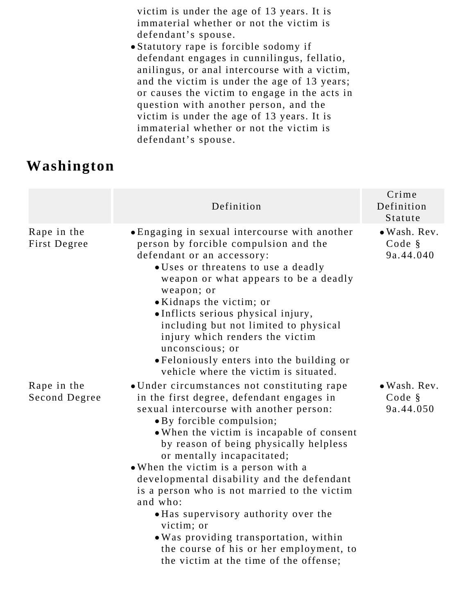victim is under the age of 13 years. It is immaterial whether or not the victim is defendant's spouse.

Statutory rape is forcible sodomy if defendant engages in cunnilingus, fellatio, anilingus, or anal intercourse with a victim, and the victim is under the age of 13 years; or causes the victim to engage in the acts in question with another person, and the victim is under the age of 13 years. It is immaterial whether or not the victim is defendant's spouse.

## **Washington**

|                              | Definition                                                                                                                                                                                                                                                                                                                                                                                                                                                                                                                                                                                                                   | Crime<br>Definition<br>Statute      |
|------------------------------|------------------------------------------------------------------------------------------------------------------------------------------------------------------------------------------------------------------------------------------------------------------------------------------------------------------------------------------------------------------------------------------------------------------------------------------------------------------------------------------------------------------------------------------------------------------------------------------------------------------------------|-------------------------------------|
| Rape in the<br>First Degree  | • Engaging in sexual intercourse with another<br>person by forcible compulsion and the<br>defendant or an accessory:<br>· Uses or threatens to use a deadly<br>weapon or what appears to be a deadly<br>weapon; or<br>• Kidnaps the victim; or<br>. Inflicts serious physical injury,<br>including but not limited to physical<br>injury which renders the victim<br>unconscious; or<br>• Feloniously enters into the building or<br>vehicle where the victim is situated.                                                                                                                                                   | · Wash. Rev.<br>Code §<br>9a.44.040 |
| Rape in the<br>Second Degree | • Under circumstances not constituting rape<br>in the first degree, defendant engages in<br>sexual intercourse with another person:<br>• By forcible compulsion;<br>• When the victim is incapable of consent<br>by reason of being physically helpless<br>or mentally incapacitated;<br>• When the victim is a person with a<br>developmental disability and the defendant<br>is a person who is not married to the victim<br>and who:<br>• Has supervisory authority over the<br>victim; or<br>. Was providing transportation, within<br>the course of his or her employment, to<br>the victim at the time of the offense; | · Wash. Rev.<br>Code §<br>9a.44.050 |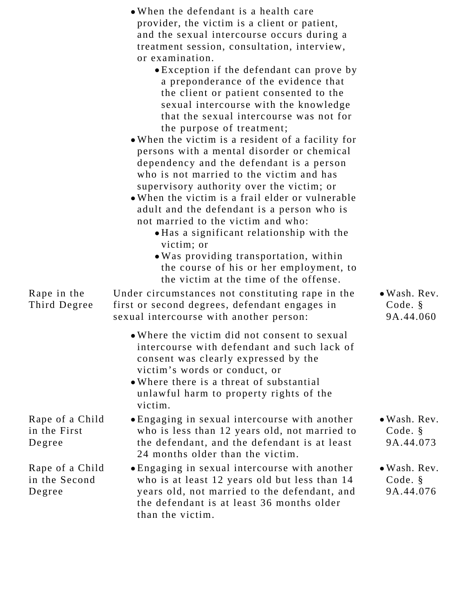|                                            | • When the defendant is a health care<br>provider, the victim is a client or patient,<br>and the sexual intercourse occurs during a<br>treatment session, consultation, interview,<br>or examination.<br>• Exception if the defendant can prove by<br>a preponderance of the evidence that<br>the client or patient consented to the                                                                                                                                                                                                                                                                                                                                                    |                                                 |
|--------------------------------------------|-----------------------------------------------------------------------------------------------------------------------------------------------------------------------------------------------------------------------------------------------------------------------------------------------------------------------------------------------------------------------------------------------------------------------------------------------------------------------------------------------------------------------------------------------------------------------------------------------------------------------------------------------------------------------------------------|-------------------------------------------------|
|                                            | sexual intercourse with the knowledge<br>that the sexual intercourse was not for<br>the purpose of treatment;<br>• When the victim is a resident of a facility for<br>persons with a mental disorder or chemical<br>dependency and the defendant is a person<br>who is not married to the victim and has<br>supervisory authority over the victim; or<br>• When the victim is a frail elder or vulnerable<br>adult and the defendant is a person who is<br>not married to the victim and who:<br>• Has a significant relationship with the<br>victim; or<br>• Was providing transportation, within<br>the course of his or her employment, to<br>the victim at the time of the offense. |                                                 |
| Rape in the<br>Third Degree                | Under circumstances not constituting rape in the<br>first or second degrees, defendant engages in<br>sexual intercourse with another person:                                                                                                                                                                                                                                                                                                                                                                                                                                                                                                                                            | $\bullet$ Wash. Rev.<br>Code. §<br>9A.44.060    |
|                                            | • Where the victim did not consent to sexual<br>intercourse with defendant and such lack of<br>consent was clearly expressed by the<br>victim's words or conduct, or<br>• Where there is a threat of substantial<br>unlawful harm to property rights of the<br>victim.                                                                                                                                                                                                                                                                                                                                                                                                                  |                                                 |
| Rape of a Child<br>in the First<br>Degree  | . Engaging in sexual intercourse with another<br>who is less than 12 years old, not married to<br>the defendant, and the defendant is at least<br>24 months older than the victim.                                                                                                                                                                                                                                                                                                                                                                                                                                                                                                      | • Wash. Rev.<br>Code. §<br>9A.44.073            |
| Rape of a Child<br>in the Second<br>Degree | • Engaging in sexual intercourse with another<br>who is at least 12 years old but less than 14<br>years old, not married to the defendant, and<br>the defendant is at least 36 months older<br>than the victim.                                                                                                                                                                                                                                                                                                                                                                                                                                                                         | $\bullet$ Wash. Rev.<br>Code. $\S$<br>9A.44.076 |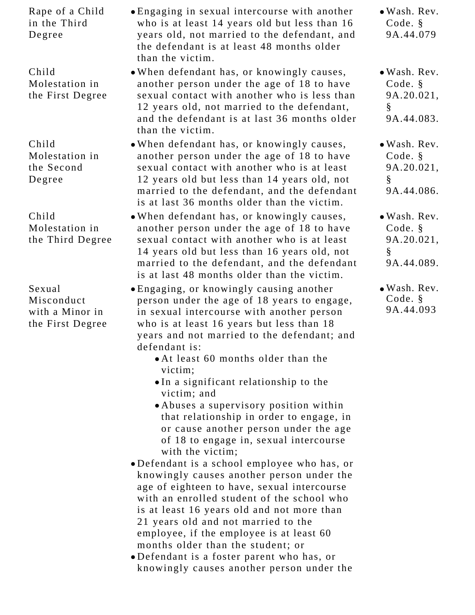| Rape of a Child<br>in the Third<br>Degree                   | • Engaging in sexual intercourse with another<br>who is at least 14 years old but less than 16<br>years old, not married to the defendant, and<br>the defendant is at least 48 months older<br>than the victim.                                                                                                                                                                                                                                                                                                                                                                                                                                                                                                                                                                                                                                                                                                                                                                                                    | • Wash. Rev.<br>Code. §<br>9A.44.079                       |
|-------------------------------------------------------------|--------------------------------------------------------------------------------------------------------------------------------------------------------------------------------------------------------------------------------------------------------------------------------------------------------------------------------------------------------------------------------------------------------------------------------------------------------------------------------------------------------------------------------------------------------------------------------------------------------------------------------------------------------------------------------------------------------------------------------------------------------------------------------------------------------------------------------------------------------------------------------------------------------------------------------------------------------------------------------------------------------------------|------------------------------------------------------------|
| Child<br>Molestation in<br>the First Degree                 | . When defendant has, or knowingly causes,<br>another person under the age of 18 to have<br>sexual contact with another who is less than<br>12 years old, not married to the defendant,<br>and the defendant is at last 36 months older<br>than the victim.                                                                                                                                                                                                                                                                                                                                                                                                                                                                                                                                                                                                                                                                                                                                                        | • Wash. Rev.<br>Code. $§$<br>9A.20.021,<br>§<br>9A.44.083. |
| Child<br>Molestation in<br>the Second<br>Degree             | • When defendant has, or knowingly causes,<br>another person under the age of 18 to have<br>sexual contact with another who is at least<br>12 years old but less than 14 years old, not<br>married to the defendant, and the defendant<br>is at last 36 months older than the victim.                                                                                                                                                                                                                                                                                                                                                                                                                                                                                                                                                                                                                                                                                                                              | • Wash. Rev.<br>Code. §<br>9A.20.021,<br>§<br>9A.44.086.   |
| Child<br>Molestation in<br>the Third Degree                 | . When defendant has, or knowingly causes,<br>another person under the age of 18 to have<br>sexual contact with another who is at least<br>14 years old but less than 16 years old, not<br>married to the defendant, and the defendant<br>is at last 48 months older than the victim.                                                                                                                                                                                                                                                                                                                                                                                                                                                                                                                                                                                                                                                                                                                              | • Wash. Rev.<br>Code. §<br>9A.20.021,<br>§<br>9A.44.089.   |
| Sexual<br>Misconduct<br>with a Minor in<br>the First Degree | • Engaging, or knowingly causing another<br>person under the age of 18 years to engage,<br>in sexual intercourse with another person<br>who is at least 16 years but less than 18<br>years and not married to the defendant; and<br>defendant is:<br>• At least 60 months older than the<br>victim;<br>. In a significant relationship to the<br>victim; and<br>• Abuses a supervisory position within<br>that relationship in order to engage, in<br>or cause another person under the age<br>of 18 to engage in, sexual intercourse<br>with the victim;<br>·Defendant is a school employee who has, or<br>knowingly causes another person under the<br>age of eighteen to have, sexual intercourse<br>with an enrolled student of the school who<br>is at least 16 years old and not more than<br>21 years old and not married to the<br>employee, if the employee is at least 60<br>months older than the student; or<br>•Defendant is a foster parent who has, or<br>knowingly causes another person under the | $\bullet$ Wash. Rev.<br>Code. $\S$<br>9A.44.093            |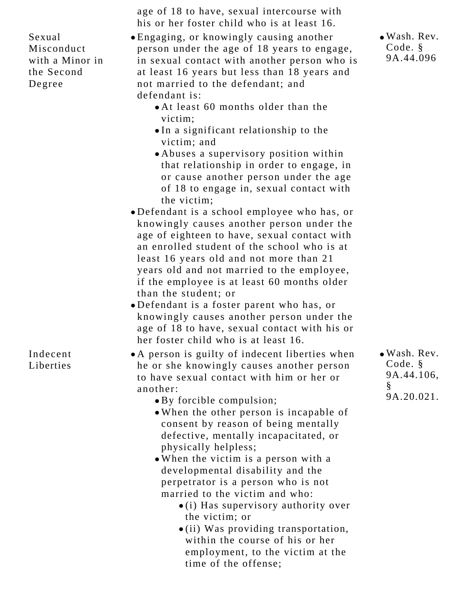Sexual Misconduct with a Minor in the Second Degree

Indecent **Liberties** 

age of 18 to have, sexual intercourse with his or her foster child who is at least 16.

- Engaging, or knowingly causing another person under the age of 18 years to engage, in sexual contact with another person who is at least 16 years but less than 18 years and not married to the defendant; and defendant is:
	- At least 60 months older than the victim;
	- In a significant relationship to the victim; and
	- Abuses a supervisory position within that relationship in order to engage, in or cause another person under the age of 18 to engage in, sexual contact with the victim;
- Defendant is a school employee who has, or knowingly causes another person under the age of eighteen to have, sexual contact with an enrolled student of the school who is at least 16 years old and not more than 21 years old and not married to the employee, if the employee is at least 60 months older than the student; or
- Defendant is a foster parent who has, or knowingly causes another person under the age of 18 to have, sexual contact with his or her foster child who is at least 16.
- A person is guilty of indecent liberties when he or she knowingly causes another person to have sexual contact with him or her or another:
	- By forcible compulsion;
	- When the other person is incapable of consent by reason of being mentally defective, mentally incapacitated, or physically helpless;
	- When the victim is a person with a developmental disability and the perpetrator is a person who is not married to the victim and who:
		- $\bullet$  (i) Has supervisory authority over the victim; or
		- (ii) Was providing transportation, within the course of his or her employment, to the victim at the time of the offense;

Wash. Rev. Code. § 9A.44.106, § 9A.20.021.

Wash. Rev. Code. § 9A.44.096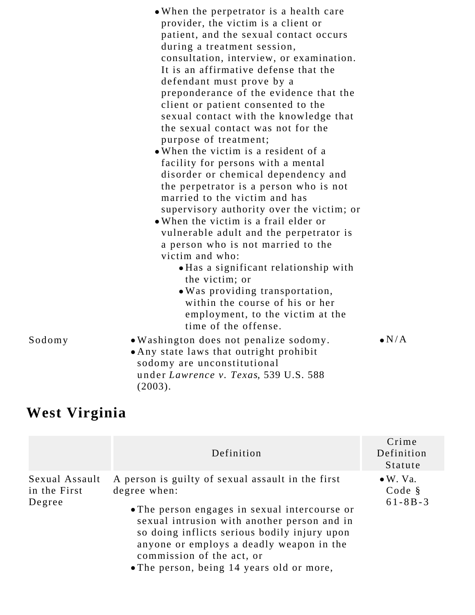|        | • When the perpetrator is a health care<br>provider, the victim is a client or<br>patient, and the sexual contact occurs<br>during a treatment session,<br>consultation, interview, or examination.<br>It is an affirmative defense that the<br>defendant must prove by a<br>preponderance of the evidence that the<br>client or patient consented to the<br>sexual contact with the knowledge that<br>the sexual contact was not for the<br>purpose of treatment;<br>• When the victim is a resident of a<br>facility for persons with a mental<br>disorder or chemical dependency and<br>the perpetrator is a person who is not<br>married to the victim and has<br>supervisory authority over the victim; or<br>• When the victim is a frail elder or<br>vulnerable adult and the perpetrator is<br>a person who is not married to the<br>victim and who: |               |
|--------|--------------------------------------------------------------------------------------------------------------------------------------------------------------------------------------------------------------------------------------------------------------------------------------------------------------------------------------------------------------------------------------------------------------------------------------------------------------------------------------------------------------------------------------------------------------------------------------------------------------------------------------------------------------------------------------------------------------------------------------------------------------------------------------------------------------------------------------------------------------|---------------|
|        | • Has a significant relationship with<br>the victim; or<br>. Was providing transportation,<br>within the course of his or her<br>employment, to the victim at the<br>time of the offense.                                                                                                                                                                                                                                                                                                                                                                                                                                                                                                                                                                                                                                                                    |               |
| Sodomy | . Washington does not penalize sodomy.<br>• Any state laws that outright prohibit<br>sodomy are unconstitutional<br>under Lawrence v. Texas, 539 U.S. 588<br>(2003).                                                                                                                                                                                                                                                                                                                                                                                                                                                                                                                                                                                                                                                                                         | $\bullet$ N/A |

# **West Virginia**

|                                          | Definition                                                                                                                                                                                                                                                                                                                              | Crime<br>Definition<br>Statute              |
|------------------------------------------|-----------------------------------------------------------------------------------------------------------------------------------------------------------------------------------------------------------------------------------------------------------------------------------------------------------------------------------------|---------------------------------------------|
| Sexual Assault<br>in the First<br>Degree | A person is guilty of sexual assault in the first<br>degree when:<br>• The person engages in sexual intercourse or<br>sexual intrusion with another person and in<br>so doing inflicts serious bodily injury upon<br>anyone or employs a deadly weapon in the<br>commission of the act, or<br>• The person, being 14 years old or more, | $\bullet$ W. Va.<br>Code §<br>$61 - 8B - 3$ |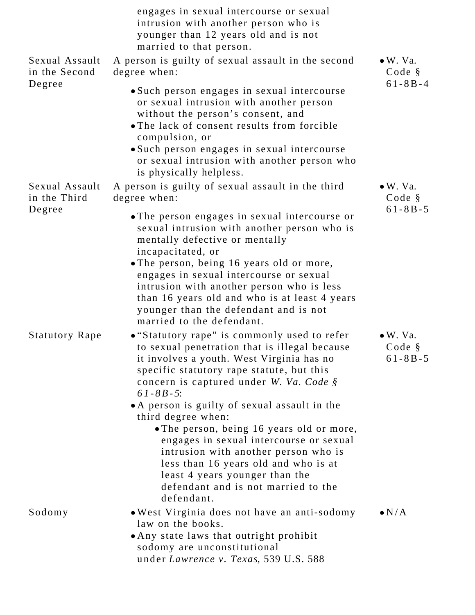|                                 | engages in sexual intercourse or sexual<br>intrusion with another person who is<br>younger than 12 years old and is not<br>married to that person.                                                                                                                                                                                                                                                                                                                                                                                                                                          |                                             |
|---------------------------------|---------------------------------------------------------------------------------------------------------------------------------------------------------------------------------------------------------------------------------------------------------------------------------------------------------------------------------------------------------------------------------------------------------------------------------------------------------------------------------------------------------------------------------------------------------------------------------------------|---------------------------------------------|
| Sexual Assault<br>in the Second | A person is guilty of sexual assault in the second<br>degree when:                                                                                                                                                                                                                                                                                                                                                                                                                                                                                                                          | $\bullet$ W. Va.<br>Code §<br>$61 - 8B - 4$ |
| Degree                          | • Such person engages in sexual intercourse<br>or sexual intrusion with another person<br>without the person's consent, and<br>• The lack of consent results from forcible<br>compulsion, or<br>• Such person engages in sexual intercourse<br>or sexual intrusion with another person who<br>is physically helpless.                                                                                                                                                                                                                                                                       |                                             |
| Sexual Assault<br>in the Third  | A person is guilty of sexual assault in the third<br>degree when:                                                                                                                                                                                                                                                                                                                                                                                                                                                                                                                           | $\bullet$ W. Va.<br>Code §                  |
| Degree                          | • The person engages in sexual intercourse or<br>sexual intrusion with another person who is<br>mentally defective or mentally<br>incapacitated, or<br>. The person, being 16 years old or more,<br>engages in sexual intercourse or sexual<br>intrusion with another person who is less<br>than 16 years old and who is at least 4 years<br>younger than the defendant and is not<br>married to the defendant.                                                                                                                                                                             | $61 - 8B - 5$                               |
| <b>Statutory Rape</b>           | • "Statutory rape" is commonly used to refer<br>to sexual penetration that is illegal because<br>it involves a youth. West Virginia has no<br>specific statutory rape statute, but this<br>concern is captured under W. Va. Code §<br>$61 - 8B - 5$ :<br>• A person is guilty of sexual assault in the<br>third degree when:<br>. The person, being 16 years old or more,<br>engages in sexual intercourse or sexual<br>intrusion with another person who is<br>less than 16 years old and who is at<br>least 4 years younger than the<br>defendant and is not married to the<br>defendant. | $\bullet$ W. Va.<br>Code §<br>$61 - 8B - 5$ |
| Sodomy                          | . West Virginia does not have an anti-sodomy<br>law on the books.<br>• Any state laws that outright prohibit<br>sodomy are unconstitutional<br>under Lawrence v. Texas, 539 U.S. 588                                                                                                                                                                                                                                                                                                                                                                                                        | $\bullet N/A$                               |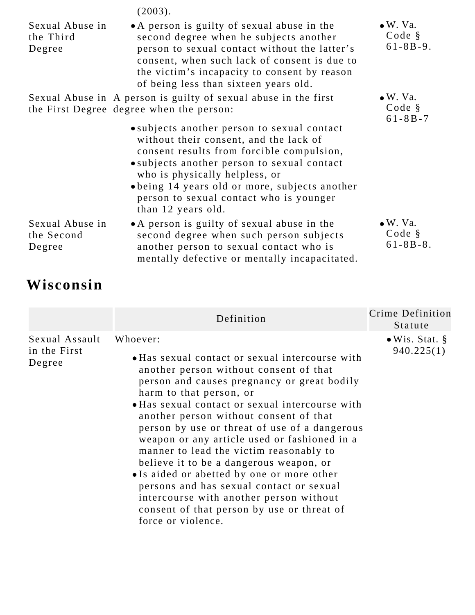|                                         | (2003).                                                                                                                                                                                                                                                                                                                                |                                               |
|-----------------------------------------|----------------------------------------------------------------------------------------------------------------------------------------------------------------------------------------------------------------------------------------------------------------------------------------------------------------------------------------|-----------------------------------------------|
| Sexual Abuse in<br>the Third<br>Degree  | • A person is guilty of sexual abuse in the<br>second degree when he subjects another<br>person to sexual contact without the latter's<br>consent, when such lack of consent is due to<br>the victim's incapacity to consent by reason<br>of being less than sixteen years old.                                                        | $\bullet$ W. Va.<br>Code §<br>$61 - 8B - 9$ . |
|                                         | Sexual Abuse in A person is guilty of sexual abuse in the first<br>the First Degree degree when the person:                                                                                                                                                                                                                            | $\bullet$ W. Va.<br>Code §<br>$61 - 8B - 7$   |
|                                         | • subjects another person to sexual contact<br>without their consent, and the lack of<br>consent results from forcible compulsion,<br>• subjects another person to sexual contact<br>who is physically helpless, or<br>• being 14 years old or more, subjects another<br>person to sexual contact who is younger<br>than 12 years old. |                                               |
| Sexual Abuse in<br>the Second<br>Degree | • A person is guilty of sexual abuse in the<br>second degree when such person subjects<br>another person to sexual contact who is<br>mentally defective or mentally incapacitated.                                                                                                                                                     | $\bullet$ W. Va.<br>Code §<br>$61 - 8B - 8$ . |

# **Wisconsin**

|                                          | Definition                                                                                                                                                                                                                                                                                                                                                                                                                                                                                                                                                                                                                                                                   | Crime Definition<br>Statute          |
|------------------------------------------|------------------------------------------------------------------------------------------------------------------------------------------------------------------------------------------------------------------------------------------------------------------------------------------------------------------------------------------------------------------------------------------------------------------------------------------------------------------------------------------------------------------------------------------------------------------------------------------------------------------------------------------------------------------------------|--------------------------------------|
| Sexual Assault<br>in the First<br>Degree | Whoever:<br>• Has sexual contact or sexual intercourse with<br>another person without consent of that<br>person and causes pregnancy or great bodily<br>harm to that person, or<br>• Has sexual contact or sexual intercourse with<br>another person without consent of that<br>person by use or threat of use of a dangerous<br>weapon or any article used or fashioned in a<br>manner to lead the victim reasonably to<br>believe it to be a dangerous weapon, or<br>• Is aided or abetted by one or more other<br>persons and has sexual contact or sexual<br>intercourse with another person without<br>consent of that person by use or threat of<br>force or violence. | $\bullet$ Wis. Stat. §<br>940.225(1) |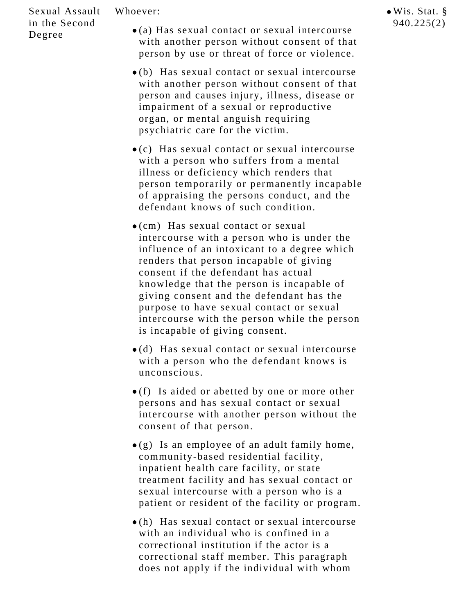#### Whoever:

### Sexual Assault in the Second Degree

- (a) Has sexual contact or sexual intercourse with another person without consent of that person by use or threat of force or violence.
- (b) Has sexual contact or sexual intercourse with another person without consent of that person and causes injury, illness, disease or impairment of a sexual or reproductive organ, or mental anguish requiring psychiatric care for the victim.
- (c) Has sexual contact or sexual intercourse with a person who suffers from a mental illness or deficiency which renders that person temporarily or permanently incapable of appraising the persons conduct, and the defendant knows of such condition.
- (cm) Has sexual contact or sexual intercourse with a person who is under the influence of an intoxicant to a degree which renders that person incapable of giving consent if the defendant has actual knowledge that the person is incapable of giving consent and the defendant has the purpose to have sexual contact or sexual intercourse with the person while the person is incapable of giving consent.
- (d) Has sexual contact or sexual intercourse with a person who the defendant knows is unconscious.
- (f) Is aided or abetted by one or more other persons and has sexual contact or sexual intercourse with another person without the consent of that person.
- $\bullet$ (g) Is an employee of an adult family home, community-based residential facility, inpatient health care facility, or state treatment facility and has sexual contact or sexual intercourse with a person who is a patient or resident of the facility or program.
- (h) Has sexual contact or sexual intercourse with an individual who is confined in a correctional institution if the actor is a correctional staff member. This paragraph does not apply if the individual with whom

Wis. Stat. § 940.225(2)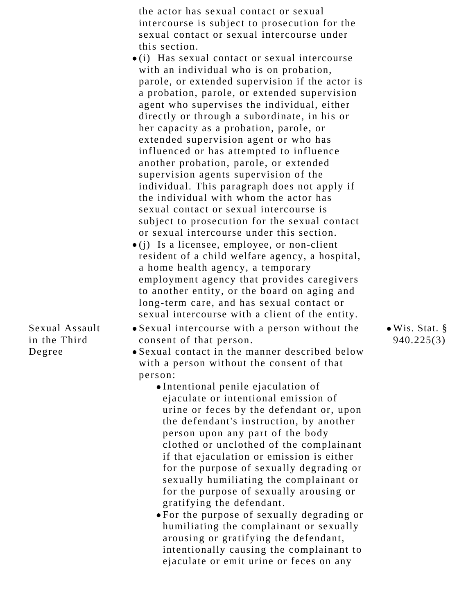| the actor has sexual contact or sexual        |
|-----------------------------------------------|
| intercourse is subject to prosecution for the |
| sexual contact or sexual intercourse under    |
| this section.                                 |

- (i) Has sexual contact or sexual intercourse with an individual who is on probation, parole, or extended supervision if the actor is a probation, parole, or extended supervision agent who supervises the individual, either directly or through a subordinate, in his or her capacity as a probation, parole, or extended supervision agent or who has influenced or has attempted to influence another probation, parole, or extended supervision agents supervision of the individual. This paragraph does not apply if the individual with whom the actor has sexual contact or sexual intercourse is subject to prosecution for the sexual contact or sexual intercourse under this section.
- $\bullet$ (j) Is a licensee, employee, or non-client resident of a child welfare agency, a hospital, a home health agency, a temporary employment agency that provides caregivers to another entity, or the board on aging and long-term care, and has sexual contact or sexual intercourse with a client of the entity.
- Sexual intercourse with a person without the consent of that person.
- Sexual contact in the manner described below with a person without the consent of that person:
	- Intentional penile ejaculation of ejaculate or intentional emission of urine or feces by the defendant or, upon the defendant's instruction, by another person upon any part of the body clothed or unclothed of the complainant if that ejaculation or emission is either for the purpose of sexually degrading or sexually humiliating the complainant or for the purpose of sexually arousing or gratifying the defendant.
	- For the purpose of sexually degrading or humiliating the complainant or sexually arousing or gratifying the defendant, intentionally causing the complainant to ejaculate or emit urine or feces on any

Wis. Stat. § 940.225(3)

Sexual Assault in the Third Degree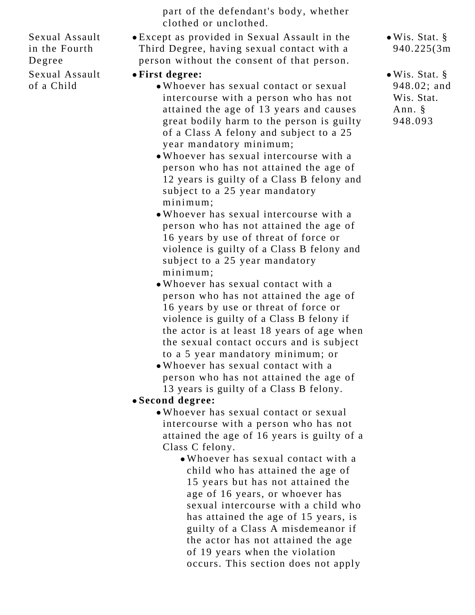Sexual Assault in the Fourth Degree Sexual Assault

of a Child

- part of the defendant's body, whether clothed or unclothed.
- Except as provided in Sexual Assault in the Third Degree, having sexual contact with a person without the consent of that person.

## **First degree:**

- Whoever has sexual contact or sexual intercourse with a person who has not attained the age of 13 years and causes great bodily harm to the person is guilty of a Class A felony and subject to a 25 year mandatory minimum;
- Whoever has sexual intercourse with a person who has not attained the age of 12 years is guilty of a Class B felony and subject to a 25 year mandatory minimum;
- Whoever has sexual intercourse with a person who has not attained the age of 16 years by use of threat of force or violence is guilty of a Class B felony and subject to a 25 year mandatory minimum;
- Whoever has sexual contact with a person who has not attained the age of 16 years by use or threat of force or violence is guilty of a Class B felony if the actor is at least 18 years of age when the sexual contact occurs and is subject to a 5 year mandatory minimum; or
- Whoever has sexual contact with a person who has not attained the age of 13 years is guilty of a Class B felony.
- **Second degree:**
	- Whoever has sexual contact or sexual intercourse with a person who has not attained the age of 16 years is guilty of a Class C felony.
		- Whoever has sexual contact with a child who has attained the age of 15 years but has not attained the age of 16 years, or whoever has sexual intercourse with a child who has attained the age of 15 years, is guilty of a Class A misdemeanor if the actor has not attained the age of 19 years when the violation occurs. This section does not apply
- Wis. Stat. § 940.225(3m)
- Wis. Stat. § 948.02; and Wis. Stat. Ann. § 948.093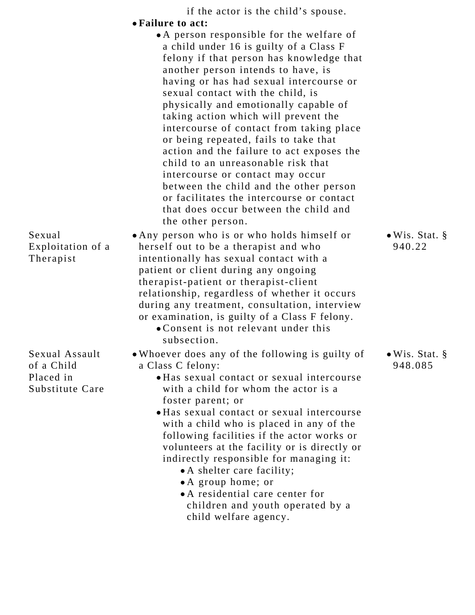|                                                              | if the actor is the child's spouse.<br>• Failure to act:                                                                                                                                                                                                                                                                                                                                                                                                                                                                                                                                                                                                                                                 |                                   |
|--------------------------------------------------------------|----------------------------------------------------------------------------------------------------------------------------------------------------------------------------------------------------------------------------------------------------------------------------------------------------------------------------------------------------------------------------------------------------------------------------------------------------------------------------------------------------------------------------------------------------------------------------------------------------------------------------------------------------------------------------------------------------------|-----------------------------------|
|                                                              | • A person responsible for the welfare of<br>a child under 16 is guilty of a Class F<br>felony if that person has knowledge that<br>another person intends to have, is<br>having or has had sexual intercourse or<br>sexual contact with the child, is<br>physically and emotionally capable of<br>taking action which will prevent the<br>intercourse of contact from taking place<br>or being repeated, fails to take that<br>action and the failure to act exposes the<br>child to an unreasonable risk that<br>intercourse or contact may occur<br>between the child and the other person<br>or facilitates the intercourse or contact<br>that does occur between the child and<br>the other person. |                                   |
| Sexual<br>Exploitation of a<br>Therapist                     | • Any person who is or who holds himself or<br>herself out to be a therapist and who<br>intentionally has sexual contact with a<br>patient or client during any ongoing<br>therapist-patient or therapist-client<br>relationship, regardless of whether it occurs<br>during any treatment, consultation, interview<br>or examination, is guilty of a Class F felony.<br>• Consent is not relevant under this<br>subsection.                                                                                                                                                                                                                                                                              | $\bullet$ Wis. Stat. §<br>940.22  |
| Sexual Assault<br>of a Child<br>Placed in<br>Substitute Care | . Whoever does any of the following is guilty of<br>a Class C felony:<br>• Has sexual contact or sexual intercourse<br>with a child for whom the actor is a<br>foster parent; or<br>• Has sexual contact or sexual intercourse<br>with a child who is placed in any of the<br>following facilities if the actor works or<br>volunteers at the facility or is directly or<br>indirectly responsible for managing it:<br>• A shelter care facility;<br>• A group home; or<br>• A residential care center for<br>children and youth operated by a<br>child welfare agency.                                                                                                                                  | $\bullet$ Wis. Stat. §<br>948.085 |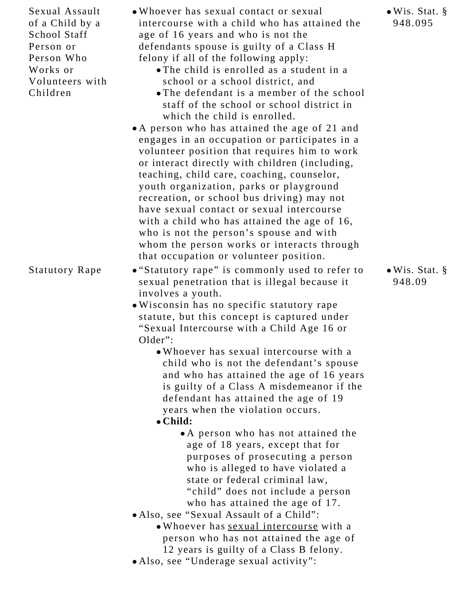Sexual Assault of a Child by a School Staff Person or Person Who Works or Volunteers with Children

- Whoever has sexual contact or sexual intercourse with a child who has attained the age of 16 years and who is not the defendants spouse is guilty of a Class H felony if all of the following apply:
	- The child is enrolled as a student in a school or a school district, and
	- The defendant is a member of the school staff of the school or school district in which the child is enrolled.
- A person who has attained the age of 21 and engages in an occupation or participates in a volunteer position that requires him to work or interact directly with children (including, teaching, child care, coaching, counselor, youth organization, parks or playground recreation, or school bus driving) may not have sexual contact or sexual intercourse with a child who has attained the age of 16, who is not the person's spouse and with whom the person works or interacts through that occupation or volunteer position.
- Statutory Rape "Statutory rape" is commonly used to refer to sexual penetration that is illegal because it involves a youth.
	- Wisconsin has no specific statutory rape statute, but this concept is captured under "Sexual Intercourse with a Child Age 16 or Older":
		- Whoever has sexual intercourse with a child who is not the defendant's spouse and who has attained the age of 16 years is guilty of a Class A misdemeanor if the defendant has attained the age of 19 years when the violation occurs.

### **Child:**

- A person who has not attained the age of 18 years, except that for purposes of prosecuting a person who is alleged to have violated a state or federal criminal law, "child" does not include a person who has attained the age of 17.
- Also, see "Sexual Assault of a Child":
	- Whoever has sexual intercourse with a person who has not attained the age of 12 years is guilty of a Class B felony.
- Also, see "Underage sexual activity":

Wis. Stat. § 948.095

Wis. Stat. § 948.09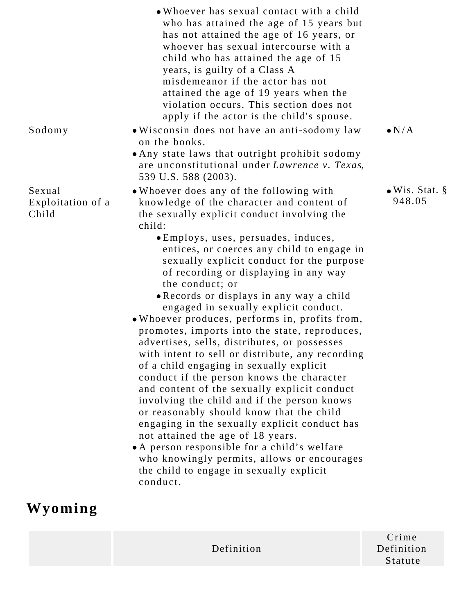|                                      | • Whoever has sexual contact with a child<br>who has attained the age of 15 years but<br>has not attained the age of 16 years, or<br>whoever has sexual intercourse with a<br>child who has attained the age of 15<br>years, is guilty of a Class A<br>misdemeanor if the actor has not<br>attained the age of 19 years when the<br>violation occurs. This section does not<br>apply if the actor is the child's spouse.                                                                                                                                                                                                                                                                                                                                                                                                                                                                                                                                                                                                                                                                                                   |                                  |
|--------------------------------------|----------------------------------------------------------------------------------------------------------------------------------------------------------------------------------------------------------------------------------------------------------------------------------------------------------------------------------------------------------------------------------------------------------------------------------------------------------------------------------------------------------------------------------------------------------------------------------------------------------------------------------------------------------------------------------------------------------------------------------------------------------------------------------------------------------------------------------------------------------------------------------------------------------------------------------------------------------------------------------------------------------------------------------------------------------------------------------------------------------------------------|----------------------------------|
| Sodomy                               | . Wisconsin does not have an anti-sodomy law<br>on the books.<br>• Any state laws that outright prohibit sodomy<br>are unconstitutional under Lawrence v. Texas,<br>539 U.S. 588 (2003).                                                                                                                                                                                                                                                                                                                                                                                                                                                                                                                                                                                                                                                                                                                                                                                                                                                                                                                                   | $\bullet N/A$                    |
| Sexual<br>Exploitation of a<br>Child | • Whoever does any of the following with<br>knowledge of the character and content of<br>the sexually explicit conduct involving the<br>child:<br>• Employs, uses, persuades, induces,<br>entices, or coerces any child to engage in<br>sexually explicit conduct for the purpose<br>of recording or displaying in any way<br>the conduct; or<br>• Records or displays in any way a child<br>engaged in sexually explicit conduct.<br>. Whoever produces, performs in, profits from,<br>promotes, imports into the state, reproduces,<br>advertises, sells, distributes, or possesses<br>with intent to sell or distribute, any recording<br>of a child engaging in sexually explicit<br>conduct if the person knows the character<br>and content of the sexually explicit conduct<br>involving the child and if the person knows<br>or reasonably should know that the child<br>engaging in the sexually explicit conduct has<br>not attained the age of 18 years.<br>• A person responsible for a child's welfare<br>who knowingly permits, allows or encourages<br>the child to engage in sexually explicit<br>conduct. | $\bullet$ Wis. Stat. §<br>948.05 |
| Wyoming                              |                                                                                                                                                                                                                                                                                                                                                                                                                                                                                                                                                                                                                                                                                                                                                                                                                                                                                                                                                                                                                                                                                                                            |                                  |

Definition

Crime Definition Statute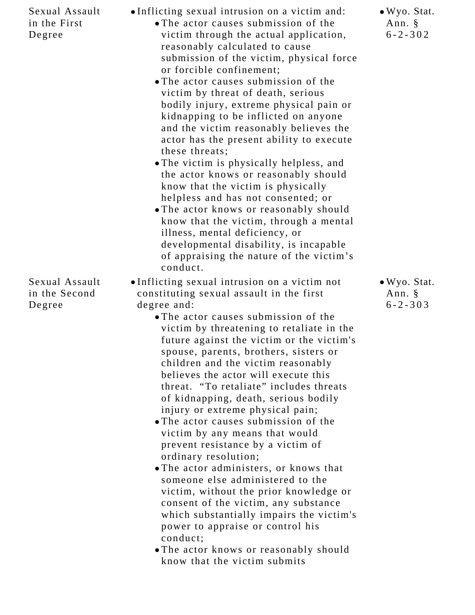| Sexual Assault<br>in the First<br>Degree  | •Inflicting sexual intrusion on a victim and:<br>• The actor causes submission of the<br>victim through the actual application,<br>reasonably calculated to cause<br>submission of the victim, physical force<br>or forcible confinement;<br>• The actor causes submission of the<br>victim by threat of death, serious<br>bodily injury, extreme physical pain or<br>kidnapping to be inflicted on anyone<br>and the victim reasonably believes the<br>actor has the present ability to execute<br>these threats;<br>. The victim is physically helpless, and<br>the actor knows or reasonably should<br>know that the victim is physically<br>helpless and has not consented; or<br>• The actor knows or reasonably should<br>know that the victim, through a mental<br>illness, mental deficiency, or<br>developmental disability, is incapable<br>of appraising the nature of the victim's<br>conduct.                                                           | • Wyo. Stat.<br>Ann. §<br>$6 - 2 - 302$            |
|-------------------------------------------|----------------------------------------------------------------------------------------------------------------------------------------------------------------------------------------------------------------------------------------------------------------------------------------------------------------------------------------------------------------------------------------------------------------------------------------------------------------------------------------------------------------------------------------------------------------------------------------------------------------------------------------------------------------------------------------------------------------------------------------------------------------------------------------------------------------------------------------------------------------------------------------------------------------------------------------------------------------------|----------------------------------------------------|
| Sexual Assault<br>in the Second<br>Degree | •Inflicting sexual intrusion on a victim not<br>constituting sexual assault in the first<br>degree and:<br>• The actor causes submission of the<br>victim by threatening to retaliate in the<br>future against the victim or the victim's<br>spouse, parents, brothers, sisters or<br>children and the victim reasonably<br>believes the actor will execute this<br>threat. "To retaliate" includes threats<br>of kidnapping, death, serious bodily<br>injury or extreme physical pain;<br>• The actor causes submission of the<br>victim by any means that would<br>prevent resistance by a victim of<br>ordinary resolution;<br>• The actor administers, or knows that<br>someone else administered to the<br>victim, without the prior knowledge or<br>consent of the victim, any substance<br>which substantially impairs the victim's<br>power to appraise or control his<br>conduct;<br>• The actor knows or reasonably should<br>know that the victim submits | $\bullet$ Wyo. Stat.<br>Ann. $\S$<br>$6 - 2 - 303$ |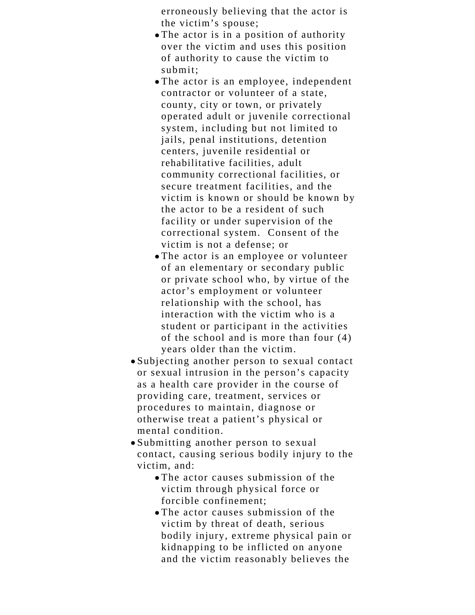erroneously believing that the actor is the victim's spouse;

- The actor is in a position of authority over the victim and uses this position of authority to cause the victim to submit;
- The actor is an employee, independent contractor or volunteer of a state, county, city or town, or privately operated adult or juvenile correctional system, including but not limited to jails, penal institutions, detention centers, juvenile residential or rehabilitative facilities, adult community correctional facilities, or secure treatment facilities, and the victim is known or should be known by the actor to be a resident of such facility or under supervision of the correctional system. Consent of the victim is not a defense; or
- The actor is an employee or volunteer of an elementary or secondary public or private school who, by virtue of the actor's employment or volunteer relationship with the school, has interaction with the victim who is a student or participant in the activities of the school and is more than four (4) years older than the victim.
- Subjecting another person to sexual contact or sexual intrusion in the person's capacity as a health care provider in the course of providing care, treatment, services or procedures to maintain, diagnose or otherwise treat a patient's physical or mental condition.
- Submitting another person to sexual contact, causing serious bodily injury to the victim, and:
	- The actor causes submission of the victim through physical force or forcible confinement;
	- The actor causes submission of the victim by threat of death, serious bodily injury, extreme physical pain or kidnapping to be inflicted on anyone and the victim reasonably believes the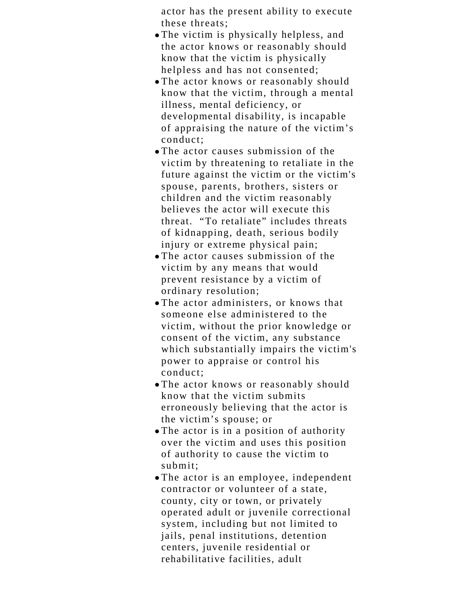actor has the present ability to execute these threats;

- The victim is physically helpless, and the actor knows or reasonably should know that the victim is physically helpless and has not consented;
- The actor knows or reasonably should know that the victim, through a mental illness, mental deficiency, or developmental disability, is incapable of appraising the nature of the victim's conduct;
- The actor causes submission of the victim by threatening to retaliate in the future against the victim or the victim's spouse, parents, brothers, sisters or children and the victim reasonably believes the actor will execute this threat. "To retaliate" includes threats of kidnapping, death, serious bodily injury or extreme physical pain;
- The actor causes submission of the victim by any means that would prevent resistance by a victim of ordinary resolution;
- The actor administers, or knows that someone else administered to the victim, without the prior knowledge or consent of the victim, any substance which substantially impairs the victim's power to appraise or control his conduct;
- The actor knows or reasonably should know that the victim submits erroneously believing that the actor is the victim's spouse; or
- The actor is in a position of authority over the victim and uses this position of authority to cause the victim to submit;
- The actor is an employee, independent contractor or volunteer of a state, county, city or town, or privately operated adult or juvenile correctional system, including but not limited to jails, penal institutions, detention centers, juvenile residential or rehabilitative facilities, adult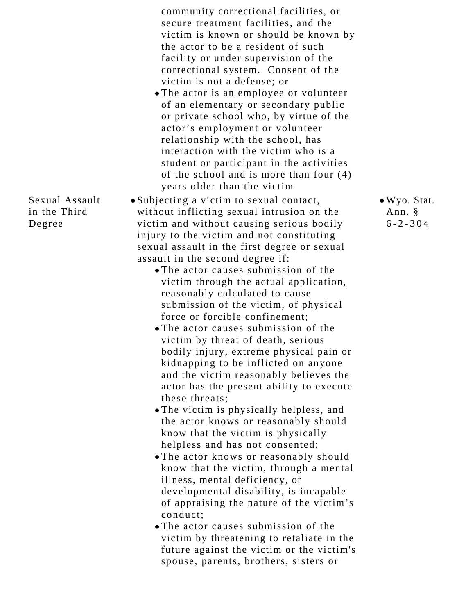community correctional facilities, or secure treatment facilities, and the victim is known or should be known by the actor to be a resident of such facility or under supervision of the correctional system. Consent of the victim is not a defense; or

The actor is an employee or volunteer of an elementary or secondary public or private school who, by virtue of the actor's employment or volunteer relationship with the school, has interaction with the victim who is a student or participant in the activities of the school and is more than four (4) years older than the victim

> Wyo. Stat. Ann. § 6-2-304

- Subjecting a victim to sexual contact, without inflicting sexual intrusion on the victim and without causing serious bodily injury to the victim and not constituting sexual assault in the first degree or sexual assault in the second degree if:
	- The actor causes submission of the victim through the actual application, reasonably calculated to cause submission of the victim, of physical force or forcible confinement;
	- The actor causes submission of the victim by threat of death, serious bodily injury, extreme physical pain or kidnapping to be inflicted on anyone and the victim reasonably believes the actor has the present ability to execute these threats;
	- The victim is physically helpless, and the actor knows or reasonably should know that the victim is physically helpless and has not consented;
	- The actor knows or reasonably should know that the victim, through a mental illness, mental deficiency, or developmental disability, is incapable of appraising the nature of the victim's conduct;
	- The actor causes submission of the victim by threatening to retaliate in the future against the victim or the victim's spouse, parents, brothers, sisters or

Sexual Assault in the Third Degree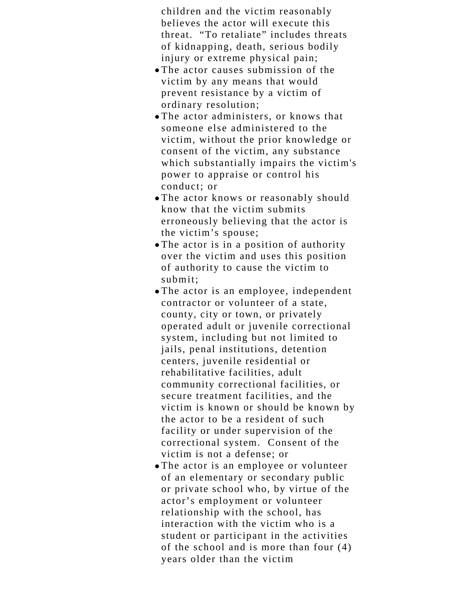children and the victim reasonably believes the actor will execute this threat. "To retaliate" includes threats of kidnapping, death, serious bodily injury or extreme physical pain;

- The actor causes submission of the victim by any means that would prevent resistance by a victim of ordinary resolution;
- The actor administers, or knows that someone else administered to the victim, without the prior knowledge or consent of the victim, any substance which substantially impairs the victim's power to appraise or control his conduct; or
- The actor knows or reasonably should know that the victim submits erroneously believing that the actor is the victim's spouse;
- The actor is in a position of authority over the victim and uses this position of authority to cause the victim to submit;
- The actor is an employee, independent contractor or volunteer of a state, county, city or town, or privately operated adult or juvenile correctional system, including but not limited to jails, penal institutions, detention centers, juvenile residential or rehabilitative facilities, adult community correctional facilities, or secure treatment facilities, and the victim is known or should be known by the actor to be a resident of such facility or under supervision of the correctional system. Consent of the victim is not a defense; or
- The actor is an employee or volunteer of an elementary or secondary public or private school who, by virtue of the actor's employment or volunteer relationship with the school, has interaction with the victim who is a student or participant in the activities of the school and is more than four (4) years older than the victim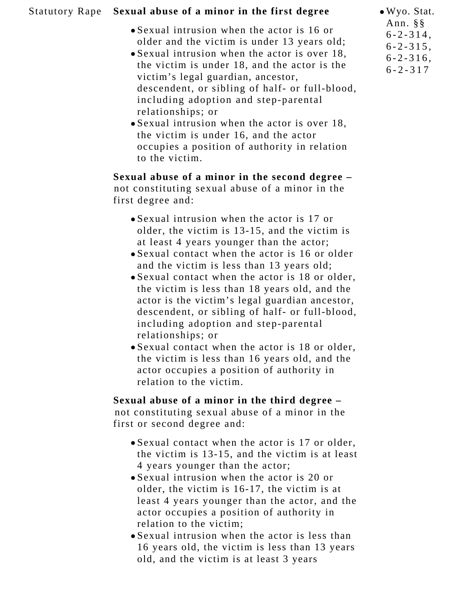## Statutory Rape **Sexual abuse of a minor in the first degree**

- Sexual intrusion when the actor is 16 or older and the victim is under 13 years old;
- Sexual intrusion when the actor is over 18, the victim is under 18, and the actor is the victim's legal guardian, ancestor, descendent, or sibling of half- or full-blood, including adoption and step-parental relationships; or
- Sexual intrusion when the actor is over 18, the victim is under 16, and the actor occupies a position of authority in relation to the victim.

**Sexual abuse of a minor in the second degree –** not constituting sexual abuse of a minor in the first degree and:

- Sexual intrusion when the actor is 17 or older, the victim is 13-15, and the victim is at least 4 years younger than the actor;
- Sexual contact when the actor is 16 or older and the victim is less than 13 years old;
- Sexual contact when the actor is 18 or older, the victim is less than 18 years old, and the actor is the victim's legal guardian ancestor, descendent, or sibling of half- or full-blood, including adoption and step-parental relationships; or
- Sexual contact when the actor is 18 or older, the victim is less than 16 years old, and the actor occupies a position of authority in relation to the victim.

**Sexual abuse of a minor in the third degree –** not constituting sexual abuse of a minor in the first or second degree and:

- Sexual contact when the actor is 17 or older, the victim is 13-15, and the victim is at least 4 years younger than the actor;
- Sexual intrusion when the actor is 20 or older, the victim is 16-17, the victim is at least 4 years younger than the actor, and the actor occupies a position of authority in relation to the victim;
- Sexual intrusion when the actor is less than 16 years old, the victim is less than 13 years old, and the victim is at least 3 years

Wyo. Stat. Ann. §§ 6-2-314, 6-2-315, 6-2-316, 6-2-317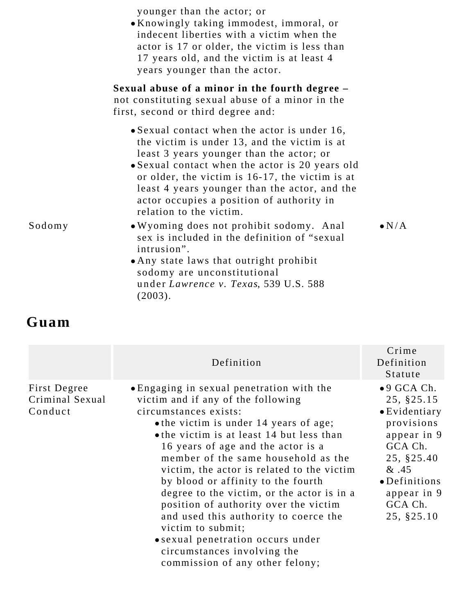|        | younger than the actor; or<br>• Knowingly taking immodest, immoral, or<br>indecent liberties with a victim when the<br>actor is 17 or older, the victim is less than<br>17 years old, and the victim is at least 4<br>years younger than the actor.                                                                                                                             |               |
|--------|---------------------------------------------------------------------------------------------------------------------------------------------------------------------------------------------------------------------------------------------------------------------------------------------------------------------------------------------------------------------------------|---------------|
|        | Sexual abuse of a minor in the fourth degree -<br>not constituting sexual abuse of a minor in the<br>first, second or third degree and:                                                                                                                                                                                                                                         |               |
|        | $\bullet$ Sexual contact when the actor is under 16,<br>the victim is under 13, and the victim is at<br>least 3 years younger than the actor; or<br>• Sexual contact when the actor is 20 years old<br>or older, the victim is 16-17, the victim is at<br>least 4 years younger than the actor, and the<br>actor occupies a position of authority in<br>relation to the victim. |               |
| Sodomy | • Wyoming does not prohibit sodomy. Anal<br>sex is included in the definition of "sexual<br>intrusion".<br>• Any state laws that outright prohibit<br>sodomy are unconstitutional<br>under Lawrence v. Texas, 539 U.S. 588<br>(2003).                                                                                                                                           | $\bullet$ N/A |

**Guam**

|                                            | Definition                                                                                                                                                                                                                                                                                                                                                                                                                                                                                                                                                                                                                   | Crime<br>Definition<br>Statute                                                                                                                                                            |
|--------------------------------------------|------------------------------------------------------------------------------------------------------------------------------------------------------------------------------------------------------------------------------------------------------------------------------------------------------------------------------------------------------------------------------------------------------------------------------------------------------------------------------------------------------------------------------------------------------------------------------------------------------------------------------|-------------------------------------------------------------------------------------------------------------------------------------------------------------------------------------------|
| First Degree<br>Criminal Sexual<br>Conduct | • Engaging in sexual penetration with the<br>victim and if any of the following<br>circumstances exists:<br>• the victim is under 14 years of age;<br>• the victim is at least 14 but less than<br>16 years of age and the actor is a<br>member of the same household as the<br>victim, the actor is related to the victim<br>by blood or affinity to the fourth<br>degree to the victim, or the actor is in a<br>position of authority over the victim<br>and used this authority to coerce the<br>victim to submit;<br>• sexual penetration occurs under<br>circumstances involving the<br>commission of any other felony; | $\bullet$ 9 GCA Ch.<br>25, §25.15<br>$\bullet$ Evidentiary<br>provisions<br>appear in 9<br>GCA Ch.<br>25, §25.40<br>&.45<br>$\bullet$ Definitions<br>appear in 9<br>GCA Ch.<br>25, §25.10 |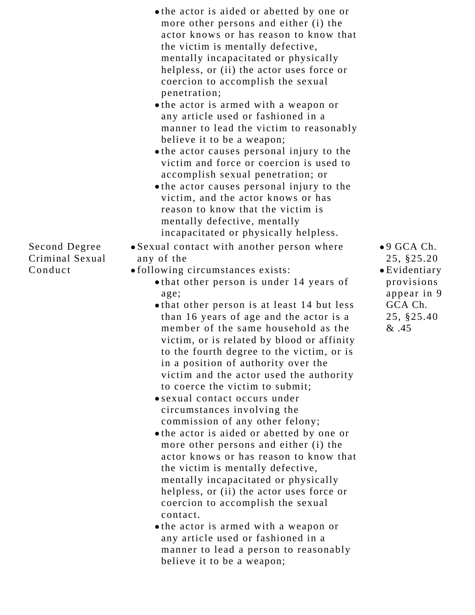|                 | • the actor is aided or abetted by one or<br>more other persons and either (i) the<br>actor knows or has reason to know that |
|-----------------|------------------------------------------------------------------------------------------------------------------------------|
|                 | the victim is mentally defective,                                                                                            |
|                 | mentally incapacitated or physically                                                                                         |
|                 | helpless, or (ii) the actor uses force or<br>coercion to accomplish the sexual                                               |
|                 | penetration;                                                                                                                 |
|                 | • the actor is armed with a weapon or                                                                                        |
|                 | any article used or fashioned in a                                                                                           |
|                 | manner to lead the victim to reasonably                                                                                      |
|                 | believe it to be a weapon;                                                                                                   |
|                 | • the actor causes personal injury to the                                                                                    |
|                 | victim and force or coercion is used to<br>accomplish sexual penetration; or                                                 |
|                 | • the actor causes personal injury to the                                                                                    |
|                 | victim, and the actor knows or has                                                                                           |
|                 | reason to know that the victim is                                                                                            |
|                 | mentally defective, mentally                                                                                                 |
|                 | incapacitated or physically helpless.                                                                                        |
| Second Degree   | • Sexual contact with another person where                                                                                   |
| Criminal Sexual | any of the                                                                                                                   |
| Conduct         | · following circumstances exists:                                                                                            |
|                 | • that other person is under 14 years of                                                                                     |
|                 | age;<br>• that other person is at least 14 but less                                                                          |
|                 | than 16 years of age and the actor is a                                                                                      |
|                 | member of the same household as the                                                                                          |
|                 | victim, or is related by blood or affinity                                                                                   |
|                 | to the fourth degree to the victim, or is                                                                                    |
|                 | in a position of authority over the                                                                                          |

victim and the actor used the authority

to coerce the victim to submit; sexual contact occurs under circumstances involving the

commission of any other felony;

the victim is mentally defective,

the actor is aided or abetted by one or more other persons and either (i) the actor knows or has reason to know that

mentally incapacitated or physically helpless, or (ii) the actor uses force or

coercion to accomplish the sexual

the actor is armed with a weapon or any article used or fashioned in a

believe it to be a weapon;

manner to lead a person to reasonably

contact.

- 9 GCA Ch. 25, §25.20 Evidentiary provisions appear in 9 GCA Ch.
	- 25, §25.40  $&45$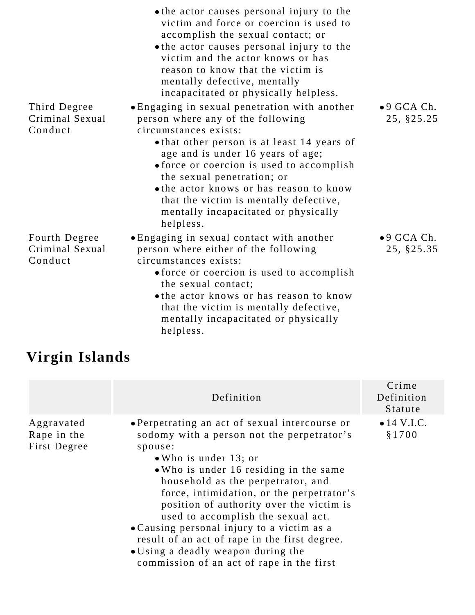|                                             | • the actor causes personal injury to the<br>victim and force or coercion is used to<br>accomplish the sexual contact; or<br>• the actor causes personal injury to the<br>victim and the actor knows or has<br>reason to know that the victim is<br>mentally defective, mentally<br>incapacitated or physically helpless.      |                                   |
|---------------------------------------------|--------------------------------------------------------------------------------------------------------------------------------------------------------------------------------------------------------------------------------------------------------------------------------------------------------------------------------|-----------------------------------|
| Third Degree                                | • Engaging in sexual penetration with another                                                                                                                                                                                                                                                                                  | $\bullet$ 9 GCA Ch.               |
| Criminal Sexual                             | person where any of the following                                                                                                                                                                                                                                                                                              | 25, §25.25                        |
| Conduct                                     | circumstances exists:<br>• that other person is at least 14 years of<br>age and is under 16 years of age;<br>• force or coercion is used to accomplish<br>the sexual penetration; or<br>• the actor knows or has reason to know<br>that the victim is mentally defective,<br>mentally incapacitated or physically<br>helpless. |                                   |
| Fourth Degree<br>Criminal Sexual<br>Conduct | • Engaging in sexual contact with another<br>person where either of the following<br>circumstances exists:                                                                                                                                                                                                                     | $\bullet$ 9 GCA Ch.<br>25, §25.35 |
|                                             | • force or coercion is used to accomplish<br>the sexual contact;                                                                                                                                                                                                                                                               |                                   |
|                                             | • the actor knows or has reason to know<br>that the victim is mentally defective,<br>mentally incapacitated or physically<br>helpless.                                                                                                                                                                                         |                                   |

## **Virgin Islands**

|                                           | Definition                                                                                                                                                                                                                                                                                                                                                                                                                                                                                                                               | Crime<br>Definition<br>Statute |
|-------------------------------------------|------------------------------------------------------------------------------------------------------------------------------------------------------------------------------------------------------------------------------------------------------------------------------------------------------------------------------------------------------------------------------------------------------------------------------------------------------------------------------------------------------------------------------------------|--------------------------------|
| Aggravated<br>Rape in the<br>First Degree | • Perpetrating an act of sexual intercourse or<br>sodomy with a person not the perpetrator's<br>spouse:<br>$\bullet$ Who is under 13; or<br>• Who is under 16 residing in the same<br>household as the perpetrator, and<br>force, intimidation, or the perpetrator's<br>position of authority over the victim is<br>used to accomplish the sexual act.<br>• Causing personal injury to a victim as a<br>result of an act of rape in the first degree.<br>• Using a deadly weapon during the<br>commission of an act of rape in the first | $\bullet$ 14 V.I.C.<br>\$1700  |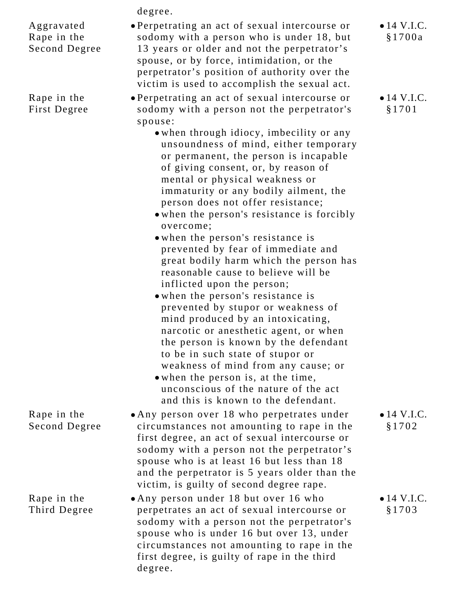degree.

Aggravated Rape in the Second Degree

Rape in the First Degree

Rape in the Second Degree

- Perpetrating an act of sexual intercourse or sodomy with a person who is under 18, but 13 years or older and not the perpetrator's spouse, or by force, intimidation, or the perpetrator's position of authority over the victim is used to accomplish the sexual act.
	- Perpetrating an act of sexual intercourse or sodomy with a person not the perpetrator's spouse:
		- when through idiocy, imbecility or any unsoundness of mind, either temporary or permanent, the person is incapable of giving consent, or, by reason of mental or physical weakness or immaturity or any bodily ailment, the person does not offer resistance;
		- when the person's resistance is forcibly overcome;
		- when the person's resistance is prevented by fear of immediate and great bodily harm which the person has reasonable cause to believe will be inflicted upon the person;
		- when the person's resistance is prevented by stupor or weakness of mind produced by an intoxicating, narcotic or anesthetic agent, or when the person is known by the defendant to be in such state of stupor or weakness of mind from any cause; or
		- when the person is, at the time, unconscious of the nature of the act and this is known to the defendant.
	- Any person over 18 who perpetrates under circumstances not amounting to rape in the first degree, an act of sexual intercourse or sodomy with a person not the perpetrator's spouse who is at least 16 but less than 18 and the perpetrator is 5 years older than the victim, is guilty of second degree rape.
- Rape in the Third Degree Any person under 18 but over 16 who perpetrates an act of sexual intercourse or sodomy with a person not the perpetrator's spouse who is under 16 but over 13, under circumstances not amounting to rape in the first degree, is guilty of rape in the third degree.

 $\bullet$  14 V.I.C. §1700a

 $\bullet$  14 V.I.C. §1701

 $\bullet$  14 V.I.C. §1702

 $\bullet$  14 V.I.C. §1703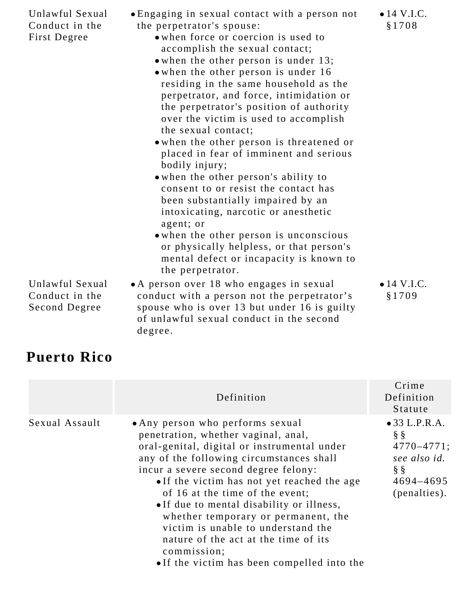| Unlawful Sexual<br>Conduct in the<br>First Degree | • Engaging in sexual contact with a person not<br>the perpetrator's spouse:<br>• when force or coercion is used to<br>accomplish the sexual contact;<br>• when the other person is under 13;<br>• when the other person is under 16<br>residing in the same household as the<br>perpetrator, and force, intimidation or<br>the perpetrator's position of authority<br>over the victim is used to accomplish<br>the sexual contact;<br>• when the other person is threatened or<br>placed in fear of imminent and serious<br>bodily injury;<br>• when the other person's ability to<br>consent to or resist the contact has<br>been substantially impaired by an<br>intoxicating, narcotic or anesthetic<br>agent; or<br>• when the other person is unconscious<br>or physically helpless, or that person's<br>mental defect or incapacity is known to | $\bullet$ 14 V.I.C.<br>§1708 |
|---------------------------------------------------|-------------------------------------------------------------------------------------------------------------------------------------------------------------------------------------------------------------------------------------------------------------------------------------------------------------------------------------------------------------------------------------------------------------------------------------------------------------------------------------------------------------------------------------------------------------------------------------------------------------------------------------------------------------------------------------------------------------------------------------------------------------------------------------------------------------------------------------------------------|------------------------------|
| Unlawful Sexual<br>Conduct in the                 | the perpetrator.<br>• A person over 18 who engages in sexual<br>conduct with a person not the perpetrator's                                                                                                                                                                                                                                                                                                                                                                                                                                                                                                                                                                                                                                                                                                                                           | $\bullet$ 14 V.I.C.<br>§1709 |
| Second Degree                                     | spouse who is over 13 but under 16 is guilty<br>of unlawful sexual conduct in the second<br>degree.                                                                                                                                                                                                                                                                                                                                                                                                                                                                                                                                                                                                                                                                                                                                                   |                              |

## **Puerto Rico**

|                | Definition                                                                                                                                                                                                                                                                                                                                                                                                                                                                                                                   | Crime<br>Definition<br>Statute                                                                                  |
|----------------|------------------------------------------------------------------------------------------------------------------------------------------------------------------------------------------------------------------------------------------------------------------------------------------------------------------------------------------------------------------------------------------------------------------------------------------------------------------------------------------------------------------------------|-----------------------------------------------------------------------------------------------------------------|
| Sexual Assault | • Any person who performs sexual<br>penetration, whether vaginal, anal,<br>oral-genital, digital or instrumental under<br>any of the following circumstances shall<br>incur a severe second degree felony:<br>• If the victim has not yet reached the age<br>of 16 at the time of the event;<br>• If due to mental disability or illness,<br>whether temporary or permanent, the<br>victim is unable to understand the<br>nature of the act at the time of its<br>commission;<br>• If the victim has been compelled into the | $\bullet$ 33 L.P.R.A.<br>$\S$ $\S$<br>$4770 - 4771$ ;<br>see also id.<br>$\S$ $\S$<br>4694-4695<br>(penalties). |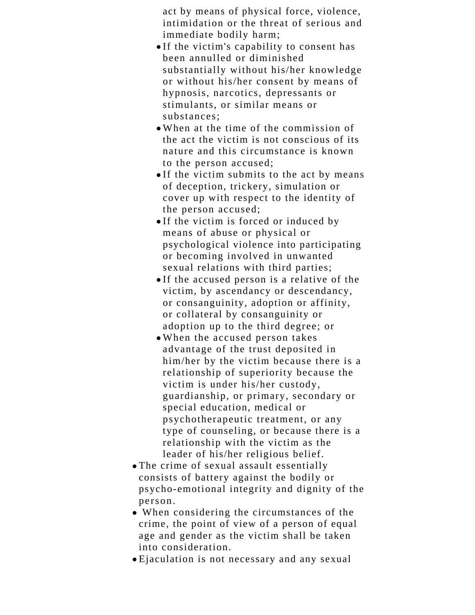act by means of physical force, violence, intimidation or the threat of serious and immediate bodily harm;

- If the victim's capability to consent has been annulled or diminished substantially without his/her knowledge or without his/her consent by means of hypnosis, narcotics, depressants or stimulants, or similar means or substances;
- When at the time of the commission of the act the victim is not conscious of its nature and this circumstance is known to the person accused;
- If the victim submits to the act by means of deception, trickery, simulation or cover up with respect to the identity of the person accused;
- If the victim is forced or induced by means of abuse or physical or psychological violence into participating or becoming involved in unwanted sexual relations with third parties;
- If the accused person is a relative of the victim, by ascendancy or descendancy, or consanguinity, adoption or affinity, or collateral by consanguinity or adoption up to the third degree; or
- When the accused person takes advantage of the trust deposited in him/her by the victim because there is a relationship of superiority because the victim is under his/her custody, guardianship, or primary, secondary or special education, medical or psychotherapeutic treatment, or any type of counseling, or because there is a relationship with the victim as the leader of his/her religious belief.
- The crime of sexual assault essentially consists of battery against the bodily or psycho-emotional integrity and dignity of the person.
- When considering the circumstances of the crime, the point of view of a person of equal age and gender as the victim shall be taken into consideration.
- Ejaculation is not necessary and any sexual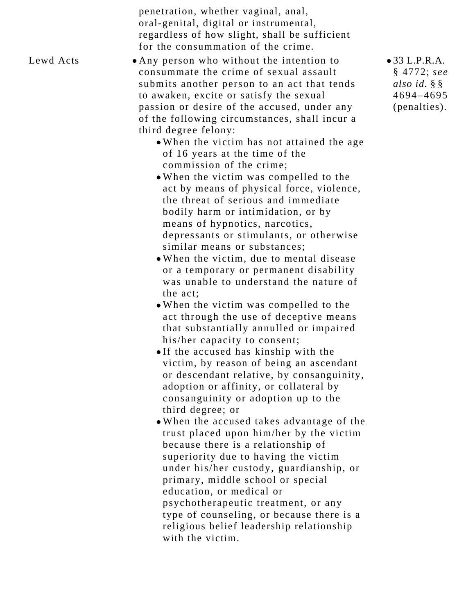penetration, whether vaginal, anal, oral-genital, digital or instrumental, regardless of how slight, shall be sufficient for the consummation of the crime.

Lewd Acts  $\bullet$  Any person who without the intention to consummate the crime of sexual assault submits another person to an act that tends to awaken, excite or satisfy the sexual passion or desire of the accused, under any of the following circumstances, shall incur a third degree felony:

- When the victim has not attained the age of 16 years at the time of the commission of the crime;
- When the victim was compelled to the act by means of physical force, violence, the threat of serious and immediate bodily harm or intimidation, or by means of hypnotics, narcotics, depressants or stimulants, or otherwise similar means or substances;
- When the victim, due to mental disease or a temporary or permanent disability was unable to understand the nature of the act;
- When the victim was compelled to the act through the use of deceptive means that substantially annulled or impaired his/her capacity to consent;
- If the accused has kinship with the victim, by reason of being an ascendant or descendant relative, by consanguinity, adoption or affinity, or collateral by consanguinity or adoption up to the third degree; or
- When the accused takes advantage of the trust placed upon him/her by the victim because there is a relationship of superiority due to having the victim under his/her custody, guardianship, or primary, middle school or special education, or medical or psychotherapeutic treatment, or any type of counseling, or because there is a religious belief leadership relationship with the victim.

33 L.P.R.A. § 4772; *see also id.* § § 4694–4695 (penalties).